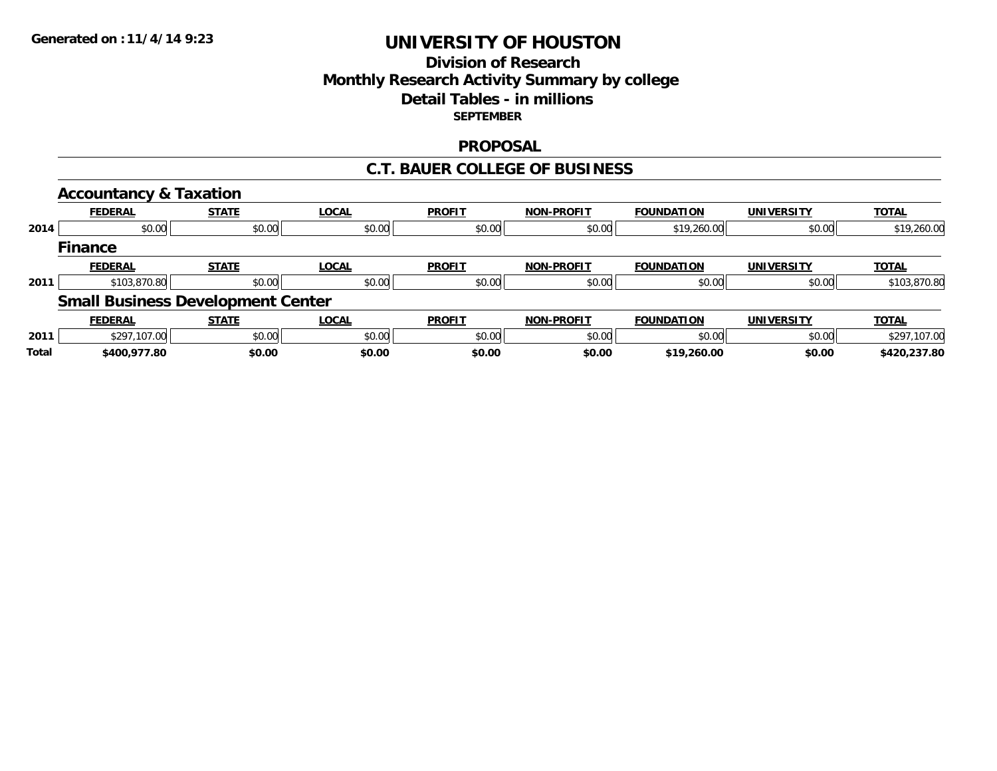# **Division of ResearchMonthly Research Activity Summary by college Detail Tables - in millions SEPTEMBER**

#### **PROPOSAL**

#### **C.T. BAUER COLLEGE OF BUSINESS**

|       | <b>Accountancy &amp; Taxation</b> |                                          |              |               |                   |                   |                   |              |
|-------|-----------------------------------|------------------------------------------|--------------|---------------|-------------------|-------------------|-------------------|--------------|
|       | <b>FEDERAL</b>                    | <b>STATE</b>                             | <b>LOCAL</b> | <b>PROFIT</b> | <b>NON-PROFIT</b> | <b>FOUNDATION</b> | <b>UNIVERSITY</b> | <b>TOTAL</b> |
| 2014  | \$0.00                            | \$0.00                                   | \$0.00       | \$0.00        | \$0.00            | \$19,260.00       | \$0.00            | \$19,260.00  |
|       | <b>Finance</b>                    |                                          |              |               |                   |                   |                   |              |
|       | <b>FEDERAL</b>                    | <b>STATE</b>                             | <b>LOCAL</b> | <b>PROFIT</b> | <b>NON-PROFIT</b> | <b>FOUNDATION</b> | <b>UNIVERSITY</b> | <b>TOTAL</b> |
| 2011  | \$103,870.80                      | \$0.00                                   | \$0.00       | \$0.00        | \$0.00            | \$0.00            | \$0.00            | \$103,870.80 |
|       |                                   | <b>Small Business Development Center</b> |              |               |                   |                   |                   |              |
|       | <b>FEDERAL</b>                    | <b>STATE</b>                             | <b>LOCAL</b> | <b>PROFIT</b> | <b>NON-PROFIT</b> | <b>FOUNDATION</b> | <b>UNIVERSITY</b> | <b>TOTAL</b> |
| 2011  | \$297,107.00                      | \$0.00                                   | \$0.00       | \$0.00        | \$0.00            | \$0.00            | \$0.00            | \$297,107.00 |
| Total | \$400,977.80                      | \$0.00                                   | \$0.00       | \$0.00        | \$0.00            | \$19,260.00       | \$0.00            | \$420,237.80 |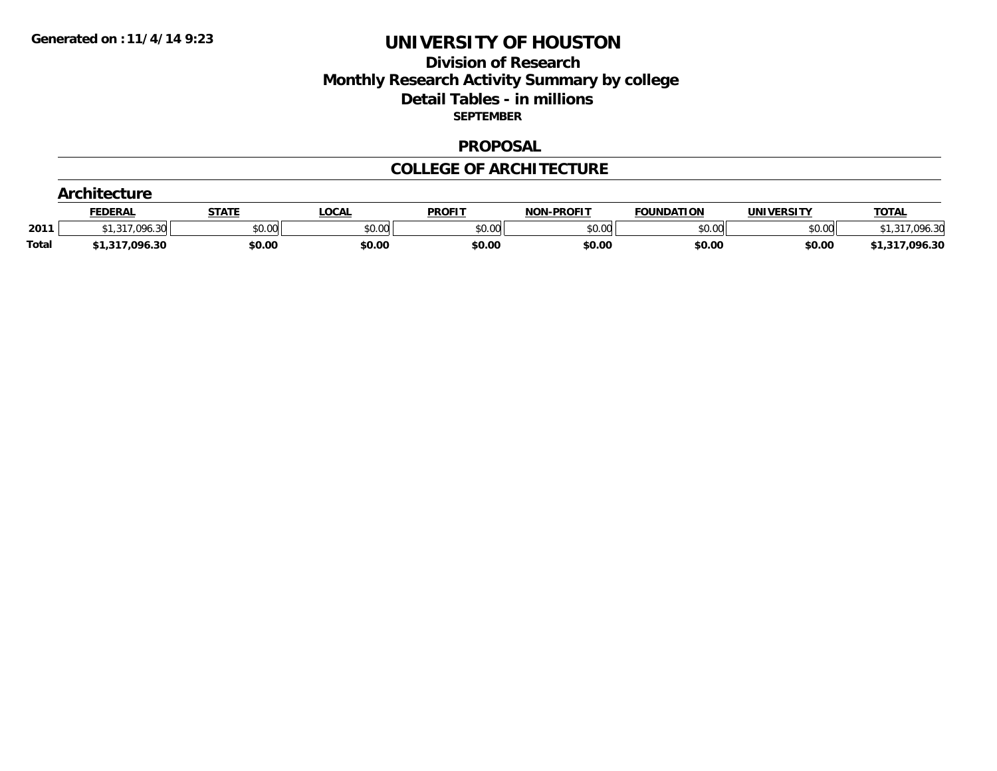## **Division of Research Monthly Research Activity Summary by college Detail Tables - in millions SEPTEMBER**

#### **PROPOSAL**

#### **COLLEGE OF ARCHITECTURE**

|              | <b>ntecture</b>         |              |        |               |            |                   |            |                          |  |  |  |  |
|--------------|-------------------------|--------------|--------|---------------|------------|-------------------|------------|--------------------------|--|--|--|--|
|              | <b>FEDERAL</b>          | <b>STATE</b> | _OCAL  | <b>PROFIT</b> | NON-PROFIT | <b>FOUNDATION</b> | UNIVERSITY | <b>TOTAL</b>             |  |  |  |  |
| 2011         | .096.30<br>047<br>اد،اد | \$0.00       | \$0.00 | \$0.00        | \$0.00     | \$0.00            | \$0.00     | <b>OOK 30</b><br>UYO. ƏU |  |  |  |  |
| <b>Total</b> | \$1,317,096.30          | \$0.00       | \$0.00 | \$0.00        | \$0.00     | \$0.00            | \$0.00     | \$1,317,096.30           |  |  |  |  |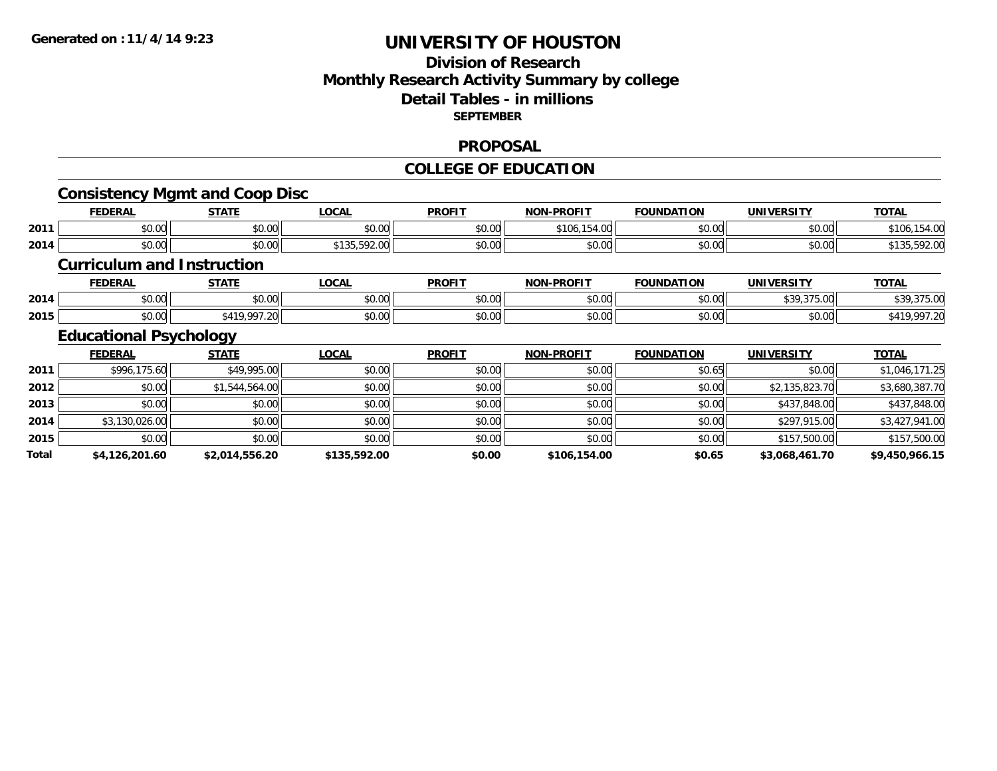## **Division of ResearchMonthly Research Activity Summary by college Detail Tables - in millions SEPTEMBER**

#### **PROPOSAL**

## **COLLEGE OF EDUCATION**

## **Consistency Mgmt and Coop Disc**

|      | <b>FEDERAL</b> | <b>STATE</b> | _OCAL                                               | <b>PROFIT</b> | <b>N-PROFIT</b><br><b>MARI</b> | <b>FOUNDATION</b> | <b>UNIVERSITY</b> | <b>TOTAL</b>    |
|------|----------------|--------------|-----------------------------------------------------|---------------|--------------------------------|-------------------|-------------------|-----------------|
| 2011 | \$0.00         | \$0.00       | 0.00<br>ง∪.∪บ                                       | \$0.00        | $\cdots$<br>\$106<br>. 154     | \$0.00            | \$0.00            | 54.00<br>\$106. |
| 2014 | \$0.00         | \$0.00       | $\sim$ 500.000 $\sim$<br><b>¢121</b><br>1 JJ.J7Z.UU | \$0.00        | \$0.00                         | \$0.00            | \$0.00            | \$135,592.00    |

#### **Curriculum and Instruction**

|      | <b>FEDERAI</b>     | C T A T C     | $\sim$<br>. Jur.   | <b>PROFIT</b>           | I DDAEIT<br><b>MONE</b> | <b>FOUNDATION</b><br>чок | <b>IINIVEDSITV</b>                                                                                    | <b>TAT</b> |
|------|--------------------|---------------|--------------------|-------------------------|-------------------------|--------------------------|-------------------------------------------------------------------------------------------------------|------------|
| 2014 | $\cdots$<br>JU.UU  | 0.00<br>JU.UU | $\sim$ 00<br>JU.UU | 0.00<br>JU.UU           | $\sim$ 00<br>70.OU      | $\sim$ 00<br>ט.ט         | $\begin{array}{c} \hline \text{A} & \text{A} & \text{A} & \text{B} & \text{A} & \text{B} \end{array}$ |            |
| 2015 | $\sim$ 00<br>JU.UU | .007          | $\sim$ 00<br>JU.UU | 0 <sub>n</sub><br>JU.UU | $\cdots$<br>ט.טע        | $\sim$ 00                | امہ مہ<br>JU.UU                                                                                       | o          |

# **Educational Psychology**

|       | <b>FEDERAL</b> | <b>STATE</b>   | <u>LOCAL</u> | <b>PROFIT</b> | <b>NON-PROFIT</b> | <b>FOUNDATION</b> | <b>UNIVERSITY</b> | <b>TOTAL</b>   |
|-------|----------------|----------------|--------------|---------------|-------------------|-------------------|-------------------|----------------|
| 2011  | \$996,175.60   | \$49,995.00    | \$0.00       | \$0.00        | \$0.00            | \$0.65            | \$0.00            | \$1,046,171.25 |
| 2012  | \$0.00         | \$1,544,564.00 | \$0.00       | \$0.00        | \$0.00            | \$0.00            | \$2,135,823.70    | \$3,680,387.70 |
| 2013  | \$0.00         | \$0.00         | \$0.00       | \$0.00        | \$0.00            | \$0.00            | \$437,848.00      | \$437,848.00   |
| 2014  | \$3,130,026.00 | \$0.00         | \$0.00       | \$0.00        | \$0.00            | \$0.00            | \$297,915.00      | \$3,427,941.00 |
| 2015  | \$0.00         | \$0.00         | \$0.00       | \$0.00        | \$0.00            | \$0.00            | \$157,500.00      | \$157,500.00   |
| Total | \$4,126,201.60 | \$2.014.556.20 | \$135,592.00 | \$0.00        | \$106,154.00      | \$0.65            | \$3,068,461.70    | \$9,450,966.15 |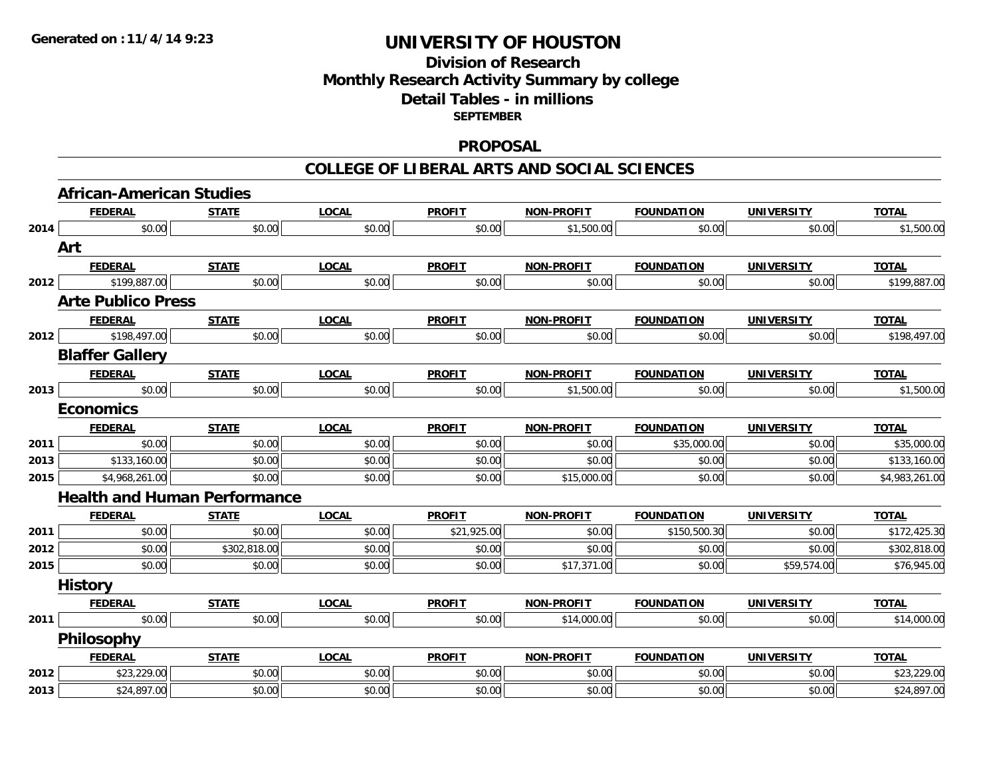# **Division of ResearchMonthly Research Activity Summary by college Detail Tables - in millions SEPTEMBER**

#### **PROPOSAL**

#### **COLLEGE OF LIBERAL ARTS AND SOCIAL SCIENCES**

|      | <b>African-American Studies</b>     |              |              |               |                   |                   |                   |                |
|------|-------------------------------------|--------------|--------------|---------------|-------------------|-------------------|-------------------|----------------|
|      | <b>FEDERAL</b>                      | <b>STATE</b> | <b>LOCAL</b> | <b>PROFIT</b> | <b>NON-PROFIT</b> | <b>FOUNDATION</b> | <b>UNIVERSITY</b> | <b>TOTAL</b>   |
| 2014 | \$0.00                              | \$0.00       | \$0.00       | \$0.00        | \$1,500.00        | \$0.00            | \$0.00            | \$1,500.00     |
|      | Art                                 |              |              |               |                   |                   |                   |                |
|      | <b>FEDERAL</b>                      | <b>STATE</b> | <b>LOCAL</b> | <b>PROFIT</b> | NON-PROFIT        | <b>FOUNDATION</b> | <b>UNIVERSITY</b> | <b>TOTAL</b>   |
| 2012 | \$199,887.00                        | \$0.00       | \$0.00       | \$0.00        | \$0.00            | \$0.00            | \$0.00            | \$199,887.00   |
|      | <b>Arte Publico Press</b>           |              |              |               |                   |                   |                   |                |
|      | <b>FEDERAL</b>                      | <b>STATE</b> | <b>LOCAL</b> | <b>PROFIT</b> | <b>NON-PROFIT</b> | <b>FOUNDATION</b> | <b>UNIVERSITY</b> | <b>TOTAL</b>   |
| 2012 | \$198,497.00                        | \$0.00       | \$0.00       | \$0.00        | \$0.00            | \$0.00            | \$0.00            | \$198,497.00   |
|      | <b>Blaffer Gallery</b>              |              |              |               |                   |                   |                   |                |
|      | <b>FEDERAL</b>                      | <b>STATE</b> | <b>LOCAL</b> | <b>PROFIT</b> | NON-PROFIT        | <b>FOUNDATION</b> | <b>UNIVERSITY</b> | <b>TOTAL</b>   |
| 2013 | \$0.00                              | \$0.00       | \$0.00       | \$0.00        | \$1,500.00        | \$0.00            | \$0.00            | \$1,500.00     |
|      | <b>Economics</b>                    |              |              |               |                   |                   |                   |                |
|      | <b>FEDERAL</b>                      | <b>STATE</b> | <b>LOCAL</b> | <b>PROFIT</b> | NON-PROFIT        | <b>FOUNDATION</b> | <b>UNIVERSITY</b> | <b>TOTAL</b>   |
| 2011 | \$0.00                              | \$0.00       | \$0.00       | \$0.00        | \$0.00            | \$35,000.00       | \$0.00            | \$35,000.00    |
| 2013 | \$133,160.00                        | \$0.00       | \$0.00       | \$0.00        | \$0.00            | \$0.00            | \$0.00            | \$133,160.00   |
| 2015 | \$4,968,261.00                      | \$0.00       | \$0.00       | \$0.00        | \$15,000.00       | \$0.00            | \$0.00            | \$4,983,261.00 |
|      | <b>Health and Human Performance</b> |              |              |               |                   |                   |                   |                |
|      | <b>FEDERAL</b>                      | <b>STATE</b> | <b>LOCAL</b> | <b>PROFIT</b> | <b>NON-PROFIT</b> | <b>FOUNDATION</b> | <b>UNIVERSITY</b> | <b>TOTAL</b>   |
| 2011 | \$0.00                              | \$0.00       | \$0.00       | \$21,925.00   | \$0.00            | \$150,500.30      | \$0.00            | \$172,425.30   |
| 2012 | \$0.00                              | \$302,818.00 | \$0.00       | \$0.00        | \$0.00            | \$0.00            | \$0.00            | \$302,818.00   |
| 2015 | \$0.00                              | \$0.00       | \$0.00       | \$0.00        | \$17,371.00       | \$0.00            | \$59,574.00       | \$76,945.00    |
|      | <b>History</b>                      |              |              |               |                   |                   |                   |                |
|      | <b>FEDERAL</b>                      | <b>STATE</b> | <b>LOCAL</b> | <b>PROFIT</b> | NON-PROFIT        | <b>FOUNDATION</b> | <b>UNIVERSITY</b> | <b>TOTAL</b>   |
| 2011 | \$0.00                              | \$0.00       | \$0.00       | \$0.00        | \$14,000.00       | \$0.00            | \$0.00            | \$14,000.00    |
|      | <b>Philosophy</b>                   |              |              |               |                   |                   |                   |                |
|      | <b>FEDERAL</b>                      | <b>STATE</b> | <b>LOCAL</b> | <b>PROFIT</b> | NON-PROFIT        | <b>FOUNDATION</b> | <b>UNIVERSITY</b> | <b>TOTAL</b>   |
| 2012 | \$23,229.00                         | \$0.00       | \$0.00       | \$0.00        | \$0.00            | \$0.00            | \$0.00            | \$23,229.00    |
| 2013 | \$24,897.00                         | \$0.00       | \$0.00       | \$0.00        | \$0.00            | \$0.00            | \$0.00            | \$24,897.00    |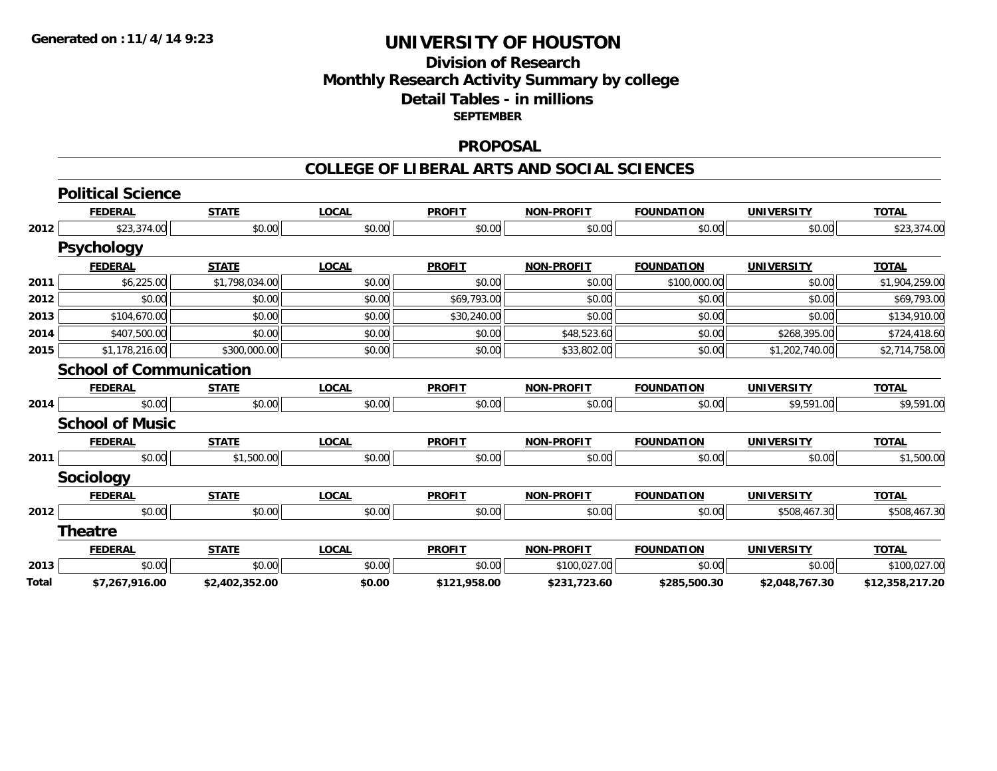# **Division of ResearchMonthly Research Activity Summary by college Detail Tables - in millions SEPTEMBER**

#### **PROPOSAL**

#### **COLLEGE OF LIBERAL ARTS AND SOCIAL SCIENCES**

|       | <b>Political Science</b>       |                |              |               |                   |                   |                   |                 |
|-------|--------------------------------|----------------|--------------|---------------|-------------------|-------------------|-------------------|-----------------|
|       | <b>FEDERAL</b>                 | <b>STATE</b>   | <b>LOCAL</b> | <b>PROFIT</b> | <b>NON-PROFIT</b> | <b>FOUNDATION</b> | <b>UNIVERSITY</b> | <b>TOTAL</b>    |
| 2012  | \$23,374.00                    | \$0.00         | \$0.00       | \$0.00        | \$0.00            | \$0.00            | \$0.00            | \$23,374.00     |
|       | <b>Psychology</b>              |                |              |               |                   |                   |                   |                 |
|       | <b>FEDERAL</b>                 | <b>STATE</b>   | <b>LOCAL</b> | <b>PROFIT</b> | <b>NON-PROFIT</b> | <b>FOUNDATION</b> | <b>UNIVERSITY</b> | <b>TOTAL</b>    |
| 2011  | \$6,225.00                     | \$1,798,034.00 | \$0.00       | \$0.00        | \$0.00            | \$100,000.00      | \$0.00            | \$1,904,259.00  |
| 2012  | \$0.00                         | \$0.00         | \$0.00       | \$69,793.00   | \$0.00            | \$0.00            | \$0.00            | \$69,793.00     |
| 2013  | \$104,670.00                   | \$0.00         | \$0.00       | \$30,240.00   | \$0.00            | \$0.00            | \$0.00            | \$134,910.00    |
| 2014  | \$407,500.00                   | \$0.00         | \$0.00       | \$0.00        | \$48,523.60       | \$0.00            | \$268,395.00      | \$724,418.60    |
| 2015  | \$1,178,216.00                 | \$300,000.00   | \$0.00       | \$0.00        | \$33,802.00       | \$0.00            | \$1,202,740.00    | \$2,714,758.00  |
|       | <b>School of Communication</b> |                |              |               |                   |                   |                   |                 |
|       | <b>FEDERAL</b>                 | <b>STATE</b>   | <b>LOCAL</b> | <b>PROFIT</b> | <b>NON-PROFIT</b> | <b>FOUNDATION</b> | <b>UNIVERSITY</b> | <b>TOTAL</b>    |
| 2014  | \$0.00                         | \$0.00         | \$0.00       | \$0.00        | \$0.00            | \$0.00            | \$9,591.00        | \$9,591.00      |
|       | <b>School of Music</b>         |                |              |               |                   |                   |                   |                 |
|       | <b>FEDERAL</b>                 | <b>STATE</b>   | <b>LOCAL</b> | <b>PROFIT</b> | <b>NON-PROFIT</b> | <b>FOUNDATION</b> | <b>UNIVERSITY</b> | <b>TOTAL</b>    |
| 2011  | \$0.00                         | \$1,500.00     | \$0.00       | \$0.00        | \$0.00            | \$0.00            | \$0.00            | \$1,500.00      |
|       | <b>Sociology</b>               |                |              |               |                   |                   |                   |                 |
|       | <b>FEDERAL</b>                 | <b>STATE</b>   | <b>LOCAL</b> | <b>PROFIT</b> | <b>NON-PROFIT</b> | <b>FOUNDATION</b> | <b>UNIVERSITY</b> | <b>TOTAL</b>    |
| 2012  | \$0.00                         | \$0.00         | \$0.00       | \$0.00        | \$0.00            | \$0.00            | \$508,467.30      | \$508,467.30    |
|       | <b>Theatre</b>                 |                |              |               |                   |                   |                   |                 |
|       | <b>FEDERAL</b>                 | <b>STATE</b>   | <b>LOCAL</b> | <b>PROFIT</b> | <b>NON-PROFIT</b> | <b>FOUNDATION</b> | <b>UNIVERSITY</b> | <b>TOTAL</b>    |
| 2013  | \$0.00                         | \$0.00         | \$0.00       | \$0.00        | \$100,027.00      | \$0.00            | \$0.00            | \$100,027.00    |
| Total | \$7,267,916.00                 | \$2,402,352.00 | \$0.00       | \$121,958.00  | \$231,723.60      | \$285,500.30      | \$2,048,767.30    | \$12,358,217.20 |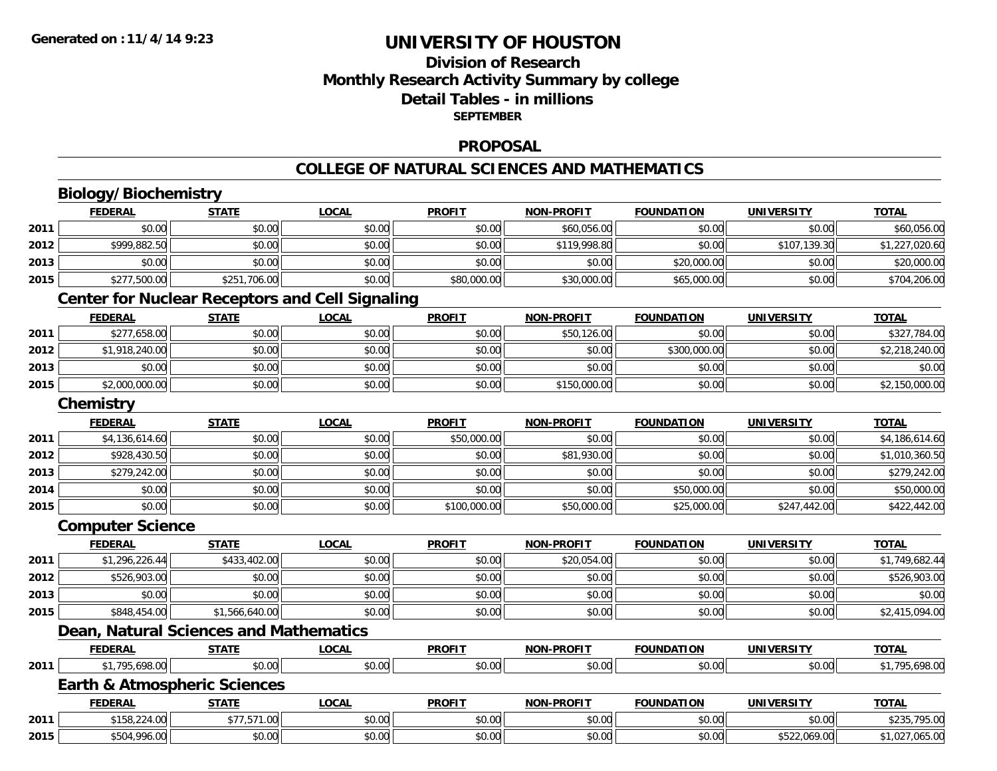# **Division of ResearchMonthly Research Activity Summary by college Detail Tables - in millions SEPTEMBER**

#### **PROPOSAL**

#### **COLLEGE OF NATURAL SCIENCES AND MATHEMATICS**

# **Biology/Biochemistry**

|      | <b>FEDERAL</b>                          | <b>STATE</b>                                           | <b>LOCAL</b> | <b>PROFIT</b> | <b>NON-PROFIT</b> | <b>FOUNDATION</b> | <b>UNIVERSITY</b> | <b>TOTAL</b>   |
|------|-----------------------------------------|--------------------------------------------------------|--------------|---------------|-------------------|-------------------|-------------------|----------------|
| 2011 | \$0.00                                  | \$0.00                                                 | \$0.00       | \$0.00        | \$60,056.00       | \$0.00            | \$0.00            | \$60,056.00    |
| 2012 | \$999,882.50                            | \$0.00                                                 | \$0.00       | \$0.00        | \$119,998.80      | \$0.00            | \$107,139.30      | \$1,227,020.60 |
| 2013 | \$0.00                                  | \$0.00                                                 | \$0.00       | \$0.00        | \$0.00            | \$20,000.00       | \$0.00            | \$20,000.00    |
| 2015 | \$277,500.00                            | \$251,706.00                                           | \$0.00       | \$80,000.00   | \$30,000.00       | \$65,000.00       | \$0.00            | \$704,206.00   |
|      |                                         | <b>Center for Nuclear Receptors and Cell Signaling</b> |              |               |                   |                   |                   |                |
|      | <b>FEDERAL</b>                          | <b>STATE</b>                                           | <b>LOCAL</b> | <b>PROFIT</b> | <b>NON-PROFIT</b> | <b>FOUNDATION</b> | <b>UNIVERSITY</b> | <b>TOTAL</b>   |
| 2011 | \$277,658.00                            | \$0.00                                                 | \$0.00       | \$0.00        | \$50,126.00       | \$0.00            | \$0.00            | \$327,784.00   |
| 2012 | \$1,918,240.00                          | \$0.00                                                 | \$0.00       | \$0.00        | \$0.00            | \$300,000.00      | \$0.00            | \$2,218,240.00 |
| 2013 | \$0.00                                  | \$0.00                                                 | \$0.00       | \$0.00        | \$0.00            | \$0.00            | \$0.00            | \$0.00         |
| 2015 | \$2,000,000.00                          | \$0.00                                                 | \$0.00       | \$0.00        | \$150,000.00      | \$0.00            | \$0.00            | \$2,150,000.00 |
|      | Chemistry                               |                                                        |              |               |                   |                   |                   |                |
|      | <b>FEDERAL</b>                          | <b>STATE</b>                                           | <b>LOCAL</b> | <b>PROFIT</b> | <b>NON-PROFIT</b> | <b>FOUNDATION</b> | <b>UNIVERSITY</b> | <b>TOTAL</b>   |
| 2011 | \$4,136,614.60                          | \$0.00                                                 | \$0.00       | \$50,000.00   | \$0.00            | \$0.00            | \$0.00            | \$4,186,614.60 |
| 2012 | \$928,430.50                            | \$0.00                                                 | \$0.00       | \$0.00        | \$81,930.00       | \$0.00            | \$0.00            | \$1,010,360.50 |
| 2013 | \$279,242.00                            | \$0.00                                                 | \$0.00       | \$0.00        | \$0.00            | \$0.00            | \$0.00            | \$279,242.00   |
| 2014 | \$0.00                                  | \$0.00                                                 | \$0.00       | \$0.00        | \$0.00            | \$50,000.00       | \$0.00            | \$50,000.00    |
| 2015 | \$0.00                                  | \$0.00                                                 | \$0.00       | \$100,000.00  | \$50,000.00       | \$25,000.00       | \$247,442.00      | \$422,442.00   |
|      | <b>Computer Science</b>                 |                                                        |              |               |                   |                   |                   |                |
|      | <b>FEDERAL</b>                          | <b>STATE</b>                                           | <b>LOCAL</b> | <b>PROFIT</b> | <b>NON-PROFIT</b> | <b>FOUNDATION</b> | <b>UNIVERSITY</b> | <b>TOTAL</b>   |
| 2011 | \$1,296,226.44                          | \$433,402.00                                           | \$0.00       | \$0.00        | \$20,054.00       | \$0.00            | \$0.00            | \$1,749,682.44 |
| 2012 | \$526,903.00                            | \$0.00                                                 | \$0.00       | \$0.00        | \$0.00            | \$0.00            | \$0.00            | \$526,903.00   |
| 2013 | \$0.00                                  | \$0.00                                                 | \$0.00       | \$0.00        | \$0.00            | \$0.00            | \$0.00            | \$0.00         |
| 2015 | \$848,454.00                            | \$1,566,640.00                                         | \$0.00       | \$0.00        | \$0.00            | \$0.00            | \$0.00            | \$2,415,094.00 |
|      |                                         | Dean, Natural Sciences and Mathematics                 |              |               |                   |                   |                   |                |
|      | <b>FEDERAL</b>                          | <b>STATE</b>                                           | <b>LOCAL</b> | <b>PROFIT</b> | <b>NON-PROFIT</b> | <b>FOUNDATION</b> | <b>UNIVERSITY</b> | <b>TOTAL</b>   |
| 2011 | \$1,795,698.00                          | \$0.00                                                 | \$0.00       | \$0.00        | \$0.00            | \$0.00            | \$0.00            | \$1,795,698.00 |
|      | <b>Earth &amp; Atmospheric Sciences</b> |                                                        |              |               |                   |                   |                   |                |
|      | <b>FEDERAL</b>                          | <b>STATE</b>                                           | <b>LOCAL</b> | <b>PROFIT</b> | <b>NON-PROFIT</b> | <b>FOUNDATION</b> | <b>UNIVERSITY</b> | <b>TOTAL</b>   |
| 2011 | \$158,224.00                            | \$77,571.00                                            | \$0.00       | \$0.00        | \$0.00            | \$0.00            | \$0.00            | \$235,795.00   |
| 2015 | \$504,996.00                            | \$0.00                                                 | \$0.00       | \$0.00        | \$0.00            | \$0.00            | \$522,069.00      | \$1,027,065.00 |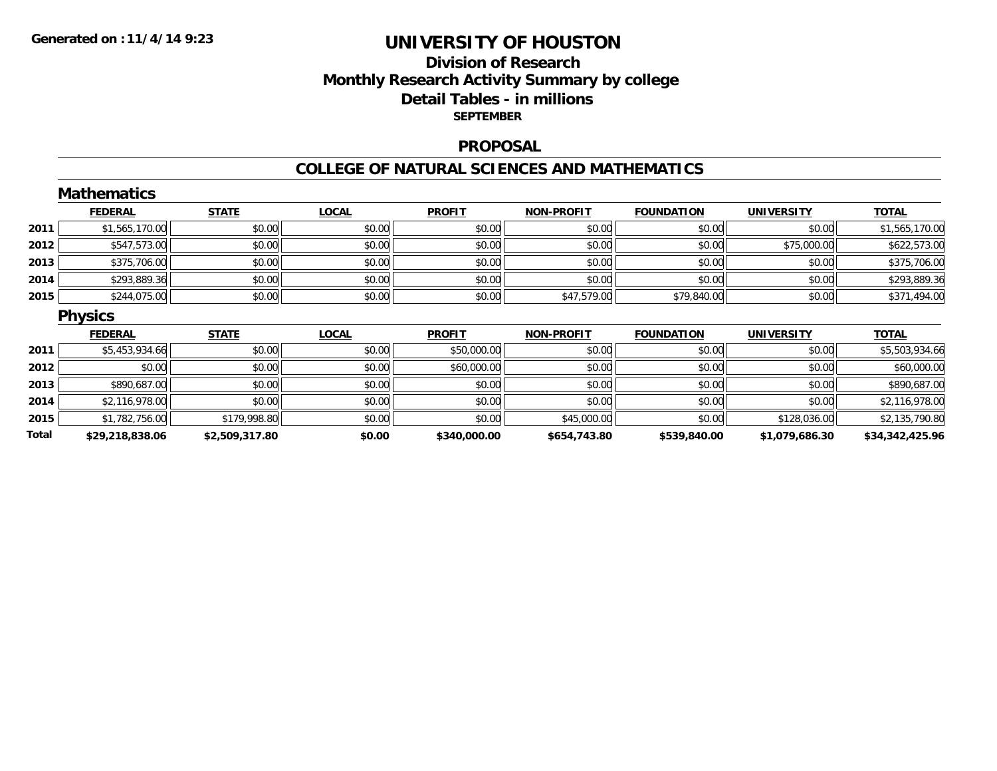## **Division of Research Monthly Research Activity Summary by college Detail Tables - in millions SEPTEMBER**

#### **PROPOSAL**

#### **COLLEGE OF NATURAL SCIENCES AND MATHEMATICS**

|       | <b>Mathematics</b> |                |              |               |                   |                   |                   |                 |
|-------|--------------------|----------------|--------------|---------------|-------------------|-------------------|-------------------|-----------------|
|       | <b>FEDERAL</b>     | <b>STATE</b>   | <b>LOCAL</b> | <b>PROFIT</b> | <b>NON-PROFIT</b> | <b>FOUNDATION</b> | <b>UNIVERSITY</b> | <b>TOTAL</b>    |
| 2011  | \$1,565,170.00     | \$0.00         | \$0.00       | \$0.00        | \$0.00            | \$0.00            | \$0.00            | \$1,565,170.00  |
| 2012  | \$547,573.00       | \$0.00         | \$0.00       | \$0.00        | \$0.00            | \$0.00            | \$75,000.00       | \$622,573.00    |
| 2013  | \$375,706.00       | \$0.00         | \$0.00       | \$0.00        | \$0.00            | \$0.00            | \$0.00            | \$375,706.00    |
| 2014  | \$293,889.36       | \$0.00         | \$0.00       | \$0.00        | \$0.00            | \$0.00            | \$0.00            | \$293,889.36    |
| 2015  | \$244,075.00       | \$0.00         | \$0.00       | \$0.00        | \$47,579.00       | \$79,840.00       | \$0.00            | \$371,494.00    |
|       | <b>Physics</b>     |                |              |               |                   |                   |                   |                 |
|       | <b>FEDERAL</b>     | <b>STATE</b>   | <b>LOCAL</b> | <b>PROFIT</b> | <b>NON-PROFIT</b> | <b>FOUNDATION</b> | <b>UNIVERSITY</b> | <b>TOTAL</b>    |
| 2011  | \$5,453,934.66     | \$0.00         | \$0.00       | \$50,000.00   | \$0.00            | \$0.00            | \$0.00            | \$5,503,934.66  |
| 2012  | \$0.00             | \$0.00         | \$0.00       | \$60,000.00   | \$0.00            | \$0.00            | \$0.00            | \$60,000.00     |
| 2013  | \$890,687.00       | \$0.00         | \$0.00       | \$0.00        | \$0.00            | \$0.00            | \$0.00            | \$890,687.00    |
| 2014  | \$2,116,978.00     | \$0.00         | \$0.00       | \$0.00        | \$0.00            | \$0.00            | \$0.00            | \$2,116,978.00  |
| 2015  | \$1,782,756.00     | \$179,998.80   | \$0.00       | \$0.00        | \$45,000.00       | \$0.00            | \$128,036.00      | \$2,135,790.80  |
| Total | \$29,218,838.06    | \$2,509,317.80 | \$0.00       | \$340,000.00  | \$654,743.80      | \$539,840.00      | \$1,079,686.30    | \$34,342,425.96 |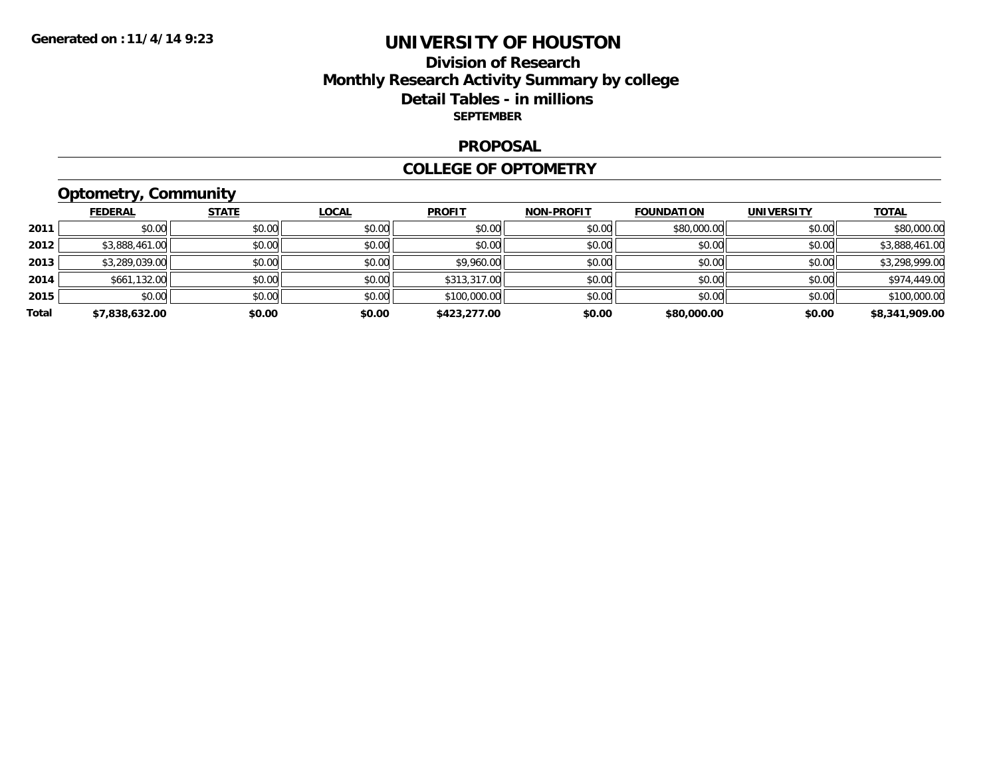## **Division of Research Monthly Research Activity Summary by college Detail Tables - in millions SEPTEMBER**

#### **PROPOSAL**

#### **COLLEGE OF OPTOMETRY**

# **Optometry, Community**

|       | <b>FEDERAL</b> | <b>STATE</b> | <b>LOCAL</b> | <b>PROFIT</b> | <b>NON-PROFIT</b> | <b>FOUNDATION</b> | <b>UNIVERSITY</b> | <b>TOTAL</b>   |
|-------|----------------|--------------|--------------|---------------|-------------------|-------------------|-------------------|----------------|
| 2011  | \$0.00         | \$0.00       | \$0.00       | \$0.00        | \$0.00            | \$80,000.00       | \$0.00            | \$80,000.00    |
| 2012  | \$3,888,461.00 | \$0.00       | \$0.00       | \$0.00        | \$0.00            | \$0.00            | \$0.00            | \$3,888,461.00 |
| 2013  | \$3,289,039.00 | \$0.00       | \$0.00       | \$9,960.00    | \$0.00            | \$0.00            | \$0.00            | \$3,298,999.00 |
| 2014  | \$661,132.00   | \$0.00       | \$0.00       | \$313,317.00  | \$0.00            | \$0.00            | \$0.00            | \$974,449.00   |
| 2015  | \$0.00         | \$0.00       | \$0.00       | \$100,000.00  | \$0.00            | \$0.00            | \$0.00            | \$100,000.00   |
| Total | \$7.838.632.00 | \$0.00       | \$0.00       | \$423,277.00  | \$0.00            | \$80,000.00       | \$0.00            | \$8,341,909.00 |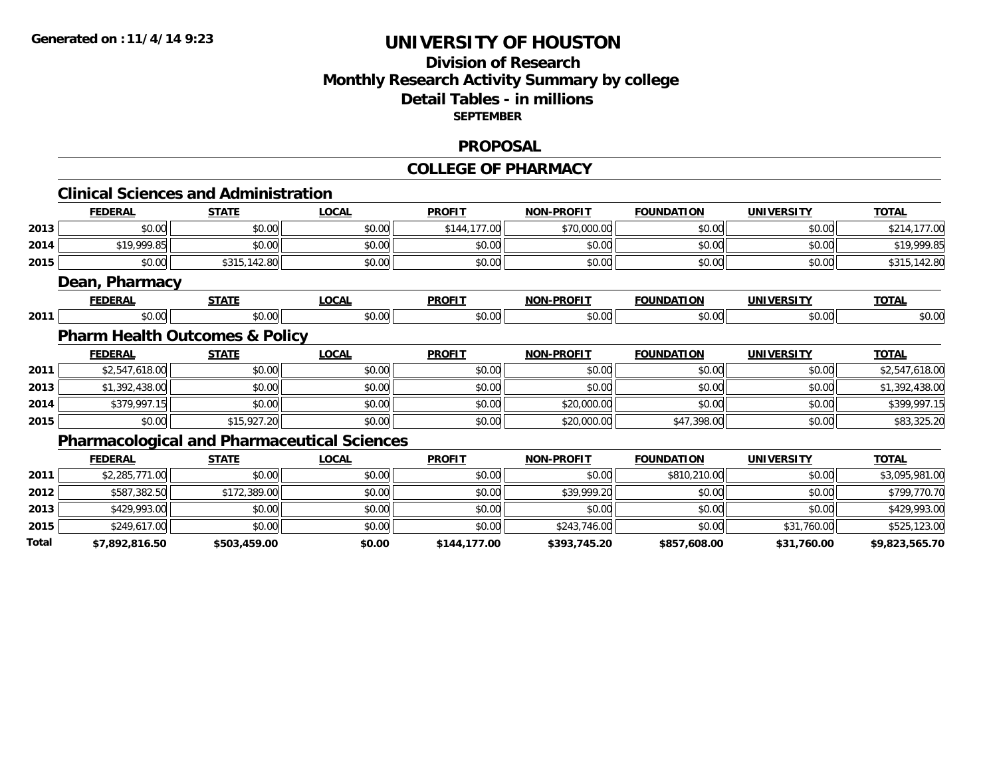# **Division of ResearchMonthly Research Activity Summary by college Detail Tables - in millions SEPTEMBER**

#### **PROPOSAL**

#### **COLLEGE OF PHARMACY**

|       |                | <b>Clinical Sciences and Administration</b>        |              |               |                   |                   |                   |                |
|-------|----------------|----------------------------------------------------|--------------|---------------|-------------------|-------------------|-------------------|----------------|
|       | <b>FEDERAL</b> | <b>STATE</b>                                       | <b>LOCAL</b> | <b>PROFIT</b> | <b>NON-PROFIT</b> | <b>FOUNDATION</b> | <b>UNIVERSITY</b> | <b>TOTAL</b>   |
| 2013  | \$0.00         | \$0.00                                             | \$0.00       | \$144,177.00  | \$70,000.00       | \$0.00            | \$0.00            | \$214,177.00   |
| 2014  | \$19,999.85    | \$0.00                                             | \$0.00       | \$0.00        | \$0.00            | \$0.00            | \$0.00            | \$19,999.85    |
| 2015  | \$0.00         | \$315,142.80                                       | \$0.00       | \$0.00        | \$0.00            | \$0.00            | \$0.00            | \$315,142.80   |
|       | Dean, Pharmacy |                                                    |              |               |                   |                   |                   |                |
|       | <b>FEDERAL</b> | <b>STATE</b>                                       | <b>LOCAL</b> | <b>PROFIT</b> | <b>NON-PROFIT</b> | <b>FOUNDATION</b> | <b>UNIVERSITY</b> | <b>TOTAL</b>   |
| 2011  | \$0.00         | \$0.00                                             | \$0.00       | \$0.00        | \$0.00            | \$0.00            | \$0.00            | \$0.00         |
|       |                | <b>Pharm Health Outcomes &amp; Policy</b>          |              |               |                   |                   |                   |                |
|       | <b>FEDERAL</b> | <b>STATE</b>                                       | <b>LOCAL</b> | <b>PROFIT</b> | <b>NON-PROFIT</b> | <b>FOUNDATION</b> | <b>UNIVERSITY</b> | <b>TOTAL</b>   |
| 2011  | \$2,547,618.00 | \$0.00                                             | \$0.00       | \$0.00        | \$0.00            | \$0.00            | \$0.00            | \$2,547,618.00 |
| 2013  | \$1,392,438.00 | \$0.00                                             | \$0.00       | \$0.00        | \$0.00            | \$0.00            | \$0.00            | \$1,392,438.00 |
| 2014  | \$379,997.15   | \$0.00                                             | \$0.00       | \$0.00        | \$20,000.00       | \$0.00            | \$0.00            | \$399,997.15   |
| 2015  | \$0.00         | \$15,927.20                                        | \$0.00       | \$0.00        | \$20,000.00       | \$47,398.00       | \$0.00            | \$83,325.20    |
|       |                | <b>Pharmacological and Pharmaceutical Sciences</b> |              |               |                   |                   |                   |                |
|       | <b>FEDERAL</b> | <b>STATE</b>                                       | <b>LOCAL</b> | <b>PROFIT</b> | <b>NON-PROFIT</b> | <b>FOUNDATION</b> | <b>UNIVERSITY</b> | <b>TOTAL</b>   |
| 2011  | \$2,285,771.00 | \$0.00                                             | \$0.00       | \$0.00        | \$0.00            | \$810,210.00      | \$0.00            | \$3,095,981.00 |
| 2012  | \$587,382.50   | \$172,389.00                                       | \$0.00       | \$0.00        | \$39,999.20       | \$0.00            | \$0.00            | \$799,770.70   |
| 2013  | \$429,993.00   | \$0.00                                             | \$0.00       | \$0.00        | \$0.00            | \$0.00            | \$0.00            | \$429,993.00   |
| 2015  | \$249,617.00   | \$0.00                                             | \$0.00       | \$0.00        | \$243,746.00      | \$0.00            | \$31,760.00       | \$525,123.00   |
| Total | \$7,892,816.50 | \$503,459.00                                       | \$0.00       | \$144,177.00  | \$393,745.20      | \$857,608.00      | \$31,760.00       | \$9,823,565.70 |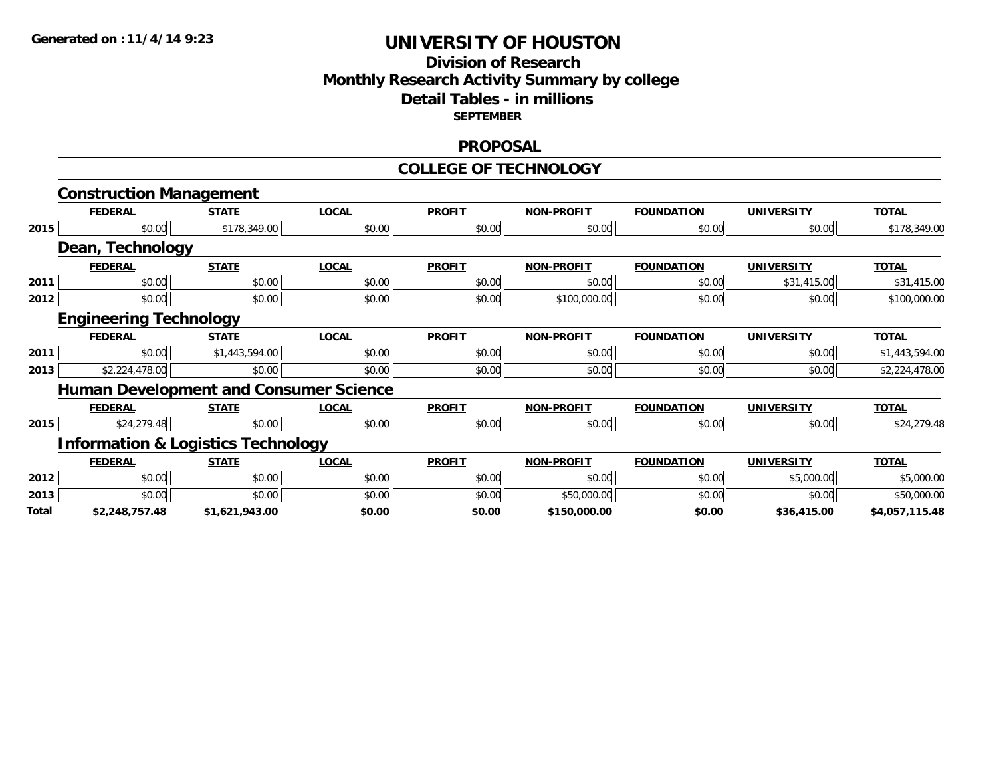## **Division of Research Monthly Research Activity Summary by college Detail Tables - in millions SEPTEMBER**

#### **PROPOSAL**

#### **COLLEGE OF TECHNOLOGY**

|                                                      | <b>Construction Management</b>                |                |              |               |                   |                   |                   |                |
|------------------------------------------------------|-----------------------------------------------|----------------|--------------|---------------|-------------------|-------------------|-------------------|----------------|
|                                                      | <b>FEDERAL</b>                                | <b>STATE</b>   | <b>LOCAL</b> | <b>PROFIT</b> | <b>NON-PROFIT</b> | <b>FOUNDATION</b> | <b>UNIVERSITY</b> | <b>TOTAL</b>   |
| 2015<br>2011<br>2012<br>2011<br>2013<br>2015<br>2012 | \$0.00                                        | \$178,349.00   | \$0.00       | \$0.00        | \$0.00            | \$0.00            | \$0.00            | \$178,349.00   |
|                                                      | Dean, Technology                              |                |              |               |                   |                   |                   |                |
|                                                      | <b>FEDERAL</b>                                | <b>STATE</b>   | <b>LOCAL</b> | <b>PROFIT</b> | <b>NON-PROFIT</b> | <b>FOUNDATION</b> | <b>UNIVERSITY</b> | <b>TOTAL</b>   |
|                                                      | \$0.00                                        | \$0.00         | \$0.00       | \$0.00        | \$0.00            | \$0.00            | \$31,415.00       | \$31,415.00    |
|                                                      | \$0.00                                        | \$0.00         | \$0.00       | \$0.00        | \$100,000.00      | \$0.00            | \$0.00            | \$100,000.00   |
|                                                      | <b>Engineering Technology</b>                 |                |              |               |                   |                   |                   |                |
|                                                      | <b>FEDERAL</b>                                | <b>STATE</b>   | <b>LOCAL</b> | <b>PROFIT</b> | <b>NON-PROFIT</b> | <b>FOUNDATION</b> | <b>UNIVERSITY</b> | <b>TOTAL</b>   |
|                                                      | \$0.00                                        | \$1,443,594.00 | \$0.00       | \$0.00        | \$0.00            | \$0.00            | \$0.00            | \$1,443,594.00 |
|                                                      | \$2,224,478.00                                | \$0.00         | \$0.00       | \$0.00        | \$0.00            | \$0.00            | \$0.00            | \$2,224,478.00 |
|                                                      | <b>Human Development and Consumer Science</b> |                |              |               |                   |                   |                   |                |
|                                                      | <b>FEDERAL</b>                                | <b>STATE</b>   | <b>LOCAL</b> | <b>PROFIT</b> | <b>NON-PROFIT</b> | <b>FOUNDATION</b> | <b>UNIVERSITY</b> | <b>TOTAL</b>   |
|                                                      | \$24,279.48                                   | \$0.00         | \$0.00       | \$0.00        | \$0.00            | \$0.00            | \$0.00            | \$24,279.48    |
|                                                      | <b>Information &amp; Logistics Technology</b> |                |              |               |                   |                   |                   |                |
|                                                      | <b>FEDERAL</b>                                | <b>STATE</b>   | <b>LOCAL</b> | <b>PROFIT</b> | <b>NON-PROFIT</b> | <b>FOUNDATION</b> | <b>UNIVERSITY</b> | <b>TOTAL</b>   |
|                                                      | \$0.00                                        | \$0.00         | \$0.00       | \$0.00        | \$0.00            | \$0.00            | \$5,000.00        | \$5,000.00     |
| 2013                                                 | \$0.00                                        | \$0.00         | \$0.00       | \$0.00        | \$50,000.00       | \$0.00            | \$0.00            | \$50,000.00    |
| Total                                                | \$2,248,757.48                                | \$1,621,943.00 | \$0.00       | \$0.00        | \$150,000.00      | \$0.00            | \$36,415.00       | \$4,057,115.48 |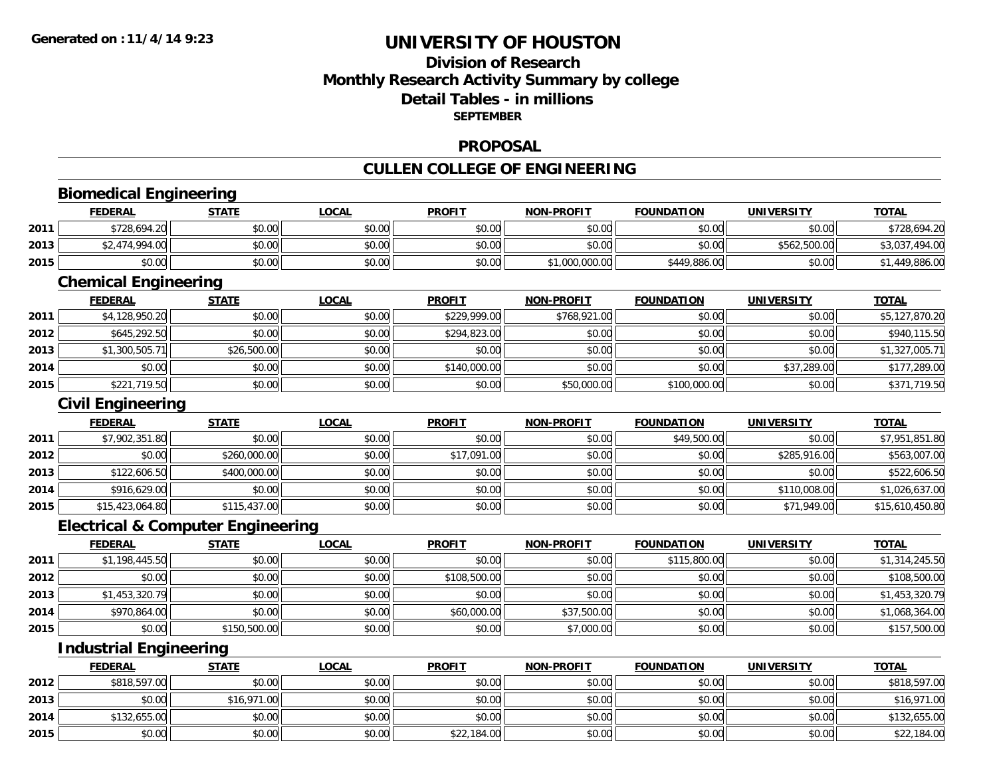**2014**

**2015**

# **UNIVERSITY OF HOUSTON**

# **Division of ResearchMonthly Research Activity Summary by college Detail Tables - in millions SEPTEMBER**

#### **PROPOSAL**

# **CULLEN COLLEGE OF ENGINEERING**

|                               | <b>Biomedical Engineering</b>                |              |              |               |                   |                   |                   |                 |
|-------------------------------|----------------------------------------------|--------------|--------------|---------------|-------------------|-------------------|-------------------|-----------------|
|                               | <b>FEDERAL</b>                               | <b>STATE</b> | <b>LOCAL</b> | <b>PROFIT</b> | <b>NON-PROFIT</b> | <b>FOUNDATION</b> | <b>UNIVERSITY</b> | <b>TOTAL</b>    |
| 2011                          | \$728,694.20                                 | \$0.00       | \$0.00       | \$0.00        | \$0.00            | \$0.00            | \$0.00            | \$728,694.20    |
| 2013                          | \$2,474,994.00                               | \$0.00       | \$0.00       | \$0.00        | \$0.00            | \$0.00            | \$562,500.00      | \$3,037,494.00  |
| 2015                          | \$0.00                                       | \$0.00       | \$0.00       | \$0.00        | \$1,000,000.00    | \$449,886.00      | \$0.00            | \$1,449,886.00  |
|                               | <b>Chemical Engineering</b>                  |              |              |               |                   |                   |                   |                 |
|                               | <b>FEDERAL</b>                               | <b>STATE</b> | <b>LOCAL</b> | <b>PROFIT</b> | <b>NON-PROFIT</b> | <b>FOUNDATION</b> | <b>UNIVERSITY</b> | <b>TOTAL</b>    |
| 2011                          | \$4,128,950.20                               | \$0.00       | \$0.00       | \$229,999.00  | \$768,921.00      | \$0.00            | \$0.00            | \$5,127,870.20  |
| 2012                          | \$645,292.50                                 | \$0.00       | \$0.00       | \$294,823.00  | \$0.00            | \$0.00            | \$0.00            | \$940,115.50    |
| 2013                          | \$1,300,505.71                               | \$26,500.00  | \$0.00       | \$0.00        | \$0.00            | \$0.00            | \$0.00            | \$1,327,005.71  |
| 2014                          | \$0.00                                       | \$0.00       | \$0.00       | \$140,000.00  | \$0.00            | \$0.00            | \$37,289.00       | \$177,289.00    |
| 2015                          | \$221,719.50                                 | \$0.00       | \$0.00       | \$0.00        | \$50,000.00       | \$100,000.00      | \$0.00            | \$371,719.50    |
|                               | <b>Civil Engineering</b>                     |              |              |               |                   |                   |                   |                 |
|                               | <b>FEDERAL</b>                               | <b>STATE</b> | <b>LOCAL</b> | <b>PROFIT</b> | <b>NON-PROFIT</b> | <b>FOUNDATION</b> | <b>UNIVERSITY</b> | <b>TOTAL</b>    |
| 2011                          | \$7,902,351.80                               | \$0.00       | \$0.00       | \$0.00        | \$0.00            | \$49,500.00       | \$0.00            | \$7,951,851.80  |
| 2012                          | \$0.00                                       | \$260,000.00 | \$0.00       | \$17,091.00   | \$0.00            | \$0.00            | \$285,916.00      | \$563,007.00    |
| 2013                          | \$122,606.50                                 | \$400,000.00 | \$0.00       | \$0.00        | \$0.00            | \$0.00            | \$0.00            | \$522,606.50    |
| 2014                          | \$916,629.00                                 | \$0.00       | \$0.00       | \$0.00        | \$0.00            | \$0.00            | \$110,008.00      | \$1,026,637.00  |
| 2015                          | \$15,423,064.80                              | \$115,437.00 | \$0.00       | \$0.00        | \$0.00            | \$0.00            | \$71,949.00       | \$15,610,450.80 |
|                               | <b>Electrical &amp; Computer Engineering</b> |              |              |               |                   |                   |                   |                 |
|                               | <b>FEDERAL</b>                               | <b>STATE</b> | <b>LOCAL</b> | <b>PROFIT</b> | <b>NON-PROFIT</b> | <b>FOUNDATION</b> | <b>UNIVERSITY</b> | <b>TOTAL</b>    |
| 2011                          | \$1,198,445.50                               | \$0.00       | \$0.00       | \$0.00        | \$0.00            | \$115,800.00      | \$0.00            | \$1,314,245.50  |
| 2012                          | \$0.00                                       | \$0.00       | \$0.00       | \$108,500.00  | \$0.00            | \$0.00            | \$0.00            | \$108,500.00    |
| 2013                          | \$1,453,320.79                               | \$0.00       | \$0.00       | \$0.00        | \$0.00            | \$0.00            | \$0.00            | \$1,453,320.79  |
| 2014                          | \$970,864.00                                 | \$0.00       | \$0.00       | \$60,000.00   | \$37,500.00       | \$0.00            | \$0.00            | \$1,068,364.00  |
| 2015                          | \$0.00                                       | \$150,500.00 | \$0.00       | \$0.00        | \$7,000.00        | \$0.00            | \$0.00            | \$157,500.00    |
| <b>Industrial Engineering</b> |                                              |              |              |               |                   |                   |                   |                 |
|                               | <b>FEDERAL</b>                               | <b>STATE</b> | <b>LOCAL</b> | <b>PROFIT</b> | <b>NON-PROFIT</b> | <b>FOUNDATION</b> | <b>UNIVERSITY</b> | <b>TOTAL</b>    |
| 2012                          | \$818,597.00                                 | \$0.00       | \$0.00       | \$0.00        | \$0.00            | \$0.00            | \$0.00            | \$818,597.00    |
| 2013                          | \$0.00                                       | \$16,971.00  | \$0.00       | \$0.00        | \$0.00            | \$0.00            | \$0.00            | \$16,971.00     |

4 \$132,655.00 \$0.00 \$0.00 \$0.00 \$0.00 \$0.00 \$0.00 \$0.00 \$0.00 \$0.00 \$0.00 \$0.00 \$132,655.00

\$0.00 \$0.00 \$0.00 \$22,184.00 \$0.00 \$0.00 \$0.00 \$22,184.00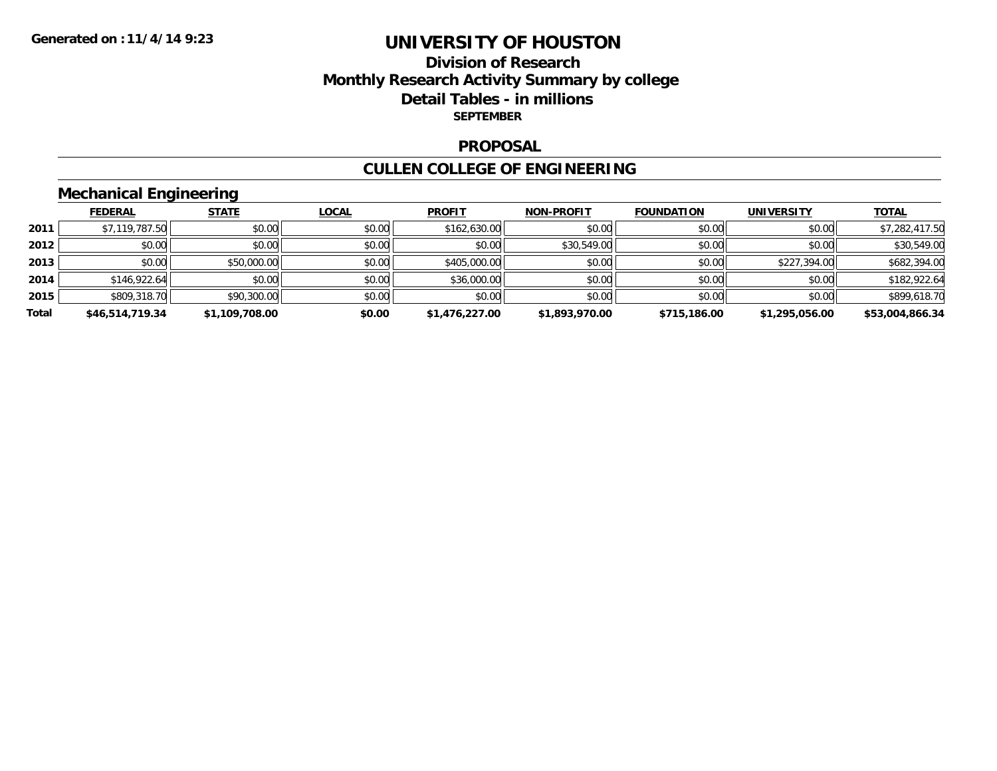## **Division of Research Monthly Research Activity Summary by college Detail Tables - in millions SEPTEMBER**

#### **PROPOSAL**

#### **CULLEN COLLEGE OF ENGINEERING**

# **Mechanical Engineering**

|       | <b>FEDERAL</b>  | <b>STATE</b>   | <u>LOCAL</u> | <b>PROFIT</b>  | <b>NON-PROFIT</b> | <b>FOUNDATION</b> | <b>UNIVERSITY</b> | <b>TOTAL</b>    |
|-------|-----------------|----------------|--------------|----------------|-------------------|-------------------|-------------------|-----------------|
| 2011  | \$7,119,787.50  | \$0.00         | \$0.00       | \$162,630.00   | \$0.00            | \$0.00            | \$0.00            | \$7,282,417.50  |
| 2012  | \$0.00          | \$0.00         | \$0.00       | \$0.00         | \$30,549.00       | \$0.00            | \$0.00            | \$30,549.00     |
| 2013  | \$0.00          | \$50,000.00    | \$0.00       | \$405,000.00   | \$0.00            | \$0.00            | \$227,394.00      | \$682,394.00    |
| 2014  | \$146,922.64    | \$0.00         | \$0.00       | \$36,000.00    | \$0.00            | \$0.00            | \$0.00            | \$182,922.64    |
| 2015  | \$809,318.70    | \$90,300.00    | \$0.00       | \$0.00         | \$0.00            | \$0.00            | \$0.00            | \$899,618.70    |
| Total | \$46,514,719.34 | \$1,109,708.00 | \$0.00       | \$1,476,227.00 | \$1,893,970.00    | \$715,186.00      | \$1,295,056.00    | \$53,004,866.34 |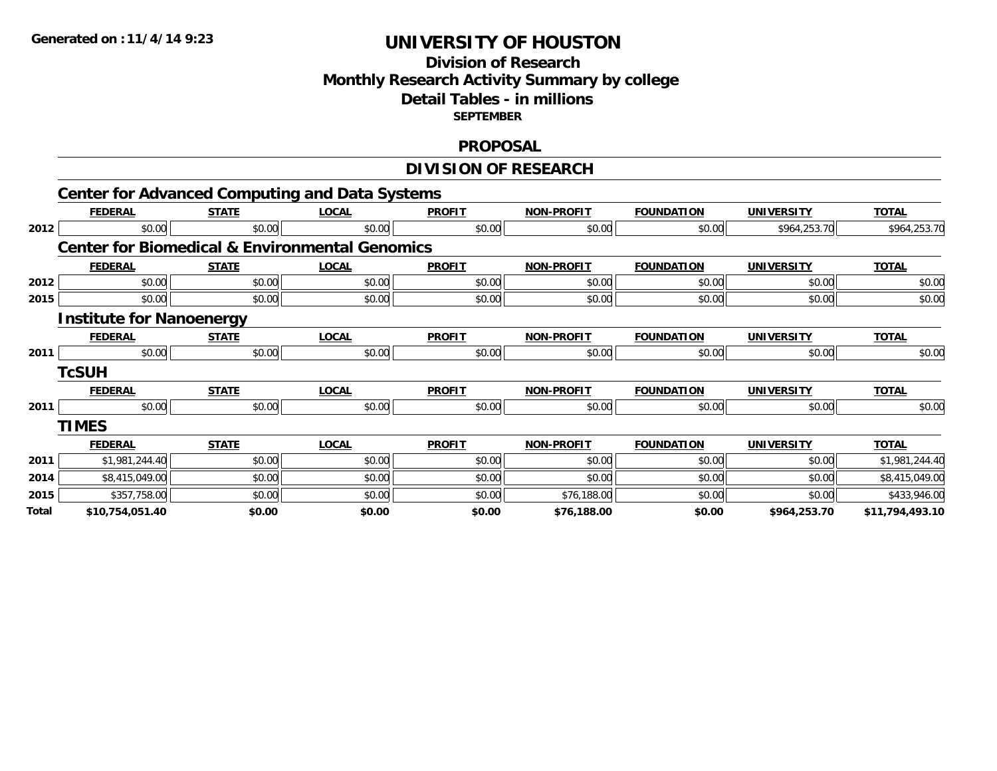## **Division of Research Monthly Research Activity Summary by college Detail Tables - in millions SEPTEMBER**

#### **PROPOSAL**

#### **DIVISION OF RESEARCH**

|       | <b>Center for Advanced Computing and Data Systems</b>     |              |              |               |                   |                   |                   |                 |
|-------|-----------------------------------------------------------|--------------|--------------|---------------|-------------------|-------------------|-------------------|-----------------|
|       | <b>FEDERAL</b>                                            | <b>STATE</b> | <b>LOCAL</b> | <b>PROFIT</b> | NON-PROFIT        | <b>FOUNDATION</b> | <b>UNIVERSITY</b> | <b>TOTAL</b>    |
| 2012  | \$0.00                                                    | \$0.00       | \$0.00       | \$0.00        | \$0.00            | \$0.00            | \$964,253.70      | \$964,253.70    |
|       | <b>Center for Biomedical &amp; Environmental Genomics</b> |              |              |               |                   |                   |                   |                 |
|       | <b>FEDERAL</b>                                            | <b>STATE</b> | <b>LOCAL</b> | <b>PROFIT</b> | <b>NON-PROFIT</b> | <b>FOUNDATION</b> | <b>UNIVERSITY</b> | <b>TOTAL</b>    |
| 2012  | \$0.00                                                    | \$0.00       | \$0.00       | \$0.00        | \$0.00            | \$0.00            | \$0.00            | \$0.00          |
| 2015  | \$0.00                                                    | \$0.00       | \$0.00       | \$0.00        | \$0.00            | \$0.00            | \$0.00            | \$0.00          |
|       | <b>Institute for Nanoenergy</b>                           |              |              |               |                   |                   |                   |                 |
|       | <b>FEDERAL</b>                                            | <b>STATE</b> | <b>LOCAL</b> | <b>PROFIT</b> | <b>NON-PROFIT</b> | <b>FOUNDATION</b> | <b>UNIVERSITY</b> | <b>TOTAL</b>    |
| 2011  | \$0.00                                                    | \$0.00       | \$0.00       | \$0.00        | \$0.00            | \$0.00            | \$0.00            | \$0.00          |
|       | <b>TcSUH</b>                                              |              |              |               |                   |                   |                   |                 |
|       | <b>FEDERAL</b>                                            | <b>STATE</b> | <b>LOCAL</b> | <b>PROFIT</b> | <b>NON-PROFIT</b> | <b>FOUNDATION</b> | <b>UNIVERSITY</b> | <b>TOTAL</b>    |
| 2011  | \$0.00                                                    | \$0.00       | \$0.00       | \$0.00        | \$0.00            | \$0.00            | \$0.00            | \$0.00          |
|       | <b>TIMES</b>                                              |              |              |               |                   |                   |                   |                 |
|       | <b>FEDERAL</b>                                            | <b>STATE</b> | <b>LOCAL</b> | <b>PROFIT</b> | <b>NON-PROFIT</b> | <b>FOUNDATION</b> | <b>UNIVERSITY</b> | <b>TOTAL</b>    |
| 2011  | \$1,981,244.40                                            | \$0.00       | \$0.00       | \$0.00        | \$0.00            | \$0.00            | \$0.00            | \$1,981,244.40  |
| 2014  | \$8,415,049.00                                            | \$0.00       | \$0.00       | \$0.00        | \$0.00            | \$0.00            | \$0.00            | \$8,415,049.00  |
| 2015  | \$357,758.00                                              | \$0.00       | \$0.00       | \$0.00        | \$76,188.00       | \$0.00            | \$0.00            | \$433,946.00    |
| Total | \$10,754,051.40                                           | \$0.00       | \$0.00       | \$0.00        | \$76,188.00       | \$0.00            | \$964,253.70      | \$11,794,493.10 |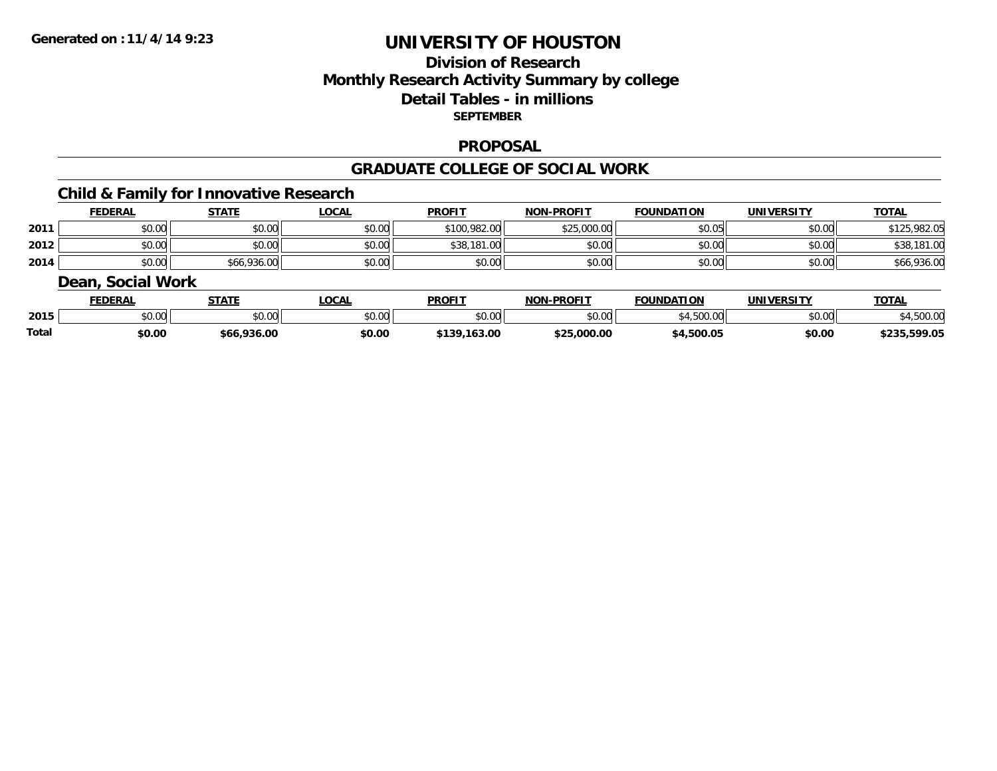# **Division of ResearchMonthly Research Activity Summary by college Detail Tables - in millions SEPTEMBER**

#### **PROPOSAL**

#### **GRADUATE COLLEGE OF SOCIAL WORK**

## **Child & Family for Innovative Research**

|      | <b>FEDERAL</b> | <b>STATE</b> | <u>_OCAL</u> | <b>PROFIT</b> | <b>NON-PROFIT</b> | <b>FOUNDATION</b> | <b>UNIVERSITY</b> | <b>TOTAL</b> |
|------|----------------|--------------|--------------|---------------|-------------------|-------------------|-------------------|--------------|
| 2011 | \$0.00         | \$0.00       | \$0.00       | \$100,982.00  | \$25,000.00       | \$0.05            | \$0.00            | \$125,982.05 |
| 2012 | \$0.00         | \$0.00       | \$0.00       | \$38,181.00   | \$0.00            | \$0.00            | \$0.00            | \$38,181.00  |
| 2014 | \$0.00         | \$66,936.00  | \$0.00       | \$0.00        | \$0.00            | \$0.00            | \$0.00            | \$66,936.00  |

#### **Dean, Social Work**

|       | <b>FEDERAL</b> | <b>STATE</b>  | <b>OCAL</b> | <b>PROFIT</b> | <b>NON-PROFIT</b> | <b>FOUNDATION</b> | UNIVERSITY | <b>TOTAL</b>        |
|-------|----------------|---------------|-------------|---------------|-------------------|-------------------|------------|---------------------|
| 2015  | 0000<br>50.UU  | 0000<br>JU.UU | \$0.00      | 0000<br>JU.UU | \$0.00            | \$4,500.00        | \$0.00     | 0000<br>94,300.00   |
| Total | \$0.00         | \$66,936.00   | \$0.00      | \$139,163.00  | \$25,000.00       | \$4,500.05        | \$0.00     | 235,599.05ء<br>よつつら |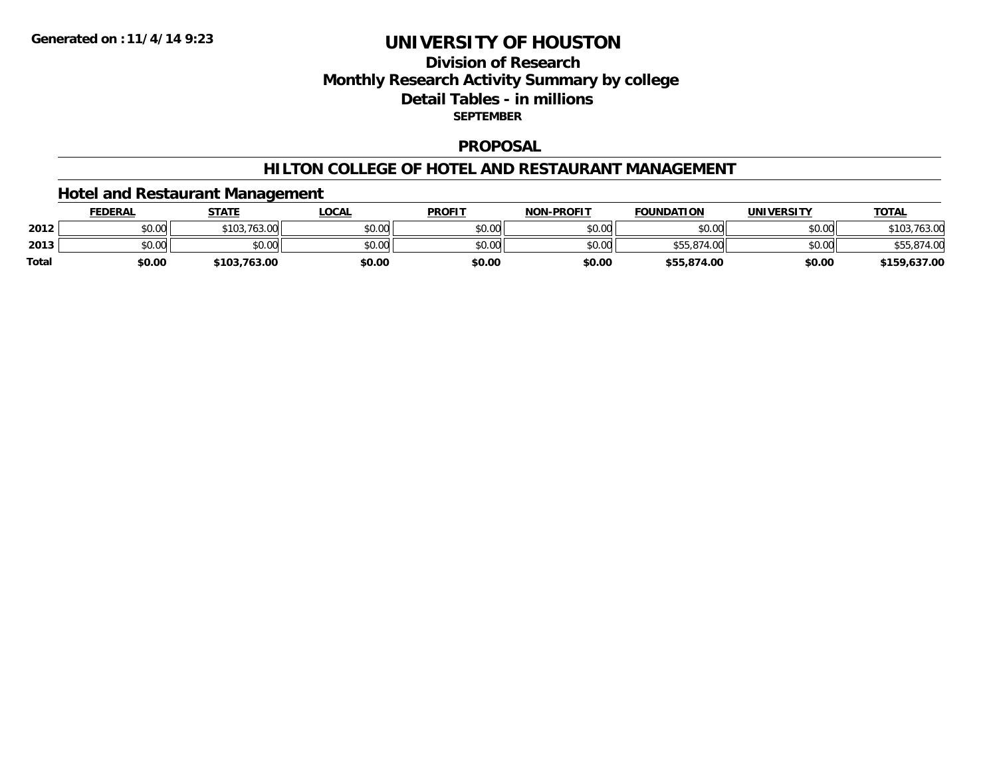# **Division of ResearchMonthly Research Activity Summary by college Detail Tables - in millions SEPTEMBER**

#### **PROPOSAL**

#### **HILTON COLLEGE OF HOTEL AND RESTAURANT MANAGEMENT**

## **Hotel and Restaurant Management**

|              | <u>FEDERAL</u> | <b>STATE</b>     | <b>LOCAL</b> | <b>PROFIT</b> | <b>NON-PROFIT</b> | <b>FOUNDATION</b> | UNIVERSITY | <b>TOTAL</b> |
|--------------|----------------|------------------|--------------|---------------|-------------------|-------------------|------------|--------------|
| 2012         | \$0.00         | .763.00<br>\$103 | \$0.00       | \$0.00        | \$0.00            | \$0.00            | \$0.00     | ، 63.u       |
| 2013         | \$0.00         | \$0.00           | \$0.00       | \$0.00        | \$0.00            | \$55,874.00       | \$0.00     |              |
| <b>Total</b> | \$0.00         | \$103,763.00     | \$0.00       | \$0.00        | \$0.00            | \$55,874.00       | \$0.00     | \$159,637.00 |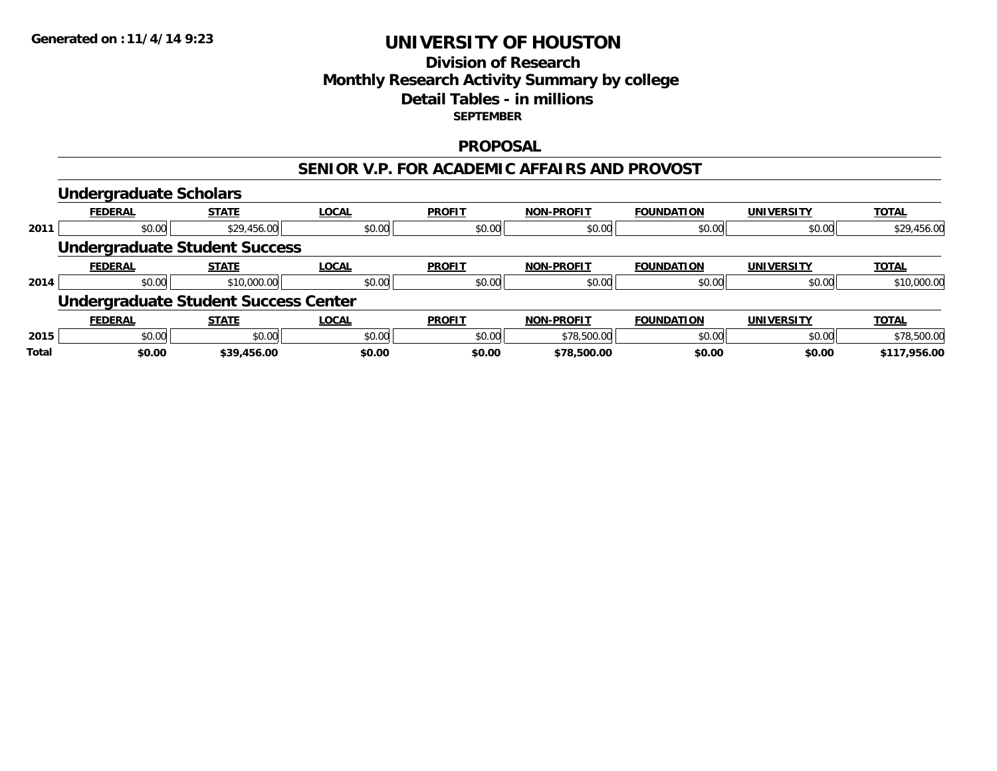## **Division of Research Monthly Research Activity Summary by college Detail Tables - in millions SEPTEMBER**

#### **PROPOSAL**

#### **SENIOR V.P. FOR ACADEMIC AFFAIRS AND PROVOST**

|              | <b>Undergraduate Scholars</b>               |              |              |               |                   |                   |                   |              |
|--------------|---------------------------------------------|--------------|--------------|---------------|-------------------|-------------------|-------------------|--------------|
|              | <b>FEDERAL</b>                              | <b>STATE</b> | <b>LOCAL</b> | <b>PROFIT</b> | <b>NON-PROFIT</b> | <b>FOUNDATION</b> | <b>UNIVERSITY</b> | <b>TOTAL</b> |
| 2011         | \$0.00                                      | \$29,456.00  | \$0.00       | \$0.00        | \$0.00            | \$0.00            | \$0.00            | \$29,456.00  |
|              | <b>Undergraduate Student Success</b>        |              |              |               |                   |                   |                   |              |
|              | <b>FEDERAL</b>                              | <b>STATE</b> | <b>LOCAL</b> | <b>PROFIT</b> | <b>NON-PROFIT</b> | <b>FOUNDATION</b> | <b>UNIVERSITY</b> | <b>TOTAL</b> |
| 2014         | \$0.00                                      | \$10,000.00  | \$0.00       | \$0.00        | \$0.00            | \$0.00            | \$0.00            | \$10,000.00  |
|              | <b>Undergraduate Student Success Center</b> |              |              |               |                   |                   |                   |              |
|              | <b>FEDERAL</b>                              | <b>STATE</b> | <b>LOCAL</b> | <b>PROFIT</b> | <b>NON-PROFIT</b> | <b>FOUNDATION</b> | <b>UNIVERSITY</b> | <b>TOTAL</b> |
| 2015         | \$0.00                                      | \$0.00       | \$0.00       | \$0.00        | \$78,500.00       | \$0.00            | \$0.00            | \$78,500.00  |
| <b>Total</b> | \$0.00                                      | \$39,456.00  | \$0.00       | \$0.00        | \$78,500.00       | \$0.00            | \$0.00            | \$117,956.00 |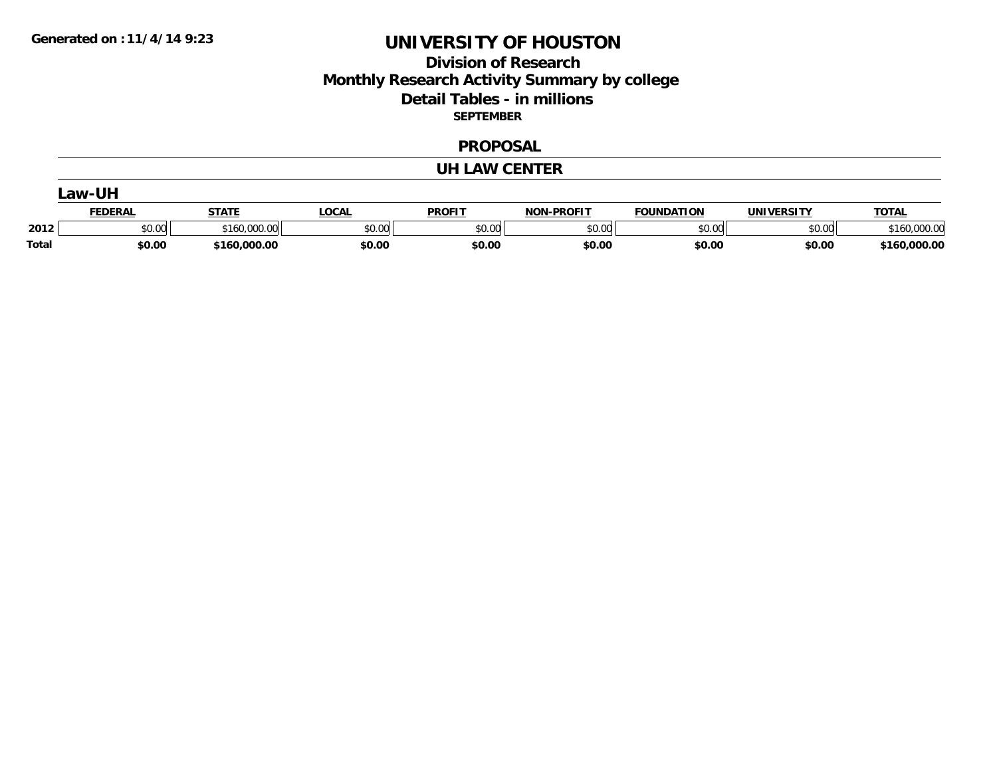# **Division of Research Monthly Research Activity Summary by college Detail Tables - in millions SEPTEMBER**

#### **PROPOSAL**

#### **UH LAW CENTER**

| .aw-UH       |                |              |              |               |                   |                   |            |              |
|--------------|----------------|--------------|--------------|---------------|-------------------|-------------------|------------|--------------|
|              | <b>FEDERAL</b> | <b>STATE</b> | <b>LOCAL</b> | <b>PROFIT</b> | <b>NON-PROFIT</b> | <b>FOUNDATION</b> | UNIVERSITY | <b>TOTAL</b> |
| 2012         | \$0.00         | \$160,000.00 | \$0.00       | \$0.00        | \$0.00            | \$0.00            | \$0.00     | \$160,000.00 |
| <b>Total</b> | \$0.00         | \$160,000.00 | \$0.00       | \$0.00        | \$0.00            | \$0.00            | \$0.00     | \$160,000.00 |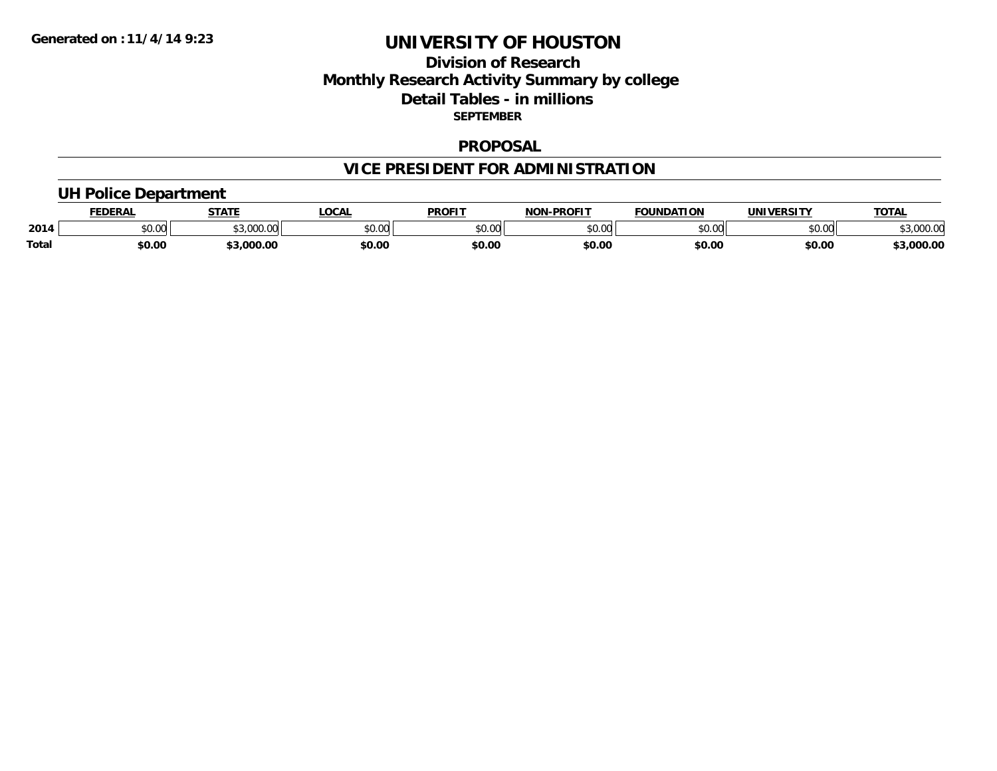## **Division of Research Monthly Research Activity Summary by college Detail Tables - in millions SEPTEMBER**

#### **PROPOSAL**

# **VICE PRESIDENT FOR ADMINISTRATION**

## **UH Police Department**

|              | <b>FEDERAL</b> | <b>STATE</b>                  | <b>LOCAL</b>  | <b>PROFIT</b> | <b>LPROFIT</b><br>NON | <b>FOUNDATION</b> | UNIVERSITY | <b>TOTAL</b>       |
|--------------|----------------|-------------------------------|---------------|---------------|-----------------------|-------------------|------------|--------------------|
| 2014         | vv.vv          | 62.000C <sup>2</sup><br>uuu.u | 0000<br>PO.OO | 0000<br>JU.UU | 0000<br>vu.uu -       | \$0.00            | \$0.00     | 00000<br>99,UUU.UU |
| <b>Total</b> | \$0.00         | 3.000.00                      | \$0.00        | \$0.00        | \$0.00                | \$0.00            | \$0.00     | 3,000.00           |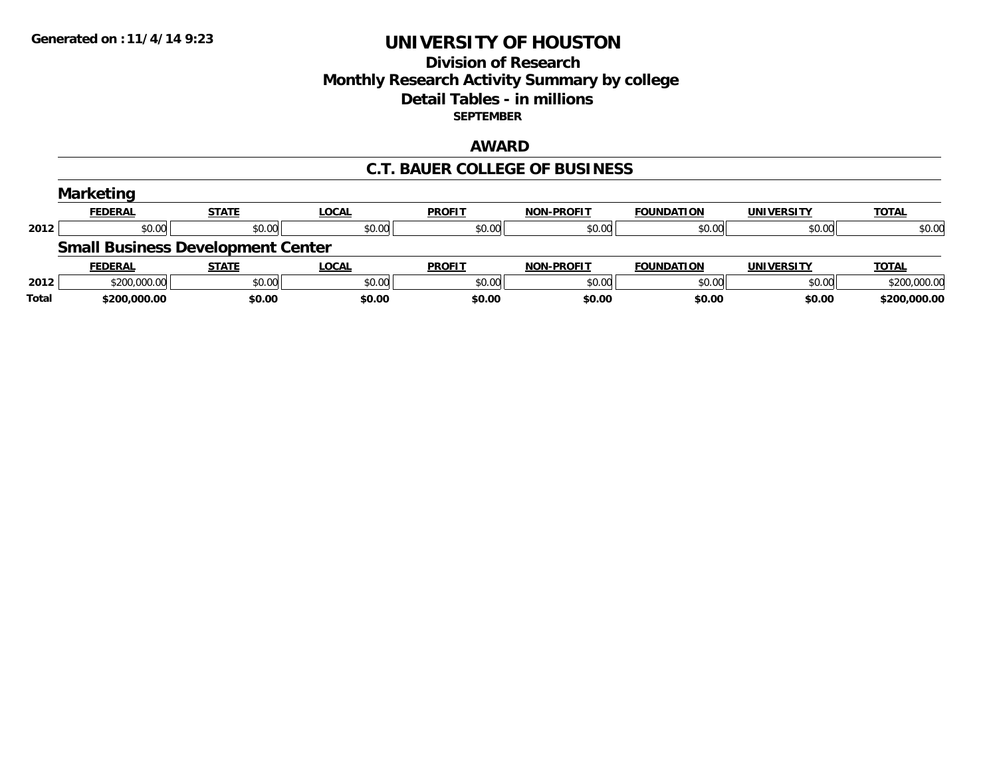## **Division of Research Monthly Research Activity Summary by college Detail Tables - in millions SEPTEMBER**

## **AWARD**

#### **C.T. BAUER COLLEGE OF BUSINESS**

|       | <b>Marketing</b> |                                          |              |               |                   |                   |                   |              |
|-------|------------------|------------------------------------------|--------------|---------------|-------------------|-------------------|-------------------|--------------|
|       | <b>FEDERAL</b>   | <b>STATE</b>                             | LOCAL        | <b>PROFIT</b> | <b>NON-PROFIT</b> | <b>FOUNDATION</b> | <b>UNIVERSITY</b> | <b>TOTAL</b> |
| 2012  | \$0.00           | \$0.00                                   | \$0.00       | \$0.00        | \$0.00            | \$0.00            | \$0.00            | \$0.00       |
|       |                  | <b>Small Business Development Center</b> |              |               |                   |                   |                   |              |
|       | <b>FEDERAL</b>   | <b>STATE</b>                             | <b>LOCAL</b> | <b>PROFIT</b> | <b>NON-PROFIT</b> | <b>FOUNDATION</b> | <b>UNIVERSITY</b> | <b>TOTAL</b> |
| 2012  | \$200,000.00     | \$0.00                                   | \$0.00       | \$0.00        | \$0.00            | \$0.00            | \$0.00            | \$200,000.00 |
| Total | \$200,000.00     | \$0.00                                   | \$0.00       | \$0.00        | \$0.00            | \$0.00            | \$0.00            | \$200,000.00 |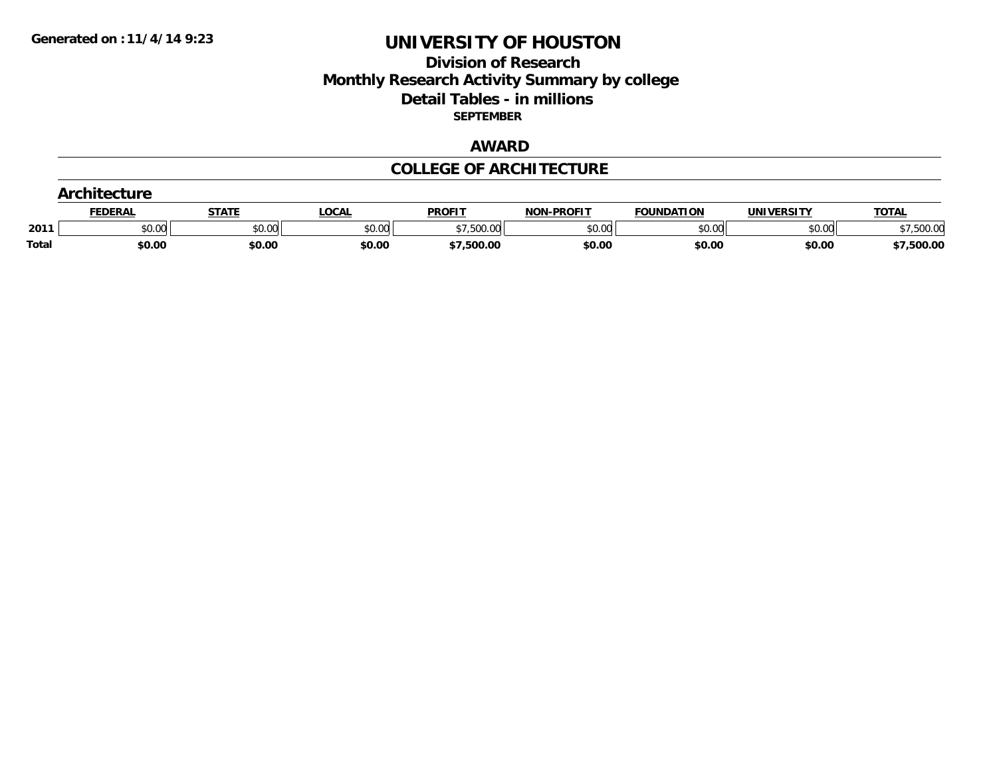# **Division of Research Monthly Research Activity Summary by college Detail Tables - in millions SEPTEMBER**

## **AWARD**

#### **COLLEGE OF ARCHITECTURE**

|       | <b>chitecture</b> |              |        |               |                   |                   |            |              |
|-------|-------------------|--------------|--------|---------------|-------------------|-------------------|------------|--------------|
|       | <b>FEDERAL</b>    | <b>STATE</b> | LOCAL  | <b>PROFIT</b> | <b>NON-PROFIT</b> | <b>FOUNDATION</b> | UNIVERSITY | <b>TOTAL</b> |
| 2011  | \$0.00            | \$0.00       | \$0.00 | 7,500.00      | \$0.00            | \$0.00            | \$0.00     | ,500.00      |
| Total | \$0.00            | \$0.00       | \$0.00 | \$7,500.00    | \$0.00            | \$0.00            | \$0.00     | \$7,500.00   |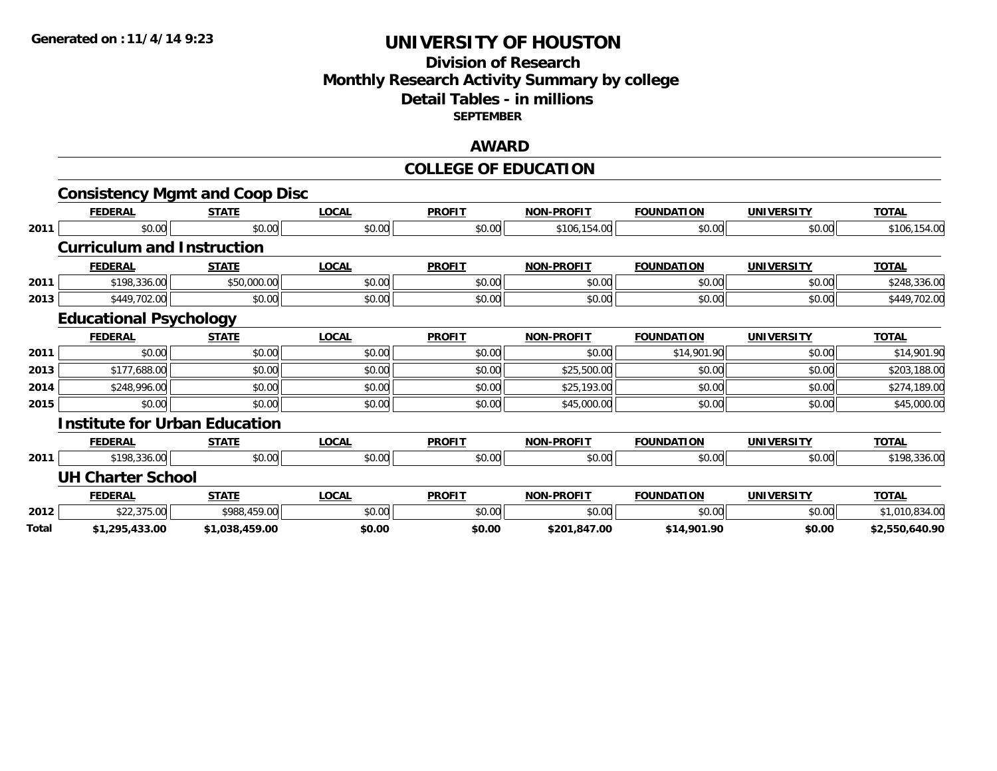## **Division of Research Monthly Research Activity Summary by college Detail Tables - in millions SEPTEMBER**

## **AWARD**

#### **COLLEGE OF EDUCATION**

|       |                                      | <b>Consistency Mgmt and Coop Disc</b> |              |               |                   |                   |                   |                |
|-------|--------------------------------------|---------------------------------------|--------------|---------------|-------------------|-------------------|-------------------|----------------|
|       | <b>FEDERAL</b>                       | <b>STATE</b>                          | <b>LOCAL</b> | <b>PROFIT</b> | <b>NON-PROFIT</b> | <b>FOUNDATION</b> | <b>UNIVERSITY</b> | <b>TOTAL</b>   |
| 2011  | \$0.00                               | \$0.00                                | \$0.00       | \$0.00        | \$106,154.00      | \$0.00            | \$0.00            | \$106,154.00   |
|       | <b>Curriculum and Instruction</b>    |                                       |              |               |                   |                   |                   |                |
|       | <b>FEDERAL</b>                       | <b>STATE</b>                          | <b>LOCAL</b> | <b>PROFIT</b> | <b>NON-PROFIT</b> | <b>FOUNDATION</b> | <b>UNIVERSITY</b> | <b>TOTAL</b>   |
| 2011  | \$198,336.00                         | \$50,000.00                           | \$0.00       | \$0.00        | \$0.00            | \$0.00            | \$0.00            | \$248,336.00   |
| 2013  | \$449,702.00                         | \$0.00                                | \$0.00       | \$0.00        | \$0.00            | \$0.00            | \$0.00            | \$449,702.00   |
|       | <b>Educational Psychology</b>        |                                       |              |               |                   |                   |                   |                |
|       | <b>FEDERAL</b>                       | <b>STATE</b>                          | <b>LOCAL</b> | <b>PROFIT</b> | <b>NON-PROFIT</b> | <b>FOUNDATION</b> | <b>UNIVERSITY</b> | <b>TOTAL</b>   |
| 2011  | \$0.00                               | \$0.00                                | \$0.00       | \$0.00        | \$0.00            | \$14,901.90       | \$0.00            | \$14,901.90    |
| 2013  | \$177,688.00                         | \$0.00                                | \$0.00       | \$0.00        | \$25,500.00       | \$0.00            | \$0.00            | \$203,188.00   |
| 2014  | \$248,996.00                         | \$0.00                                | \$0.00       | \$0.00        | \$25,193.00       | \$0.00            | \$0.00            | \$274,189.00   |
| 2015  | \$0.00                               | \$0.00                                | \$0.00       | \$0.00        | \$45,000.00       | \$0.00            | \$0.00            | \$45,000.00    |
|       | <b>Institute for Urban Education</b> |                                       |              |               |                   |                   |                   |                |
|       | <b>FEDERAL</b>                       | <b>STATE</b>                          | <b>LOCAL</b> | <b>PROFIT</b> | <b>NON-PROFIT</b> | <b>FOUNDATION</b> | <b>UNIVERSITY</b> | <b>TOTAL</b>   |
| 2011  | \$198,336.00                         | \$0.00                                | \$0.00       | \$0.00        | \$0.00            | \$0.00            | \$0.00            | \$198,336.00   |
|       | <b>UH Charter School</b>             |                                       |              |               |                   |                   |                   |                |
|       | <b>FEDERAL</b>                       | <b>STATE</b>                          | <b>LOCAL</b> | <b>PROFIT</b> | <b>NON-PROFIT</b> | <b>FOUNDATION</b> | <b>UNIVERSITY</b> | <b>TOTAL</b>   |
| 2012  | \$22,375.00                          | \$988,459.00                          | \$0.00       | \$0.00        | \$0.00            | \$0.00            | \$0.00            | \$1,010,834.00 |
| Total | \$1,295,433.00                       | \$1,038,459.00                        | \$0.00       | \$0.00        | \$201,847.00      | \$14,901.90       | \$0.00            | \$2,550,640.90 |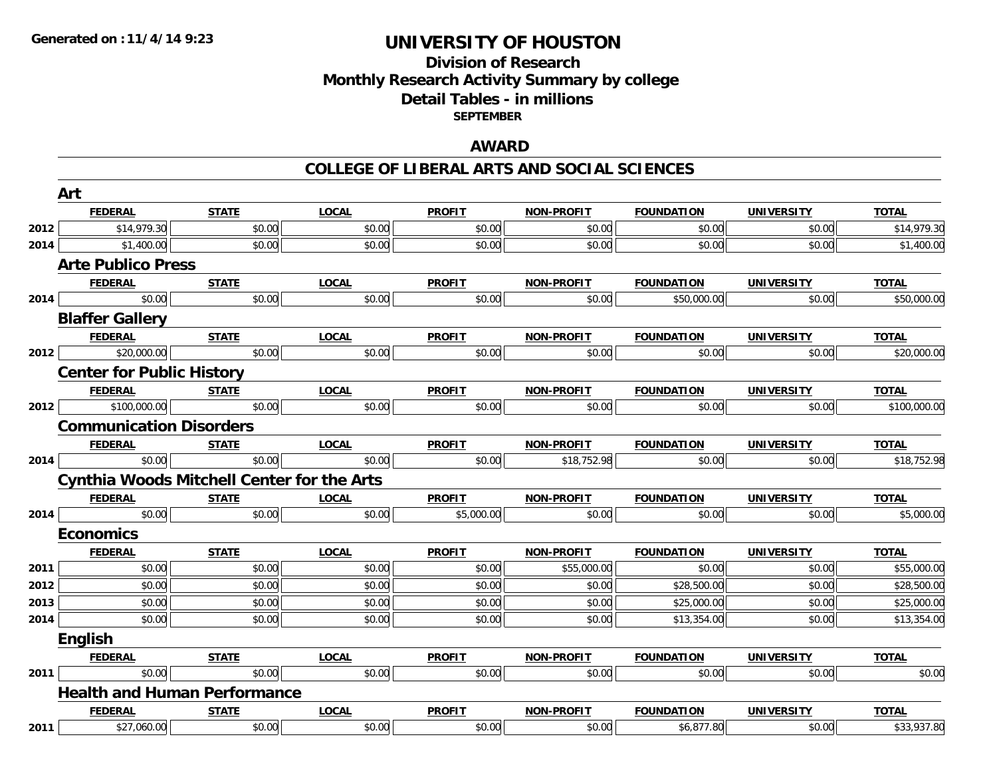# **Division of ResearchMonthly Research Activity Summary by college Detail Tables - in millions SEPTEMBER**

## **AWARD**

#### **COLLEGE OF LIBERAL ARTS AND SOCIAL SCIENCES**

|      | Art                                                                                                                                                                                                                                                                                                                 |              |              |               |                   |                   |                   |              |
|------|---------------------------------------------------------------------------------------------------------------------------------------------------------------------------------------------------------------------------------------------------------------------------------------------------------------------|--------------|--------------|---------------|-------------------|-------------------|-------------------|--------------|
|      | <b>FEDERAL</b>                                                                                                                                                                                                                                                                                                      | <b>STATE</b> | <b>LOCAL</b> | <b>PROFIT</b> | <b>NON-PROFIT</b> | <b>FOUNDATION</b> | <b>UNIVERSITY</b> | <b>TOTAL</b> |
| 2012 | \$14,979.30                                                                                                                                                                                                                                                                                                         | \$0.00       | \$0.00       | \$0.00        | \$0.00            | \$0.00            | \$0.00            | \$14,979.30  |
| 2014 | \$1,400.00                                                                                                                                                                                                                                                                                                          | \$0.00       | \$0.00       | \$0.00        | \$0.00            | \$0.00            | \$0.00            | \$1,400.00   |
|      | <b>Arte Publico Press</b>                                                                                                                                                                                                                                                                                           |              |              |               |                   |                   |                   |              |
|      | <b>FEDERAL</b>                                                                                                                                                                                                                                                                                                      | <b>STATE</b> | <b>LOCAL</b> | <b>PROFIT</b> | <b>NON-PROFIT</b> | <b>FOUNDATION</b> | <b>UNIVERSITY</b> | <b>TOTAL</b> |
| 2014 | \$0.00                                                                                                                                                                                                                                                                                                              | \$0.00       | \$0.00       | \$0.00        | \$0.00            | \$50,000.00       | \$0.00            | \$50,000.00  |
|      | <b>Blaffer Gallery</b>                                                                                                                                                                                                                                                                                              |              |              |               |                   |                   |                   |              |
|      | <b>FEDERAL</b>                                                                                                                                                                                                                                                                                                      | <b>STATE</b> | <b>LOCAL</b> | <b>PROFIT</b> | <b>NON-PROFIT</b> | <b>FOUNDATION</b> | <b>UNIVERSITY</b> | <b>TOTAL</b> |
| 2012 | \$20,000.00                                                                                                                                                                                                                                                                                                         | \$0.00       | \$0.00       | \$0.00        | \$0.00            | \$0.00            | \$0.00            | \$20,000.00  |
|      | <b>Center for Public History</b>                                                                                                                                                                                                                                                                                    |              |              |               |                   |                   |                   |              |
|      | <b>FEDERAL</b>                                                                                                                                                                                                                                                                                                      | <b>STATE</b> | <b>LOCAL</b> | <b>PROFIT</b> | NON-PROFIT        | <b>FOUNDATION</b> | <b>UNIVERSITY</b> | <b>TOTAL</b> |
| 2012 | \$100,000.00                                                                                                                                                                                                                                                                                                        | \$0.00       | \$0.00       | \$0.00        | \$0.00            | \$0.00            | \$0.00            | \$100,000.00 |
|      | <b>Communication Disorders</b>                                                                                                                                                                                                                                                                                      |              |              |               |                   |                   |                   |              |
|      | <b>FEDERAL</b>                                                                                                                                                                                                                                                                                                      | <b>STATE</b> | <b>LOCAL</b> | <b>PROFIT</b> | <b>NON-PROFIT</b> | <b>FOUNDATION</b> | <b>UNIVERSITY</b> | <b>TOTAL</b> |
| 2014 | $\frac{1}{2}$ $\frac{1}{2}$ $\frac{1}{2}$ $\frac{1}{2}$ $\frac{1}{2}$ $\frac{1}{2}$ $\frac{1}{2}$ $\frac{1}{2}$ $\frac{1}{2}$ $\frac{1}{2}$ $\frac{1}{2}$ $\frac{1}{2}$ $\frac{1}{2}$ $\frac{1}{2}$ $\frac{1}{2}$ $\frac{1}{2}$ $\frac{1}{2}$ $\frac{1}{2}$ $\frac{1}{2}$ $\frac{1}{2}$ $\frac{1}{2}$ $\frac{1}{2}$ | \$0.00       | \$0.00       | \$0.00        | \$18,752.98       | \$0.00            | \$0.00            | \$18,752.98  |
|      | <b>Cynthia Woods Mitchell Center for the Arts</b>                                                                                                                                                                                                                                                                   |              |              |               |                   |                   |                   |              |
|      | <b>FEDERAL</b>                                                                                                                                                                                                                                                                                                      | <b>STATE</b> | <b>LOCAL</b> | <b>PROFIT</b> | NON-PROFIT        | <b>FOUNDATION</b> | <b>UNIVERSITY</b> | <b>TOTAL</b> |
| 2014 | \$0.00                                                                                                                                                                                                                                                                                                              | \$0.00       | \$0.00       | \$5,000.00    | \$0.00            | \$0.00            | \$0.00            | \$5,000.00   |
|      | <b>Economics</b>                                                                                                                                                                                                                                                                                                    |              |              |               |                   |                   |                   |              |
|      | <b>FEDERAL</b>                                                                                                                                                                                                                                                                                                      | <b>STATE</b> | <b>LOCAL</b> | <b>PROFIT</b> | <b>NON-PROFIT</b> | <b>FOUNDATION</b> | <b>UNIVERSITY</b> | <b>TOTAL</b> |
| 2011 | \$0.00                                                                                                                                                                                                                                                                                                              | \$0.00       | \$0.00       | \$0.00        | \$55,000.00       | \$0.00            | \$0.00            | \$55,000.00  |
| 2012 | \$0.00                                                                                                                                                                                                                                                                                                              | \$0.00       | \$0.00       | \$0.00        | \$0.00            | \$28,500.00       | \$0.00            | \$28,500.00  |
| 2013 | \$0.00                                                                                                                                                                                                                                                                                                              | \$0.00       | \$0.00       | \$0.00        | \$0.00            | \$25,000.00       | \$0.00            | \$25,000.00  |
| 2014 | \$0.00                                                                                                                                                                                                                                                                                                              | \$0.00       | \$0.00       | \$0.00        | \$0.00            | \$13,354.00       | \$0.00            | \$13,354.00  |
|      | English                                                                                                                                                                                                                                                                                                             |              |              |               |                   |                   |                   |              |
|      | <b>FEDERAL</b>                                                                                                                                                                                                                                                                                                      | <b>STATE</b> | <b>LOCAL</b> | <b>PROFIT</b> | <b>NON-PROFIT</b> | <b>FOUNDATION</b> | <b>UNIVERSITY</b> | <b>TOTAL</b> |
| 2011 | \$0.00                                                                                                                                                                                                                                                                                                              | \$0.00       | \$0.00       | \$0.00        | \$0.00            | \$0.00            | \$0.00            | \$0.00       |
|      | <b>Health and Human Performance</b>                                                                                                                                                                                                                                                                                 |              |              |               |                   |                   |                   |              |
|      | <b>FEDERAL</b>                                                                                                                                                                                                                                                                                                      | <b>STATE</b> | <b>LOCAL</b> | <b>PROFIT</b> | NON-PROFIT        | <b>FOUNDATION</b> | <b>UNIVERSITY</b> | <b>TOTAL</b> |
| 2011 | \$27,060.00                                                                                                                                                                                                                                                                                                         | \$0.00       | \$0.00       | \$0.00        | \$0.00            | \$6,877.80        | \$0.00            | \$33,937.80  |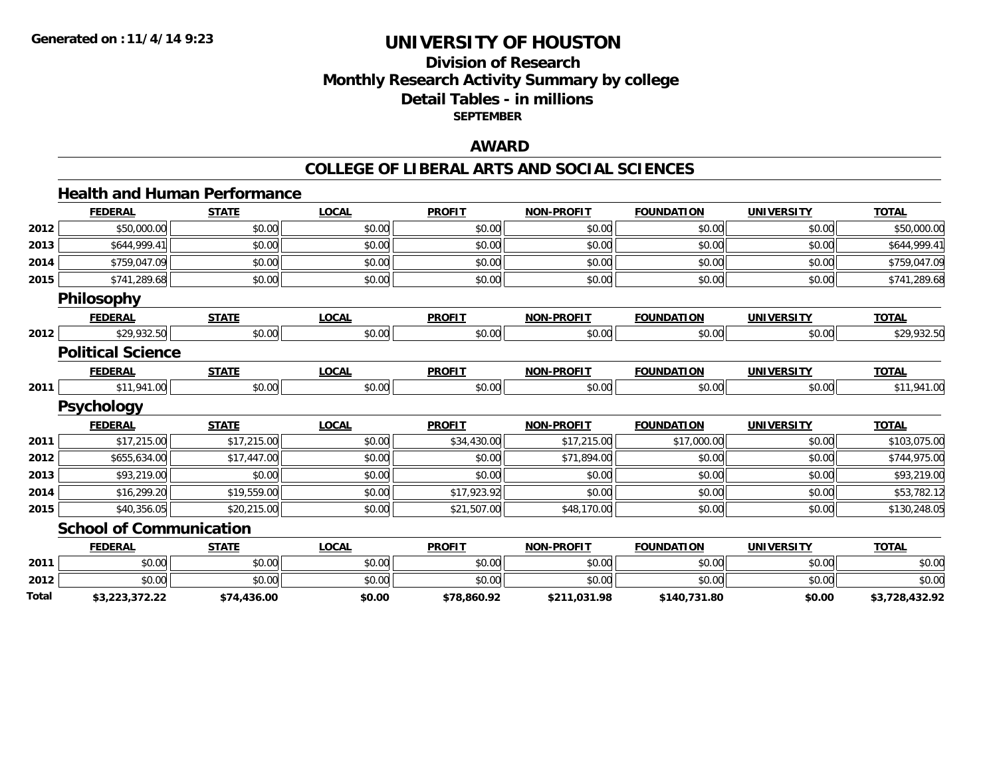**Total**

# **UNIVERSITY OF HOUSTON**

## **Division of ResearchMonthly Research Activity Summary by college Detail Tables - in millionsSEPTEMBER**

#### **AWARD**

#### **COLLEGE OF LIBERAL ARTS AND SOCIAL SCIENCES**

#### **Health and Human PerformanceFEDERAL STATE LOCAL PROFIT NON-PROFIT FOUNDATION UNIVERSITY TOTALTOTAL 2012**2 \$50,000.00 \$0.00 \$0.00 \$0.00 \$0.00 \$0.00 \$0.00 \$0.00 \$0.00 \$0.00 \$0.00 \$0.00 \$0.00 \$50,000.00 \$50,000.00 **2013** \$644,999.41 \$0.00 \$0.00 \$0.00 \$0.00 \$0.00 \$0.00 \$644,999.41 **2014**4 \$759,047.09 \$0.00 \$0.00 \$0.00 \$0.00 \$0.00 \$0.00 \$0.00 \$0.00 \$0.00 \$0.00 \$0.00 \$0.00 \$759,047.09 **2015** \$741,289.68 \$0.00 \$0.00 \$0.00 \$0.00 \$0.00 \$0.00 \$741,289.68 **Philosophy FEDERAL STATE LOCAL PROFIT NON-PROFIT FOUNDATION UNIVERSITY TOTALTOTAL 2012**2 \$29,932.50 \$0.00 \$0.00 \$0.00 \$0.00 \$0.00 \$0.00 \$0.00 \$0.00 \$0.00 \$0.00 \$1.00 \$0.00 \$1.00 \$29,932.50 **Political ScienceFEDERAL STATE LOCAL PROFIT NON-PROFIT FOUNDATION UNIVERSITY TOTAL2011**1 \$11,941.00 \$0.00 \$0.00 \$0.00 \$0.00 \$0.00 \$0.00 \$0.00 \$0.00 \$0.00 \$0.00 \$0.00 \$0.00 \$11,941.00 **Psychology FEDERAL STATE LOCAL PROFIT NON-PROFIT FOUNDATION UNIVERSITY TOTAL2011** \$17,215.00 \$17,215.00 \$0.00 \$34,430.00 \$17,215.00 \$17,000.00 \$0.00 \$103,075.00 **2012** \$655,634.00 \$17,447.00 \$0.00 \$0.00 \$71,894.00 \$0.00 \$0.00 \$744,975.00 **2013** \$93,219.00 \$0.00 \$0.00 \$0.00 \$0.00 \$0.00 \$0.00 \$93,219.00 **2014**4 \$16,299.20 \$19,559.00 \$19,559.00 \$0.00 \$0.00 \$17,923.92 \$0.00 \$0.00 \$0.00 \$0.00 \$0.00 \$53,782.12 **2015** \$40,356.05 \$20,215.00 \$0.00 \$21,507.00 \$48,170.00 \$0.00 \$0.00 \$130,248.05 **School of Communication FEDERAL STATE LOCAL PROFIT NON-PROFIT FOUNDATION UNIVERSITY TOTALTOTAL 2011** \$0.00 \$0.00 \$0.00 \$0.00 \$0.00 \$0.00 \$0.00 \$0.00 **2012**

2 | \$0.00 \$0.00 \$0.00 \$0.00 \$0.00 \$0.00 \$0.00 \$0.00 \$0.00 \$0.00 \$0.00 \$0.00 \$0.00 \$0.00 \$0.00 \$0.00 \$0.00 \$0.0

**\$3,223,372.22 \$74,436.00 \$0.00 \$78,860.92 \$211,031.98 \$140,731.80 \$0.00 \$3,728,432.92**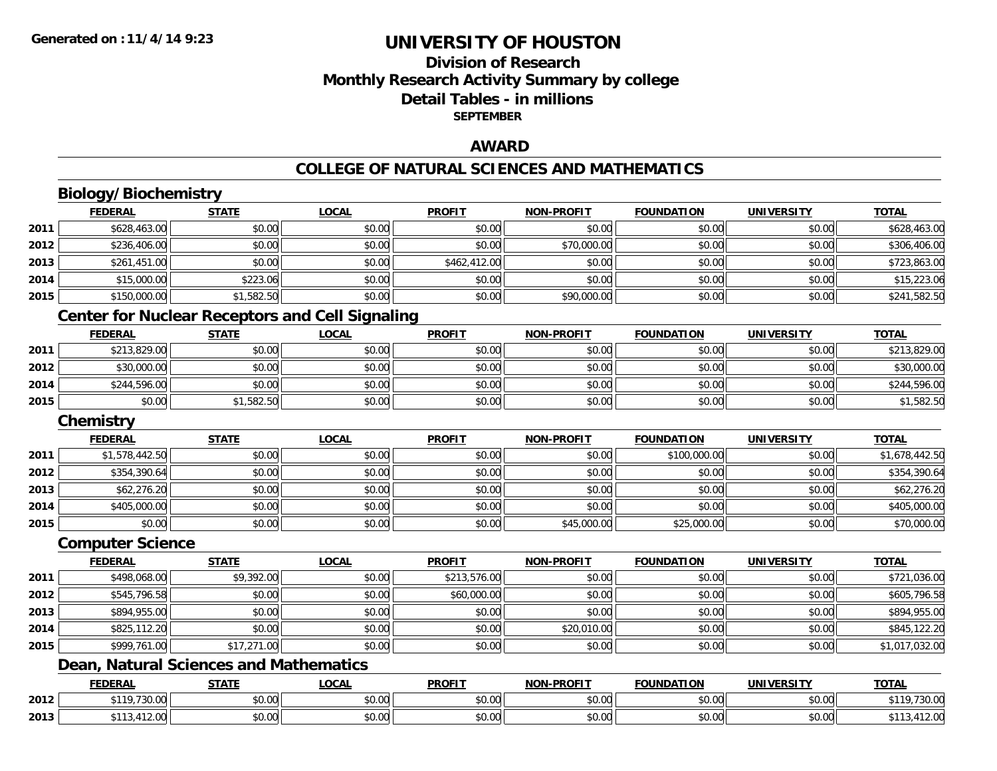# **Division of ResearchMonthly Research Activity Summary by college Detail Tables - in millions SEPTEMBER**

## **AWARD**

#### **COLLEGE OF NATURAL SCIENCES AND MATHEMATICS**

# **Biology/Biochemistry**

| \$628,463.00<br>\$0.00<br>\$0.00<br>\$0.00<br>2011<br>\$0.00<br>\$0.00<br>\$0.00<br>2012<br>\$236,406.00<br>\$0.00<br>\$0.00<br>\$70,000.00<br>\$0.00<br>\$0.00<br>\$0.00<br>\$462,412.00<br>\$261,451.00<br>\$0.00<br>\$0.00<br>\$0.00<br>2013<br>\$0.00<br>\$0.00<br>\$223.06<br>\$0.00<br>2014<br>\$15,000.00<br>\$0.00<br>\$0.00<br>\$0.00<br>\$0.00 | \$628,463.00   |
|----------------------------------------------------------------------------------------------------------------------------------------------------------------------------------------------------------------------------------------------------------------------------------------------------------------------------------------------------------|----------------|
|                                                                                                                                                                                                                                                                                                                                                          |                |
|                                                                                                                                                                                                                                                                                                                                                          | \$306,406.00   |
|                                                                                                                                                                                                                                                                                                                                                          | \$723,863.00   |
|                                                                                                                                                                                                                                                                                                                                                          | \$15,223.06    |
| 2015<br>\$1,582.50<br>\$0.00<br>\$0.00<br>\$90,000.00<br>\$150,000.00<br>\$0.00<br>\$0.00                                                                                                                                                                                                                                                                | \$241,582.50   |
| <b>Center for Nuclear Receptors and Cell Signaling</b>                                                                                                                                                                                                                                                                                                   |                |
| <b>NON-PROFIT</b><br><b>FOUNDATION</b><br><b>FEDERAL</b><br><b>STATE</b><br><b>LOCAL</b><br><b>PROFIT</b><br><b>UNIVERSITY</b>                                                                                                                                                                                                                           | <b>TOTAL</b>   |
| \$213,829.00<br>\$0.00<br>\$0.00<br>\$0.00<br>\$0.00<br>2011<br>\$0.00<br>\$0.00                                                                                                                                                                                                                                                                         | \$213,829.00   |
| 2012<br>\$0.00<br>\$30,000.00<br>\$0.00<br>\$0.00<br>\$0.00<br>\$0.00<br>\$0.00                                                                                                                                                                                                                                                                          | \$30,000.00    |
| 2014<br>\$0.00<br>\$0.00<br>\$244,596.00<br>\$0.00<br>\$0.00<br>\$0.00<br>\$0.00                                                                                                                                                                                                                                                                         | \$244,596.00   |
| \$0.00<br>\$1,582.50<br>\$0.00<br>\$0.00<br>\$0.00<br>\$0.00<br>2015<br>\$0.00                                                                                                                                                                                                                                                                           | \$1,582.50     |
| Chemistry                                                                                                                                                                                                                                                                                                                                                |                |
| <b>FEDERAL</b><br><b>STATE</b><br><b>LOCAL</b><br><b>PROFIT</b><br><b>FOUNDATION</b><br><b>NON-PROFIT</b><br><b>UNIVERSITY</b>                                                                                                                                                                                                                           | <b>TOTAL</b>   |
| \$1,578,442.50<br>\$0.00<br>\$0.00<br>2011<br>\$0.00<br>\$0.00<br>\$100,000.00<br>\$0.00                                                                                                                                                                                                                                                                 | \$1,678,442.50 |
|                                                                                                                                                                                                                                                                                                                                                          |                |
| \$0.00<br>2012<br>\$354,390.64<br>\$0.00<br>\$0.00<br>\$0.00<br>\$0.00<br>\$0.00                                                                                                                                                                                                                                                                         | \$354,390.64   |
| 2013<br>\$0.00<br>\$0.00<br>\$0.00<br>\$62,276.20<br>\$0.00<br>\$0.00<br>\$0.00                                                                                                                                                                                                                                                                          | \$62,276.20    |
| \$0.00<br>2014<br>\$0.00<br>\$0.00<br>\$0.00<br>\$405,000.00<br>\$0.00<br>\$0.00                                                                                                                                                                                                                                                                         | \$405,000.00   |
| \$0.00<br>\$0.00<br>\$0.00<br>2015<br>\$0.00<br>\$45,000.00<br>\$25,000.00<br>\$0.00                                                                                                                                                                                                                                                                     | \$70,000.00    |
| <b>Computer Science</b>                                                                                                                                                                                                                                                                                                                                  |                |
| <b>FEDERAL</b><br><b>STATE</b><br><b>LOCAL</b><br><b>PROFIT</b><br><b>NON-PROFIT</b><br><b>FOUNDATION</b><br><b>UNIVERSITY</b>                                                                                                                                                                                                                           | <b>TOTAL</b>   |
| \$9,392.00<br>\$213,576.00<br>2011<br>\$498,068.00<br>\$0.00<br>\$0.00<br>\$0.00<br>\$0.00                                                                                                                                                                                                                                                               | \$721,036.00   |
| 2012<br>\$545,796.58<br>\$0.00<br>\$0.00<br>\$60,000.00<br>\$0.00<br>\$0.00<br>\$0.00                                                                                                                                                                                                                                                                    | \$605,796.58   |
| 2013<br>\$894,955.00<br>\$0.00<br>\$0.00<br>\$0.00<br>\$0.00<br>\$0.00<br>\$0.00                                                                                                                                                                                                                                                                         | \$894,955.00   |
| \$20,010.00<br>2014<br>\$825,112.20<br>\$0.00<br>\$0.00<br>\$0.00<br>\$0.00<br>\$0.00                                                                                                                                                                                                                                                                    | \$845,122.20   |

# **Dean, Natural Sciences and Mathematics**

|      | <b>EENEDA</b><br>-175     | <b>STATE</b>       | 001<br>.OGA                                           | <b>PROFIT</b> | <b>M-PROFIT</b><br>יריי | $\sim$<br>רמרוחו ונ | <b>IINIWEDSI</b>   | TOTAL          |
|------|---------------------------|--------------------|-------------------------------------------------------|---------------|-------------------------|---------------------|--------------------|----------------|
| 2012 | $+110$<br>72000<br>730.OO | $\sim$ 00<br>JU.UU | $\mathsf{A} \cap \mathsf{A} \cap \mathsf{A}$<br>vv.vv | 0.00<br>JU.UU | 0.00<br>JU.UU           | \$0.00              | $\sim$ 00<br>vv.vv | 700.<br>' JU.L |
| 2013 |                           | $\sim$ 00<br>ט.ט   | 0000<br>ψυ.∪υ                                         | 0000<br>DU.UU | 0.00<br>PU.UU,          | 40.00<br>JU.UU      | $\sim$ 00<br>vv.vv |                |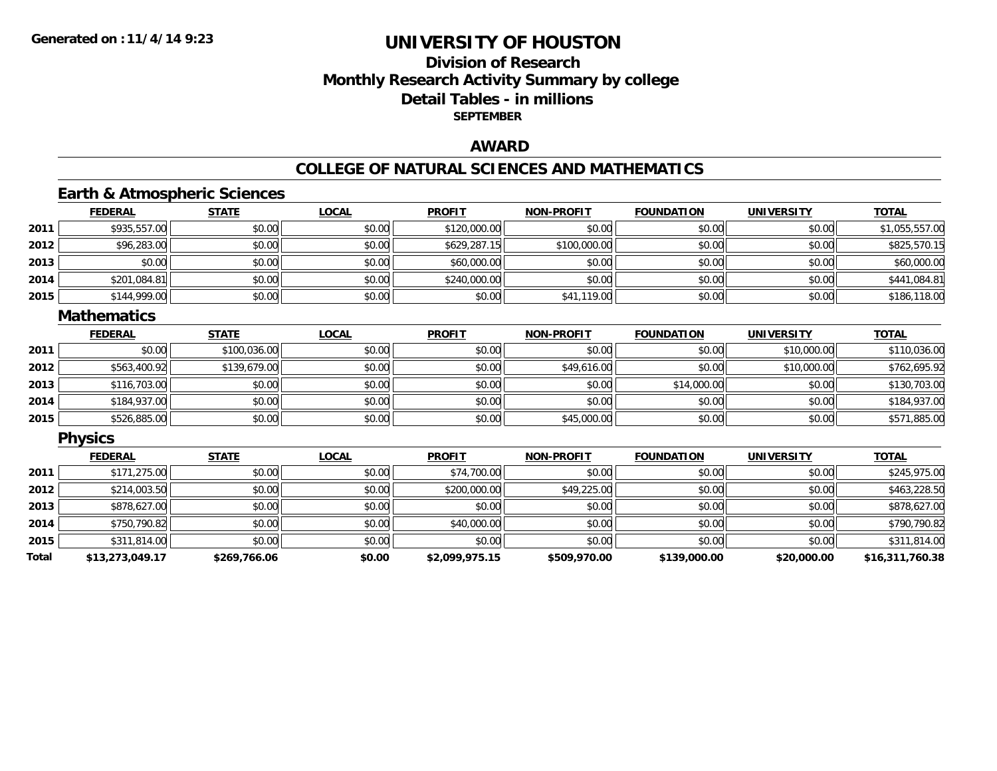# **Division of ResearchMonthly Research Activity Summary by college Detail Tables - in millions SEPTEMBER**

## **AWARD**

#### **COLLEGE OF NATURAL SCIENCES AND MATHEMATICS**

## **Earth & Atmospheric Sciences**

|      | <b>FEDERAL</b> | <b>STATE</b> | <u>LOCAL</u> | <b>PROFIT</b> | <b>NON-PROFIT</b> | <b>FOUNDATION</b> | <b>UNIVERSITY</b> | <b>TOTAL</b>   |
|------|----------------|--------------|--------------|---------------|-------------------|-------------------|-------------------|----------------|
| 2011 | \$935,557.00   | \$0.00       | \$0.00       | \$120,000.00  | \$0.00            | \$0.00            | \$0.00            | \$1,055,557.00 |
| 2012 | \$96,283.00    | \$0.00       | \$0.00       | \$629,287.15  | \$100,000.00      | \$0.00            | \$0.00            | \$825,570.15   |
| 2013 | \$0.00         | \$0.00       | \$0.00       | \$60,000.00   | \$0.00            | \$0.00            | \$0.00            | \$60,000.00    |
| 2014 | \$201,084.81   | \$0.00       | \$0.00       | \$240,000.00  | \$0.00            | \$0.00            | \$0.00            | \$441,084.81   |
| 2015 | \$144,999.00   | \$0.00       | \$0.00       | \$0.00        | \$41,119.00       | \$0.00            | \$0.00            | \$186,118.00   |

#### **Mathematics**

|      | <b>FEDERAL</b> | <b>STATE</b> | <u>LOCAL</u> | <b>PROFIT</b> | <b>NON-PROFIT</b> | <b>FOUNDATION</b> | <b>UNIVERSITY</b> | <b>TOTAL</b> |
|------|----------------|--------------|--------------|---------------|-------------------|-------------------|-------------------|--------------|
| 2011 | \$0.00         | \$100,036.00 | \$0.00       | \$0.00        | \$0.00            | \$0.00            | \$10,000.00       | \$110,036.00 |
| 2012 | \$563,400.92   | \$139,679.00 | \$0.00       | \$0.00        | \$49,616.00       | \$0.00            | \$10,000.00       | \$762,695.92 |
| 2013 | \$116,703.00   | \$0.00       | \$0.00       | \$0.00        | \$0.00            | \$14,000.00       | \$0.00            | \$130,703.00 |
| 2014 | \$184,937.00   | \$0.00       | \$0.00       | \$0.00        | \$0.00            | \$0.00            | \$0.00            | \$184,937.00 |
| 2015 | \$526,885.00   | \$0.00       | \$0.00       | \$0.00        | \$45,000.00       | \$0.00            | \$0.00            | \$571,885.00 |

## **Physics**

|       | <b>FEDERAL</b>  | <b>STATE</b> | <b>LOCAL</b> | <b>PROFIT</b>  | <b>NON-PROFIT</b> | <b>FOUNDATION</b> | <b>UNIVERSITY</b> | <b>TOTAL</b>    |
|-------|-----------------|--------------|--------------|----------------|-------------------|-------------------|-------------------|-----------------|
| 2011  | \$171,275.00    | \$0.00       | \$0.00       | \$74,700.00    | \$0.00            | \$0.00            | \$0.00            | \$245,975.00    |
| 2012  | \$214,003.50    | \$0.00       | \$0.00       | \$200,000.00   | \$49,225.00       | \$0.00            | \$0.00            | \$463,228.50    |
| 2013  | \$878,627.00    | \$0.00       | \$0.00       | \$0.00         | \$0.00            | \$0.00            | \$0.00            | \$878,627.00    |
| 2014  | \$750.790.82    | \$0.00       | \$0.00       | \$40,000.00    | \$0.00            | \$0.00            | \$0.00            | \$790,790.82    |
| 2015  | \$311,814.00    | \$0.00       | \$0.00       | \$0.00         | \$0.00            | \$0.00            | \$0.00            | \$311,814.00    |
| Total | \$13,273,049.17 | \$269,766.06 | \$0.00       | \$2,099,975.15 | \$509,970.00      | \$139,000.00      | \$20,000.00       | \$16,311,760.38 |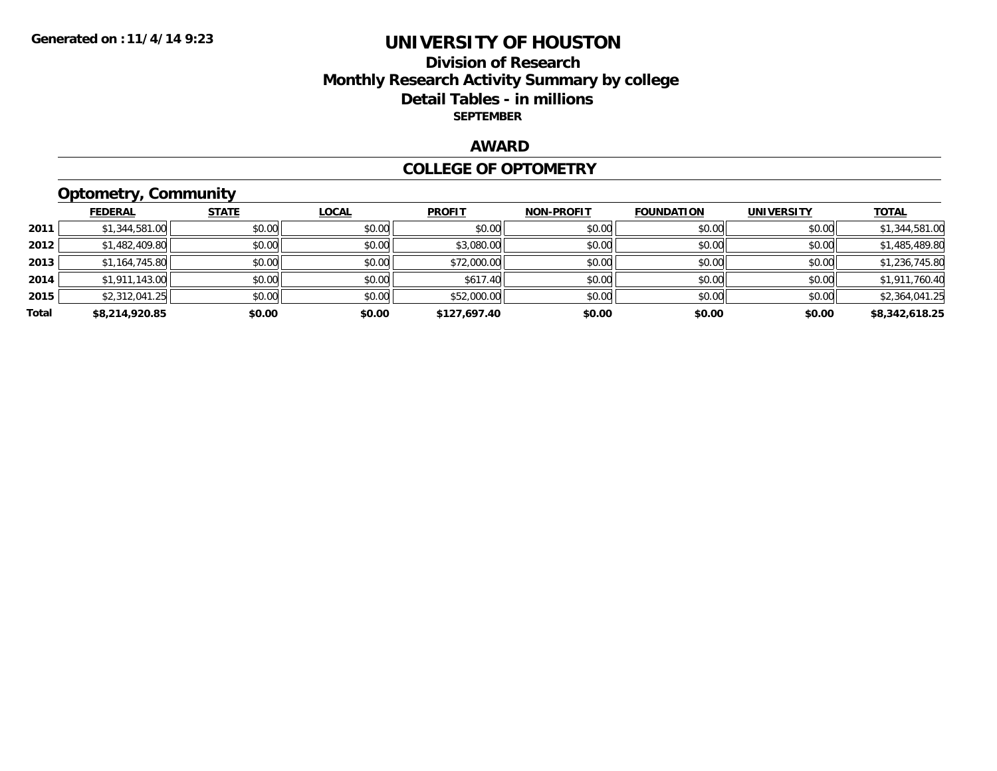## **Division of Research Monthly Research Activity Summary by college Detail Tables - in millions SEPTEMBER**

## **AWARD**

#### **COLLEGE OF OPTOMETRY**

# **Optometry, Community**

|       | <b>FEDERAL</b> | <b>STATE</b> | <b>LOCAL</b> | <b>PROFIT</b> | <b>NON-PROFIT</b> | <b>FOUNDATION</b> | <b>UNIVERSITY</b> | <b>TOTAL</b>   |
|-------|----------------|--------------|--------------|---------------|-------------------|-------------------|-------------------|----------------|
| 2011  | \$1,344,581.00 | \$0.00       | \$0.00       | \$0.00        | \$0.00            | \$0.00            | \$0.00            | \$1,344,581.00 |
| 2012  | \$1,482,409.80 | \$0.00       | \$0.00       | \$3,080.00    | \$0.00            | \$0.00            | \$0.00            | \$1,485,489.80 |
| 2013  | \$1,164,745.80 | \$0.00       | \$0.00       | \$72,000.00   | \$0.00            | \$0.00            | \$0.00            | \$1,236,745.80 |
| 2014  | \$1,911,143.00 | \$0.00       | \$0.00       | \$617.40      | \$0.00            | \$0.00            | \$0.00            | \$1,911,760.40 |
| 2015  | \$2,312,041.25 | \$0.00       | \$0.00       | \$52,000.00   | \$0.00            | \$0.00            | \$0.00            | \$2,364,041.25 |
| Total | \$8,214,920.85 | \$0.00       | \$0.00       | \$127,697.40  | \$0.00            | \$0.00            | \$0.00            | \$8,342,618.25 |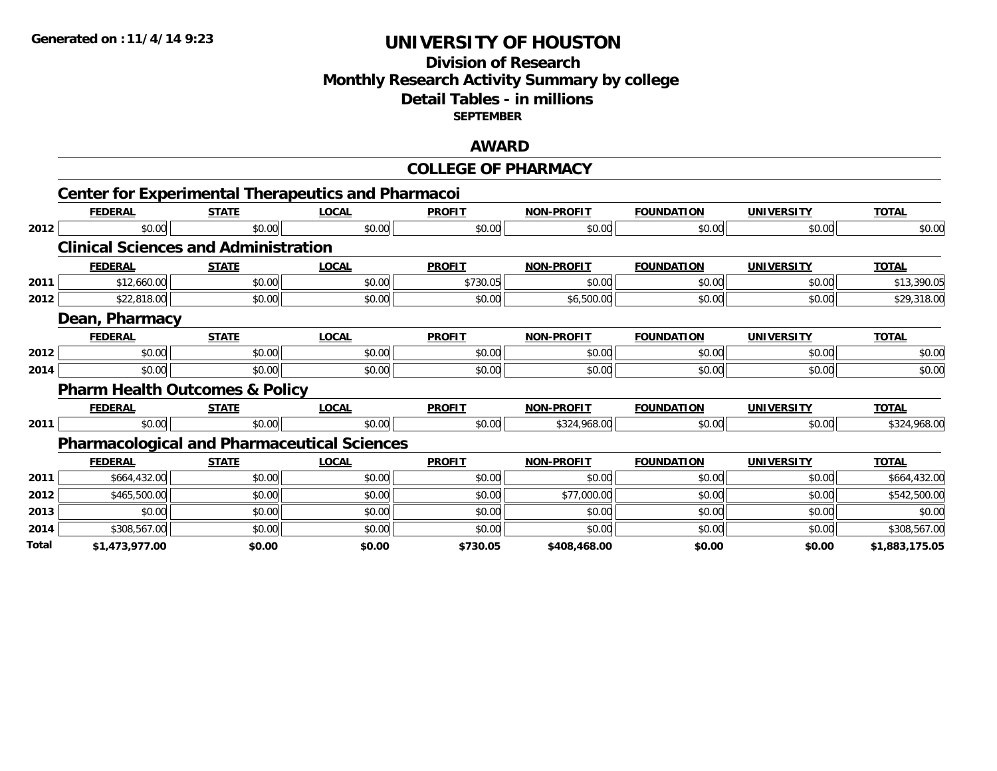**2012**

**2011**

**2012**

**2012**

**2014**

**2011**

# **UNIVERSITY OF HOUSTON**

## **Division of Research Monthly Research Activity Summary by college Detail Tables - in millions SEPTEMBER**

## **AWARD**

|                                                           |              |              | <b>COLLEGE OF PHARMACY</b> |                   |                     |                     |              |
|-----------------------------------------------------------|--------------|--------------|----------------------------|-------------------|---------------------|---------------------|--------------|
| <b>Center for Experimental Therapeutics and Pharmacoi</b> |              |              |                            |                   |                     |                     |              |
| <b>FEDERAL</b>                                            | <b>STATE</b> | <b>LOCAL</b> | <b>PROFIT</b>              | <b>NON-PROFIT</b> | <b>FOUNDATION</b>   | <b>UNIVERSITY</b>   | <b>TOTAL</b> |
| \$0.00                                                    | \$0.00       | \$0.00       | \$0.00                     | \$0.00            | \$0.00              | \$0.00              | \$0.00       |
| <b>Clinical Sciences and Administration</b>               |              |              |                            |                   |                     |                     |              |
| <b>FEDERAL</b>                                            | <b>STATE</b> | <b>LOCAL</b> | <b>PROFIT</b>              | <b>NON-PROFIT</b> | <b>FOUNDATION</b>   | <b>UNIVERSITY</b>   | <b>TOTAL</b> |
| \$12,660.00                                               | \$0.00       | \$0.00       | \$730.05                   | \$0.00            | \$0.00              | \$0.00              | \$13,390.05  |
| \$22,818.00                                               | \$0.00       | \$0.00       | \$0.00                     | \$6,500.00        | \$0.00              | \$0.00              | \$29,318.00  |
| Dean, Pharmacy                                            |              |              |                            |                   |                     |                     |              |
| <b>FEDERAL</b>                                            | <b>STATE</b> | <b>LOCAL</b> | <b>PROFIT</b>              | <b>NON-PROFIT</b> | <b>FOUNDATION</b>   | <b>UNIVERSITY</b>   | <b>TOTAL</b> |
| \$0.00                                                    | \$0.00       | \$0.00       | \$0.00                     | \$0.00            | \$0.00              | \$0.00              | \$0.00       |
| \$0.00                                                    | \$0.00       | \$0.00       | \$0.00                     | \$0.00            | \$0.00              | \$0.00              | \$0.00       |
| <b>Pharm Health Outcomes &amp; Policy</b>                 |              |              |                            |                   |                     |                     |              |
| <b>FEDERAL</b>                                            | <b>STATE</b> | <b>LOCAL</b> | <b>PROFIT</b>              | <b>NON-PROFIT</b> | <b>FOUNDATION</b>   | <b>UNIVERSITY</b>   | <b>TOTAL</b> |
| \$0.00                                                    | \$0.00       | \$0.00       | \$0.00                     | \$324,968.00      | \$0.00              | \$0.00              | \$324,968.00 |
| <b>Pharmacological and Pharmaceutical Sciences</b>        |              |              |                            |                   |                     |                     |              |
| EEDEDAL                                                   | <b>CTATE</b> | 1001         | <b>DDAEIT</b>              | MON DDOELT        | <b>EQUINIDATION</b> | <b>IINIIVEDCITV</b> | <b>TOTAL</b> |

|       | <b>FEDERAL</b> | <b>STATE</b> | <b>LOCAL</b> | <b>PROFIT</b> | <b>NON-PROFIT</b> | <b>FOUNDATION</b> | <b>UNIVERSITY</b> | <b>TOTAL</b>   |
|-------|----------------|--------------|--------------|---------------|-------------------|-------------------|-------------------|----------------|
| 2011  | \$664,432.00   | \$0.00       | \$0.00       | \$0.00        | \$0.00            | \$0.00            | \$0.00            | \$664,432.00   |
| 2012  | \$465,500.00   | \$0.00       | \$0.00       | \$0.00        | \$77,000.00       | \$0.00            | \$0.00            | \$542,500.00   |
| 2013  | \$0.00         | \$0.00       | \$0.00       | \$0.00        | \$0.00            | \$0.00            | \$0.00            | \$0.00         |
| 2014  | \$308,567.00   | \$0.00       | \$0.00       | \$0.00        | \$0.00            | \$0.00            | \$0.00            | \$308,567.00   |
| Total | \$1,473,977.00 | \$0.00       | \$0.00       | \$730.05      | \$408,468.00      | \$0.00            | \$0.00            | \$1,883,175.05 |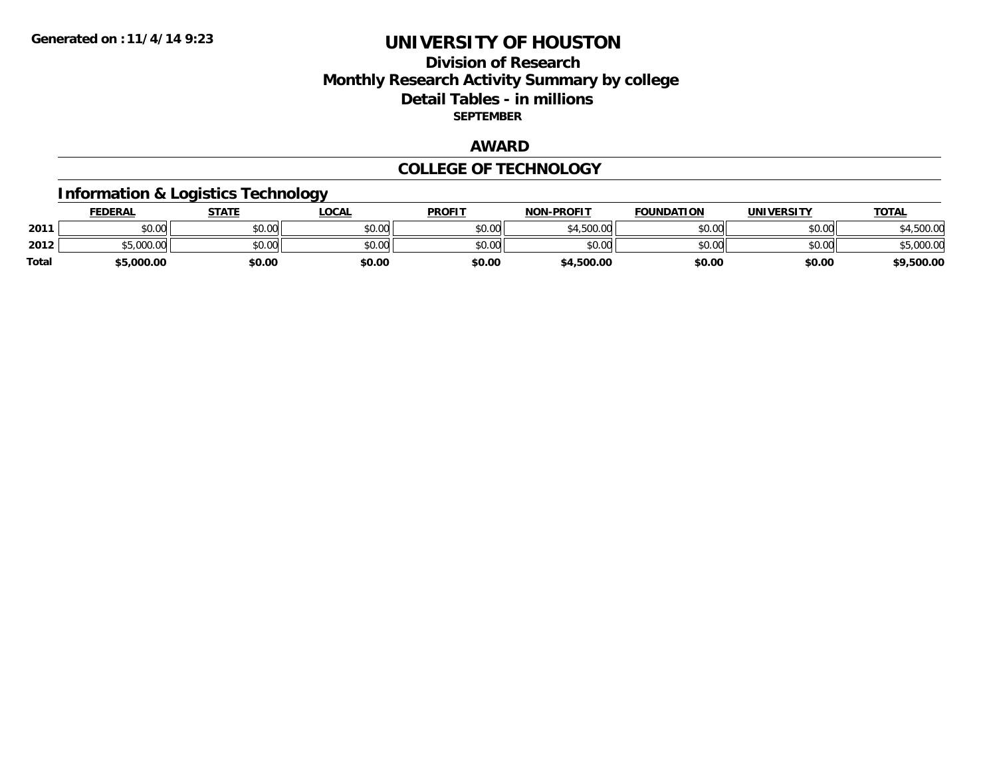## **Division of Research Monthly Research Activity Summary by college Detail Tables - in millions SEPTEMBER**

## **AWARD**

#### **COLLEGE OF TECHNOLOGY**

# **Information & Logistics Technology**

|       | <b>FEDERAL</b> | STATE  | LOCAL          | <b>PROFIT</b> | <b>NON-PROFIT</b> | <b>FOUNDATION</b> | UNIVERSITY | <b>TOTAL</b> |
|-------|----------------|--------|----------------|---------------|-------------------|-------------------|------------|--------------|
| 2011  | ስስ ስስ<br>DU.UU | \$0.00 | ≮N UU<br>JU.UU | \$0.00        | \$4,500.00        | \$0.00            | \$0.00     | 00.0         |
| 2012  | \$5,000.00     | \$0.00 | \$0.00         | \$0.00        | \$0.00            | \$0.00            | \$0.00     | nnn.         |
| Total | \$5,000.00     | \$0.00 | \$0.00         | \$0.00        | \$4,500.00        | \$0.00            | \$0.00     | \$9,500.00   |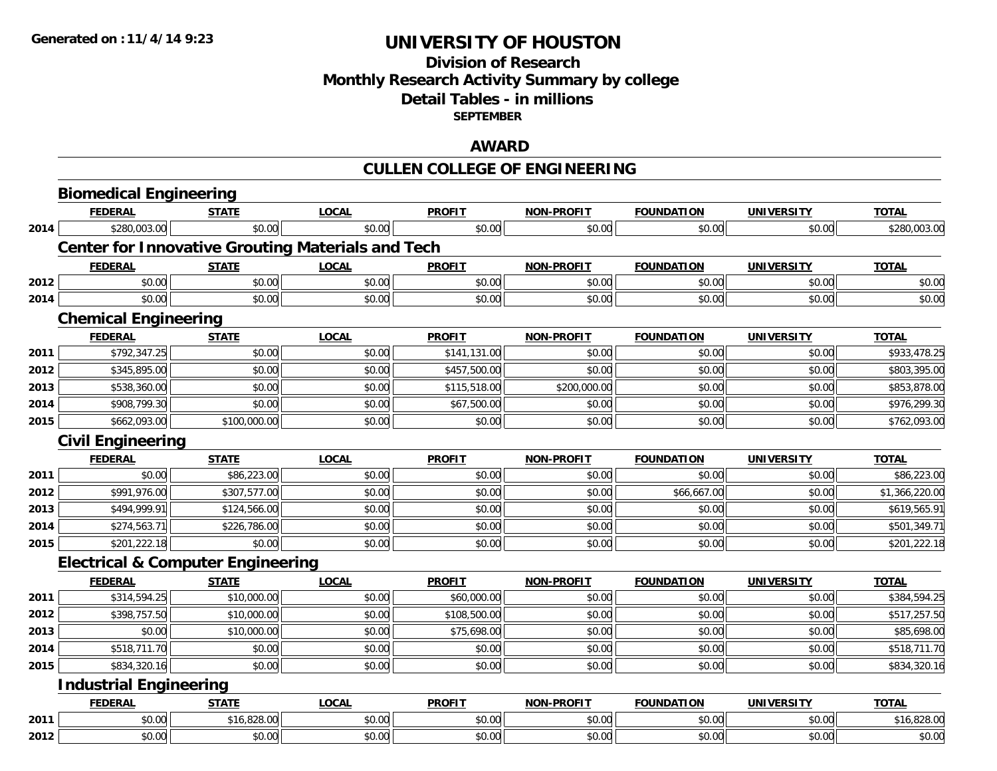## **Division of Research Monthly Research Activity Summary by college Detail Tables - in millions SEPTEMBER**

## **AWARD**

# **CULLEN COLLEGE OF ENGINEERING**

|      | <b>Biomedical Engineering</b>                |              |                                                          |               |                   |                   |                   |                |
|------|----------------------------------------------|--------------|----------------------------------------------------------|---------------|-------------------|-------------------|-------------------|----------------|
|      | <b>FEDERAL</b>                               | <b>STATE</b> | <b>LOCAL</b>                                             | <b>PROFIT</b> | <b>NON-PROFIT</b> | <b>FOUNDATION</b> | <b>UNIVERSITY</b> | <b>TOTAL</b>   |
| 2014 | \$280,003.00                                 | \$0.00       | \$0.00                                                   | \$0.00        | \$0.00            | \$0.00            | \$0.00            | \$280,003.00   |
|      |                                              |              | <b>Center for Innovative Grouting Materials and Tech</b> |               |                   |                   |                   |                |
|      | <b>FEDERAL</b>                               | <b>STATE</b> | <b>LOCAL</b>                                             | <b>PROFIT</b> | <b>NON-PROFIT</b> | <b>FOUNDATION</b> | <b>UNIVERSITY</b> | <b>TOTAL</b>   |
| 2012 | \$0.00                                       | \$0.00       | \$0.00                                                   | \$0.00        | \$0.00            | \$0.00            | \$0.00            | \$0.00         |
| 2014 | \$0.00                                       | \$0.00       | \$0.00                                                   | \$0.00        | \$0.00            | \$0.00            | \$0.00            | \$0.00         |
|      | <b>Chemical Engineering</b>                  |              |                                                          |               |                   |                   |                   |                |
|      | <b>FEDERAL</b>                               | <b>STATE</b> | <b>LOCAL</b>                                             | <b>PROFIT</b> | <b>NON-PROFIT</b> | <b>FOUNDATION</b> | <b>UNIVERSITY</b> | <b>TOTAL</b>   |
| 2011 | \$792,347.25                                 | \$0.00       | \$0.00                                                   | \$141,131.00  | \$0.00            | \$0.00            | \$0.00            | \$933,478.25   |
| 2012 | \$345,895.00                                 | \$0.00       | \$0.00                                                   | \$457,500.00  | \$0.00            | \$0.00            | \$0.00            | \$803,395.00   |
| 2013 | \$538,360.00                                 | \$0.00       | \$0.00                                                   | \$115,518.00  | \$200,000.00      | \$0.00            | \$0.00            | \$853,878.00   |
| 2014 | \$908,799.30                                 | \$0.00       | \$0.00                                                   | \$67,500.00   | \$0.00            | \$0.00            | \$0.00            | \$976,299.30   |
| 2015 | \$662,093.00                                 | \$100,000.00 | \$0.00                                                   | \$0.00        | \$0.00            | \$0.00            | \$0.00            | \$762,093.00   |
|      | <b>Civil Engineering</b>                     |              |                                                          |               |                   |                   |                   |                |
|      | <b>FEDERAL</b>                               | <b>STATE</b> | <b>LOCAL</b>                                             | <b>PROFIT</b> | <b>NON-PROFIT</b> | <b>FOUNDATION</b> | <b>UNIVERSITY</b> | <b>TOTAL</b>   |
| 2011 | \$0.00                                       | \$86,223.00  | \$0.00                                                   | \$0.00        | \$0.00            | \$0.00            | \$0.00            | \$86,223.00    |
| 2012 | \$991,976.00                                 | \$307,577.00 | \$0.00                                                   | \$0.00        | \$0.00            | \$66,667.00       | \$0.00            | \$1,366,220.00 |
| 2013 | \$494,999.91                                 | \$124,566.00 | \$0.00                                                   | \$0.00        | \$0.00            | \$0.00            | \$0.00            | \$619,565.91   |
| 2014 | \$274,563.71                                 | \$226,786.00 | \$0.00                                                   | \$0.00        | \$0.00            | \$0.00            | \$0.00            | \$501,349.71   |
| 2015 | \$201,222.18                                 | \$0.00       | \$0.00                                                   | \$0.00        | \$0.00            | \$0.00            | \$0.00            | \$201,222.18   |
|      | <b>Electrical &amp; Computer Engineering</b> |              |                                                          |               |                   |                   |                   |                |
|      | <b>FEDERAL</b>                               | <b>STATE</b> | <b>LOCAL</b>                                             | <b>PROFIT</b> | <b>NON-PROFIT</b> | <b>FOUNDATION</b> | <b>UNIVERSITY</b> | <b>TOTAL</b>   |
| 2011 | \$314,594.25                                 | \$10,000.00  | \$0.00                                                   | \$60,000.00   | \$0.00            | \$0.00            | \$0.00            | \$384,594.25   |
| 2012 | \$398,757.50                                 | \$10,000.00  | \$0.00                                                   | \$108,500.00  | \$0.00            | \$0.00            | \$0.00            | \$517,257.50   |
| 2013 | \$0.00                                       | \$10,000.00  | \$0.00                                                   | \$75,698.00   | \$0.00            | \$0.00            | \$0.00            | \$85,698.00    |
| 2014 | \$518,711.70                                 | \$0.00       | \$0.00                                                   | \$0.00        | \$0.00            | \$0.00            | \$0.00            | \$518,711.70   |
| 2015 | \$834,320.16                                 | \$0.00       | \$0.00                                                   | \$0.00        | \$0.00            | \$0.00            | \$0.00            | \$834,320.16   |
|      | <b>Industrial Engineering</b>                |              |                                                          |               |                   |                   |                   |                |
|      | <b>FEDERAL</b>                               | <b>STATE</b> | <b>LOCAL</b>                                             | <b>PROFIT</b> | <b>NON-PROFIT</b> | <b>FOUNDATION</b> | <b>UNIVERSITY</b> | <b>TOTAL</b>   |
| 2011 | \$0.00                                       | \$16,828.00  | \$0.00                                                   | \$0.00        | \$0.00            | \$0.00            | \$0.00            | \$16,828.00    |
| 2012 | \$0.00                                       | \$0.00       | \$0.00                                                   | \$0.00        | \$0.00            | \$0.00            | \$0.00            | \$0.00         |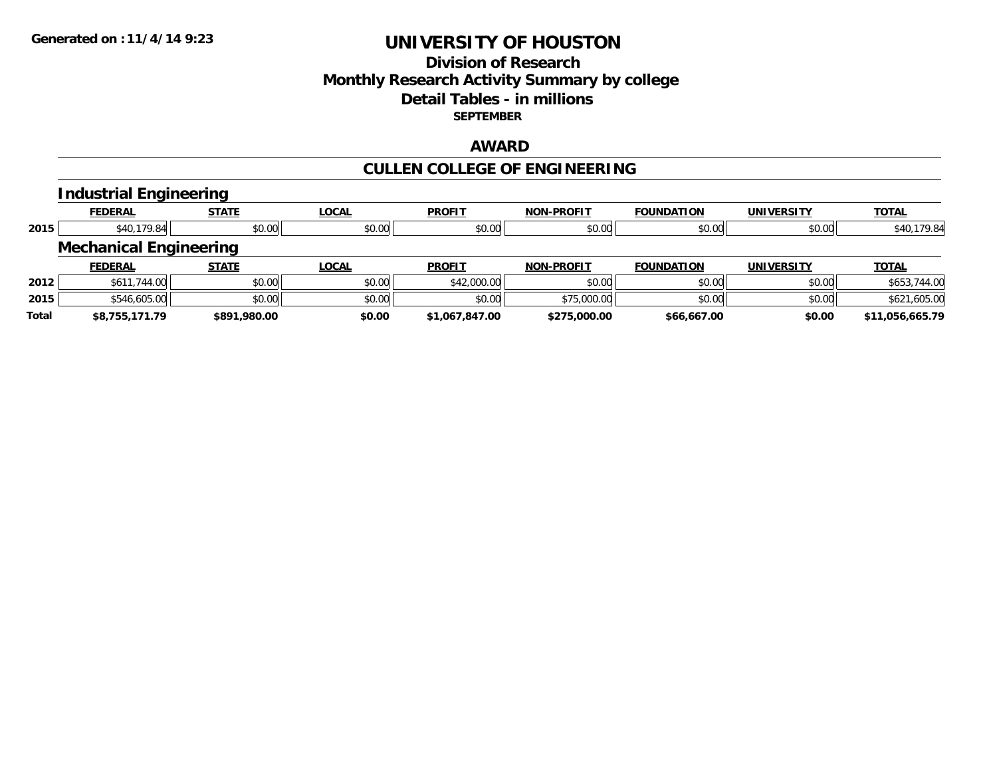## **Division of ResearchMonthly Research Activity Summary by college Detail Tables - in millionsSEPTEMBER**

#### **AWARD**

#### **CULLEN COLLEGE OF ENGINEERING**

#### **Industrial Engineering FEDERAL STATE LOCAL PROFIT NON-PROFIT FOUNDATION UNIVERSITY TOTALTOTAL 2015** \$40,179.84 \$0.00 \$0.00 \$0.00 \$0.00 \$0.00 \$0.00 \$40,179.84 **Mechanical Engineering FEDERAL STATE LOCAL PROFIT NON-PROFIT FOUNDATION UNIVERSITY TOTALTOTAL 2012**2 | \$611,744.00| \$0.00| \$0.00| \$0.00| \$0.00| \$42,000.00| \$0.00| \$0.00| \$0.00| \$0.00| \$0.00| \$653,744.00 **2015** \$546,605.00 \$0.00 \$0.00 \$0.00 \$75,000.00 \$0.00 \$0.00 \$621,605.00 **Total\$8,755,171.79 \$891,980.00 \$0.00 \$1,067,847.00 \$275,000.00 \$66,667.00 \$0.00 \$11,056,665.79**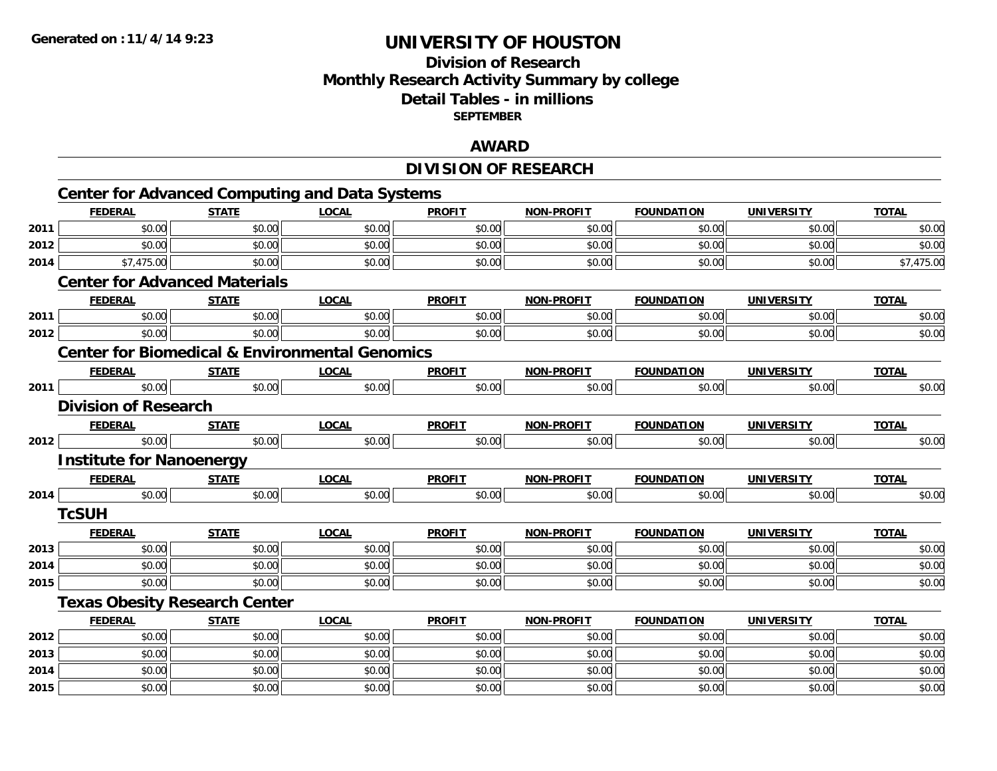# **Division of Research Monthly Research Activity Summary by college Detail Tables - in millions SEPTEMBER**

## **AWARD**

# **DIVISION OF RESEARCH**

|      |                                      |              | <b>Center for Advanced Computing and Data Systems</b>     |               |                   |                   |                   |              |
|------|--------------------------------------|--------------|-----------------------------------------------------------|---------------|-------------------|-------------------|-------------------|--------------|
|      | <b>FEDERAL</b>                       | <b>STATE</b> | <b>LOCAL</b>                                              | <b>PROFIT</b> | <b>NON-PROFIT</b> | <b>FOUNDATION</b> | <b>UNIVERSITY</b> | <b>TOTAL</b> |
| 2011 | \$0.00                               | \$0.00       | \$0.00                                                    | \$0.00        | \$0.00            | \$0.00            | \$0.00            | \$0.00       |
| 2012 | \$0.00                               | \$0.00       | \$0.00                                                    | \$0.00        | \$0.00            | \$0.00            | \$0.00            | \$0.00       |
| 2014 | \$7,475.00                           | \$0.00       | \$0.00                                                    | \$0.00        | \$0.00            | \$0.00            | \$0.00            | \$7,475.00   |
|      | <b>Center for Advanced Materials</b> |              |                                                           |               |                   |                   |                   |              |
|      | <b>FEDERAL</b>                       | <b>STATE</b> | <b>LOCAL</b>                                              | <b>PROFIT</b> | <b>NON-PROFIT</b> | <b>FOUNDATION</b> | <b>UNIVERSITY</b> | <b>TOTAL</b> |
| 2011 | \$0.00                               | \$0.00       | \$0.00                                                    | \$0.00        | \$0.00            | \$0.00            | \$0.00            | \$0.00       |
| 2012 | \$0.00                               | \$0.00       | \$0.00                                                    | \$0.00        | \$0.00            | \$0.00            | \$0.00            | \$0.00       |
|      |                                      |              | <b>Center for Biomedical &amp; Environmental Genomics</b> |               |                   |                   |                   |              |
|      | <b>FEDERAL</b>                       | <b>STATE</b> | <b>LOCAL</b>                                              | <b>PROFIT</b> | <b>NON-PROFIT</b> | <b>FOUNDATION</b> | <b>UNIVERSITY</b> | <b>TOTAL</b> |
| 2011 | \$0.00                               | \$0.00       | \$0.00                                                    | \$0.00        | \$0.00            | \$0.00            | \$0.00            | \$0.00       |
|      | <b>Division of Research</b>          |              |                                                           |               |                   |                   |                   |              |
|      | <b>FEDERAL</b>                       | <b>STATE</b> | <b>LOCAL</b>                                              | <b>PROFIT</b> | <b>NON-PROFIT</b> | <b>FOUNDATION</b> | <b>UNIVERSITY</b> | <b>TOTAL</b> |
| 2012 | \$0.00                               | \$0.00       | \$0.00                                                    | \$0.00        | \$0.00            | \$0.00            | \$0.00            | \$0.00       |
|      | <b>Institute for Nanoenergy</b>      |              |                                                           |               |                   |                   |                   |              |
|      | <b>FEDERAL</b>                       | <b>STATE</b> | <b>LOCAL</b>                                              | <b>PROFIT</b> | <b>NON-PROFIT</b> | <b>FOUNDATION</b> | <b>UNIVERSITY</b> | <b>TOTAL</b> |
| 2014 | \$0.00                               | \$0.00       | \$0.00                                                    | \$0.00        | \$0.00            | \$0.00            | \$0.00            | \$0.00       |
|      | <b>TcSUH</b>                         |              |                                                           |               |                   |                   |                   |              |
|      | <b>FEDERAL</b>                       | <b>STATE</b> | <b>LOCAL</b>                                              | <b>PROFIT</b> | <b>NON-PROFIT</b> | <b>FOUNDATION</b> | <b>UNIVERSITY</b> | <b>TOTAL</b> |
| 2013 | \$0.00                               | \$0.00       | \$0.00                                                    | \$0.00        | \$0.00            | \$0.00            | \$0.00            | \$0.00       |
| 2014 | \$0.00                               | \$0.00       | \$0.00                                                    | \$0.00        | \$0.00            | \$0.00            | \$0.00            | \$0.00       |
| 2015 | \$0.00                               | \$0.00       | \$0.00                                                    | \$0.00        | \$0.00            | \$0.00            | \$0.00            | \$0.00       |
|      | <b>Texas Obesity Research Center</b> |              |                                                           |               |                   |                   |                   |              |
|      | <b>FEDERAL</b>                       | <b>STATE</b> | <b>LOCAL</b>                                              | <b>PROFIT</b> | <b>NON-PROFIT</b> | <b>FOUNDATION</b> | <b>UNIVERSITY</b> | <b>TOTAL</b> |
| 2012 | \$0.00                               | \$0.00       | \$0.00                                                    | \$0.00        | \$0.00            | \$0.00            | \$0.00            | \$0.00       |
| 2013 | \$0.00                               | \$0.00       | \$0.00                                                    | \$0.00        | \$0.00            | \$0.00            | \$0.00            | \$0.00       |
| 2014 | \$0.00                               | \$0.00       | \$0.00                                                    | \$0.00        | \$0.00            | \$0.00            | \$0.00            | \$0.00       |
| 2015 | \$0.00                               | \$0.00       | \$0.00                                                    | \$0.00        | \$0.00            | \$0.00            | \$0.00            | \$0.00       |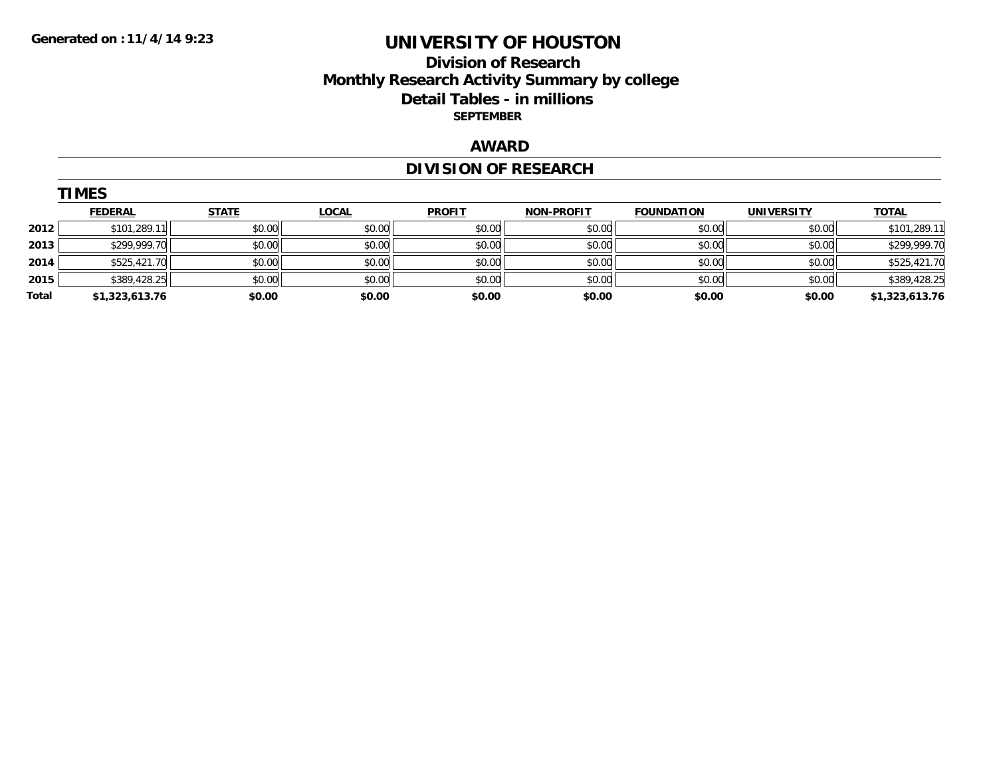# **Division of Research Monthly Research Activity Summary by college Detail Tables - in millions SEPTEMBER**

# **AWARD**

# **DIVISION OF RESEARCH**

| <b>TIMES</b> |                |              |              |               |                   |                   |                   |                |  |
|--------------|----------------|--------------|--------------|---------------|-------------------|-------------------|-------------------|----------------|--|
|              | <b>FEDERAL</b> | <b>STATE</b> | <b>LOCAL</b> | <b>PROFIT</b> | <b>NON-PROFIT</b> | <b>FOUNDATION</b> | <b>UNIVERSITY</b> | <b>TOTAL</b>   |  |
| 2012         | \$101,289.11   | \$0.00       | \$0.00       | \$0.00        | \$0.00            | \$0.00            | \$0.00            | \$101.289.11   |  |
| 2013         | \$299,999.70   | \$0.00       | \$0.00       | \$0.00        | \$0.00            | \$0.00            | \$0.00            | \$299,999.70   |  |
| 2014         | \$525,421.70   | \$0.00       | \$0.00       | \$0.00        | \$0.00            | \$0.00            | \$0.00            | \$525,421.70   |  |
| 2015         | \$389,428.25   | \$0.00       | \$0.00       | \$0.00        | \$0.00            | \$0.00            | \$0.00            | \$389,428.25   |  |
| Total        | \$1,323,613.76 | \$0.00       | \$0.00       | \$0.00        | \$0.00            | \$0.00            | \$0.00            | \$1,323,613.76 |  |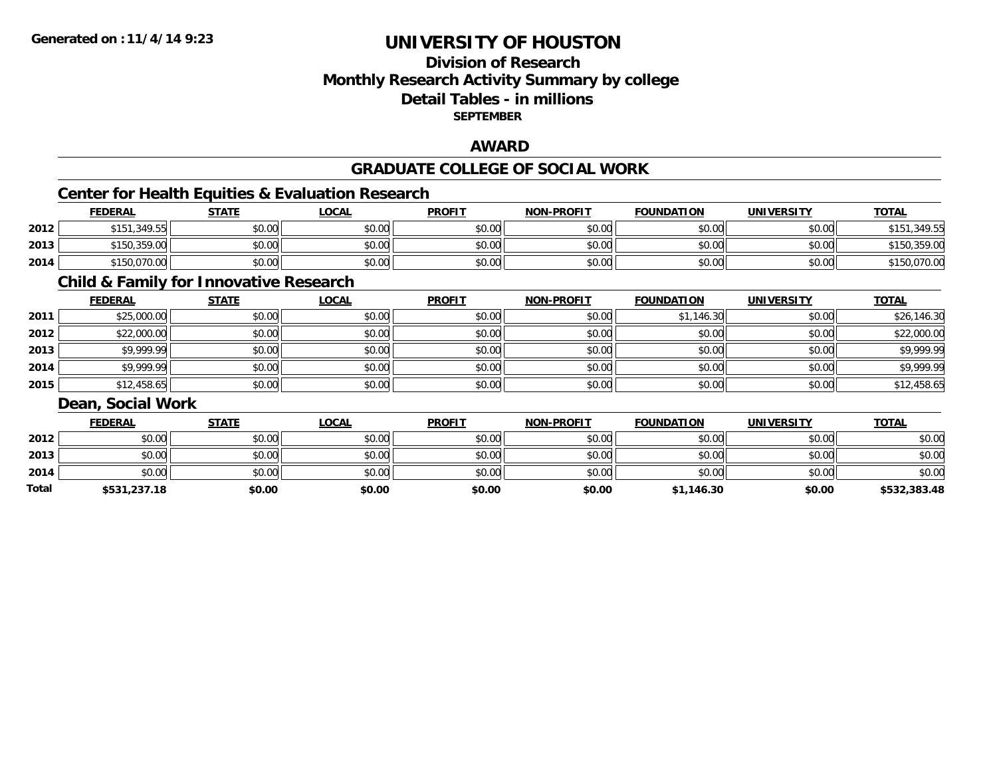# **Division of ResearchMonthly Research Activity Summary by college Detail Tables - in millions SEPTEMBER**

## **AWARD**

#### **GRADUATE COLLEGE OF SOCIAL WORK**

# **Center for Health Equities & Evaluation Research**

|      | <b>FEDERAL</b> | <b>STATE</b> | _OCAL  | <b>PROFIT</b> | <b>NON-PROFIT</b> | <b>FOUNDATION</b> | <b>UNIVERSITY</b> | <b>TOTAL</b> |
|------|----------------|--------------|--------|---------------|-------------------|-------------------|-------------------|--------------|
| 2012 | \$151.349.55   | \$0.00       | \$0.00 | \$0.00        | \$0.00            | \$0.00            | \$0.00            | \$151,349.55 |
| 2013 | \$150,359.00   | \$0.00       | \$0.00 | \$0.00        | \$0.00            | \$0.00            | \$0.00            | \$150,359.00 |
| 2014 | \$150,070.00   | \$0.00       | \$0.00 | \$0.00        | \$0.00            | \$0.00            | \$0.00            | \$150,070.00 |

# **Child & Family for Innovative Research**

|      | <b>FEDERAL</b> | <b>STATE</b> | <b>LOCAL</b> | <b>PROFIT</b> | <b>NON-PROFIT</b> | <b>FOUNDATION</b> | <b>UNIVERSITY</b> | <b>TOTAL</b> |
|------|----------------|--------------|--------------|---------------|-------------------|-------------------|-------------------|--------------|
| 2011 | \$25,000.00    | \$0.00       | \$0.00       | \$0.00        | \$0.00            | \$1,146.30        | \$0.00            | \$26,146.30  |
| 2012 | \$22,000.00    | \$0.00       | \$0.00       | \$0.00        | \$0.00            | \$0.00            | \$0.00            | \$22,000.00  |
| 2013 | \$9,999.99     | \$0.00       | \$0.00       | \$0.00        | \$0.00            | \$0.00            | \$0.00            | \$9,999.99   |
| 2014 | \$9,999.99     | \$0.00       | \$0.00       | \$0.00        | \$0.00            | \$0.00            | \$0.00            | \$9,999.99   |
| 2015 | \$12,458.65    | \$0.00       | \$0.00       | \$0.00        | \$0.00            | \$0.00            | \$0.00            | \$12,458.65  |

#### **Dean, Social Work**

|       | <b>FEDERAL</b> | <u>STATE</u> | <b>LOCAL</b> | <b>PROFIT</b> | <b>NON-PROFIT</b> | <b>FOUNDATION</b> | <b>UNIVERSITY</b> | <b>TOTAL</b> |
|-------|----------------|--------------|--------------|---------------|-------------------|-------------------|-------------------|--------------|
| 2012  | \$0.00         | \$0.00       | \$0.00       | \$0.00        | \$0.00            | \$0.00            | \$0.00            | \$0.00       |
| 2013  | \$0.00         | \$0.00       | \$0.00       | \$0.00        | \$0.00            | \$0.00            | \$0.00            | \$0.00       |
| 2014  | \$0.00         | \$0.00       | \$0.00       | \$0.00        | \$0.00            | \$0.00            | \$0.00            | \$0.00       |
| Total | \$531,237.18   | \$0.00       | \$0.00       | \$0.00        | \$0.00            | \$1,146.30        | \$0.00            | \$532,383.48 |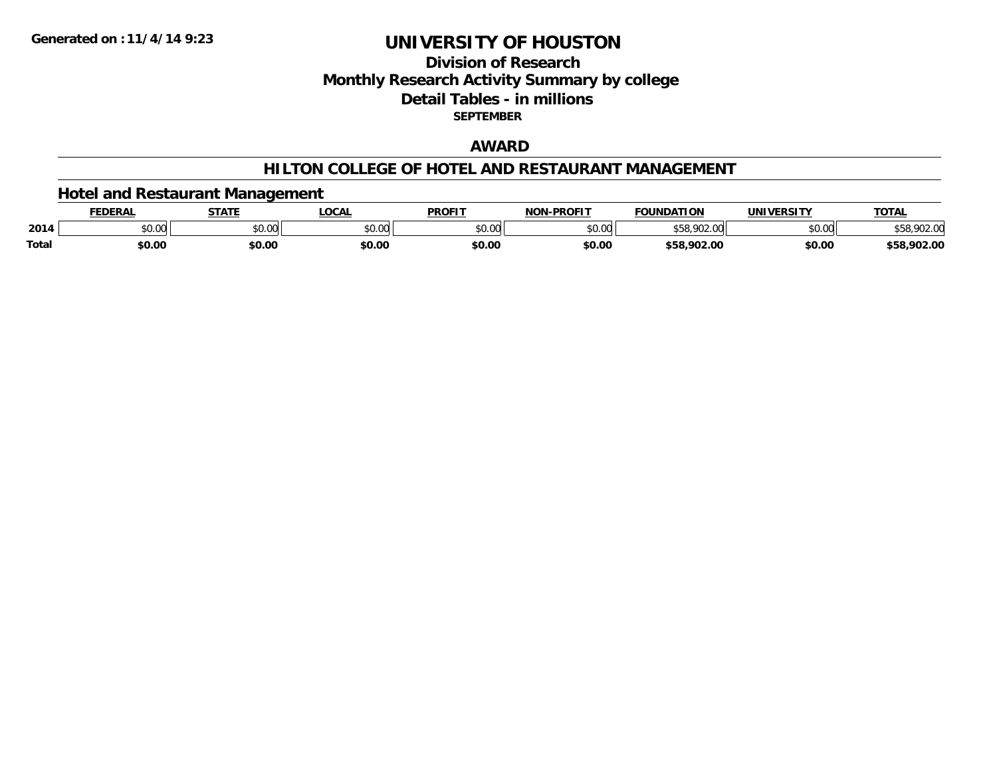## **Division of ResearchMonthly Research Activity Summary by college Detail Tables - in millions SEPTEMBER**

## **AWARD**

#### **HILTON COLLEGE OF HOTEL AND RESTAURANT MANAGEMENT**

## **Hotel and Restaurant Management**

|       | <b>FEDERAI</b> | <b>STATE</b>  | <b>LOCAL</b>             | <b>PROFIT</b> | NAN BRAFIT     | <b>FOLINDATION</b><br>10B | IINIIVEDCITV                         | <b>TOTAL</b> |
|-------|----------------|---------------|--------------------------|---------------|----------------|---------------------------|--------------------------------------|--------------|
| 2014  | 0000<br>PU.UU  | 0.00<br>וטטוע | $n \cap \Omega$<br>DU.UU | \$0.00        | ልስ ሀህ<br>pu.uu | nn<br>ນວດ                 | $*$ $\circ$ $\circ$ $\circ$<br>vv.vv | 70Z.V        |
| Total | \$0.00         | \$0.00        | \$0.00                   | \$0.00        | \$0.00         | \$58.902.00               | \$0.00                               | \$58,902.00  |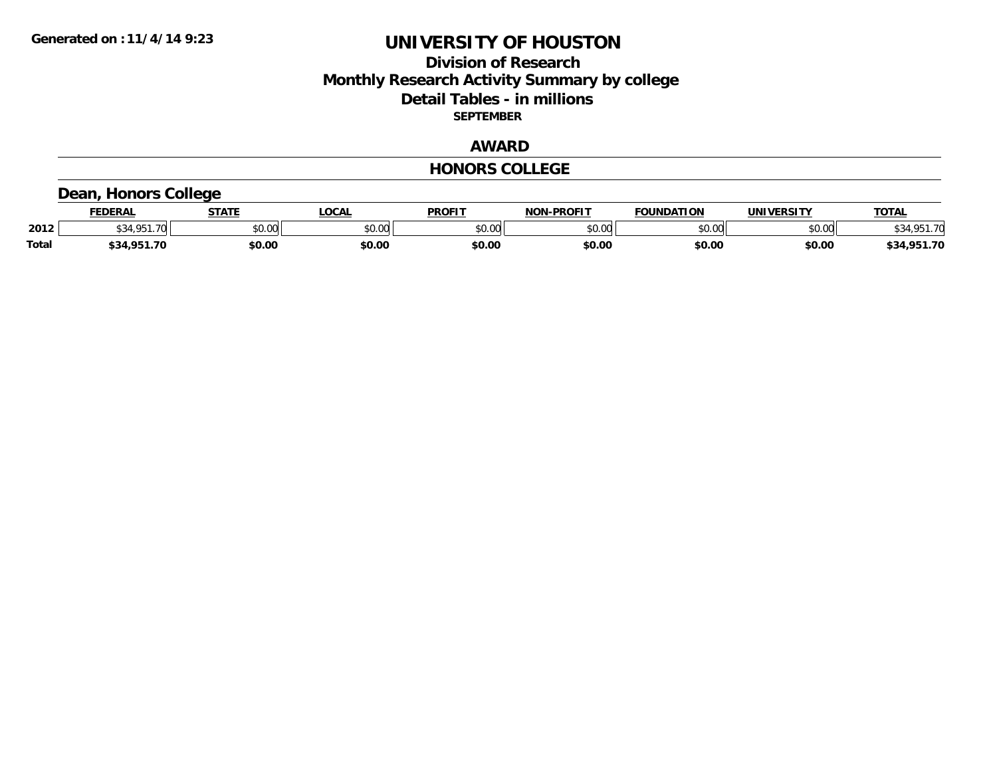## **Division of Research Monthly Research Activity Summary by college Detail Tables - in millions SEPTEMBER**

## **AWARD**

#### **HONORS COLLEGE**

# **Dean, Honors College**

|       | <b>FEDERAL</b> | <b>STATE</b> | <b>OCAL</b>   | <b>PROFIT</b> | <b>NON-PROFIT</b> | <b>FOUNDATION</b> | UNIVERSITY | <b>TOTAL</b>    |
|-------|----------------|--------------|---------------|---------------|-------------------|-------------------|------------|-----------------|
| 2012  | 4 O.E.1<br>.70 | \$0.00       | 0000<br>vv.vv | \$0.00        | ልስ ለሰ<br>PU.UU    | \$0.00            | \$0.00     | \$34,951<br>-70 |
| Total | \$34,951.70    | \$0.00       | \$0.00        | \$0.00        | \$0.00            | \$0.00            | \$0.00     | \$34,951.70     |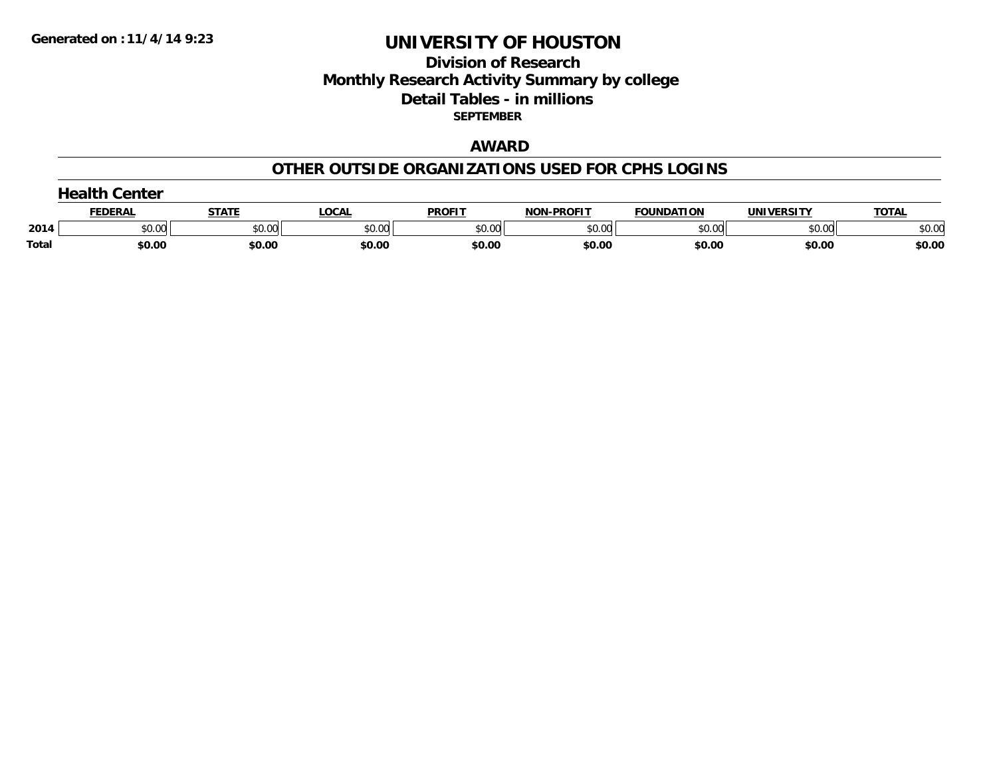## **Division of Research Monthly Research Activity Summary by college Detail Tables - in millions SEPTEMBER**

## **AWARD**

#### **OTHER OUTSIDE ORGANIZATIONS USED FOR CPHS LOGINS**

|       | $\rightarrow$ olth $\sim$<br>Center |        |        |               |                   |                   |            |              |
|-------|-------------------------------------|--------|--------|---------------|-------------------|-------------------|------------|--------------|
|       | FEDERAI                             | STATE  | LOCAI  | <b>PROFIT</b> | <b>NON-PROFIT</b> | <b>FOUNDATION</b> | UNIVERSITY | <b>TOTAL</b> |
| 2014  | \$0.00                              | \$0.00 | \$0.00 | \$0.00        | \$0.00            | \$0.00            | \$0.00     | \$0.00       |
| Total | \$0.00                              | \$0.00 | \$0.00 | \$0.00        | \$0.00            | \$0.00            | \$0.00     | \$0.00       |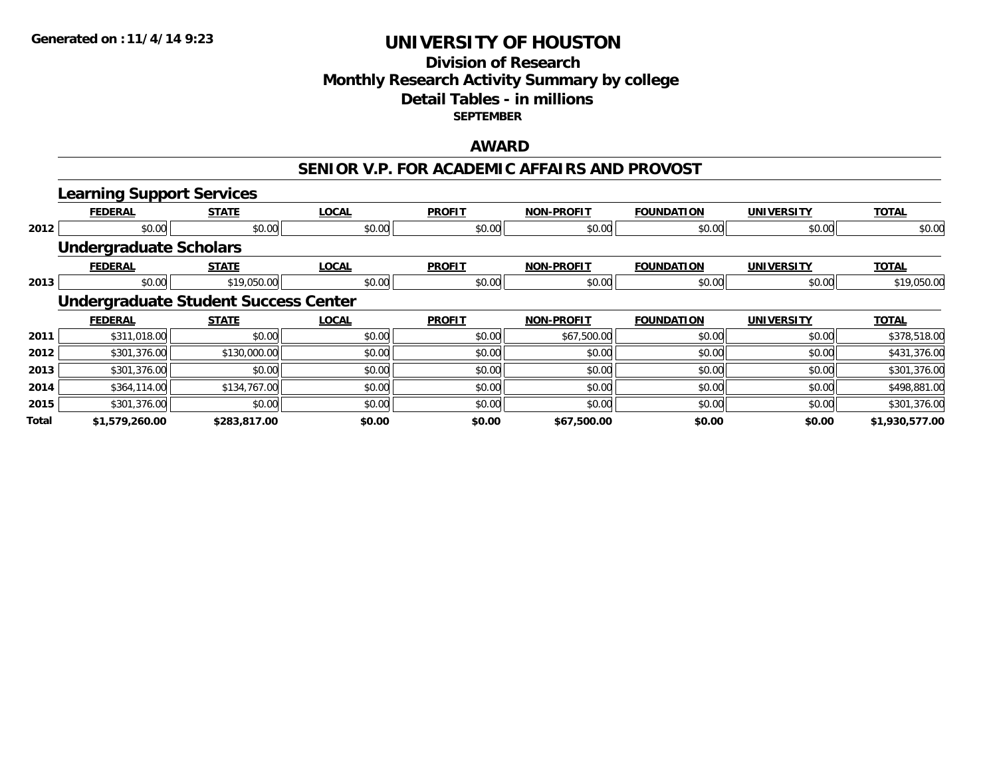### **Division of Research Monthly Research Activity Summary by college Detail Tables - in millions SEPTEMBER**

### **AWARD**

### **SENIOR V.P. FOR ACADEMIC AFFAIRS AND PROVOST**

|       | <b>Learning Support Services</b> |                                             |              |               |                   |                   |                   |                |
|-------|----------------------------------|---------------------------------------------|--------------|---------------|-------------------|-------------------|-------------------|----------------|
|       | <b>FEDERAL</b>                   | <b>STATE</b>                                | <b>LOCAL</b> | <b>PROFIT</b> | <b>NON-PROFIT</b> | <b>FOUNDATION</b> | <b>UNIVERSITY</b> | <b>TOTAL</b>   |
| 2012  | \$0.00                           | \$0.00                                      | \$0.00       | \$0.00        | \$0.00            | \$0.00            | \$0.00            | \$0.00         |
|       | <b>Undergraduate Scholars</b>    |                                             |              |               |                   |                   |                   |                |
|       | <b>FEDERAL</b>                   | <b>STATE</b>                                | <b>LOCAL</b> | <b>PROFIT</b> | <b>NON-PROFIT</b> | <b>FOUNDATION</b> | <b>UNIVERSITY</b> | <b>TOTAL</b>   |
| 2013  | \$0.00                           | \$19,050.00                                 | \$0.00       | \$0.00        | \$0.00            | \$0.00            | \$0.00            | \$19,050.00    |
|       |                                  | <b>Undergraduate Student Success Center</b> |              |               |                   |                   |                   |                |
|       | <b>FEDERAL</b>                   | <b>STATE</b>                                | <b>LOCAL</b> | <b>PROFIT</b> | <b>NON-PROFIT</b> | <b>FOUNDATION</b> | <b>UNIVERSITY</b> | <b>TOTAL</b>   |
| 2011  | \$311,018.00                     | \$0.00                                      | \$0.00       | \$0.00        | \$67,500.00       | \$0.00            | \$0.00            | \$378,518.00   |
| 2012  | \$301,376.00                     | \$130,000.00                                | \$0.00       | \$0.00        | \$0.00            | \$0.00            | \$0.00            | \$431,376.00   |
| 2013  | \$301,376.00                     | \$0.00                                      | \$0.00       | \$0.00        | \$0.00            | \$0.00            | \$0.00            | \$301,376.00   |
| 2014  | \$364,114.00                     | \$134,767.00                                | \$0.00       | \$0.00        | \$0.00            | \$0.00            | \$0.00            | \$498,881.00   |
| 2015  | \$301,376.00                     | \$0.00                                      | \$0.00       | \$0.00        | \$0.00            | \$0.00            | \$0.00            | \$301,376.00   |
| Total | \$1,579,260.00                   | \$283,817.00                                | \$0.00       | \$0.00        | \$67,500.00       | \$0.00            | \$0.00            | \$1,930,577.00 |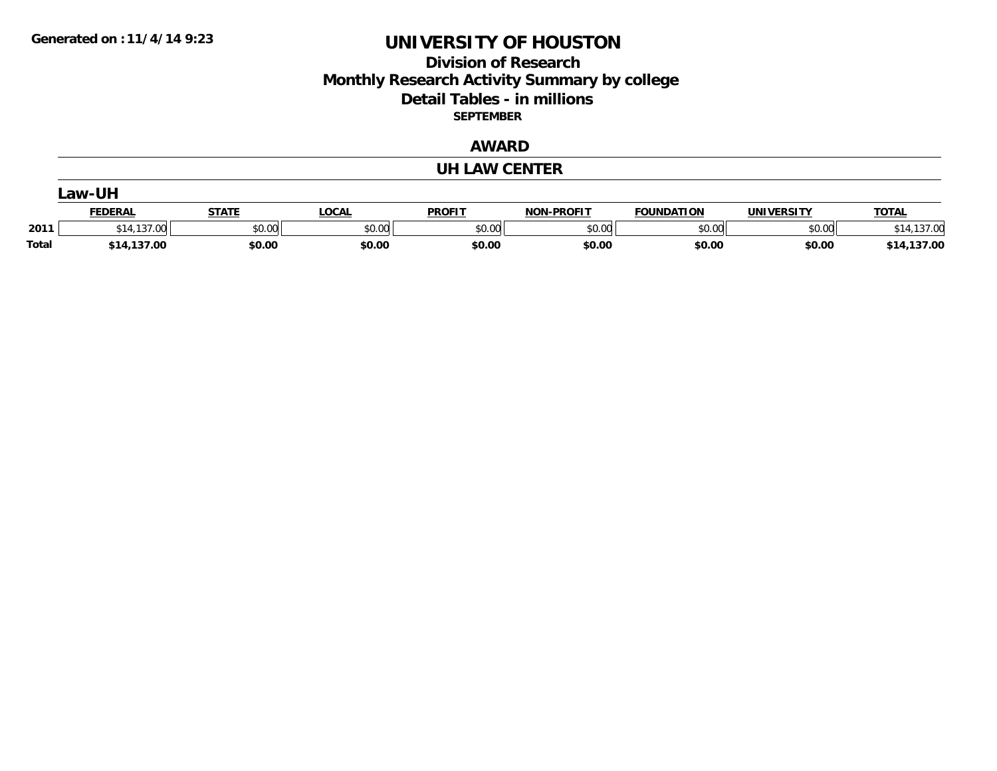### **Division of Research Monthly Research Activity Summary by college Detail Tables - in millions SEPTEMBER**

### **AWARD**

#### **UH LAW CENTER**

|       | _aw-UH                             |                       |        |               |                   |                   |            |                 |  |  |
|-------|------------------------------------|-----------------------|--------|---------------|-------------------|-------------------|------------|-----------------|--|--|
|       | <b>FEDERAL</b>                     | <b>STATE</b><br>SIAIE | LOCAL  | <b>PROFIT</b> | <b>NON-PROFIT</b> | <b>FOUNDATION</b> | UNIVERSITY | <b>TOTAL</b>    |  |  |
| 2011  | $\overline{\phantom{a}}$<br>$\sim$ | \$0.00                | \$0.00 | \$0.00        | \$0.00            | \$0.00            | \$0.00     | .137.00         |  |  |
| Total | \$14,137.00                        | \$0.00                | \$0.00 | \$0.00        | \$0.00            | \$0.00            | \$0.00     | 137.00<br>\$14. |  |  |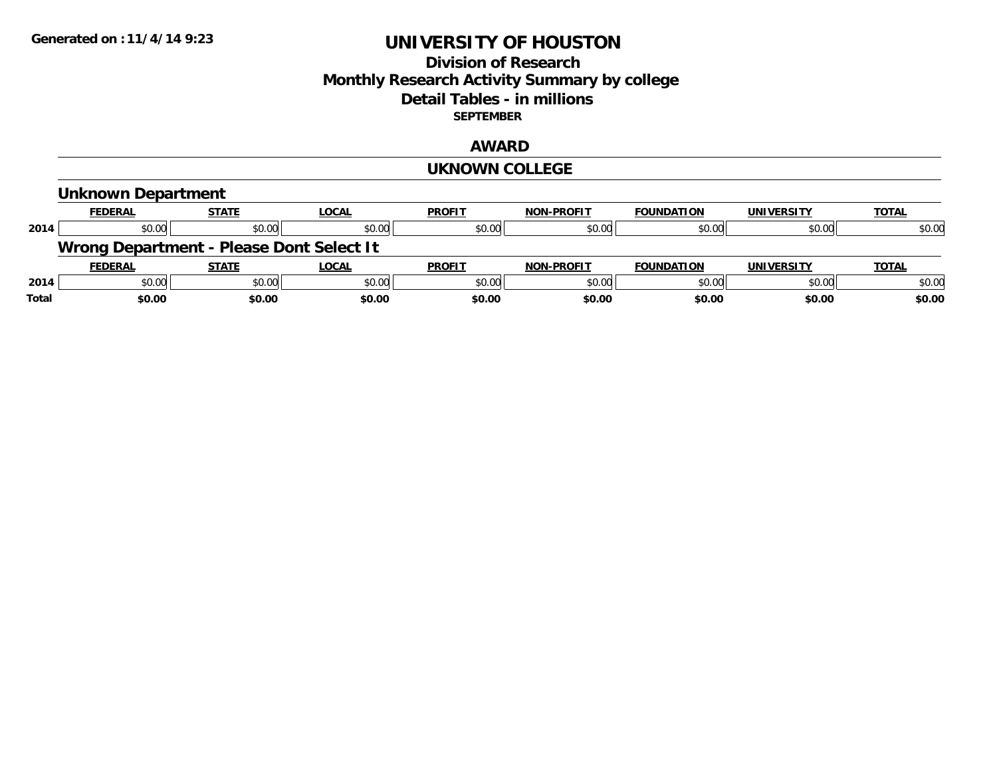### **Division of Research Monthly Research Activity Summary by college Detail Tables - in millions SEPTEMBER**

### **AWARD**

#### **UKNOWN COLLEGE**

|              | Unknown Department                       |              |              |               |                   |                   |            |              |
|--------------|------------------------------------------|--------------|--------------|---------------|-------------------|-------------------|------------|--------------|
|              | <b>FEDERAL</b>                           | <b>STATE</b> | <b>LOCAL</b> | <b>PROFIT</b> | <b>NON-PROFIT</b> | <b>FOUNDATION</b> | UNIVERSITY | <b>TOTAL</b> |
| 2014         | \$0.00                                   | \$0.00       | \$0.00       | \$0.00        | \$0.00            | \$0.00            | \$0.00     | \$0.00       |
|              | Wrong Department - Please Dont Select It |              |              |               |                   |                   |            |              |
|              | <b>FEDERAL</b>                           | <b>STATE</b> | <b>LOCAL</b> | <b>PROFIT</b> | <b>NON-PROFIT</b> | <b>FOUNDATION</b> | UNIVERSITY | <b>TOTAL</b> |
| 2014         | \$0.00                                   | \$0.00       | \$0.00       | \$0.00        | \$0.00            | \$0.00            | \$0.00     | \$0.00       |
| <b>Total</b> | \$0.00                                   | \$0.00       | \$0.00       | \$0.00        | \$0.00            | \$0.00            | \$0.00     | \$0.00       |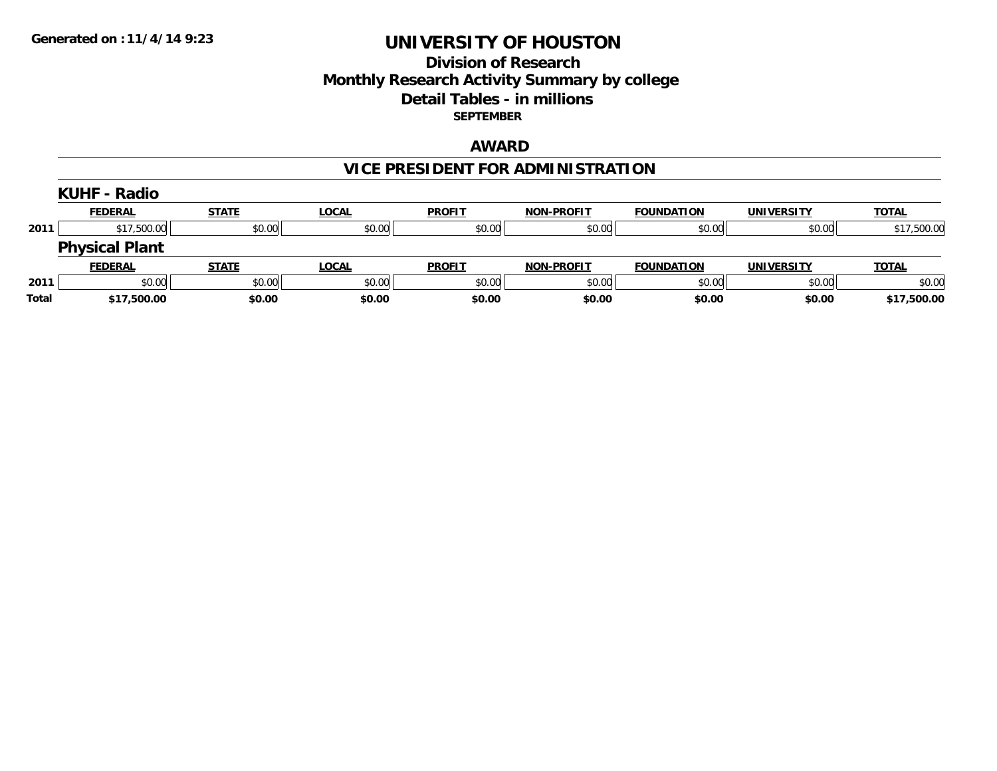### **Division of Research Monthly Research Activity Summary by college Detail Tables - in millions SEPTEMBER**

### **AWARD**

# **VICE PRESIDENT FOR ADMINISTRATION**

|       | <b>KUHF - Radio</b>   |              |              |               |                   |                   |            |              |
|-------|-----------------------|--------------|--------------|---------------|-------------------|-------------------|------------|--------------|
|       | <b>FEDERAL</b>        | <b>STATE</b> | <b>LOCAL</b> | <b>PROFIT</b> | <b>NON-PROFIT</b> | <b>FOUNDATION</b> | UNIVERSITY | <b>TOTAL</b> |
| 2011  | \$17,500.00           | \$0.00       | \$0.00       | \$0.00        | \$0.00            | \$0.00            | \$0.00     | \$17,500.00  |
|       | <b>Physical Plant</b> |              |              |               |                   |                   |            |              |
|       | <b>FEDERAL</b>        | <b>STATE</b> | <u>LOCAL</u> | <b>PROFIT</b> | <b>NON-PROFIT</b> | <b>FOUNDATION</b> | UNIVERSITY | <b>TOTAL</b> |
| 2011  | \$0.00                | \$0.00       | \$0.00       | \$0.00        | \$0.00            | \$0.00            | \$0.00     | \$0.00       |
| Total | \$17,500.00           | \$0.00       | \$0.00       | \$0.00        | \$0.00            | \$0.00            | \$0.00     | \$17,500.00  |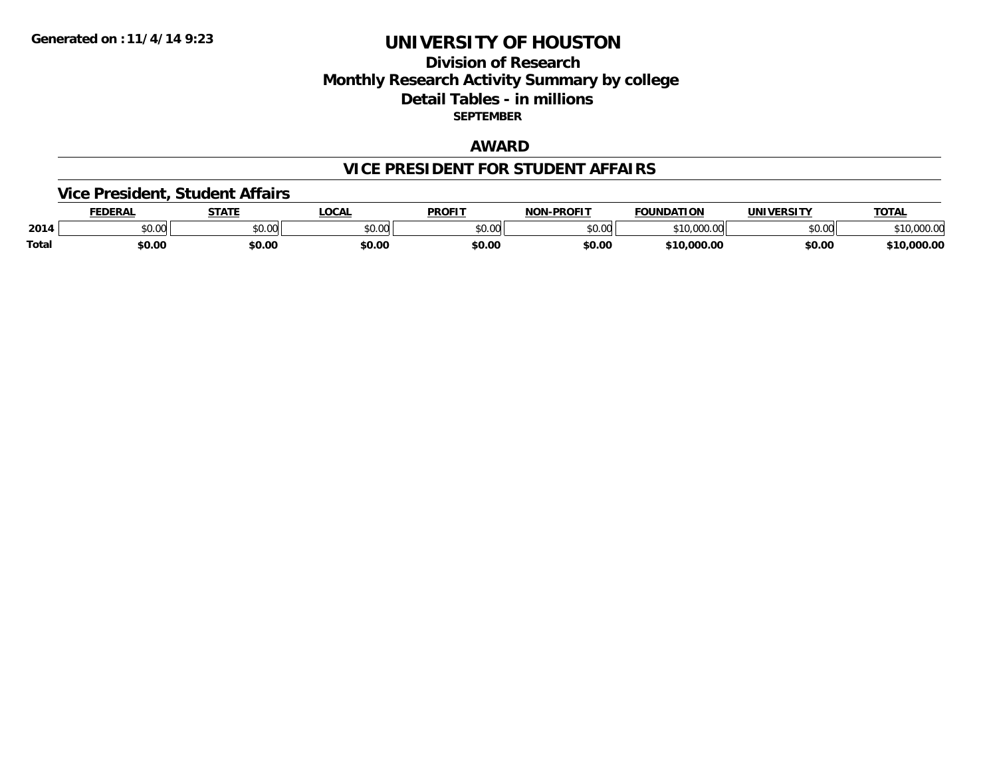### **Division of Research Monthly Research Activity Summary by college Detail Tables - in millions SEPTEMBER**

### **AWARD**

#### **VICE PRESIDENT FOR STUDENT AFFAIRS**

### **Vice President, Student Affairs**

|              | <b>EDERAL</b>   | <b>STATE</b>                                      | <b>OCAL</b> | <b>PROFIT</b> | <b>LPROFIT</b><br>חרות | <b>FOUNDATION</b>          | UNIVERSITY | TOTAL            |
|--------------|-----------------|---------------------------------------------------|-------------|---------------|------------------------|----------------------------|------------|------------------|
| 2014         | $\sim$<br>JU.UU | $\mathsf{A}\cap\mathsf{A}\cap\mathsf{A}$<br>JU.UU | \$0.00      | 0000<br>JU.UU | \$0.00                 | 340.000<br>- 11<br>$\cdot$ | \$0.00     | , IU,UUU.Ul      |
| <b>Total</b> | \$0.00          | \$0.00                                            | \$0.00      | \$0.00        | \$0.00                 | 0.000.00<br><b>¢10</b>     | \$0.00     | ,000.00<br>$+10$ |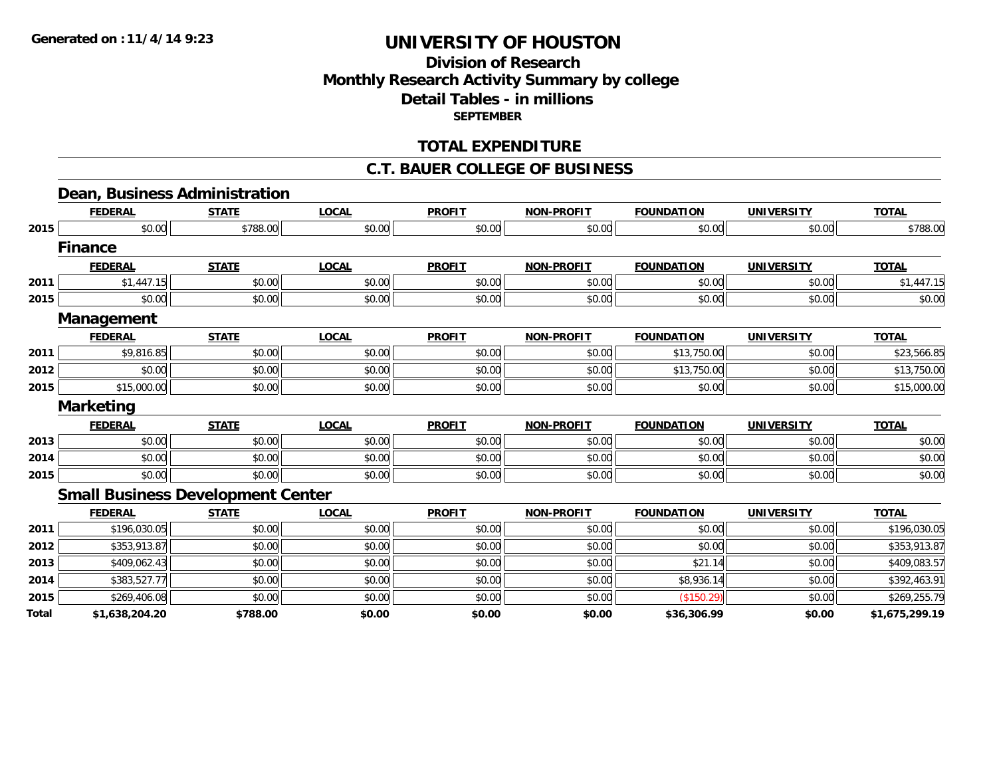### **Division of Research Monthly Research Activity Summary by college Detail Tables - in millions SEPTEMBER**

### **TOTAL EXPENDITURE**

#### **C.T. BAUER COLLEGE OF BUSINESS**

# **Dean, Business Administration**

|      | <b>FEDERAL</b>                           | <b>STATE</b> | <b>LOCAL</b> | <b>PROFIT</b> | <b>NON-PROFIT</b> | <b>FOUNDATION</b> | <b>UNIVERSITY</b> | <b>TOTAL</b> |
|------|------------------------------------------|--------------|--------------|---------------|-------------------|-------------------|-------------------|--------------|
| 2015 | \$0.00                                   | \$788.00     | \$0.00       | \$0.00        | \$0.00            | \$0.00            | \$0.00            | \$788.00     |
|      | <b>Finance</b>                           |              |              |               |                   |                   |                   |              |
|      | <b>FEDERAL</b>                           | <b>STATE</b> | <b>LOCAL</b> | <b>PROFIT</b> | <b>NON-PROFIT</b> | <b>FOUNDATION</b> | <b>UNIVERSITY</b> | <b>TOTAL</b> |
| 2011 | \$1,447.15                               | \$0.00       | \$0.00       | \$0.00        | \$0.00            | \$0.00            | \$0.00            | \$1,447.15   |
| 2015 | \$0.00                                   | \$0.00       | \$0.00       | \$0.00        | \$0.00            | \$0.00            | \$0.00            | \$0.00       |
|      | Management                               |              |              |               |                   |                   |                   |              |
|      | <b>FEDERAL</b>                           | <b>STATE</b> | <b>LOCAL</b> | <b>PROFIT</b> | <b>NON-PROFIT</b> | <b>FOUNDATION</b> | <b>UNIVERSITY</b> | <b>TOTAL</b> |
| 2011 | \$9,816.85                               | \$0.00       | \$0.00       | \$0.00        | \$0.00            | \$13,750.00       | \$0.00            | \$23,566.85  |
| 2012 | \$0.00                                   | \$0.00       | \$0.00       | \$0.00        | \$0.00            | \$13,750.00       | \$0.00            | \$13,750.00  |
| 2015 | \$15,000.00                              | \$0.00       | \$0.00       | \$0.00        | \$0.00            | \$0.00            | \$0.00            | \$15,000.00  |
|      | <b>Marketing</b>                         |              |              |               |                   |                   |                   |              |
|      |                                          |              |              |               |                   |                   |                   |              |
|      | <b>FEDERAL</b>                           | <b>STATE</b> | <b>LOCAL</b> | <b>PROFIT</b> | <b>NON-PROFIT</b> | <b>FOUNDATION</b> | <b>UNIVERSITY</b> | <b>TOTAL</b> |
| 2013 | \$0.00                                   | \$0.00       | \$0.00       | \$0.00        | \$0.00            | \$0.00            | \$0.00            | \$0.00       |
| 2014 | \$0.00                                   | \$0.00       | \$0.00       | \$0.00        | \$0.00            | \$0.00            | \$0.00            | \$0.00       |
| 2015 | \$0.00                                   | \$0.00       | \$0.00       | \$0.00        | \$0.00            | \$0.00            | \$0.00            | \$0.00       |
|      | <b>Small Business Development Center</b> |              |              |               |                   |                   |                   |              |
|      | <b>FEDERAL</b>                           | <b>STATE</b> | <b>LOCAL</b> | <b>PROFIT</b> | <b>NON-PROFIT</b> | <b>FOUNDATION</b> | <b>UNIVERSITY</b> | <b>TOTAL</b> |
| 2011 | \$196,030.05                             | \$0.00       | \$0.00       | \$0.00        | \$0.00            | \$0.00            | \$0.00            | \$196,030.05 |
| 2012 | \$353,913.87                             | \$0.00       | \$0.00       | \$0.00        | \$0.00            | \$0.00            | \$0.00            | \$353,913.87 |
| 2013 | \$409,062.43                             | \$0.00       | \$0.00       | \$0.00        | \$0.00            | \$21.14           | \$0.00            | \$409,083.57 |
| 2014 | \$383,527.77                             | \$0.00       | \$0.00       | \$0.00        | \$0.00            | \$8,936.14        | \$0.00            | \$392,463.91 |
| 2015 | \$269,406.08                             | \$0.00       | \$0.00       | \$0.00        | \$0.00            | (\$150.29)        | \$0.00            | \$269,255.79 |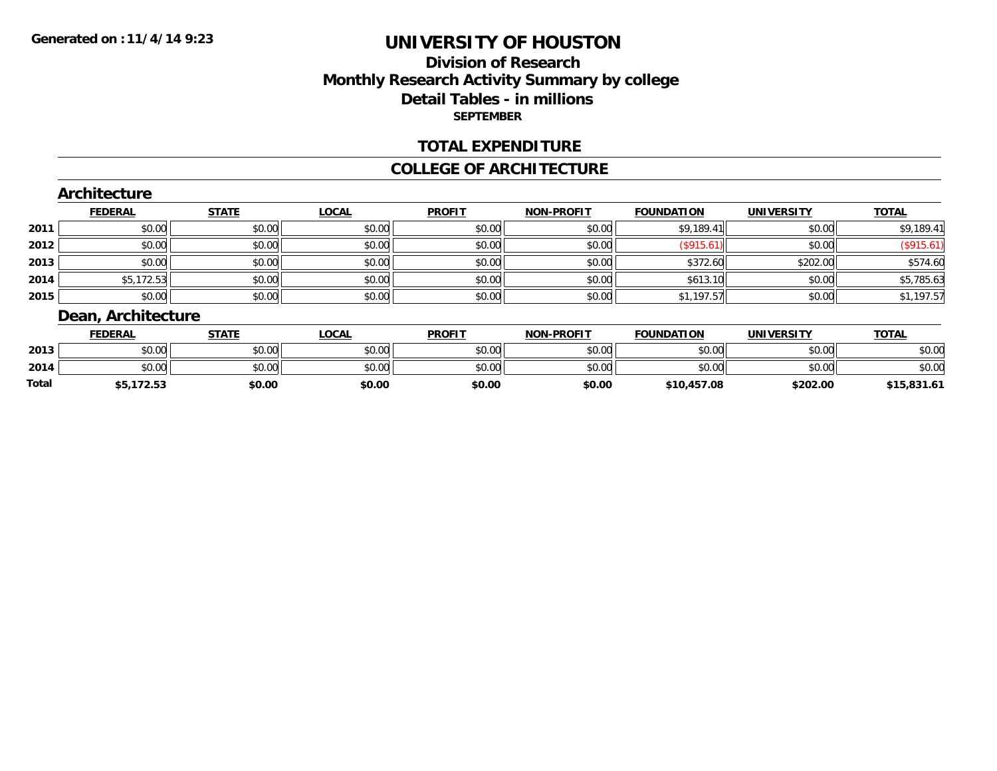### **Division of ResearchMonthly Research Activity Summary by college Detail Tables - in millions SEPTEMBER**

### **TOTAL EXPENDITURE**

#### **COLLEGE OF ARCHITECTURE**

#### **Architecture**

|      | <b>FEDERAL</b> | <b>STATE</b> | <b>LOCAL</b> | <b>PROFIT</b> | <b>NON-PROFIT</b> | <b>FOUNDATION</b> | <b>UNIVERSITY</b> | <b>TOTAL</b> |
|------|----------------|--------------|--------------|---------------|-------------------|-------------------|-------------------|--------------|
| 2011 | \$0.00         | \$0.00       | \$0.00       | \$0.00        | \$0.00            | \$9,189.41        | \$0.00            | \$9,189.41   |
| 2012 | \$0.00         | \$0.00       | \$0.00       | \$0.00        | \$0.00            | \$915.6           | \$0.00            | (\$915.61)   |
| 2013 | \$0.00         | \$0.00       | \$0.00       | \$0.00        | \$0.00            | \$372.60          | \$202.00          | \$574.60     |
| 2014 | \$5,172.53     | \$0.00       | \$0.00       | \$0.00        | \$0.00            | \$613.10          | \$0.00            | \$5,785.63   |
| 2015 | \$0.00         | \$0.00       | \$0.00       | \$0.00        | \$0.00            | \$1,197.57        | \$0.00            | \$1,197.57   |

### **Dean, Architecture**

|       | <b>FEDERAL</b> | STATE  | _OCAL  | <b>PROFIT</b> | <b>NON-PROFIT</b> | <b>FOUNDATION</b> | <b>UNIVERSITY</b> | <b>TOTAL</b> |
|-------|----------------|--------|--------|---------------|-------------------|-------------------|-------------------|--------------|
| 2013  | \$0.00         | \$0.00 | \$0.00 | \$0.00        | \$0.00            | \$0.00            | \$0.00            | \$0.00       |
| 2014  | \$0.00         | \$0.00 | \$0.00 | \$0.00        | \$0.00            | \$0.00            | \$0.00            | \$0.00       |
| Total | ,172.53<br>, ש | \$0.00 | \$0.00 | \$0.00        | \$0.00            | \$10,457.08       | \$202.00          | \$15,831.61  |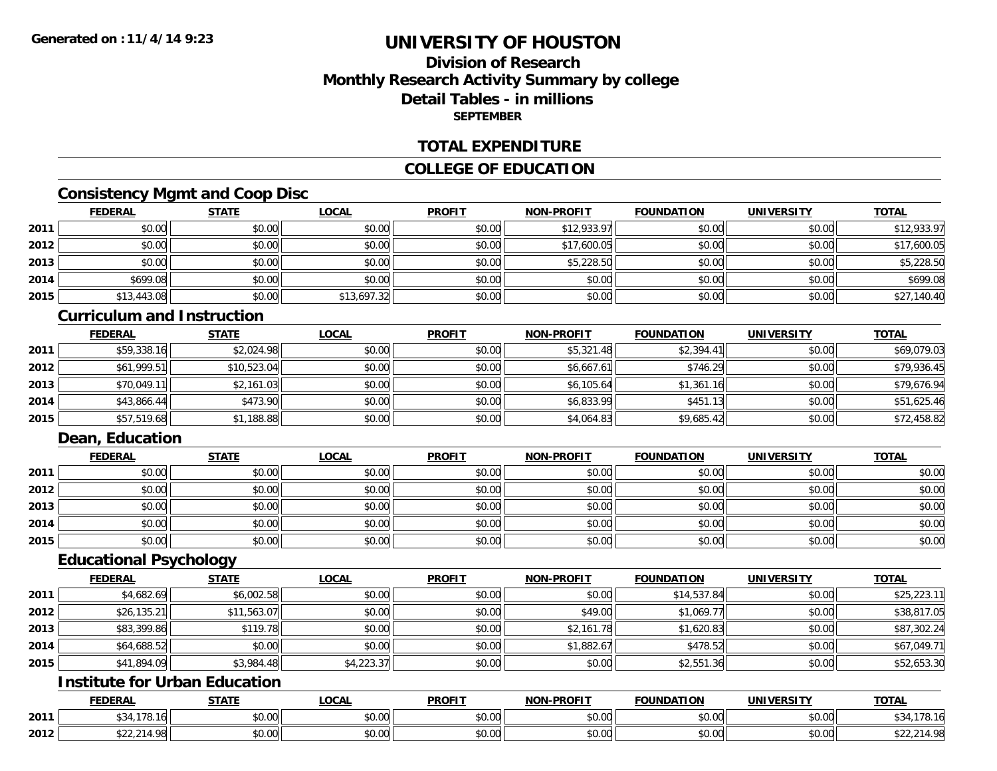### **Division of ResearchMonthly Research Activity Summary by college Detail Tables - in millionsSEPTEMBER**

#### **TOTAL EXPENDITURE**

### **COLLEGE OF EDUCATION**

### **Consistency Mgmt and Coop Disc**

|      | <b>FEDERAL</b> | <b>STATE</b> | <u>LOCAL</u> | <b>PROFIT</b> | <b>NON-PROFIT</b> | <b>FOUNDATION</b> | <b>UNIVERSITY</b> | <b>TOTAL</b> |
|------|----------------|--------------|--------------|---------------|-------------------|-------------------|-------------------|--------------|
| 2011 | \$0.00         | \$0.00       | \$0.00       | \$0.00        | \$12,933.97       | \$0.00            | \$0.00            | \$12,933.97  |
| 2012 | \$0.00         | \$0.00       | \$0.00       | \$0.00        | \$17,600.05       | \$0.00            | \$0.00            | \$17,600.05  |
| 2013 | \$0.00         | \$0.00       | \$0.00       | \$0.00        | \$5,228.50        | \$0.00            | \$0.00            | \$5,228.50   |
| 2014 | \$699.08       | \$0.00       | \$0.00       | \$0.00        | \$0.00            | \$0.00            | \$0.00            | \$699.08     |
| 2015 | \$13,443.08    | \$0.00       | \$13,697.32  | \$0.00        | \$0.00            | \$0.00            | \$0.00            | \$27,140.40  |

#### **Curriculum and Instruction**

|      | <b>FEDERAL</b> | <b>STATE</b> | <b>LOCAL</b> | <b>PROFIT</b> | <b>NON-PROFIT</b> | <b>FOUNDATION</b> | <b>UNIVERSITY</b> | <b>TOTAL</b> |
|------|----------------|--------------|--------------|---------------|-------------------|-------------------|-------------------|--------------|
| 2011 | \$59,338.16    | \$2,024.98   | \$0.00       | \$0.00        | \$5,321.48        | \$2,394.41        | \$0.00            | \$69,079.03  |
| 2012 | \$61,999.51    | \$10,523.04  | \$0.00       | \$0.00        | \$6,667.61        | \$746.29          | \$0.00            | \$79,936.45  |
| 2013 | \$70,049.11    | \$2,161.03   | \$0.00       | \$0.00        | \$6,105.64        | \$1,361.16        | \$0.00            | \$79,676.94  |
| 2014 | \$43,866.44    | \$473.90     | \$0.00       | \$0.00        | \$6,833.99        | \$451.13          | \$0.00            | \$51,625.46  |
| 2015 | \$57,519.68    | \$1,188.88   | \$0.00       | \$0.00        | \$4,064.83        | \$9,685.42        | \$0.00            | \$72,458.82  |

### **Dean, Education**

|      | <b>FEDERAL</b> | <b>STATE</b> | <u>LOCAL</u> | <b>PROFIT</b> | <b>NON-PROFIT</b> | <b>FOUNDATION</b> | <b>UNIVERSITY</b> | <b>TOTAL</b> |
|------|----------------|--------------|--------------|---------------|-------------------|-------------------|-------------------|--------------|
| 2011 | \$0.00         | \$0.00       | \$0.00       | \$0.00        | \$0.00            | \$0.00            | \$0.00            | \$0.00       |
| 2012 | \$0.00         | \$0.00       | \$0.00       | \$0.00        | \$0.00            | \$0.00            | \$0.00            | \$0.00       |
| 2013 | \$0.00         | \$0.00       | \$0.00       | \$0.00        | \$0.00            | \$0.00            | \$0.00            | \$0.00       |
| 2014 | \$0.00         | \$0.00       | \$0.00       | \$0.00        | \$0.00            | \$0.00            | \$0.00            | \$0.00       |
| 2015 | \$0.00         | \$0.00       | \$0.00       | \$0.00        | \$0.00            | \$0.00            | \$0.00            | \$0.00       |

### **Educational Psychology**

|      | <b>FEDERAL</b> | <b>STATE</b> | <b>LOCAL</b> | <b>PROFIT</b> | <b>NON-PROFIT</b> | <b>FOUNDATION</b> | <b>UNIVERSITY</b> | <b>TOTAL</b> |
|------|----------------|--------------|--------------|---------------|-------------------|-------------------|-------------------|--------------|
| 2011 | \$4,682.69     | \$6,002.58   | \$0.00       | \$0.00        | \$0.00            | \$14,537.84       | \$0.00            | \$25,223.11  |
| 2012 | \$26,135.21    | \$11,563.07  | \$0.00       | \$0.00        | \$49.00           | \$1,069.77        | \$0.00            | \$38,817.05  |
| 2013 | \$83,399.86    | \$119.78     | \$0.00       | \$0.00        | \$2,161.78        | \$1,620.83        | \$0.00            | \$87,302.24  |
| 2014 | \$64,688.52    | \$0.00       | \$0.00       | \$0.00        | \$1,882.67        | \$478.52          | \$0.00            | \$67,049.71  |
| 2015 | \$41,894.09    | \$3,984.48   | \$4,223.37   | \$0.00        | \$0.00            | \$2,551.36        | \$0.00            | \$52,653.30  |

### **Institute for Urban Education**

|      | <b>FEDERAL</b>         | <b>CTATI</b><br>ЭIA. | $\sim$<br>.vunl                                 | <b>PROFIT</b>  | <b>DDAEL</b><br><b>BIABLE</b> | <b>UNDATION</b> | UNIVERSITY                                            | <b>TOTA</b> |
|------|------------------------|----------------------|-------------------------------------------------|----------------|-------------------------------|-----------------|-------------------------------------------------------|-------------|
| 2011 | ሖሳ                     | \$0.00               | $\uparrow$ $\uparrow$<br>$\sim$ $\sim$<br>vv.vv | 0000<br>PO.OO  | 0.00<br>pu.uu                 | \$0.00          | $\mathsf{A} \cap \mathsf{A} \cap \mathsf{A}$<br>vu.vu |             |
| 2012 | $\sim$<br>$A^{\prime}$ | \$0.00               | ሶስ ሰሰ<br>JU.UU                                  | ტი იი<br>JU.UU | 0.00<br>pu.uu                 | \$0.00          | 0.000<br><b>JU.UU</b>                                 | 4.98<br>. . |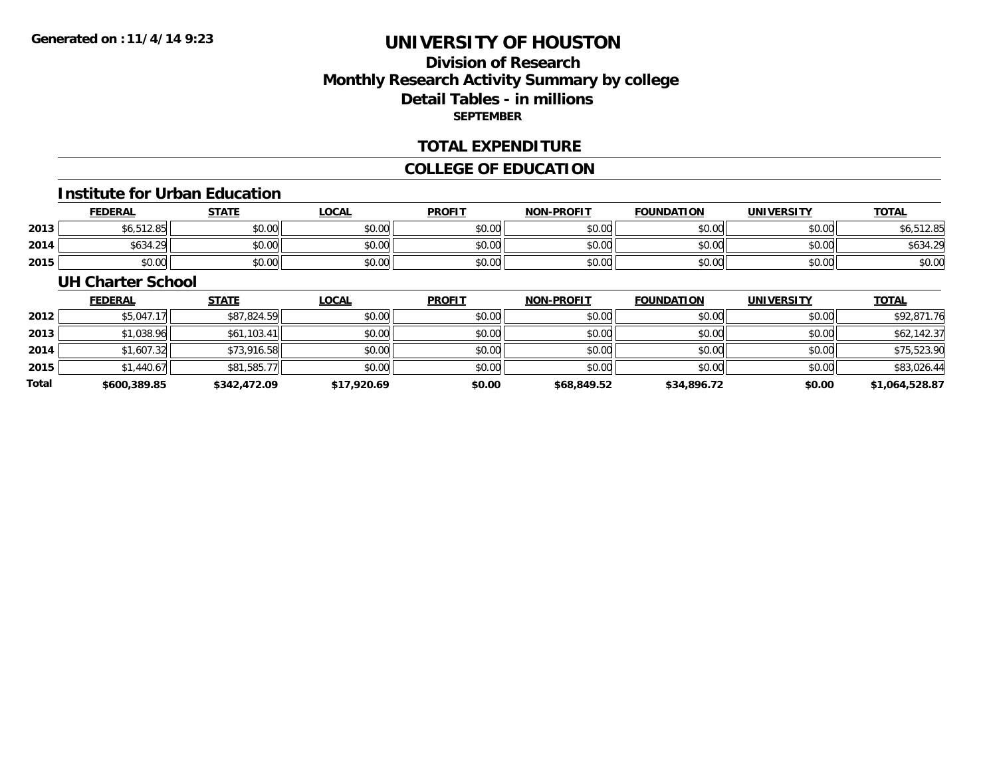### **Division of ResearchMonthly Research Activity Summary by college Detail Tables - in millions SEPTEMBER**

#### **TOTAL EXPENDITURE**

### **COLLEGE OF EDUCATION**

#### **Institute for Urban Education**

|      | <b>FEDERAL</b>           | <b>STATE</b> | <b>LOCAL</b> | <b>PROFIT</b> | <b>NON-PROFIT</b> | <b>FOUNDATION</b> | <b>UNIVERSITY</b> | <b>TOTAL</b> |
|------|--------------------------|--------------|--------------|---------------|-------------------|-------------------|-------------------|--------------|
| 2013 | $\gamma$ = 12 RH<br>6.OC | \$0.00       | \$0.00       | \$0.00        | \$0.00            | \$0.00            | \$0.00            | \$6,512.85   |
| 2014 | \$634.29                 | \$0.00       | \$0.00       | \$0.00        | \$0.00            | \$0.00            | \$0.00            | \$634.29     |
| 2015 | \$0.00                   | \$0.00       | \$0.00       | \$0.00        | \$0.00            | \$0.00            | \$0.00            | \$0.00       |

#### **UH Charter School**

|       | <b>FEDERAL</b> | <b>STATE</b> | <b>LOCAL</b> | <b>PROFIT</b> | <b>NON-PROFIT</b> | <b>FOUNDATION</b> | <b>UNIVERSITY</b> | <b>TOTAL</b>   |
|-------|----------------|--------------|--------------|---------------|-------------------|-------------------|-------------------|----------------|
| 2012  | \$5,047.17     | \$87,824.59  | \$0.00       | \$0.00        | \$0.00            | \$0.00            | \$0.00            | \$92,871.76    |
| 2013  | \$1,038.96     | \$61,103.41  | \$0.00       | \$0.00        | \$0.00            | \$0.00            | \$0.00            | \$62,142.37    |
| 2014  | \$1,607.32     | \$73,916.58  | \$0.00       | \$0.00        | \$0.00            | \$0.00            | \$0.00            | \$75,523.90    |
| 2015  | \$1,440.67     | \$81,585.77  | \$0.00       | \$0.00        | \$0.00            | \$0.00            | \$0.00            | \$83,026.44    |
| Total | \$600,389.85   | \$342,472.09 | \$17,920.69  | \$0.00        | \$68,849.52       | \$34,896.72       | \$0.00            | \$1,064,528.87 |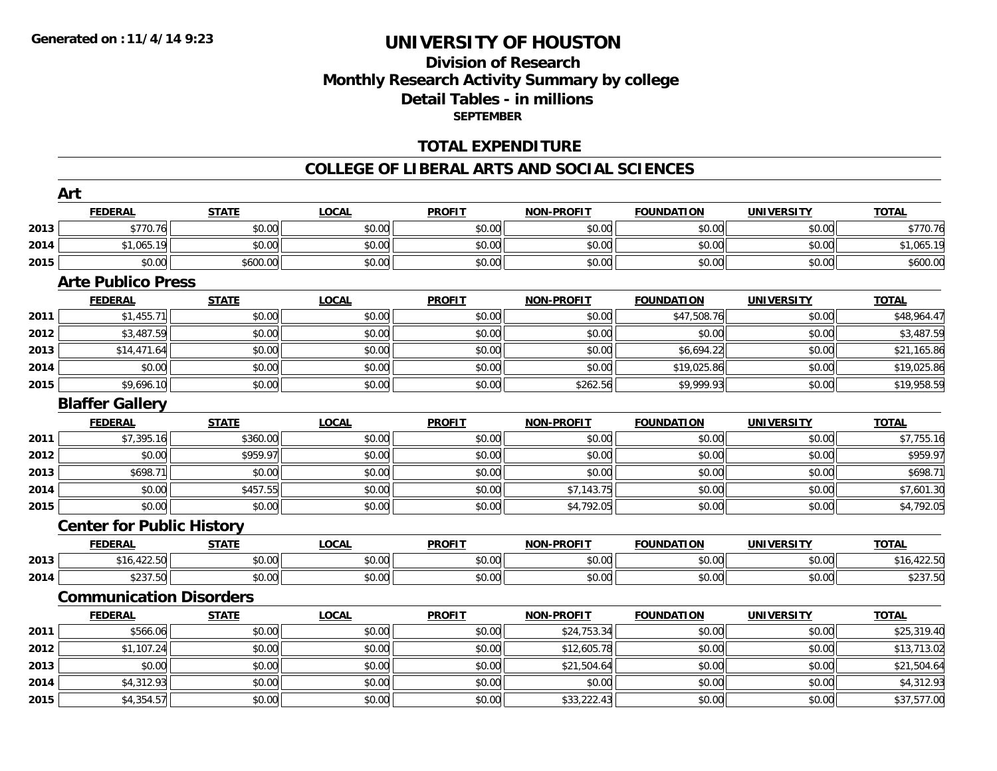# **Division of ResearchMonthly Research Activity Summary by college Detail Tables - in millions SEPTEMBER**

### **TOTAL EXPENDITURE**

#### **COLLEGE OF LIBERAL ARTS AND SOCIAL SCIENCES**

|      | Art                              |              |              |               |                   |                   |                   |              |
|------|----------------------------------|--------------|--------------|---------------|-------------------|-------------------|-------------------|--------------|
|      | <b>FEDERAL</b>                   | <b>STATE</b> | <b>LOCAL</b> | <b>PROFIT</b> | <b>NON-PROFIT</b> | <b>FOUNDATION</b> | <b>UNIVERSITY</b> | <b>TOTAL</b> |
| 2013 | \$770.76                         | \$0.00       | \$0.00       | \$0.00        | \$0.00            | \$0.00            | \$0.00            | \$770.76     |
| 2014 | \$1,065.19                       | \$0.00       | \$0.00       | \$0.00        | \$0.00            | \$0.00            | \$0.00            | \$1,065.19   |
| 2015 | \$0.00                           | \$600.00     | \$0.00       | \$0.00        | \$0.00            | \$0.00            | \$0.00            | \$600.00     |
|      | <b>Arte Publico Press</b>        |              |              |               |                   |                   |                   |              |
|      | <b>FEDERAL</b>                   | <b>STATE</b> | <b>LOCAL</b> | <b>PROFIT</b> | <b>NON-PROFIT</b> | <b>FOUNDATION</b> | <b>UNIVERSITY</b> | <b>TOTAL</b> |
| 2011 | \$1,455.71                       | \$0.00       | \$0.00       | \$0.00        | \$0.00            | \$47,508.76       | \$0.00            | \$48,964.47  |
| 2012 | \$3,487.59                       | \$0.00       | \$0.00       | \$0.00        | \$0.00            | \$0.00            | \$0.00            | \$3,487.59   |
| 2013 | \$14,471.64                      | \$0.00       | \$0.00       | \$0.00        | \$0.00            | \$6,694.22        | \$0.00            | \$21,165.86  |
| 2014 | \$0.00                           | \$0.00       | \$0.00       | \$0.00        | \$0.00            | \$19,025.86       | \$0.00            | \$19,025.86  |
| 2015 | \$9,696.10                       | \$0.00       | \$0.00       | \$0.00        | \$262.56          | \$9,999.93        | \$0.00            | \$19,958.59  |
|      | <b>Blaffer Gallery</b>           |              |              |               |                   |                   |                   |              |
|      | <b>FEDERAL</b>                   | <b>STATE</b> | <b>LOCAL</b> | <b>PROFIT</b> | <b>NON-PROFIT</b> | <b>FOUNDATION</b> | <b>UNIVERSITY</b> | <b>TOTAL</b> |
| 2011 | \$7,395.16                       | \$360.00     | \$0.00       | \$0.00        | \$0.00            | \$0.00            | \$0.00            | \$7,755.16   |
| 2012 | \$0.00                           | \$959.97     | \$0.00       | \$0.00        | \$0.00            | \$0.00            | \$0.00            | \$959.97     |
| 2013 | \$698.71                         | \$0.00       | \$0.00       | \$0.00        | \$0.00            | \$0.00            | \$0.00            | \$698.71     |
| 2014 | \$0.00                           | \$457.55     | \$0.00       | \$0.00        | \$7,143.75        | \$0.00            | \$0.00            | \$7,601.30   |
| 2015 | \$0.00                           | \$0.00       | \$0.00       | \$0.00        | \$4,792.05        | \$0.00            | \$0.00            | \$4,792.05   |
|      | <b>Center for Public History</b> |              |              |               |                   |                   |                   |              |
|      | <b>FEDERAL</b>                   | <b>STATE</b> | <b>LOCAL</b> | <b>PROFIT</b> | <b>NON-PROFIT</b> | <b>FOUNDATION</b> | <b>UNIVERSITY</b> | <b>TOTAL</b> |
| 2013 | \$16,422.50                      | \$0.00       | \$0.00       | \$0.00        | \$0.00            | \$0.00            | \$0.00            | \$16,422.50  |
| 2014 | \$237.50                         | \$0.00       | \$0.00       | \$0.00        | \$0.00            | \$0.00            | \$0.00            | \$237.50     |
|      | <b>Communication Disorders</b>   |              |              |               |                   |                   |                   |              |
|      | <b>FEDERAL</b>                   | <b>STATE</b> | <b>LOCAL</b> | <b>PROFIT</b> | <b>NON-PROFIT</b> | <b>FOUNDATION</b> | <b>UNIVERSITY</b> | <b>TOTAL</b> |
| 2011 | \$566.06                         | \$0.00       | \$0.00       | \$0.00        | \$24,753.34       | \$0.00            | \$0.00            | \$25,319.40  |
| 2012 | \$1,107.24                       | \$0.00       | \$0.00       | \$0.00        | \$12,605.78       | \$0.00            | \$0.00            | \$13,713.02  |
| 2013 | \$0.00                           | \$0.00       | \$0.00       | \$0.00        | \$21,504.64       | \$0.00            | \$0.00            | \$21,504.64  |
| 2014 | \$4,312.93                       | \$0.00       | \$0.00       | \$0.00        | \$0.00            | \$0.00            | \$0.00            | \$4,312.93   |
| 2015 | \$4,354.57                       | \$0.00       | \$0.00       | \$0.00        | \$33,222.43       | \$0.00            | \$0.00            | \$37,577.00  |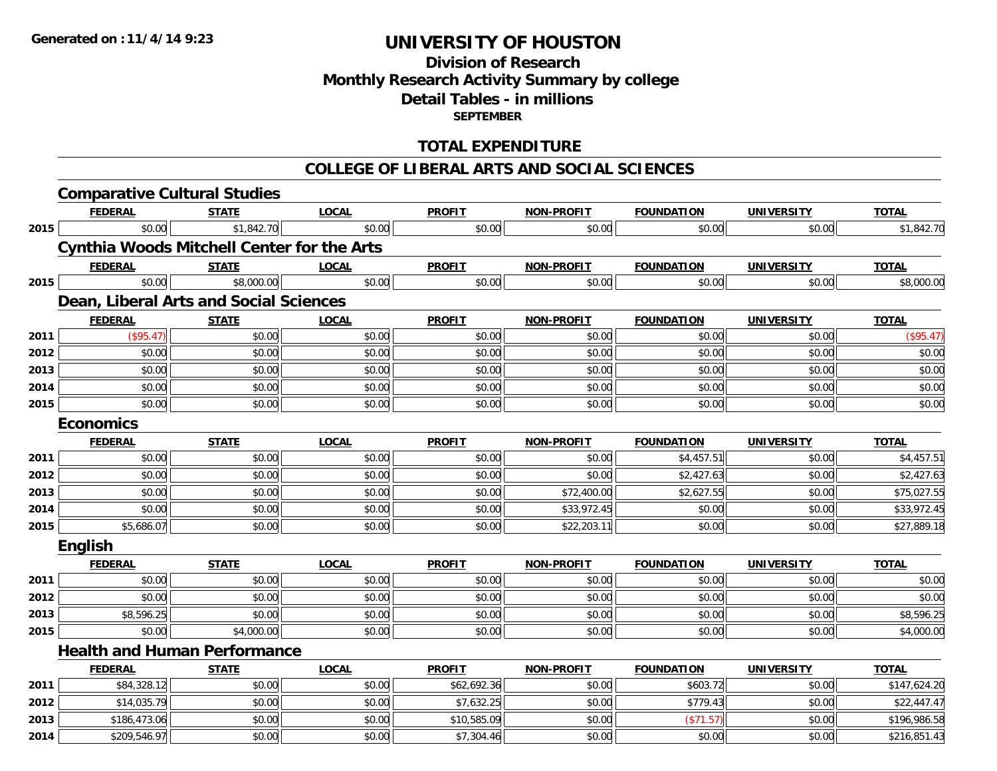# **Division of ResearchMonthly Research Activity Summary by college Detail Tables - in millions SEPTEMBER**

### **TOTAL EXPENDITURE**

#### **COLLEGE OF LIBERAL ARTS AND SOCIAL SCIENCES**

|      | <b>Comparative Cultural Studies</b>               |              |              |               |                   |                   |                   |              |
|------|---------------------------------------------------|--------------|--------------|---------------|-------------------|-------------------|-------------------|--------------|
|      | <b>FEDERAL</b>                                    | <b>STATE</b> | <b>LOCAL</b> | <b>PROFIT</b> | <b>NON-PROFIT</b> | <b>FOUNDATION</b> | <b>UNIVERSITY</b> | <b>TOTAL</b> |
| 2015 | \$0.00                                            | \$1,842.70   | \$0.00       | \$0.00        | \$0.00            | \$0.00            | \$0.00            | \$1,842.70   |
|      | <b>Cynthia Woods Mitchell Center for the Arts</b> |              |              |               |                   |                   |                   |              |
|      | <b>FEDERAL</b>                                    | <b>STATE</b> | <b>LOCAL</b> | <b>PROFIT</b> | <b>NON-PROFIT</b> | <b>FOUNDATION</b> | <b>UNIVERSITY</b> | <b>TOTAL</b> |
| 2015 | \$0.00                                            | \$8,000.00   | \$0.00       | \$0.00        | \$0.00            | \$0.00            | \$0.00            | \$8,000.00   |
|      | Dean, Liberal Arts and Social Sciences            |              |              |               |                   |                   |                   |              |
|      | <b>FEDERAL</b>                                    | <b>STATE</b> | <b>LOCAL</b> | <b>PROFIT</b> | <b>NON-PROFIT</b> | <b>FOUNDATION</b> | <b>UNIVERSITY</b> | <b>TOTAL</b> |
| 2011 | (\$95.47)                                         | \$0.00       | \$0.00       | \$0.00        | \$0.00            | \$0.00            | \$0.00            | (\$95.47)    |
| 2012 | \$0.00                                            | \$0.00       | \$0.00       | \$0.00        | \$0.00            | \$0.00            | \$0.00            | \$0.00       |
| 2013 | \$0.00                                            | \$0.00       | \$0.00       | \$0.00        | \$0.00            | \$0.00            | \$0.00            | \$0.00       |
| 2014 | \$0.00                                            | \$0.00       | \$0.00       | \$0.00        | \$0.00            | \$0.00            | \$0.00            | \$0.00       |
| 2015 | \$0.00                                            | \$0.00       | \$0.00       | \$0.00        | \$0.00            | \$0.00            | \$0.00            | \$0.00       |
|      | <b>Economics</b>                                  |              |              |               |                   |                   |                   |              |
|      | <b>FEDERAL</b>                                    | <b>STATE</b> | <b>LOCAL</b> | <b>PROFIT</b> | <b>NON-PROFIT</b> | <b>FOUNDATION</b> | <b>UNIVERSITY</b> | <b>TOTAL</b> |
| 2011 | \$0.00                                            | \$0.00       | \$0.00       | \$0.00        | \$0.00            | \$4,457.51        | \$0.00            | \$4,457.51   |
| 2012 | \$0.00                                            | \$0.00       | \$0.00       | \$0.00        | \$0.00            | \$2,427.63        | \$0.00            | \$2,427.63   |
| 2013 | \$0.00                                            | \$0.00       | \$0.00       | \$0.00        | \$72,400.00       | \$2,627.55        | \$0.00            | \$75,027.55  |
| 2014 | \$0.00                                            | \$0.00       | \$0.00       | \$0.00        | \$33,972.45       | \$0.00            | \$0.00            | \$33,972.45  |
| 2015 | \$5,686.07                                        | \$0.00       | \$0.00       | \$0.00        | \$22,203.11       | \$0.00            | \$0.00            | \$27,889.18  |
|      | <b>English</b>                                    |              |              |               |                   |                   |                   |              |
|      | <b>FEDERAL</b>                                    | <b>STATE</b> | <b>LOCAL</b> | <b>PROFIT</b> | <b>NON-PROFIT</b> | <b>FOUNDATION</b> | <b>UNIVERSITY</b> | <b>TOTAL</b> |
| 2011 | \$0.00                                            | \$0.00       | \$0.00       | \$0.00        | \$0.00            | \$0.00            | \$0.00            | \$0.00       |
| 2012 | \$0.00                                            | \$0.00       | \$0.00       | \$0.00        | \$0.00            | \$0.00            | \$0.00            | \$0.00       |
| 2013 | \$8,596.25                                        | \$0.00       | \$0.00       | \$0.00        | \$0.00            | \$0.00            | \$0.00            | \$8,596.25   |
| 2015 | \$0.00                                            | \$4,000.00   | \$0.00       | \$0.00        | \$0.00            | \$0.00            | \$0.00            | \$4,000.00   |
|      | <b>Health and Human Performance</b>               |              |              |               |                   |                   |                   |              |
|      | <b>FEDERAL</b>                                    | <b>STATE</b> | <b>LOCAL</b> | <b>PROFIT</b> | <b>NON-PROFIT</b> | <b>FOUNDATION</b> | <b>UNIVERSITY</b> | <b>TOTAL</b> |
| 2011 | \$84,328.12                                       | \$0.00       | \$0.00       | \$62,692.36   | \$0.00            | \$603.72          | \$0.00            | \$147,624.20 |
| 2012 | \$14,035.79                                       | \$0.00       | \$0.00       | \$7,632.25    | \$0.00            | \$779.43          | \$0.00            | \$22,447.47  |
| 2013 | \$186,473.06                                      | \$0.00       | \$0.00       | \$10,585.09   | \$0.00            | (\$71.57)         | \$0.00            | \$196,986.58 |
| 2014 | \$209,546.97                                      | \$0.00       | \$0.00       | \$7,304.46    | \$0.00            | \$0.00            | \$0.00            | \$216,851.43 |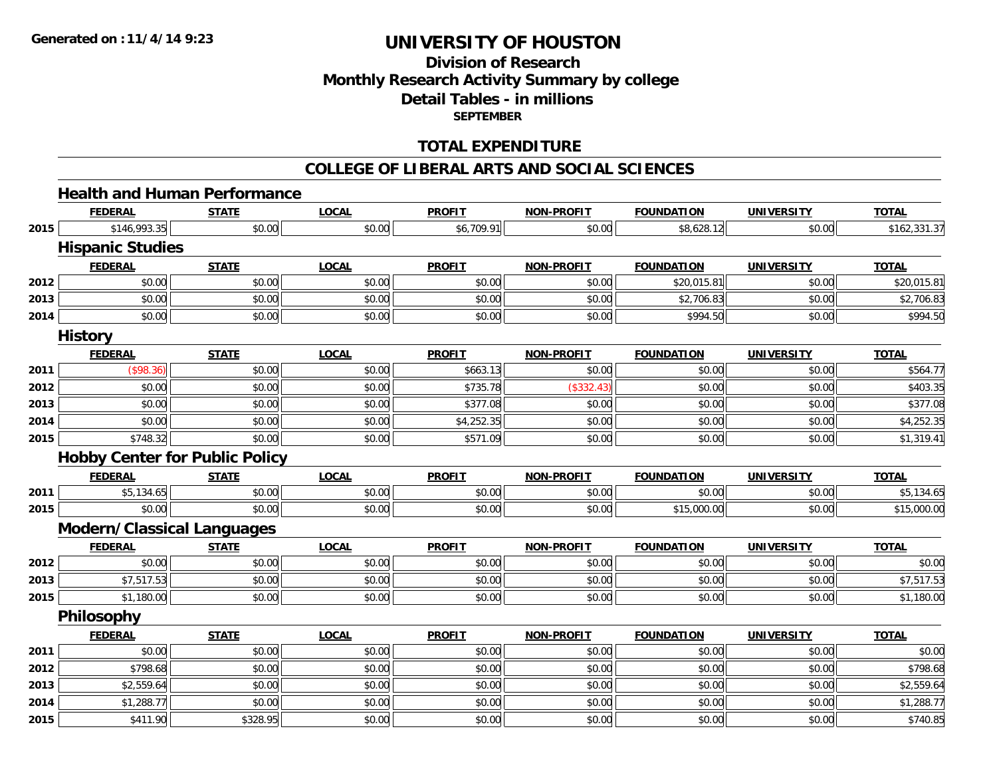# **Division of ResearchMonthly Research Activity Summary by college Detail Tables - in millions SEPTEMBER**

### **TOTAL EXPENDITURE**

#### **COLLEGE OF LIBERAL ARTS AND SOCIAL SCIENCES**

### **Health and Human Performance**

|      | <b>FEDERAL</b>                               | <b>STATE</b> | <b>LOCAL</b> | <b>PROFIT</b> | <b>NON-PROFIT</b> | <b>FOUNDATION</b> | <b>UNIVERSITY</b> | <b>TOTAL</b> |
|------|----------------------------------------------|--------------|--------------|---------------|-------------------|-------------------|-------------------|--------------|
| 2015 | \$146,993.35                                 | \$0.00       | \$0.00       | \$6,709.91    | \$0.00            | \$8,628.12        | \$0.00            | \$162,331.37 |
|      | <b>Hispanic Studies</b>                      |              |              |               |                   |                   |                   |              |
|      | <b>FEDERAL</b>                               | <b>STATE</b> | <b>LOCAL</b> | <b>PROFIT</b> | <b>NON-PROFIT</b> | <b>FOUNDATION</b> | <b>UNIVERSITY</b> | <b>TOTAL</b> |
| 2012 | \$0.00                                       | \$0.00       | \$0.00       | \$0.00        | \$0.00            | \$20,015.81       | \$0.00            | \$20,015.81  |
| 2013 | \$0.00                                       | \$0.00       | \$0.00       | \$0.00        | \$0.00            | \$2,706.83        | \$0.00            | \$2,706.83   |
| 2014 | \$0.00                                       | \$0.00       | \$0.00       | \$0.00        | \$0.00            | \$994.50          | \$0.00            | \$994.50     |
|      | <b>History</b>                               |              |              |               |                   |                   |                   |              |
|      | <b>FEDERAL</b>                               | <b>STATE</b> | <b>LOCAL</b> | <b>PROFIT</b> | <b>NON-PROFIT</b> | <b>FOUNDATION</b> | <b>UNIVERSITY</b> | <b>TOTAL</b> |
| 2011 | (\$98.36)                                    | \$0.00       | \$0.00       | \$663.13      | \$0.00            | \$0.00            | \$0.00            | \$564.77     |
| 2012 | \$0.00                                       | \$0.00       | \$0.00       | \$735.78      | (\$332.43)        | \$0.00            | \$0.00            | \$403.35     |
| 2013 | \$0.00                                       | \$0.00       | \$0.00       | \$377.08      | \$0.00            | \$0.00            | \$0.00            | \$377.08     |
| 2014 | \$0.00                                       | \$0.00       | \$0.00       | \$4,252.35    | \$0.00            | \$0.00            | \$0.00            | \$4,252.35   |
| 2015 | \$748.32                                     | \$0.00       | \$0.00       | \$571.09      | \$0.00            | \$0.00            | \$0.00            | \$1,319.41   |
|      | <b>Hobby Center for Public Policy</b>        |              |              |               |                   |                   |                   |              |
|      |                                              |              |              |               |                   |                   |                   |              |
|      | <b>FEDERAL</b>                               | <b>STATE</b> | <b>LOCAL</b> | <b>PROFIT</b> | <b>NON-PROFIT</b> | <b>FOUNDATION</b> | <b>UNIVERSITY</b> | <b>TOTAL</b> |
| 2011 | \$5,134.65                                   | \$0.00       | \$0.00       | \$0.00        | \$0.00            | \$0.00            | \$0.00            | \$5,134.65   |
| 2015 | \$0.00                                       | \$0.00       | \$0.00       | \$0.00        | \$0.00            | \$15,000.00       | \$0.00            | \$15,000.00  |
|      |                                              |              |              |               |                   |                   |                   |              |
|      | Modern/Classical Languages<br><b>FEDERAL</b> | <b>STATE</b> | <b>LOCAL</b> | <b>PROFIT</b> | <b>NON-PROFIT</b> | <b>FOUNDATION</b> | <b>UNIVERSITY</b> | <b>TOTAL</b> |
| 2012 | \$0.00                                       | \$0.00       | \$0.00       | \$0.00        | \$0.00            | \$0.00            | \$0.00            | \$0.00       |
| 2013 | \$7,517.53                                   | \$0.00       | \$0.00       | \$0.00        | \$0.00            | \$0.00            | \$0.00            | \$7,517.53   |
| 2015 | \$1,180.00                                   | \$0.00       | \$0.00       | \$0.00        | \$0.00            | \$0.00            | \$0.00            | \$1,180.00   |
|      | Philosophy                                   |              |              |               |                   |                   |                   |              |
|      | <b>FEDERAL</b>                               | <b>STATE</b> | <b>LOCAL</b> | <b>PROFIT</b> | <b>NON-PROFIT</b> | <b>FOUNDATION</b> | <b>UNIVERSITY</b> | <b>TOTAL</b> |
| 2011 | \$0.00                                       | \$0.00       | \$0.00       | \$0.00        | \$0.00            | \$0.00            | \$0.00            | \$0.00       |
| 2012 | \$798.68                                     | \$0.00       | \$0.00       | \$0.00        | \$0.00            | \$0.00            | \$0.00            | \$798.68     |
| 2013 | \$2,559.64                                   | \$0.00       | \$0.00       | \$0.00        | \$0.00            | \$0.00            | \$0.00            | \$2,559.64   |
| 2014 | \$1,288.77                                   | \$0.00       | \$0.00       | \$0.00        | \$0.00            | \$0.00            | \$0.00            | \$1,288.77   |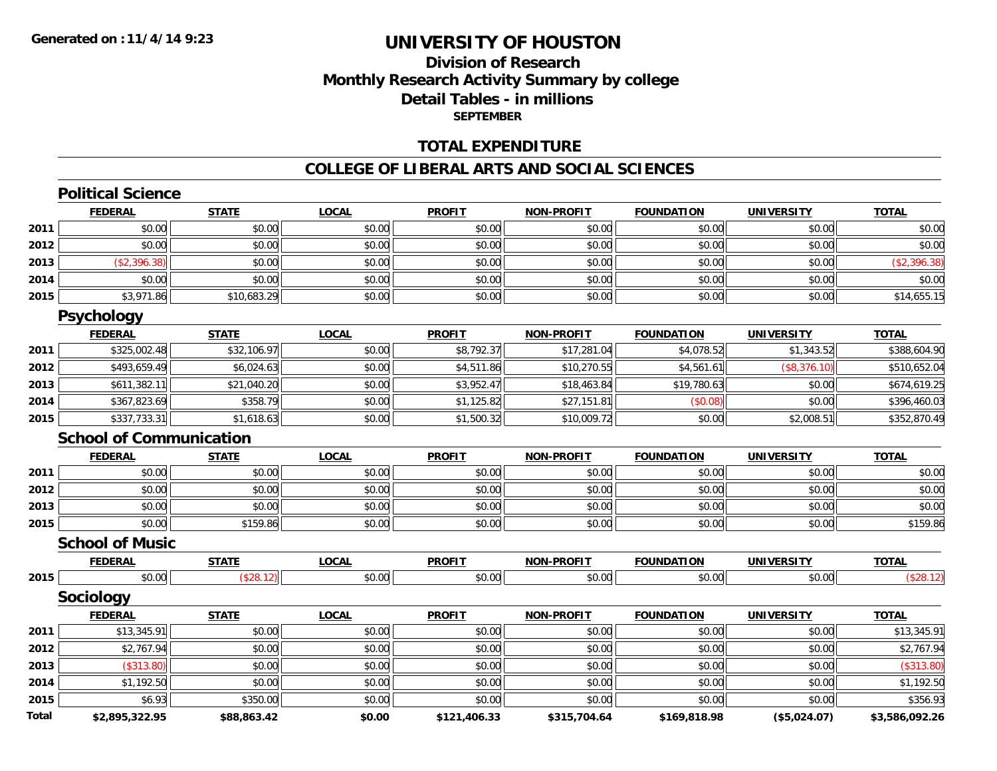**Total**

# **UNIVERSITY OF HOUSTON**

### **Division of ResearchMonthly Research Activity Summary by college Detail Tables - in millions SEPTEMBER**

### **TOTAL EXPENDITURE**

#### **COLLEGE OF LIBERAL ARTS AND SOCIAL SCIENCES**

|      | <b>Political Science</b>       |              |              |               |                   |                   |                   |              |
|------|--------------------------------|--------------|--------------|---------------|-------------------|-------------------|-------------------|--------------|
|      | <b>FEDERAL</b>                 | <b>STATE</b> | <b>LOCAL</b> | <b>PROFIT</b> | <b>NON-PROFIT</b> | <b>FOUNDATION</b> | <b>UNIVERSITY</b> | <b>TOTAL</b> |
| 2011 | \$0.00                         | \$0.00       | \$0.00       | \$0.00        | \$0.00            | \$0.00            | \$0.00            | \$0.00       |
| 2012 | \$0.00                         | \$0.00       | \$0.00       | \$0.00        | \$0.00            | \$0.00            | \$0.00            | \$0.00       |
| 2013 | (\$2,396.38)                   | \$0.00       | \$0.00       | \$0.00        | \$0.00            | \$0.00            | \$0.00            | (\$2,396.38) |
| 2014 | \$0.00                         | \$0.00       | \$0.00       | \$0.00        | \$0.00            | \$0.00            | \$0.00            | \$0.00       |
| 2015 | \$3,971.86                     | \$10,683.29  | \$0.00       | \$0.00        | \$0.00            | \$0.00            | \$0.00            | \$14,655.15  |
|      | <b>Psychology</b>              |              |              |               |                   |                   |                   |              |
|      | <b>FEDERAL</b>                 | <b>STATE</b> | <b>LOCAL</b> | <b>PROFIT</b> | <b>NON-PROFIT</b> | <b>FOUNDATION</b> | <b>UNIVERSITY</b> | <b>TOTAL</b> |
| 2011 | \$325,002.48                   | \$32,106.97  | \$0.00       | \$8,792.37    | \$17,281.04       | \$4,078.52        | \$1,343.52        | \$388,604.90 |
| 2012 | \$493,659.49                   | \$6,024.63   | \$0.00       | \$4,511.86    | \$10,270.55       | \$4,561.61        | (\$8,376.10)      | \$510,652.04 |
| 2013 | \$611,382.11                   | \$21,040.20  | \$0.00       | \$3,952.47    | \$18,463.84       | \$19,780.63       | \$0.00            | \$674,619.25 |
| 2014 | \$367,823.69                   | \$358.79     | \$0.00       | \$1,125.82    | \$27,151.81       | (\$0.08)          | \$0.00            | \$396,460.03 |
| 2015 | \$337,733.31                   | \$1,618.63   | \$0.00       | \$1,500.32    | \$10,009.72       | \$0.00            | \$2,008.51        | \$352,870.49 |
|      | <b>School of Communication</b> |              |              |               |                   |                   |                   |              |
|      | <b>FEDERAL</b>                 | <b>STATE</b> | <b>LOCAL</b> | <b>PROFIT</b> | <b>NON-PROFIT</b> | <b>FOUNDATION</b> | <b>UNIVERSITY</b> | <b>TOTAL</b> |
| 2011 | \$0.00                         | \$0.00       | \$0.00       | \$0.00        | \$0.00            | \$0.00            | \$0.00            | \$0.00       |
| 2012 | \$0.00                         | \$0.00       | \$0.00       | \$0.00        | \$0.00            | \$0.00            | \$0.00            | \$0.00       |
| 2013 | \$0.00                         | \$0.00       | \$0.00       | \$0.00        | \$0.00            | \$0.00            | \$0.00            | \$0.00       |
| 2015 | \$0.00                         | \$159.86     | \$0.00       | \$0.00        | \$0.00            | \$0.00            | \$0.00            | \$159.86     |
|      | <b>School of Music</b>         |              |              |               |                   |                   |                   |              |
|      | <b>FEDERAL</b>                 | <b>STATE</b> | <b>LOCAL</b> | <b>PROFIT</b> | <b>NON-PROFIT</b> | <b>FOUNDATION</b> | <b>UNIVERSITY</b> | <b>TOTAL</b> |
| 2015 | \$0.00                         | (\$28.12)    | \$0.00       | \$0.00        | \$0.00            | \$0.00            | \$0.00            | (\$28.12)    |
|      | <b>Sociology</b>               |              |              |               |                   |                   |                   |              |
|      | <b>FEDERAL</b>                 | <b>STATE</b> | <b>LOCAL</b> | <b>PROFIT</b> | <b>NON-PROFIT</b> | <b>FOUNDATION</b> | <b>UNIVERSITY</b> | <b>TOTAL</b> |
|      |                                |              |              |               |                   |                   |                   | \$13,345.91  |
| 2011 | \$13,345.91                    | \$0.00       | \$0.00       | \$0.00        | \$0.00            | \$0.00            | \$0.00            |              |
| 2012 | \$2,767.94                     | \$0.00       | \$0.00       | \$0.00        | \$0.00            | \$0.00            | \$0.00            | \$2,767.94   |
| 2013 | (\$313.80)                     | \$0.00       | \$0.00       | \$0.00        | \$0.00            | \$0.00            | \$0.00            | (\$313.80)   |
| 2014 | \$1,192.50                     | \$0.00       | \$0.00       | \$0.00        | \$0.00            | \$0.00            | \$0.00            | \$1,192.50   |

**\$2,895,322.95 \$88,863.42 \$0.00 \$121,406.33 \$315,704.64 \$169,818.98 (\$5,024.07) \$3,586,092.26**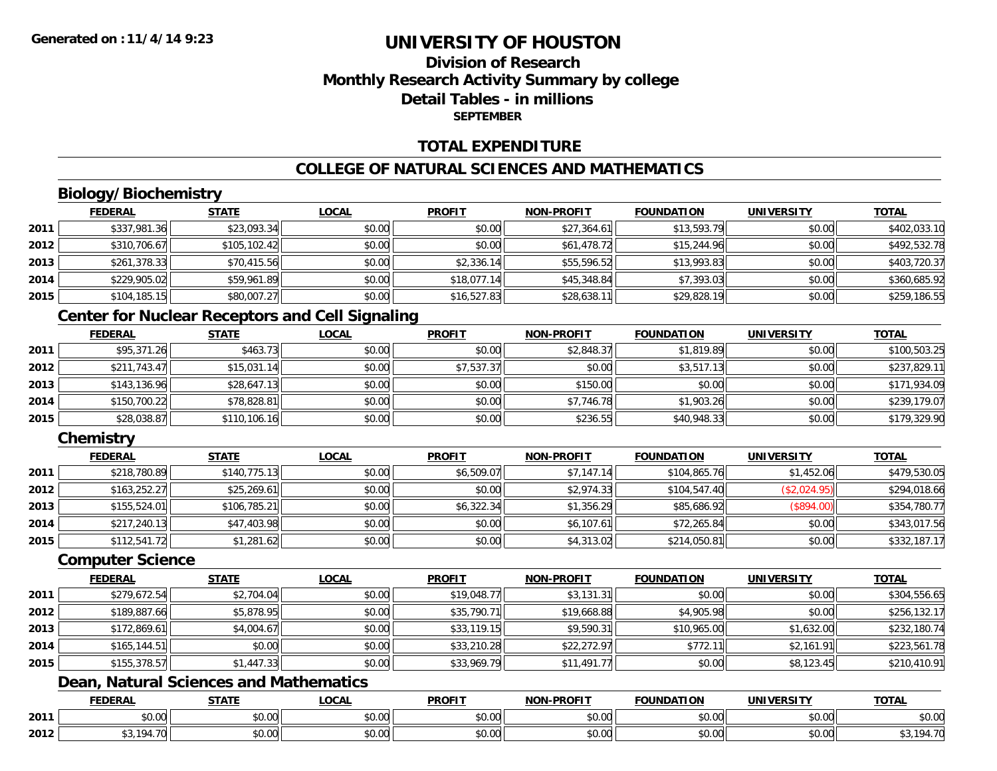### **Division of ResearchMonthly Research Activity Summary by college Detail Tables - in millionsSEPTEMBER**

### **TOTAL EXPENDITURE**

### **COLLEGE OF NATURAL SCIENCES AND MATHEMATICS**

# **Biology/Biochemistry**

|      | <b>FEDERAL</b> | <b>STATE</b> | <u>LOCAL</u> | <b>PROFIT</b> | <b>NON-PROFIT</b> | <b>FOUNDATION</b> | <b>UNIVERSITY</b> | <b>TOTAL</b> |
|------|----------------|--------------|--------------|---------------|-------------------|-------------------|-------------------|--------------|
| 2011 | \$337,981.36   | \$23,093.34  | \$0.00       | \$0.00        | \$27,364.61       | \$13,593.79       | \$0.00            | \$402,033.10 |
| 2012 | \$310,706.67   | \$105,102.42 | \$0.00       | \$0.00        | \$61,478.72       | \$15,244.96       | \$0.00            | \$492,532.78 |
| 2013 | \$261,378.33   | \$70,415.56  | \$0.00       | \$2,336.14    | \$55,596.52       | \$13,993.83       | \$0.00            | \$403,720.37 |
| 2014 | \$229,905.02   | \$59,961.89  | \$0.00       | \$18,077.14   | \$45,348.84       | \$7,393.03        | \$0.00            | \$360,685.92 |
| 2015 | \$104, 185.15  | \$80,007.27  | \$0.00       | \$16,527.83   | \$28,638.11       | \$29,828.19       | \$0.00            | \$259,186.55 |

### **Center for Nuclear Receptors and Cell Signaling**

|      | <u>FEDERAL</u> | <b>STATE</b> | <u>LOCAL</u> | <b>PROFIT</b> | <b>NON-PROFIT</b> | <b>FOUNDATION</b> | <b>UNIVERSITY</b> | <b>TOTAL</b> |
|------|----------------|--------------|--------------|---------------|-------------------|-------------------|-------------------|--------------|
| 2011 | \$95,371.26    | \$463.73     | \$0.00       | \$0.00        | \$2,848.37        | \$1,819.89        | \$0.00            | \$100,503.25 |
| 2012 | \$211.743.47   | \$15,031.14  | \$0.00       | \$7,537.37    | \$0.00            | \$3,517.13        | \$0.00            | \$237,829.11 |
| 2013 | \$143,136.96   | \$28,647.13  | \$0.00       | \$0.00        | \$150.00          | \$0.00            | \$0.00            | \$171,934.09 |
| 2014 | \$150,700.22   | \$78,828.81  | \$0.00       | \$0.00        | \$7,746.78        | \$1,903.26        | \$0.00            | \$239,179.07 |
| 2015 | \$28,038.87    | \$110,106.16 | \$0.00       | \$0.00        | \$236.55          | \$40,948.33       | \$0.00            | \$179,329.90 |

### **Chemistry**

|      | <b>FEDERAL</b> | <b>STATE</b> | <u>LOCAL</u> | <b>PROFIT</b> | <b>NON-PROFIT</b> | <b>FOUNDATION</b> | <b>UNIVERSITY</b> | <b>TOTAL</b> |
|------|----------------|--------------|--------------|---------------|-------------------|-------------------|-------------------|--------------|
| 2011 | \$218,780.89   | \$140,775.13 | \$0.00       | \$6,509.07    | \$7,147.14        | \$104,865,76      | \$1,452.06        | \$479,530.05 |
| 2012 | \$163,252.27   | \$25,269.61  | \$0.00       | \$0.00        | \$2,974.33        | \$104,547.40      | (\$2,024.95)      | \$294,018.66 |
| 2013 | \$155,524.01   | \$106,785.21 | \$0.00       | \$6,322.34    | \$1,356.29        | \$85,686.92       | (\$894.00)        | \$354,780.77 |
| 2014 | \$217,240.13   | \$47,403.98  | \$0.00       | \$0.00        | \$6,107.61        | \$72,265.84       | \$0.00            | \$343,017.56 |
| 2015 | \$112,541.72   | \$1,281.62   | \$0.00       | \$0.00        | \$4,313.02        | \$214,050.81      | \$0.00            | \$332,187.17 |

#### **Computer Science**

|      | <b>FEDERAL</b> | <b>STATE</b> | <b>LOCAL</b> | <b>PROFIT</b> | <b>NON-PROFIT</b> | <b>FOUNDATION</b> | <b>UNIVERSITY</b> | <b>TOTAL</b> |
|------|----------------|--------------|--------------|---------------|-------------------|-------------------|-------------------|--------------|
| 2011 | \$279,672.54   | \$2,704.04   | \$0.00       | \$19,048.77   | \$3,131.31        | \$0.00            | \$0.00            | \$304,556.65 |
| 2012 | \$189,887.66   | \$5,878.95   | \$0.00       | \$35,790.71   | \$19,668.88       | \$4,905.98        | \$0.00            | \$256,132.17 |
| 2013 | \$172,869.61   | \$4,004.67   | \$0.00       | \$33,119.15   | \$9,590.31        | \$10,965.00       | \$1,632.00        | \$232,180.74 |
| 2014 | \$165,144.51   | \$0.00       | \$0.00       | \$33,210.28   | \$22,272.97       | \$772.1           | \$2,161.91        | \$223,561.78 |
| 2015 | \$155,378.57   | \$1,447.33   | \$0.00       | \$33,969.79   | \$11,491.77       | \$0.00            | \$8,123.45        | \$210,410.91 |

### **Dean, Natural Sciences and Mathematics**

|      | DERAI                  | <b>CTATI</b>                   | .OCAI              | <b>PROFIT</b>      | <b>DDOEIT</b><br><b>NION</b> | <b>TION</b><br>INDA | EN. 31                 | <b>TOTAL</b> |
|------|------------------------|--------------------------------|--------------------|--------------------|------------------------------|---------------------|------------------------|--------------|
| 2011 | $\sim$<br>, u.uu       | $\overline{ }$<br>ט.ט          | $\sim$ 00<br>₽U.UU | 0.00<br>ູນບ.ບບ     | 0.00<br>PO.OO                | 40.00               | $\sim$ $\sim$<br>JU.UU | \$0.00       |
| 2012 | 10 <sub>A</sub><br>т., | $\uparrow$ $\uparrow$<br>ט. טע | 0.00<br>PU.UU      | $\sim$ 00<br>JU.UU | 0.00<br><b>JU.UU</b>         | JU.UU               | 0.00<br>PO.OO          | 101.70<br>᠇. |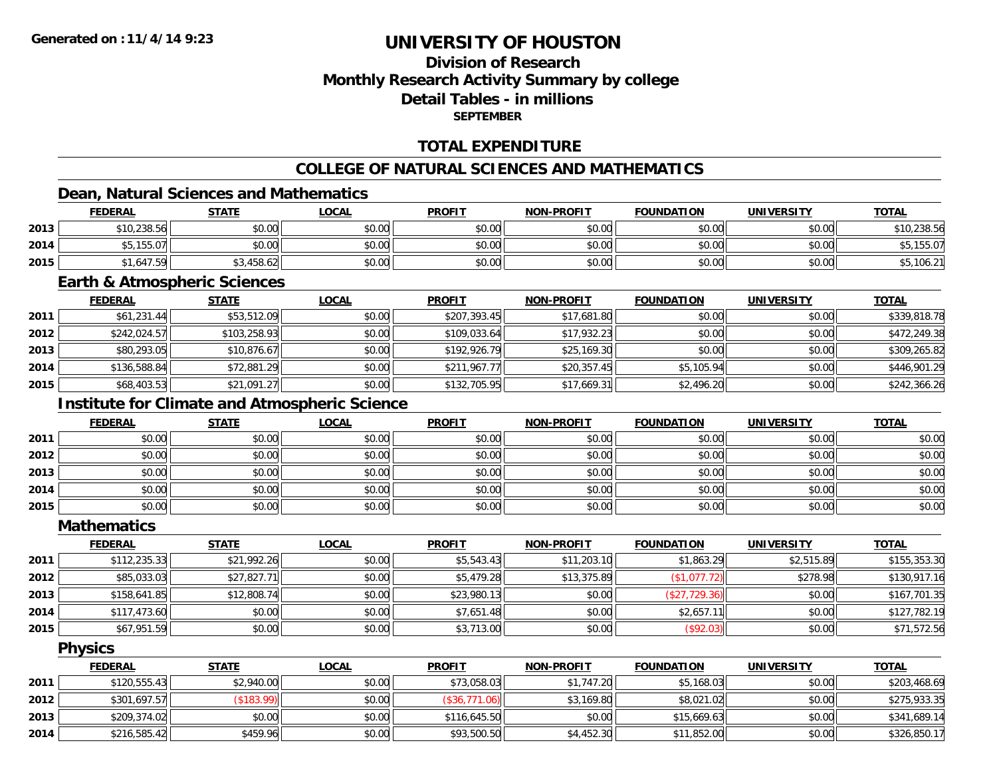### **Division of ResearchMonthly Research Activity Summary by college Detail Tables - in millionsSEPTEMBER**

### **TOTAL EXPENDITURE**

#### **COLLEGE OF NATURAL SCIENCES AND MATHEMATICS**

### **Dean, Natural Sciences and Mathematics**

|      | <b>FEDERAL</b> | <b>STATE</b> | <u>LOCAL</u> | <b>PROFIT</b> | <b>NON-PROFIT</b> | <b>FOUNDATION</b> | <b>UNIVERSITY</b> | <b>TOTAL</b> |
|------|----------------|--------------|--------------|---------------|-------------------|-------------------|-------------------|--------------|
| 2013 | \$10,238.56    | \$0.00       | \$0.00       | \$0.00        | \$0.00            | \$0.00            | \$0.00            | \$10,238.56  |
| 2014 | \$5,155.07     | \$0.00       | \$0.00       | \$0.00        | \$0.00            | \$0.00            | \$0.00            | ,155.07      |
| 2015 | \$1,647.59     | 3,458.62     | \$0.00       | \$0.00        | \$0.00            | \$0.00            | \$0.00            | \$5,106.2    |

#### **Earth & Atmospheric Sciences**

|      | <b>FEDERAL</b> | <u>STATE</u> | <b>LOCAL</b> | <b>PROFIT</b> | <b>NON-PROFIT</b> | <b>FOUNDATION</b> | <b>UNIVERSITY</b> | <b>TOTAL</b> |
|------|----------------|--------------|--------------|---------------|-------------------|-------------------|-------------------|--------------|
| 2011 | \$61,231.44    | \$53,512.09  | \$0.00       | \$207,393.45  | \$17,681.80       | \$0.00            | \$0.00            | \$339,818.78 |
| 2012 | \$242,024.57   | \$103,258.93 | \$0.00       | \$109,033.64  | \$17,932.23       | \$0.00            | \$0.00            | \$472,249.38 |
| 2013 | \$80,293.05    | \$10,876.67  | \$0.00       | \$192,926.79  | \$25,169.30       | \$0.00            | \$0.00            | \$309,265.82 |
| 2014 | \$136,588.84   | \$72,881.29  | \$0.00       | \$211,967.77  | \$20,357.45       | \$5,105.94        | \$0.00            | \$446,901.29 |
| 2015 | \$68,403.53    | \$21,091.27  | \$0.00       | \$132,705.95  | \$17,669.31       | \$2,496.20        | \$0.00            | \$242,366.26 |

# **Institute for Climate and Atmospheric Science**

|      | <b>FEDERAL</b> | <b>STATE</b> | <u>LOCAL</u> | <b>PROFIT</b> | <b>NON-PROFIT</b> | <b>FOUNDATION</b> | <b>UNIVERSITY</b> | <b>TOTAL</b> |
|------|----------------|--------------|--------------|---------------|-------------------|-------------------|-------------------|--------------|
| 2011 | \$0.00         | \$0.00       | \$0.00       | \$0.00        | \$0.00            | \$0.00            | \$0.00            | \$0.00       |
| 2012 | \$0.00         | \$0.00       | \$0.00       | \$0.00        | \$0.00            | \$0.00            | \$0.00            | \$0.00       |
| 2013 | \$0.00         | \$0.00       | \$0.00       | \$0.00        | \$0.00            | \$0.00            | \$0.00            | \$0.00       |
| 2014 | \$0.00         | \$0.00       | \$0.00       | \$0.00        | \$0.00            | \$0.00            | \$0.00            | \$0.00       |
| 2015 | \$0.00         | \$0.00       | \$0.00       | \$0.00        | \$0.00            | \$0.00            | \$0.00            | \$0.00       |

#### **Mathematics**

|      | <b>FEDERAL</b> | <b>STATE</b> | <b>LOCAL</b> | <b>PROFIT</b> | <b>NON-PROFIT</b> | <b>FOUNDATION</b> | <b>UNIVERSITY</b> | <b>TOTAL</b> |
|------|----------------|--------------|--------------|---------------|-------------------|-------------------|-------------------|--------------|
| 2011 | \$112,235.33   | \$21,992.26  | \$0.00       | \$5,543.43    | \$11,203.10       | \$1,863.29        | \$2,515.89        | \$155,353.30 |
| 2012 | \$85,033.03    | \$27,827.71  | \$0.00       | \$5,479.28    | \$13,375.89       | (\$1,077.72)      | \$278.98          | \$130,917.16 |
| 2013 | \$158,641.85   | \$12,808.74  | \$0.00       | \$23,980.13   | \$0.00            | (\$27,729.36)     | \$0.00            | \$167,701.35 |
| 2014 | \$117,473.60   | \$0.00       | \$0.00       | \$7,651.48    | \$0.00            | \$2,657.11        | \$0.00            | \$127,782.19 |
| 2015 | \$67,951.59    | \$0.00       | \$0.00       | \$3,713.00    | \$0.00            | (\$92.03)         | \$0.00            | \$71,572.56  |

### **Physics**

|      | <b>FEDERAL</b> | <u>STATE</u> | <u>LOCAL</u> | <b>PROFIT</b> | <b>NON-PROFIT</b> | <b>FOUNDATION</b> | <b>UNIVERSITY</b> | <b>TOTAL</b> |
|------|----------------|--------------|--------------|---------------|-------------------|-------------------|-------------------|--------------|
| 2011 | \$120,555.43   | \$2,940.00   | \$0.00       | \$73,058.03   | \$1,747.20        | \$5,168.03        | \$0.00            | \$203,468.69 |
| 2012 | \$301,697.57   | (\$183.99)   | \$0.00       | (S36, 771.06) | \$3,169.80        | \$8,021.02        | \$0.00            | \$275,933.35 |
| 2013 | \$209,374.02   | \$0.00       | \$0.00       | \$116,645.50  | \$0.00            | \$15,669.63       | \$0.00            | \$341,689.14 |
| 2014 | \$216,585.42   | \$459.96     | \$0.00       | \$93,500.50   | \$4,452.30        | \$11,852.00       | \$0.00            | \$326,850.17 |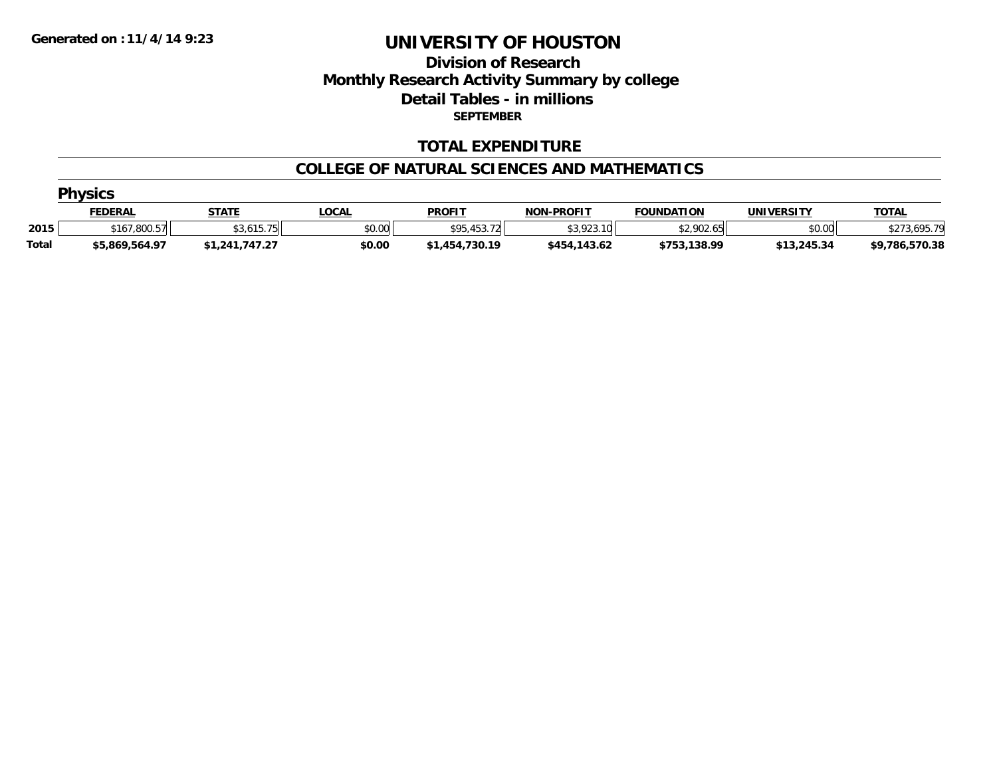### **Division of Research Monthly Research Activity Summary by college Detail Tables - in millions SEPTEMBER**

### **TOTAL EXPENDITURE**

#### **COLLEGE OF NATURAL SCIENCES AND MATHEMATICS**

|              | <b>Physics</b> |                |              |                |                   |                   |             |                |  |  |  |  |
|--------------|----------------|----------------|--------------|----------------|-------------------|-------------------|-------------|----------------|--|--|--|--|
|              | <b>FEDERAL</b> | <b>STATE</b>   | <u>LOCAL</u> | <b>PROFIT</b>  | <b>NON-PROFIT</b> | <b>FOUNDATION</b> | UNIVERSITY  | <b>TOTAL</b>   |  |  |  |  |
| 2015         | \$167,800.57   | \$3.615.75     | \$0.00       | \$95,453.72    | \$3,923.10        | \$2,902.65        | \$0.00      | \$273,695.79   |  |  |  |  |
| <b>Total</b> | \$5.869.564.97 | \$1,241,747.27 | \$0.00       | \$1,454,730.19 | \$454,143.62      | \$753,138.99      | \$13,245.34 | \$9,786,570.38 |  |  |  |  |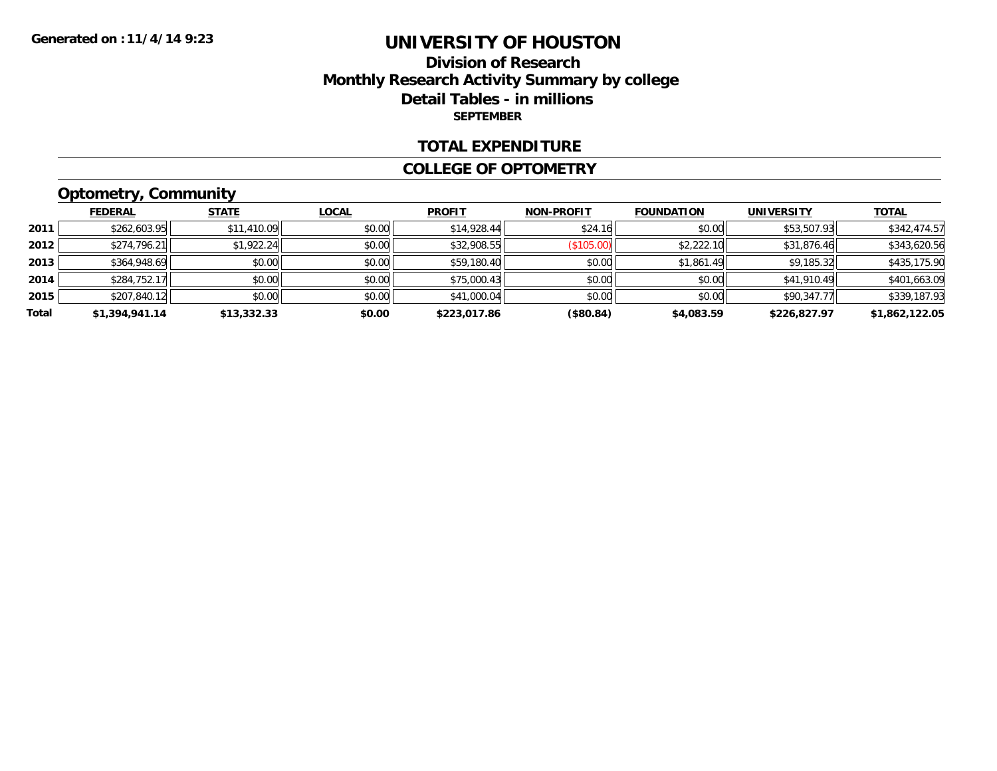### **Division of Research Monthly Research Activity Summary by college Detail Tables - in millions SEPTEMBER**

#### **TOTAL EXPENDITURE**

#### **COLLEGE OF OPTOMETRY**

# **Optometry, Community**

|       | <b>FEDERAL</b> | <b>STATE</b> | <b>LOCAL</b> | <b>PROFIT</b> | <b>NON-PROFIT</b> | <b>FOUNDATION</b> | <b>UNIVERSITY</b> | <b>TOTAL</b>   |
|-------|----------------|--------------|--------------|---------------|-------------------|-------------------|-------------------|----------------|
| 2011  | \$262,603.95   | \$11,410.09  | \$0.00       | \$14,928.44   | \$24.16           | \$0.00            | \$53,507.93       | \$342,474.57   |
| 2012  | \$274,796.21   | \$1,922.24   | \$0.00       | \$32,908.55   | (\$105.00)        | \$2,222.10        | \$31,876.46       | \$343,620.56   |
| 2013  | \$364,948.69   | \$0.00       | \$0.00       | \$59,180.40   | \$0.00            | \$1,861.49        | \$9,185.32        | \$435,175.90   |
| 2014  | \$284,752.17   | \$0.00       | \$0.00       | \$75,000.43   | \$0.00            | \$0.00            | \$41,910.49       | \$401,663.09   |
| 2015  | \$207,840.12   | \$0.00       | \$0.00       | \$41,000.04   | \$0.00            | \$0.00            | \$90,347.77       | \$339,187.93   |
| Total | \$1,394,941.14 | \$13,332.33  | \$0.00       | \$223,017.86  | (\$80.84)         | \$4,083.59        | \$226,827.97      | \$1,862,122.05 |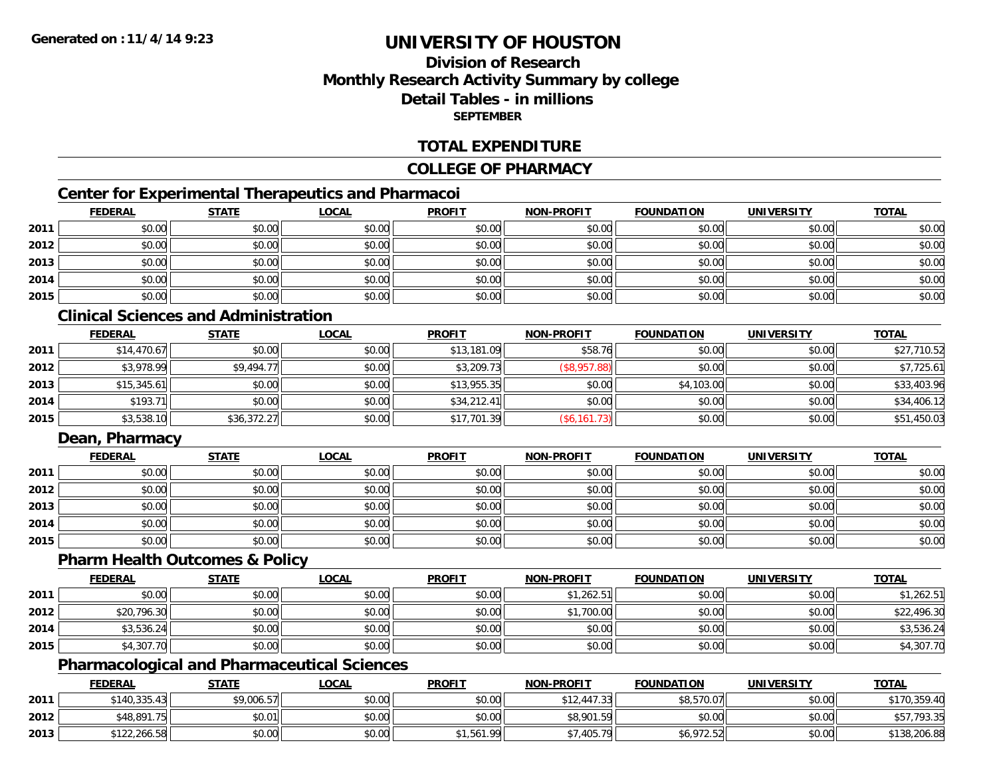### **Division of ResearchMonthly Research Activity Summary by college Detail Tables - in millionsSEPTEMBER**

### **TOTAL EXPENDITURE**

### **COLLEGE OF PHARMACY**

### **Center for Experimental Therapeutics and Pharmacoi**

|      | <b>FEDERAL</b> | <b>STATE</b> | <b>LOCAL</b> | <b>PROFIT</b> | <b>NON-PROFIT</b> | <b>FOUNDATION</b> | <b>UNIVERSITY</b> | <b>TOTAL</b> |
|------|----------------|--------------|--------------|---------------|-------------------|-------------------|-------------------|--------------|
| 2011 | \$0.00         | \$0.00       | \$0.00       | \$0.00        | \$0.00            | \$0.00            | \$0.00            | \$0.00       |
| 2012 | \$0.00         | \$0.00       | \$0.00       | \$0.00        | \$0.00            | \$0.00            | \$0.00            | \$0.00       |
| 2013 | \$0.00         | \$0.00       | \$0.00       | \$0.00        | \$0.00            | \$0.00            | \$0.00            | \$0.00       |
| 2014 | \$0.00         | \$0.00       | \$0.00       | \$0.00        | \$0.00            | \$0.00            | \$0.00            | \$0.00       |
| 2015 | \$0.00         | \$0.00       | \$0.00       | \$0.00        | \$0.00            | \$0.00            | \$0.00            | \$0.00       |

# **Clinical Sciences and Administration**

|      | <b>FEDERAL</b> | <b>STATE</b> | <b>LOCAL</b> | <b>PROFIT</b> | <b>NON-PROFIT</b> | <b>FOUNDATION</b> | <b>UNIVERSITY</b> | <b>TOTAL</b> |
|------|----------------|--------------|--------------|---------------|-------------------|-------------------|-------------------|--------------|
| 2011 | \$14,470.67    | \$0.00       | \$0.00       | \$13,181.09   | \$58.76           | \$0.00            | \$0.00            | \$27,710.52  |
| 2012 | \$3,978.99     | \$9,494.77   | \$0.00       | \$3,209.73    | (\$8,957.88)      | \$0.00            | \$0.00            | \$7,725.61   |
| 2013 | \$15,345.61    | \$0.00       | \$0.00       | \$13,955.35   | \$0.00            | \$4,103.00        | \$0.00            | \$33,403.96  |
| 2014 | \$193.71       | \$0.00       | \$0.00       | \$34,212.41   | \$0.00            | \$0.00            | \$0.00            | \$34,406.12  |
| 2015 | \$3,538.10     | \$36,372.27  | \$0.00       | \$17,701.39   | (\$6,161.73)      | \$0.00            | \$0.00            | \$51,450.03  |

### **Dean, Pharmacy**

|      | <u>FEDERAL</u> | <b>STATE</b> | <u>LOCAL</u> | <b>PROFIT</b> | <b>NON-PROFIT</b> | <b>FOUNDATION</b> | <b>UNIVERSITY</b> | <b>TOTAL</b> |
|------|----------------|--------------|--------------|---------------|-------------------|-------------------|-------------------|--------------|
| 2011 | \$0.00         | \$0.00       | \$0.00       | \$0.00        | \$0.00            | \$0.00            | \$0.00            | \$0.00       |
| 2012 | \$0.00         | \$0.00       | \$0.00       | \$0.00        | \$0.00            | \$0.00            | \$0.00            | \$0.00       |
| 2013 | \$0.00         | \$0.00       | \$0.00       | \$0.00        | \$0.00            | \$0.00            | \$0.00            | \$0.00       |
| 2014 | \$0.00         | \$0.00       | \$0.00       | \$0.00        | \$0.00            | \$0.00            | \$0.00            | \$0.00       |
| 2015 | \$0.00         | \$0.00       | \$0.00       | \$0.00        | \$0.00            | \$0.00            | \$0.00            | \$0.00       |

#### **Pharm Health Outcomes & Policy**

|      | <b>FEDERAL</b> | <u>STATE</u> | <b>LOCAL</b> | <b>PROFIT</b> | <b>NON-PROFIT</b> | <b>FOUNDATION</b> | <b>UNIVERSITY</b> | <b>TOTAL</b> |
|------|----------------|--------------|--------------|---------------|-------------------|-------------------|-------------------|--------------|
| 2011 | \$0.00         | \$0.00       | \$0.00       | \$0.00        | \$1,262.51        | \$0.00            | \$0.00            | \$1,262.51   |
| 2012 | \$20,796.30    | \$0.00       | \$0.00       | \$0.00        | \$1,700.00        | \$0.00            | \$0.00            | \$22,496.30  |
| 2014 | \$3,536.24     | \$0.00       | \$0.00       | \$0.00        | \$0.00            | \$0.00            | \$0.00            | \$3,536.24   |
| 2015 | \$4,307.70     | \$0.00       | \$0.00       | \$0.00        | \$0.00            | \$0.00            | \$0.00            | \$4,307.70   |

### **Pharmacological and Pharmaceutical Sciences**

|      | <b>FEDERAL</b> | <b>STATE</b> | <u>LOCAL</u> | <b>PROFIT</b> | <b>NON-PROFIT</b> | <b>FOUNDATION</b> | <b>UNIVERSITY</b> | <b>TOTAL</b> |
|------|----------------|--------------|--------------|---------------|-------------------|-------------------|-------------------|--------------|
| 2011 | \$140,335.43   | \$9,006.57   | \$0.00       | \$0.00        | \$12,447.33       | \$8,570.07        | \$0.00            | \$170,359.40 |
| 2012 | \$48,891.75    | \$0.01       | \$0.00       | \$0.00        | \$8,901.59        | \$0.00            | \$0.00            | \$57,793.35  |
| 2013 | \$122,266.58   | \$0.00       | \$0.00       | \$1,561.99    | ,405.79           | \$6,972.52        | \$0.00            | \$138,206.88 |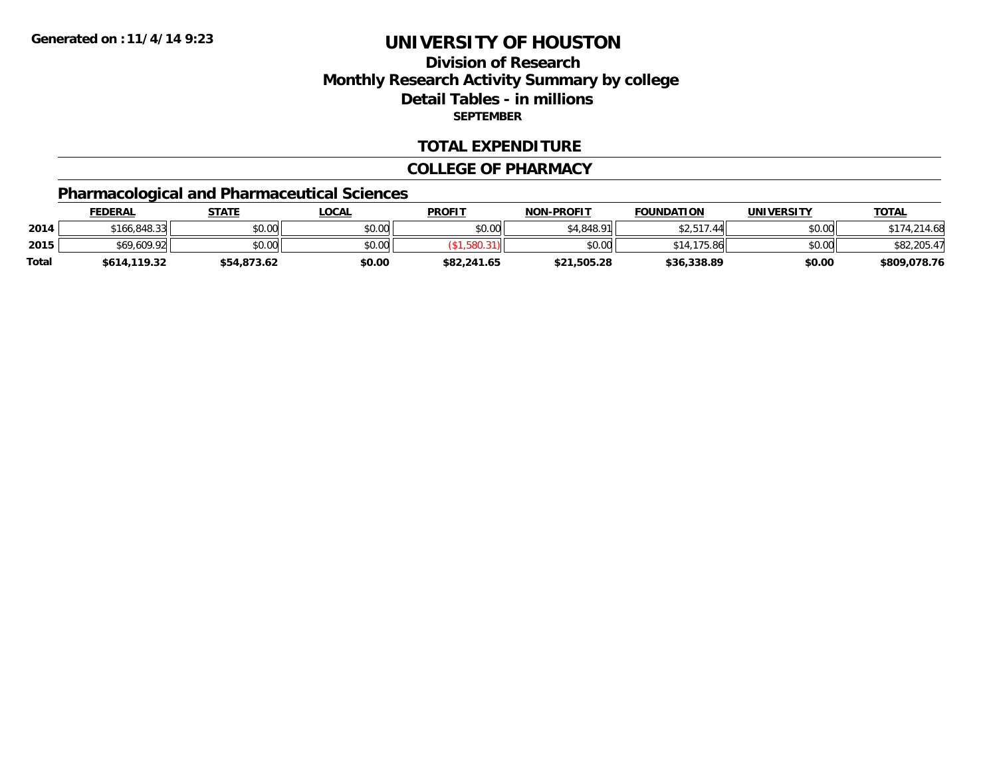# **Division of ResearchMonthly Research Activity Summary by college Detail Tables - in millions SEPTEMBER**

### **TOTAL EXPENDITURE**

#### **COLLEGE OF PHARMACY**

# **Pharmacological and Pharmaceutical Sciences**

|       | <b>FEDERAL</b> | STATE       | <b>LOCAL</b> | <b>PROFIT</b> | <b>NON-PROFIT</b> | <b>FOUNDATION</b>              | UNIVERSITY | <b>TOTAL</b> |
|-------|----------------|-------------|--------------|---------------|-------------------|--------------------------------|------------|--------------|
| 2014  | \$166,848.33   | \$0.00      | \$0.00       | \$0.00        | \$4.848.91        | \$2,517<br>$\Lambda$ $\Lambda$ | \$0.00     | 214.68       |
| 2015  | \$69,609.92    | \$0.00      | \$0.00       |               | \$0.00            | 175<br>.86<br>\$14.            | \$0.00     | \$82,205.47  |
| Total | \$614,119.32   | \$54,873.62 | \$0.00       | \$82,241.65   | \$21,505.28       | \$36,338.89                    | \$0.00     | \$809,078.76 |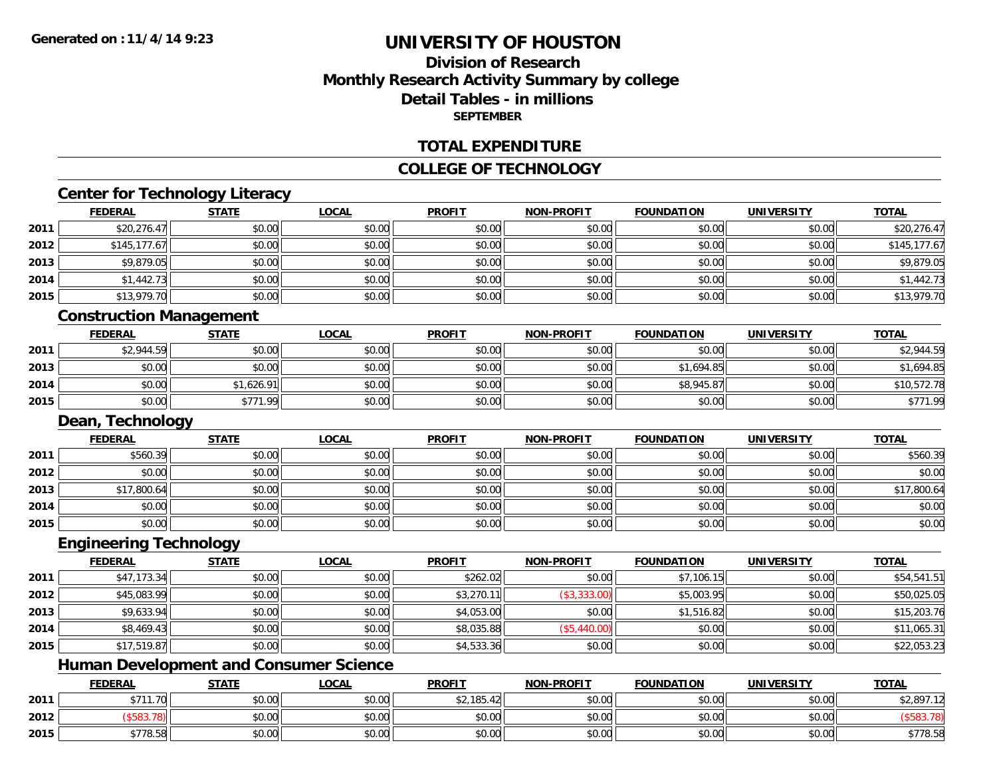**2012**

**2015**

# **UNIVERSITY OF HOUSTON**

# **Division of ResearchMonthly Research Activity Summary by college Detail Tables - in millions SEPTEMBER**

#### **TOTAL EXPENDITURE**

#### **COLLEGE OF TECHNOLOGY**

### **Center for Technology Literacy**

|      | <b>FEDERAL</b>                                | <b>STATE</b> | <b>LOCAL</b> | <b>PROFIT</b> | <b>NON-PROFIT</b> | <b>FOUNDATION</b> | <b>UNIVERSITY</b> | <b>TOTAL</b> |
|------|-----------------------------------------------|--------------|--------------|---------------|-------------------|-------------------|-------------------|--------------|
| 2011 | \$20,276.47                                   | \$0.00       | \$0.00       | \$0.00        | \$0.00            | \$0.00            | \$0.00            | \$20,276.47  |
| 2012 | \$145,177.67                                  | \$0.00       | \$0.00       | \$0.00        | \$0.00            | \$0.00            | \$0.00            | \$145,177.67 |
| 2013 | \$9,879.05                                    | \$0.00       | \$0.00       | \$0.00        | \$0.00            | \$0.00            | \$0.00            | \$9,879.05   |
| 2014 | \$1,442.73                                    | \$0.00       | \$0.00       | \$0.00        | \$0.00            | \$0.00            | \$0.00            | \$1,442.73   |
| 2015 | \$13,979.70                                   | \$0.00       | \$0.00       | \$0.00        | \$0.00            | \$0.00            | \$0.00            | \$13,979.70  |
|      | <b>Construction Management</b>                |              |              |               |                   |                   |                   |              |
|      | <b>FEDERAL</b>                                | <b>STATE</b> | <b>LOCAL</b> | <b>PROFIT</b> | <b>NON-PROFIT</b> | <b>FOUNDATION</b> | <b>UNIVERSITY</b> | <b>TOTAL</b> |
| 2011 | \$2,944.59                                    | \$0.00       | \$0.00       | \$0.00        | \$0.00            | \$0.00            | \$0.00            | \$2,944.59   |
| 2013 | \$0.00                                        | \$0.00       | \$0.00       | \$0.00        | \$0.00            | \$1,694.85        | \$0.00            | \$1,694.85   |
| 2014 | \$0.00                                        | \$1,626.91   | \$0.00       | \$0.00        | \$0.00            | \$8,945.87        | \$0.00            | \$10,572.78  |
| 2015 | \$0.00                                        | \$771.99     | \$0.00       | \$0.00        | \$0.00            | \$0.00            | \$0.00            | \$771.99     |
|      | Dean, Technology                              |              |              |               |                   |                   |                   |              |
|      | <b>FEDERAL</b>                                | <b>STATE</b> | <b>LOCAL</b> | <b>PROFIT</b> | <b>NON-PROFIT</b> | <b>FOUNDATION</b> | <b>UNIVERSITY</b> | <b>TOTAL</b> |
| 2011 | \$560.39                                      | \$0.00       | \$0.00       | \$0.00        | \$0.00            | \$0.00            | \$0.00            | \$560.39     |
| 2012 | \$0.00                                        | \$0.00       | \$0.00       | \$0.00        | \$0.00            | \$0.00            | \$0.00            | \$0.00       |
| 2013 | \$17,800.64                                   | \$0.00       | \$0.00       | \$0.00        | \$0.00            | \$0.00            | \$0.00            | \$17,800.64  |
| 2014 | \$0.00                                        | \$0.00       | \$0.00       | \$0.00        | \$0.00            | \$0.00            | \$0.00            | \$0.00       |
| 2015 | \$0.00                                        | \$0.00       | \$0.00       | \$0.00        | \$0.00            | \$0.00            | \$0.00            | \$0.00       |
|      | <b>Engineering Technology</b>                 |              |              |               |                   |                   |                   |              |
|      | <b>FEDERAL</b>                                | <b>STATE</b> | <b>LOCAL</b> | <b>PROFIT</b> | <b>NON-PROFIT</b> | <b>FOUNDATION</b> | <b>UNIVERSITY</b> | <b>TOTAL</b> |
| 2011 | \$47,173.34                                   | \$0.00       | \$0.00       | \$262.02      | \$0.00            | \$7,106.15        | \$0.00            | \$54,541.51  |
| 2012 | \$45,083.99                                   | \$0.00       | \$0.00       | \$3,270.11    | (\$3,333.00)      | \$5,003.95        | \$0.00            | \$50,025.05  |
| 2013 | \$9,633.94                                    | \$0.00       | \$0.00       | \$4,053.00    | \$0.00            | \$1,516.82        | \$0.00            | \$15,203.76  |
| 2014 | \$8,469.43                                    | \$0.00       | \$0.00       | \$8,035.88    | (\$5,440.00)      | \$0.00            | \$0.00            | \$11,065.31  |
| 2015 | \$17,519.87                                   | \$0.00       | \$0.00       | \$4,533.36    | \$0.00            | \$0.00            | \$0.00            | \$22,053.23  |
|      | <b>Human Development and Consumer Science</b> |              |              |               |                   |                   |                   |              |
|      | <b>FEDERAL</b>                                | <b>STATE</b> | <b>LOCAL</b> | <b>PROFIT</b> | <b>NON-PROFIT</b> | <b>FOUNDATION</b> | <b>UNIVERSITY</b> | <b>TOTAL</b> |
| 2011 | \$711.70                                      | \$0.00       | \$0.00       | \$2,185.42    | \$0.00            | \$0.00            | \$0.00            | \$2,897.12   |

2 | (\$583.78)|| \$0.00|| \$0.00|| \$0.00|| \$0.00|| \$0.00|| (\$583.78)

\$778.58 \$0.00 \$0.00 \$0.00 \$0.00 \$0.00 \$0.00 \$778.58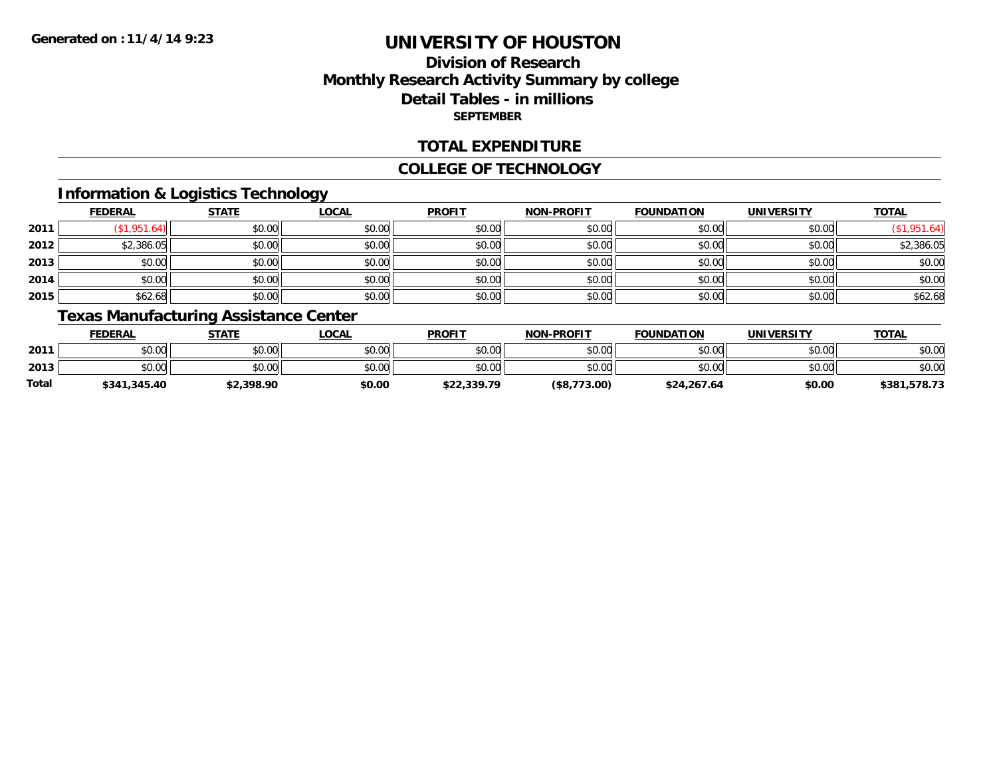# **Division of ResearchMonthly Research Activity Summary by college Detail Tables - in millions SEPTEMBER**

### **TOTAL EXPENDITURE**

#### **COLLEGE OF TECHNOLOGY**

### **Information & Logistics Technology**

|      | <b>FEDERAL</b> | <b>STATE</b> | <b>LOCAL</b> | <b>PROFIT</b> | NON-PROFIT | <b>FOUNDATION</b> | <b>UNIVERSITY</b> | <b>TOTAL</b> |
|------|----------------|--------------|--------------|---------------|------------|-------------------|-------------------|--------------|
| 2011 | 1,951.64       | \$0.00       | \$0.00       | \$0.00        | \$0.00     | \$0.00            | \$0.00            | .951.64)     |
| 2012 | \$2,386.05     | \$0.00       | \$0.00       | \$0.00        | \$0.00     | \$0.00            | \$0.00            | \$2,386.05   |
| 2013 | \$0.00         | \$0.00       | \$0.00       | \$0.00        | \$0.00     | \$0.00            | \$0.00            | \$0.00       |
| 2014 | \$0.00         | \$0.00       | \$0.00       | \$0.00        | \$0.00     | \$0.00            | \$0.00            | \$0.00       |
| 2015 | \$62.68        | \$0.00       | \$0.00       | \$0.00        | \$0.00     | \$0.00            | \$0.00            | \$62.68      |

# **Texas Manufacturing Assistance Center**

|       | <b>FEDERAL</b> | <u>STATE</u> | <u>LOCAL</u> | <b>PROFIT</b> | <b>NON-PROFIT</b> | <b>FOUNDATION</b> | <b>UNIVERSITY</b> | <b>TOTAL</b> |
|-------|----------------|--------------|--------------|---------------|-------------------|-------------------|-------------------|--------------|
| 2011  | \$0.00         | \$0.00       | \$0.00       | \$0.00        | \$0.00            | \$0.00            | \$0.00            | \$0.00       |
| 2013  | \$0.00         | \$0.00       | \$0.00       | \$0.00        | \$0.00            | \$0.00            | \$0.00            | \$0.00       |
| Total | \$341,345.40   | \$2,398.90   | \$0.00       | \$22,339.79   | (\$8,773.00)      | \$24,267.64       | \$0.00            | \$381,578.73 |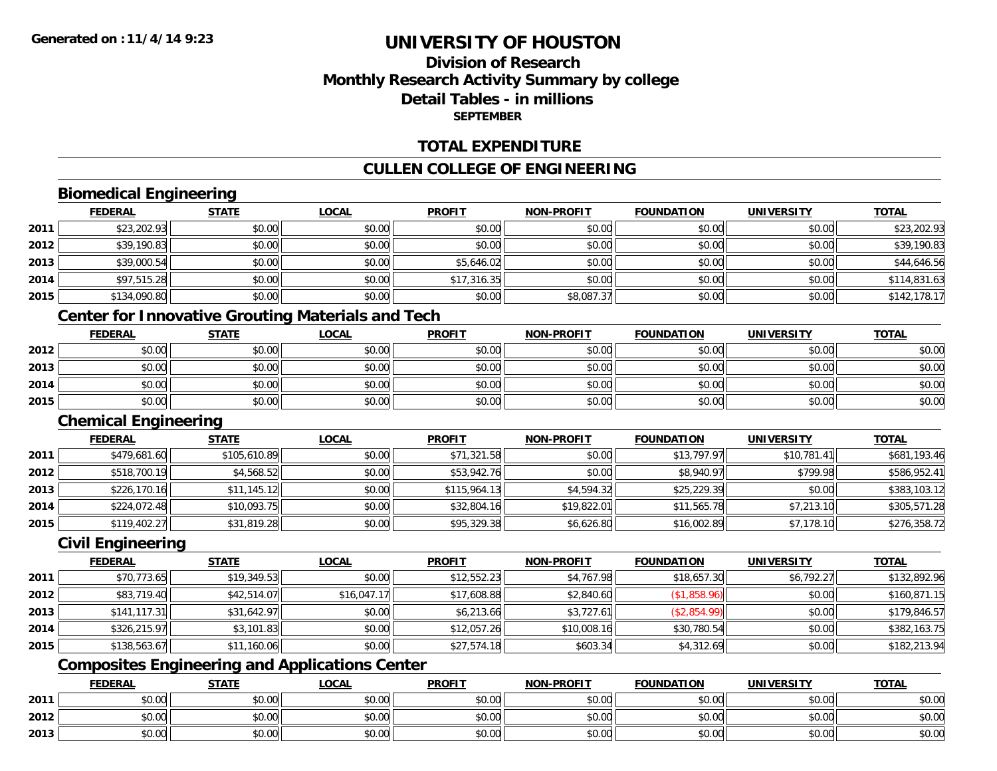# **Division of ResearchMonthly Research Activity Summary by college Detail Tables - in millionsSEPTEMBER**

### **TOTAL EXPENDITURE**

### **CULLEN COLLEGE OF ENGINEERING**

### **Biomedical Engineering**

|      | <b>FEDERAL</b> | <b>STATE</b> | <u>LOCAL</u> | <b>PROFIT</b> | <b>NON-PROFIT</b> | <b>FOUNDATION</b> | <b>UNIVERSITY</b> | <b>TOTAL</b> |
|------|----------------|--------------|--------------|---------------|-------------------|-------------------|-------------------|--------------|
| 2011 | \$23,202.93    | \$0.00       | \$0.00       | \$0.00        | \$0.00            | \$0.00            | \$0.00            | \$23,202.93  |
| 2012 | \$39,190.83    | \$0.00       | \$0.00       | \$0.00        | \$0.00            | \$0.00            | \$0.00            | \$39,190.83  |
| 2013 | \$39,000.54    | \$0.00       | \$0.00       | \$5,646.02    | \$0.00            | \$0.00            | \$0.00            | \$44,646.56  |
| 2014 | \$97,515.28    | \$0.00       | \$0.00       | \$17,316.35   | \$0.00            | \$0.00            | \$0.00            | \$114,831.63 |
| 2015 | \$134,090.80   | \$0.00       | \$0.00       | \$0.00        | \$8,087.37        | \$0.00            | \$0.00            | \$142,178.17 |

# **Center for Innovative Grouting Materials and Tech**

|      | <b>FEDERAL</b> | <b>STATE</b> | <u>LOCAL</u> | <b>PROFIT</b> | <b>NON-PROFIT</b> | <b>FOUNDATION</b> | <b>UNIVERSITY</b> | <b>TOTAL</b> |
|------|----------------|--------------|--------------|---------------|-------------------|-------------------|-------------------|--------------|
| 2012 | \$0.00         | \$0.00       | \$0.00       | \$0.00        | \$0.00            | \$0.00            | \$0.00            | \$0.00       |
| 2013 | \$0.00         | \$0.00       | \$0.00       | \$0.00        | \$0.00            | \$0.00            | \$0.00            | \$0.00       |
| 2014 | \$0.00         | \$0.00       | \$0.00       | \$0.00        | \$0.00            | \$0.00            | \$0.00            | \$0.00       |
| 2015 | \$0.00         | \$0.00       | \$0.00       | \$0.00        | \$0.00            | \$0.00            | \$0.00            | \$0.00       |

### **Chemical Engineering**

|      | <b>FEDERAL</b> | <b>STATE</b> | <b>LOCAL</b> | <b>PROFIT</b> | <b>NON-PROFIT</b> | <b>FOUNDATION</b> | <b>UNIVERSITY</b> | <b>TOTAL</b> |
|------|----------------|--------------|--------------|---------------|-------------------|-------------------|-------------------|--------------|
| 2011 | \$479,681.60   | \$105,610.89 | \$0.00       | \$71,321.58   | \$0.00            | \$13,797.97       | \$10,781.41       | \$681,193.46 |
| 2012 | \$518,700.19   | \$4,568.52   | \$0.00       | \$53,942.76   | \$0.00            | \$8,940.97        | \$799.98          | \$586,952.41 |
| 2013 | \$226,170.16   | \$11,145.12  | \$0.00       | \$115.964.13  | \$4,594.32        | \$25,229.39       | \$0.00            | \$383,103.12 |
| 2014 | \$224,072.48   | \$10,093.75  | \$0.00       | \$32,804.16   | \$19,822.01       | \$11,565.78       | \$7,213.10        | \$305,571.28 |
| 2015 | \$119,402.27   | \$31,819.28  | \$0.00       | \$95,329.38   | \$6,626.80        | \$16,002.89       | \$7,178.10        | \$276,358.72 |

# **Civil Engineering**

|      | <b>FEDERAL</b> | <b>STATE</b> | <b>LOCAL</b> | <b>PROFIT</b> | <b>NON-PROFIT</b> | <b>FOUNDATION</b> | <b>UNIVERSITY</b> | <b>TOTAL</b> |
|------|----------------|--------------|--------------|---------------|-------------------|-------------------|-------------------|--------------|
| 2011 | \$70,773.65    | \$19,349.53  | \$0.00       | \$12,552.23   | \$4,767.98        | \$18,657.30       | \$6,792.27        | \$132,892.96 |
| 2012 | \$83,719.40    | \$42,514.07  | \$16,047.17  | \$17,608.88   | \$2,840.60        | (\$1,858.96)      | \$0.00            | \$160,871.15 |
| 2013 | \$141.117.31   | \$31,642.97  | \$0.00       | \$6,213.66    | \$3,727.61        | (\$2,854.99)      | \$0.00            | \$179,846.57 |
| 2014 | \$326,215.97   | \$3,101.83   | \$0.00       | \$12,057.26   | \$10,008.16       | \$30,780.54       | \$0.00            | \$382,163.75 |
| 2015 | \$138,563.67   | \$11,160.06  | \$0.00       | \$27,574.18   | \$603.34          | \$4,312.69        | \$0.00            | \$182,213.94 |

# **Composites Engineering and Applications Center**

|      | <b>FEDERAL</b>                                          | <b>STATE</b> | <b>_OCAL</b>   | <b>PROFIT</b> | <b>NON-PROFIT</b>                           | <b>FOUNDATION</b> | <b>UNIVERSITY</b> | <b>TOTAL</b> |
|------|---------------------------------------------------------|--------------|----------------|---------------|---------------------------------------------|-------------------|-------------------|--------------|
| 2011 | 0000<br>pv.uu                                           | \$0.00       | ልስ ለሰ<br>JU.UU | \$0.00        | $\mathsf{A} \cap \mathsf{A} \cap$<br>\$0.00 | \$0.00            | \$0.00            | \$0.00       |
| 2012 | ሶስ ሰስ<br>DU.UG                                          | \$0.00       | 0.00<br>JU.UU  | \$0.00        | \$0.00                                      | \$0.00            | \$0.00            | \$0.00       |
| 2013 | $\mathfrak{c}\cap\mathfrak{c}\cap\mathfrak{c}$<br>DU.UU | \$0.00       | ልስ ለሰ<br>JU.UU | \$0.00        | $\sim$ $\sim$<br>\$0.00                     | \$0.00            | \$0.00            | \$0.00       |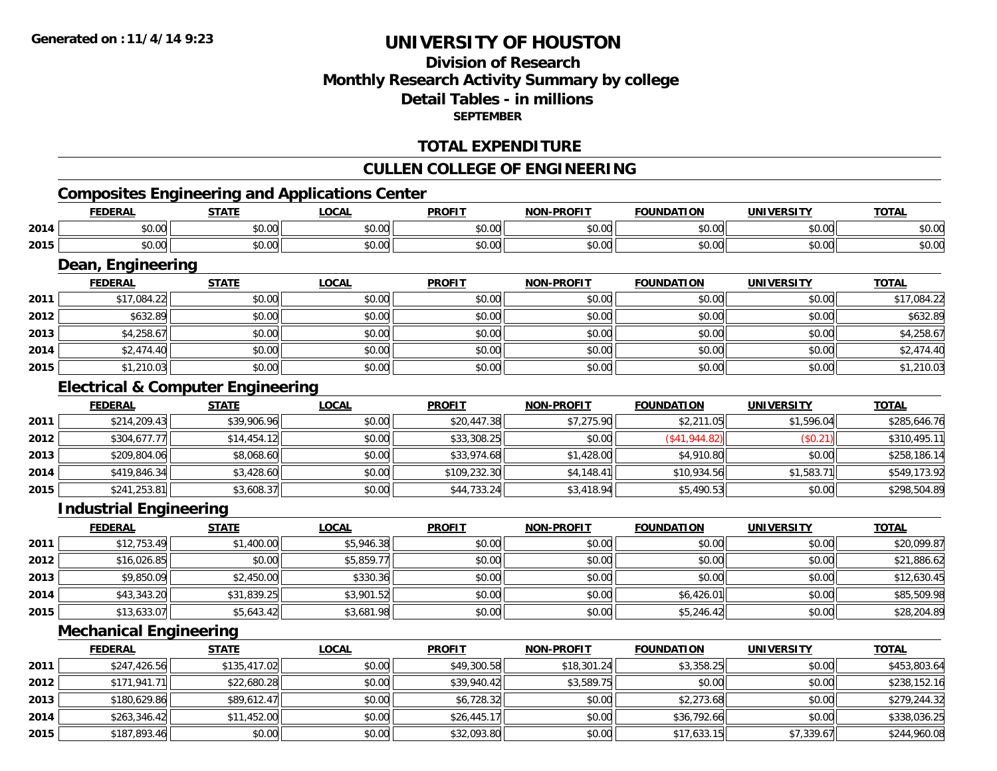# **Division of ResearchMonthly Research Activity Summary by college Detail Tables - in millions SEPTEMBER**

### **TOTAL EXPENDITURE**

### **CULLEN COLLEGE OF ENGINEERING**

# **Composites Engineering and Applications Center**

|      | <b>FEDERAL</b>                               | <b>STATE</b> | <b>LOCAL</b> | <b>PROFIT</b> | <b>NON-PROFIT</b> | <b>FOUNDATION</b>   | <b>UNIVERSITY</b> | <b>TOTAL</b> |
|------|----------------------------------------------|--------------|--------------|---------------|-------------------|---------------------|-------------------|--------------|
| 2014 | \$0.00                                       | \$0.00       | \$0.00       | \$0.00        | \$0.00            | \$0.00              | \$0.00            | \$0.00       |
| 2015 | \$0.00                                       | \$0.00       | \$0.00       | \$0.00        | \$0.00            | \$0.00              | \$0.00            | \$0.00       |
|      | Dean, Engineering                            |              |              |               |                   |                     |                   |              |
|      | <b>FEDERAL</b>                               | <b>STATE</b> | <b>LOCAL</b> | <b>PROFIT</b> | <b>NON-PROFIT</b> | <b>FOUNDATION</b>   | <b>UNIVERSITY</b> | <b>TOTAL</b> |
| 2011 | \$17,084.22                                  | \$0.00       | \$0.00       | \$0.00        | \$0.00            | \$0.00              | \$0.00            | \$17,084.22  |
| 2012 | \$632.89                                     | \$0.00       | \$0.00       | \$0.00        | \$0.00            | \$0.00              | \$0.00            | \$632.89     |
| 2013 | \$4,258.67                                   | \$0.00       | \$0.00       | \$0.00        | \$0.00            | \$0.00              | \$0.00            | \$4,258.67   |
| 2014 | \$2,474.40                                   | \$0.00       | \$0.00       | \$0.00        | \$0.00            | \$0.00              | \$0.00            | \$2,474.40   |
| 2015 | \$1,210.03                                   | \$0.00       | \$0.00       | \$0.00        | \$0.00            | \$0.00              | \$0.00            | \$1,210.03   |
|      | <b>Electrical &amp; Computer Engineering</b> |              |              |               |                   |                     |                   |              |
|      | <b>FEDERAL</b>                               | <b>STATE</b> | <b>LOCAL</b> | <b>PROFIT</b> | <b>NON-PROFIT</b> | <b>FOUNDATION</b>   | <b>UNIVERSITY</b> | <b>TOTAL</b> |
| 2011 | \$214,209.43                                 | \$39,906.96  | \$0.00       | \$20,447.38   | \$7,275.90        | \$2,211.05          | \$1,596.04        | \$285,646.76 |
| 2012 | \$304,677.77                                 | \$14,454.12  | \$0.00       | \$33,308.25   | \$0.00            | $($ \$41,944.82 $)$ | (\$0.21)          | \$310,495.11 |
| 2013 | \$209,804.06                                 | \$8,068.60   | \$0.00       | \$33,974.68   | \$1,428.00        | \$4,910.80          | \$0.00            | \$258,186.14 |
| 2014 | \$419,846.34                                 | \$3,428.60   | \$0.00       | \$109,232.30  | \$4,148.41        | \$10,934.56         | \$1,583.71        | \$549,173.92 |
| 2015 | \$241,253.81                                 | \$3,608.37   | \$0.00       | \$44,733.24   | \$3,418.94        | \$5,490.53          | \$0.00            | \$298,504.89 |
|      | <b>Industrial Engineering</b>                |              |              |               |                   |                     |                   |              |

|      | <u>FEDERAL</u> | <b>STATE</b> | <u>LOCAL</u> | <b>PROFIT</b> | <b>NON-PROFIT</b> | <b>FOUNDATION</b> | <b>UNIVERSITY</b> | <b>TOTAL</b> |
|------|----------------|--------------|--------------|---------------|-------------------|-------------------|-------------------|--------------|
| 2011 | \$12,753.49    | \$1,400.00   | \$5,946.38   | \$0.00        | \$0.00            | \$0.00            | \$0.00            | \$20,099.87  |
| 2012 | \$16,026.85    | \$0.00       | \$5,859.77   | \$0.00        | \$0.00            | \$0.00            | \$0.00            | \$21,886.62  |
| 2013 | \$9,850.09     | \$2,450.00   | \$330.36     | \$0.00        | \$0.00            | \$0.00            | \$0.00            | \$12,630.45  |
| 2014 | \$43,343.20    | \$31,839.25  | \$3,901.52   | \$0.00        | \$0.00            | \$6,426.01        | \$0.00            | \$85,509.98  |
| 2015 | \$13,633.07    | \$5,643.42   | \$3,681.98   | \$0.00        | \$0.00            | \$5,246.42        | \$0.00            | \$28,204.89  |

### **Mechanical Engineering**

|      | <b>FEDERAL</b> | <u>STATE</u> | <b>LOCAL</b> | <b>PROFIT</b> | <b>NON-PROFIT</b> | <b>FOUNDATION</b> | <b>UNIVERSITY</b> | <b>TOTAL</b> |
|------|----------------|--------------|--------------|---------------|-------------------|-------------------|-------------------|--------------|
| 2011 | \$247,426.56   | \$135,417.02 | \$0.00       | \$49,300.58   | \$18,301.24       | \$3,358.25        | \$0.00            | \$453,803.64 |
| 2012 | \$171.941.71   | \$22,680.28  | \$0.00       | \$39,940.42   | \$3,589.75        | \$0.00            | \$0.00            | \$238,152.16 |
| 2013 | \$180,629.86   | \$89,612.47  | \$0.00       | \$6,728.32    | \$0.00            | \$2,273.68        | \$0.00            | \$279,244.32 |
| 2014 | \$263,346.42   | \$11,452.00  | \$0.00       | \$26,445.17   | \$0.00            | \$36,792.66       | \$0.00            | \$338,036.25 |
| 2015 | \$187,893.46   | \$0.00       | \$0.00       | \$32,093.80   | \$0.00            | \$17,633.15       | \$7,339.67        | \$244,960.08 |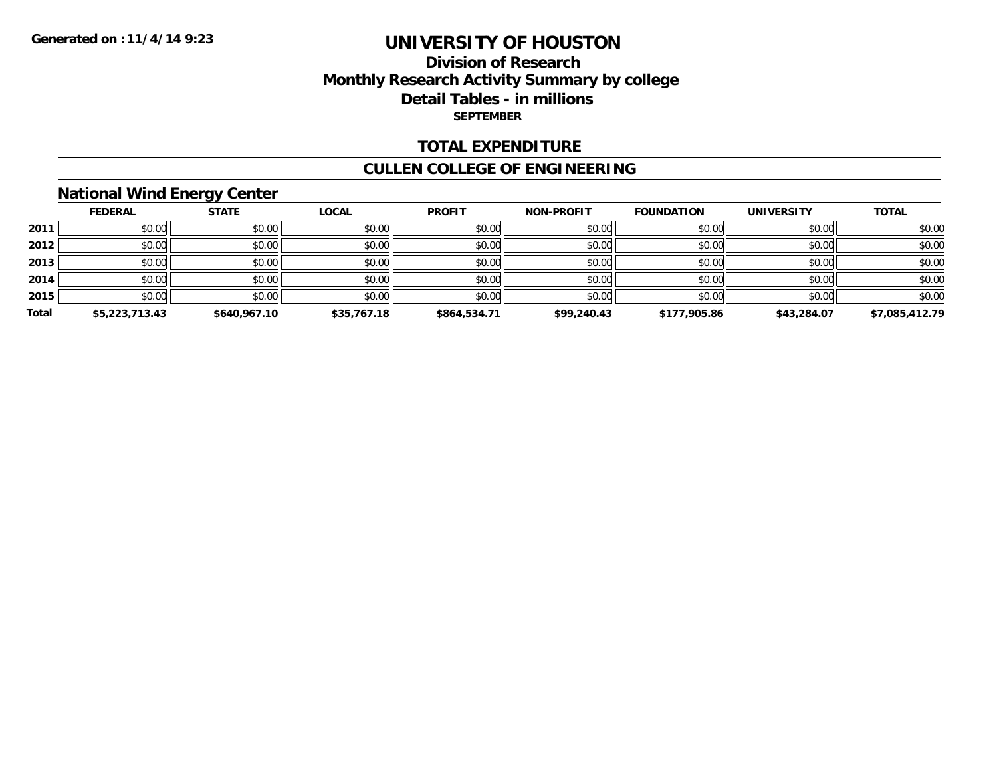### **Division of Research Monthly Research Activity Summary by college Detail Tables - in millions SEPTEMBER**

### **TOTAL EXPENDITURE**

### **CULLEN COLLEGE OF ENGINEERING**

# **National Wind Energy Center**

|       | <b>FEDERAL</b> | <b>STATE</b> | <u>LOCAL</u> | <b>PROFIT</b> | <b>NON-PROFIT</b> | <b>FOUNDATION</b> | <b>UNIVERSITY</b> | <b>TOTAL</b>   |
|-------|----------------|--------------|--------------|---------------|-------------------|-------------------|-------------------|----------------|
| 2011  | \$0.00         | \$0.00       | \$0.00       | \$0.00        | \$0.00            | \$0.00            | \$0.00            | \$0.00         |
| 2012  | \$0.00         | \$0.00       | \$0.00       | \$0.00        | \$0.00            | \$0.00            | \$0.00            | \$0.00         |
| 2013  | \$0.00         | \$0.00       | \$0.00       | \$0.00        | \$0.00            | \$0.00            | \$0.00            | \$0.00         |
| 2014  | \$0.00         | \$0.00       | \$0.00       | \$0.00        | \$0.00            | \$0.00            | \$0.00            | \$0.00         |
| 2015  | \$0.00         | \$0.00       | \$0.00       | \$0.00        | \$0.00            | \$0.00            | \$0.00            | \$0.00         |
| Total | \$5,223,713.43 | \$640,967.10 | \$35,767.18  | \$864,534.71  | \$99,240.43       | \$177,905.86      | \$43,284.07       | \$7,085,412.79 |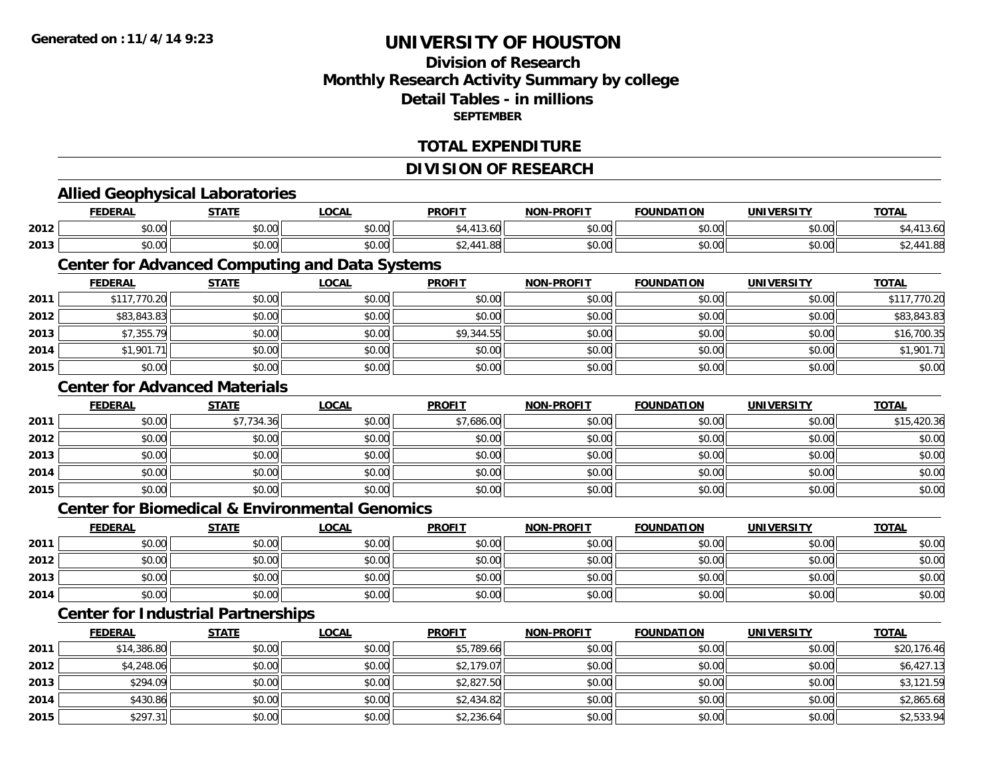### **Division of ResearchMonthly Research Activity Summary by college Detail Tables - in millionsSEPTEMBER**

### **TOTAL EXPENDITURE**

#### **DIVISION OF RESEARCH**

# **Allied Geophysical Laboratories**

|      | <b>FEDERAL</b>          | <b>STATE</b><br>. | <b>OCAL</b>      | <b>PROFIT</b> | -PROFIT<br><b>NION</b> | <b>FOUNDATION</b> | <b>UNIVERSITY</b>    | $T^{\prime}$                         |
|------|-------------------------|-------------------|------------------|---------------|------------------------|-------------------|----------------------|--------------------------------------|
| 2012 | $\sim$ $\sim$<br>\$0.00 | 0000<br>JU.UU     | \$0.00           | 13.OU         | \$0.00                 | \$0.00            | 0000<br>PO.OO        |                                      |
| 2013 | 50.00                   | ሶስ ስስ<br>DU.UU    | $\sim$<br>\$0.00 | n<br>. . 00   | \$0.00                 | \$0.00            | 0000<br><b>DU.UU</b> | $\sim$<br>$\overline{a}$<br>or<br>ັ້ |

# **Center for Advanced Computing and Data Systems**

|      | <b>FEDERAL</b> | <b>STATE</b> | <b>LOCAL</b> | <b>PROFIT</b> | <b>NON-PROFIT</b> | <b>FOUNDATION</b> | <b>UNIVERSITY</b> | <b>TOTAL</b> |
|------|----------------|--------------|--------------|---------------|-------------------|-------------------|-------------------|--------------|
| 2011 | \$117,770.20   | \$0.00       | \$0.00       | \$0.00        | \$0.00            | \$0.00            | \$0.00            | \$117,770.20 |
| 2012 | \$83,843.83    | \$0.00       | \$0.00       | \$0.00        | \$0.00            | \$0.00            | \$0.00            | \$83,843.83  |
| 2013 | \$7,355.79     | \$0.00       | \$0.00       | \$9,344.55    | \$0.00            | \$0.00            | \$0.00            | \$16,700.35  |
| 2014 | \$1,901.71     | \$0.00       | \$0.00       | \$0.00        | \$0.00            | \$0.00            | \$0.00            | \$1,901.71   |
| 2015 | \$0.00         | \$0.00       | \$0.00       | \$0.00        | \$0.00            | \$0.00            | \$0.00            | \$0.00       |

### **Center for Advanced Materials**

|      | <u>FEDERAL</u> | <b>STATE</b> | <u>LOCAL</u> | <b>PROFIT</b> | <b>NON-PROFIT</b> | <b>FOUNDATION</b> | <b>UNIVERSITY</b> | <b>TOTAL</b> |
|------|----------------|--------------|--------------|---------------|-------------------|-------------------|-------------------|--------------|
| 2011 | \$0.00         | \$7,734.36   | \$0.00       | \$7,686.00    | \$0.00            | \$0.00            | \$0.00            | \$15,420.36  |
| 2012 | \$0.00         | \$0.00       | \$0.00       | \$0.00        | \$0.00            | \$0.00            | \$0.00            | \$0.00       |
| 2013 | \$0.00         | \$0.00       | \$0.00       | \$0.00        | \$0.00            | \$0.00            | \$0.00            | \$0.00       |
| 2014 | \$0.00         | \$0.00       | \$0.00       | \$0.00        | \$0.00            | \$0.00            | \$0.00            | \$0.00       |
| 2015 | \$0.00         | \$0.00       | \$0.00       | \$0.00        | \$0.00            | \$0.00            | \$0.00            | \$0.00       |

### **Center for Biomedical & Environmental Genomics**

|      | <b>FEDERAL</b> | <b>STATE</b> | <u>LOCAL</u> | <b>PROFIT</b> | <b>NON-PROFIT</b> | <b>FOUNDATION</b> | <b>UNIVERSITY</b> | <b>TOTAL</b> |
|------|----------------|--------------|--------------|---------------|-------------------|-------------------|-------------------|--------------|
| 2011 | \$0.00         | \$0.00       | \$0.00       | \$0.00        | \$0.00            | \$0.00            | \$0.00            | \$0.00       |
| 2012 | \$0.00         | \$0.00       | \$0.00       | \$0.00        | \$0.00            | \$0.00            | \$0.00            | \$0.00       |
| 2013 | \$0.00         | \$0.00       | \$0.00       | \$0.00        | \$0.00            | \$0.00            | \$0.00            | \$0.00       |
| 2014 | \$0.00         | \$0.00       | \$0.00       | \$0.00        | \$0.00            | \$0.00            | \$0.00            | \$0.00       |

### **Center for Industrial Partnerships**

|      | <b>FEDERAL</b> | <b>STATE</b> | <u>LOCAL</u> | <b>PROFIT</b> | <b>NON-PROFIT</b> | <b>FOUNDATION</b> | <b>UNIVERSITY</b> | <b>TOTAL</b> |
|------|----------------|--------------|--------------|---------------|-------------------|-------------------|-------------------|--------------|
| 2011 | \$14,386.80    | \$0.00       | \$0.00       | \$5,789.66    | \$0.00            | \$0.00            | \$0.00            | \$20,176.46  |
| 2012 | \$4,248.06     | \$0.00       | \$0.00       | \$2,179.07    | \$0.00            | \$0.00            | \$0.00            | \$6,427.13   |
| 2013 | \$294.09       | \$0.00       | \$0.00       | \$2,827.50    | \$0.00            | \$0.00            | \$0.00            | \$3,121.59   |
| 2014 | \$430.86       | \$0.00       | \$0.00       | \$2,434.82    | \$0.00            | \$0.00            | \$0.00            | \$2,865.68   |
| 2015 | \$297.31       | \$0.00       | \$0.00       | \$2,236.64    | \$0.00            | \$0.00            | \$0.00            | \$2,533.94   |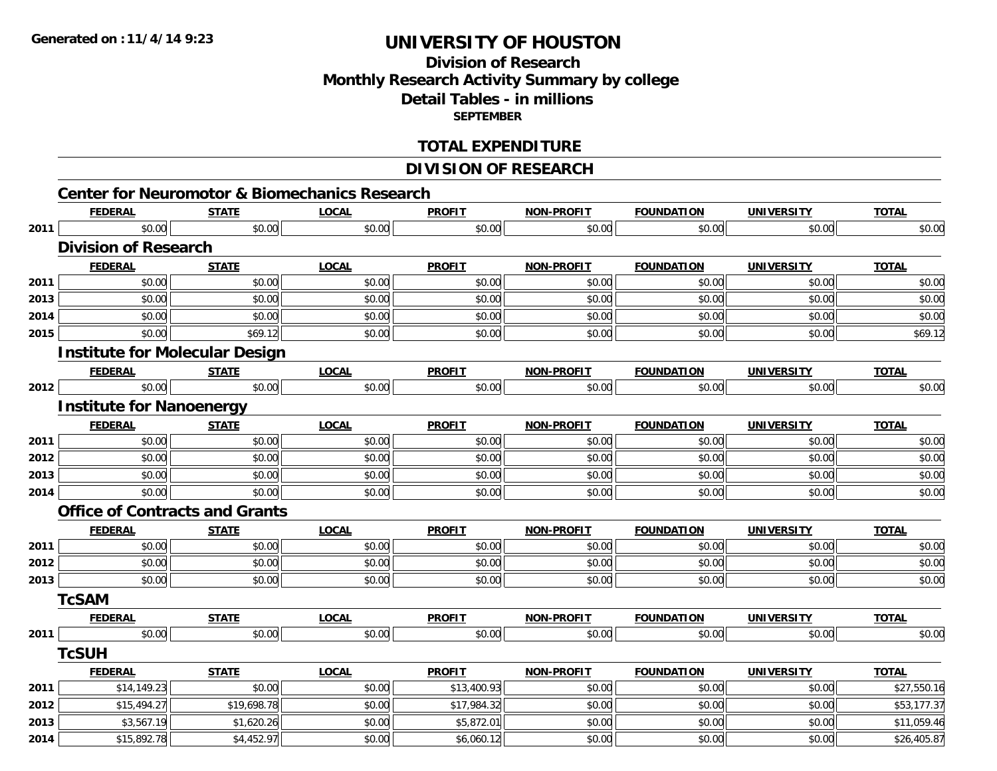# **Division of ResearchMonthly Research Activity Summary by college Detail Tables - in millions SEPTEMBER**

### **TOTAL EXPENDITURE**

### **DIVISION OF RESEARCH**

|      | <b>FEDERAL</b>                        | <b>STATE</b> | <b>LOCAL</b> | <b>PROFIT</b> | <b>NON-PROFIT</b> | <b>FOUNDATION</b> | <b>UNIVERSITY</b> | <b>TOTAL</b> |
|------|---------------------------------------|--------------|--------------|---------------|-------------------|-------------------|-------------------|--------------|
| 2011 | \$0.00                                | \$0.00       | \$0.00       | \$0.00        | \$0.00            | \$0.00            | \$0.00            | \$0.00       |
|      | <b>Division of Research</b>           |              |              |               |                   |                   |                   |              |
|      | <b>FEDERAL</b>                        | <b>STATE</b> | <b>LOCAL</b> | <b>PROFIT</b> | <b>NON-PROFIT</b> | <b>FOUNDATION</b> | <b>UNIVERSITY</b> | <b>TOTAL</b> |
| 2011 | \$0.00                                | \$0.00       | \$0.00       | \$0.00        | \$0.00            | \$0.00            | \$0.00            | \$0.00       |
| 2013 | \$0.00                                | \$0.00       | \$0.00       | \$0.00        | \$0.00            | \$0.00            | \$0.00            | \$0.00       |
| 2014 | \$0.00                                | \$0.00       | \$0.00       | \$0.00        | \$0.00            | \$0.00            | \$0.00            | \$0.00       |
| 2015 | \$0.00                                | \$69.12      | \$0.00       | \$0.00        | \$0.00            | \$0.00            | \$0.00            | \$69.12      |
|      | <b>Institute for Molecular Design</b> |              |              |               |                   |                   |                   |              |
|      | <b>FEDERAL</b>                        | <b>STATE</b> | <b>LOCAL</b> | <b>PROFIT</b> | <b>NON-PROFIT</b> | <b>FOUNDATION</b> | <b>UNIVERSITY</b> | <b>TOTAL</b> |
| 2012 | \$0.00                                | \$0.00       | \$0.00       | \$0.00        | \$0.00            | \$0.00            | \$0.00            | \$0.00       |
|      | <b>Institute for Nanoenergy</b>       |              |              |               |                   |                   |                   |              |
|      | <b>FEDERAL</b>                        | <b>STATE</b> | <b>LOCAL</b> | <b>PROFIT</b> | <b>NON-PROFIT</b> | <b>FOUNDATION</b> | <b>UNIVERSITY</b> | <b>TOTAL</b> |
| 2011 | \$0.00                                | \$0.00       | \$0.00       | \$0.00        | \$0.00            | \$0.00            | \$0.00            | \$0.00       |
| 2012 | \$0.00                                | \$0.00       | \$0.00       | \$0.00        | \$0.00            | \$0.00            | \$0.00            | \$0.00       |
| 2013 | \$0.00                                | \$0.00       | \$0.00       | \$0.00        | \$0.00            | \$0.00            | \$0.00            | \$0.00       |
| 2014 | \$0.00                                | \$0.00       | \$0.00       | \$0.00        | \$0.00            | \$0.00            | \$0.00            | \$0.00       |
|      | <b>Office of Contracts and Grants</b> |              |              |               |                   |                   |                   |              |
|      | <u>FEDERAL</u>                        | <b>STATE</b> | <b>LOCAL</b> | <b>PROFIT</b> | <b>NON-PROFIT</b> | <b>FOUNDATION</b> | <b>UNIVERSITY</b> | <b>TOTAL</b> |
| 2011 | \$0.00                                | \$0.00       | \$0.00       | \$0.00        | \$0.00            | \$0.00            | \$0.00            | \$0.00       |
| 2012 | \$0.00                                | \$0.00       | \$0.00       | \$0.00        | \$0.00            | \$0.00            | \$0.00            | \$0.00       |
| 2013 | \$0.00                                | \$0.00       | \$0.00       | \$0.00        | \$0.00            | \$0.00            | \$0.00            | \$0.00       |
|      | <b>TcSAM</b>                          |              |              |               |                   |                   |                   |              |
|      | <b>FEDERAL</b>                        | <b>STATE</b> | <b>LOCAL</b> | <b>PROFIT</b> | <b>NON-PROFIT</b> | <b>FOUNDATION</b> | <b>UNIVERSITY</b> | <b>TOTAL</b> |
| 2011 | \$0.00                                | \$0.00       | \$0.00       | \$0.00        | \$0.00            | \$0.00            | \$0.00            | \$0.00       |
|      | <b>TcSUH</b>                          |              |              |               |                   |                   |                   |              |
|      | <b>FEDERAL</b>                        | <b>STATE</b> | <b>LOCAL</b> | <b>PROFIT</b> | <b>NON-PROFIT</b> | <b>FOUNDATION</b> | <b>UNIVERSITY</b> | <b>TOTAL</b> |
| 2011 | \$14,149.23                           | \$0.00       | \$0.00       | \$13,400.93   | \$0.00            | \$0.00            | \$0.00            | \$27,550.16  |
| 2012 | \$15,494.27                           | \$19,698.78  | \$0.00       | \$17,984.32   | \$0.00            | \$0.00            | \$0.00            | \$53,177.37  |
| 2013 | \$3,567.19                            | \$1,620.26   | \$0.00       | \$5,872.01    | \$0.00            | \$0.00            | \$0.00            | \$11,059.46  |
| 2014 | \$15,892.78                           | \$4,452.97   | \$0.00       | \$6,060.12    | \$0.00            | \$0.00            | \$0.00            | \$26,405.87  |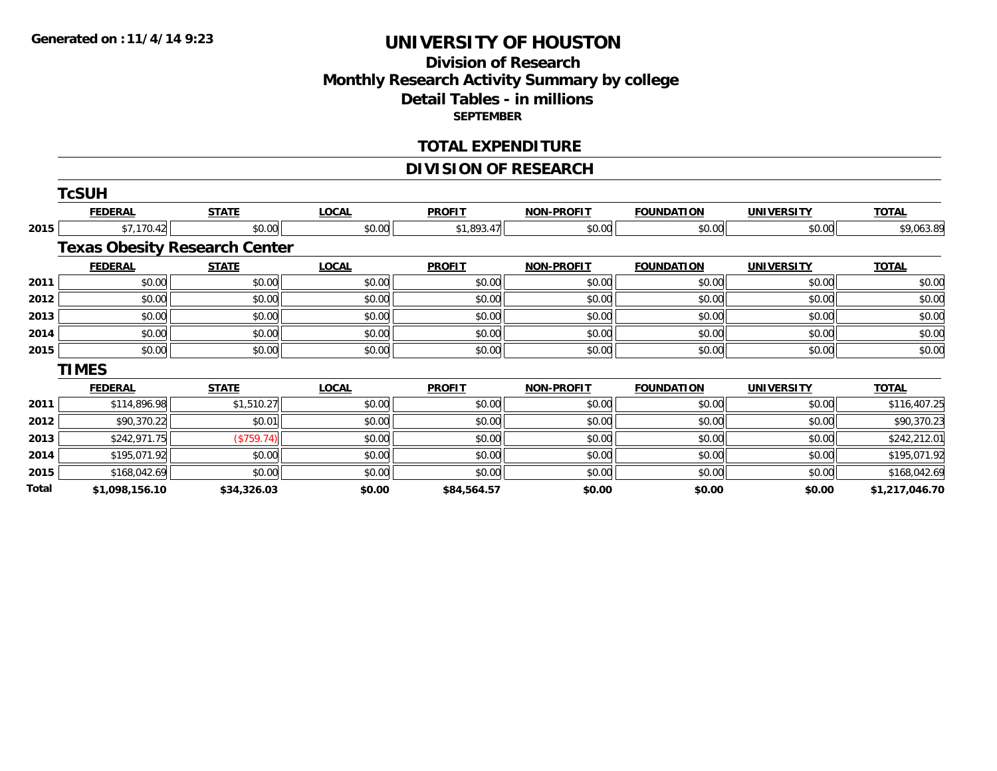# **Division of ResearchMonthly Research Activity Summary by college Detail Tables - in millions SEPTEMBER**

#### **TOTAL EXPENDITURE**

### **DIVISION OF RESEARCH**

|       | TcSUH          |                                      |              |               |                   |                   |                   |                |
|-------|----------------|--------------------------------------|--------------|---------------|-------------------|-------------------|-------------------|----------------|
|       | <b>FEDERAL</b> | <b>STATE</b>                         | <b>LOCAL</b> | <b>PROFIT</b> | <b>NON-PROFIT</b> | <b>FOUNDATION</b> | <b>UNIVERSITY</b> | <b>TOTAL</b>   |
| 2015  | \$7,170.42     | \$0.00                               | \$0.00       | \$1,893.47    | \$0.00            | \$0.00            | \$0.00            | \$9,063.89     |
|       |                | <b>Texas Obesity Research Center</b> |              |               |                   |                   |                   |                |
|       | <b>FEDERAL</b> | <b>STATE</b>                         | <b>LOCAL</b> | <b>PROFIT</b> | <b>NON-PROFIT</b> | <b>FOUNDATION</b> | <b>UNIVERSITY</b> | <b>TOTAL</b>   |
| 2011  | \$0.00         | \$0.00                               | \$0.00       | \$0.00        | \$0.00            | \$0.00            | \$0.00            | \$0.00         |
| 2012  | \$0.00         | \$0.00                               | \$0.00       | \$0.00        | \$0.00            | \$0.00            | \$0.00            | \$0.00         |
| 2013  | \$0.00         | \$0.00                               | \$0.00       | \$0.00        | \$0.00            | \$0.00            | \$0.00            | \$0.00         |
| 2014  | \$0.00         | \$0.00                               | \$0.00       | \$0.00        | \$0.00            | \$0.00            | \$0.00            | \$0.00         |
| 2015  | \$0.00         | \$0.00                               | \$0.00       | \$0.00        | \$0.00            | \$0.00            | \$0.00            | \$0.00         |
|       | <b>TIMES</b>   |                                      |              |               |                   |                   |                   |                |
|       | <b>FEDERAL</b> | <b>STATE</b>                         | <b>LOCAL</b> | <b>PROFIT</b> | <b>NON-PROFIT</b> | <b>FOUNDATION</b> | <b>UNIVERSITY</b> | <b>TOTAL</b>   |
| 2011  | \$114,896.98   | \$1,510.27                           | \$0.00       | \$0.00        | \$0.00            | \$0.00            | \$0.00            | \$116,407.25   |
| 2012  | \$90,370.22    | \$0.01                               | \$0.00       | \$0.00        | \$0.00            | \$0.00            | \$0.00            | \$90,370.23    |
| 2013  | \$242,971.75   | (\$759.74)                           | \$0.00       | \$0.00        | \$0.00            | \$0.00            | \$0.00            | \$242,212.01   |
| 2014  | \$195,071.92   | \$0.00                               | \$0.00       | \$0.00        | \$0.00            | \$0.00            | \$0.00            | \$195,071.92   |
| 2015  | \$168,042.69   | \$0.00                               | \$0.00       | \$0.00        | \$0.00            | \$0.00            | \$0.00            | \$168,042.69   |
| Total | \$1,098,156.10 | \$34,326.03                          | \$0.00       | \$84,564.57   | \$0.00            | \$0.00            | \$0.00            | \$1,217,046.70 |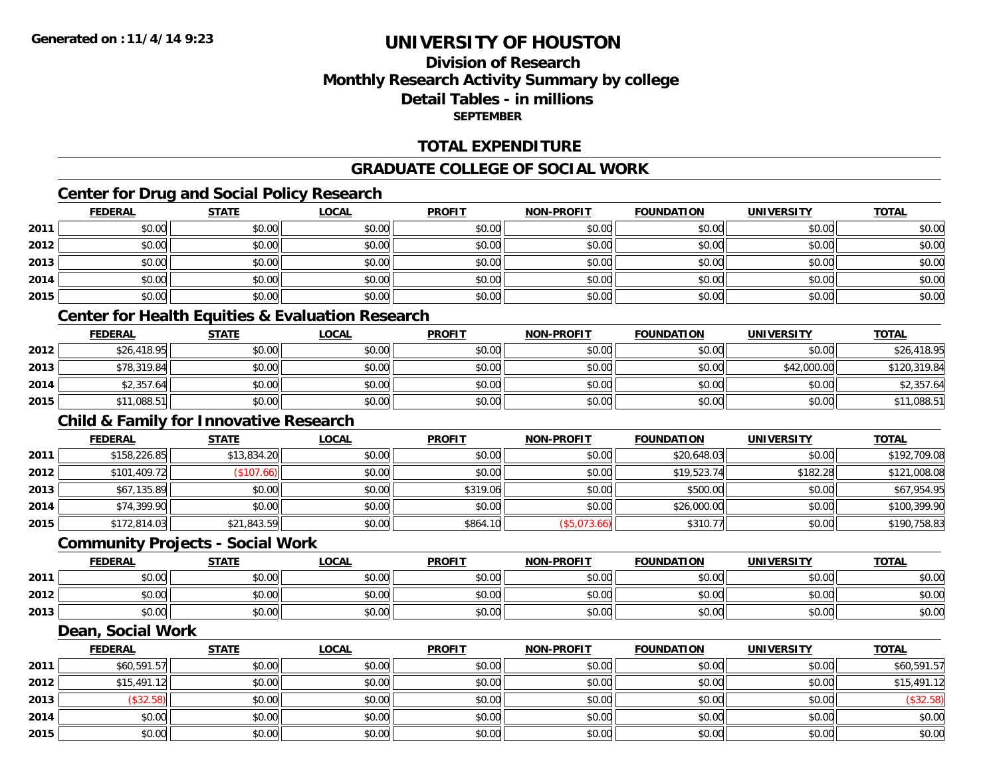**2015**

# **UNIVERSITY OF HOUSTON**

# **Division of ResearchMonthly Research Activity Summary by college Detail Tables - in millions SEPTEMBER**

### **TOTAL EXPENDITURE**

#### **GRADUATE COLLEGE OF SOCIAL WORK**

### **Center for Drug and Social Policy Research**

|      | <b>FEDERAL</b>                                              | <b>STATE</b> | <b>LOCAL</b> | <b>PROFIT</b> | <b>NON-PROFIT</b> | <b>FOUNDATION</b> | <b>UNIVERSITY</b> | <b>TOTAL</b> |
|------|-------------------------------------------------------------|--------------|--------------|---------------|-------------------|-------------------|-------------------|--------------|
| 2011 | \$0.00                                                      | \$0.00       | \$0.00       | \$0.00        | \$0.00            | \$0.00            | \$0.00            | \$0.00       |
| 2012 | \$0.00                                                      | \$0.00       | \$0.00       | \$0.00        | \$0.00            | \$0.00            | \$0.00            | \$0.00       |
| 2013 | \$0.00                                                      | \$0.00       | \$0.00       | \$0.00        | \$0.00            | \$0.00            | \$0.00            | \$0.00       |
| 2014 | \$0.00                                                      | \$0.00       | \$0.00       | \$0.00        | \$0.00            | \$0.00            | \$0.00            | \$0.00       |
| 2015 | \$0.00                                                      | \$0.00       | \$0.00       | \$0.00        | \$0.00            | \$0.00            | \$0.00            | \$0.00       |
|      | <b>Center for Health Equities &amp; Evaluation Research</b> |              |              |               |                   |                   |                   |              |
|      | <b>FEDERAL</b>                                              | <b>STATE</b> | <b>LOCAL</b> | <b>PROFIT</b> | <b>NON-PROFIT</b> | <b>FOUNDATION</b> | <b>UNIVERSITY</b> | <b>TOTAL</b> |
| 2012 | \$26,418.95                                                 | \$0.00       | \$0.00       | \$0.00        | \$0.00            | \$0.00            | \$0.00            | \$26,418.95  |
| 2013 | \$78,319.84                                                 | \$0.00       | \$0.00       | \$0.00        | \$0.00            | \$0.00            | \$42,000.00       | \$120,319.84 |
| 2014 | \$2,357.64                                                  | \$0.00       | \$0.00       | \$0.00        | \$0.00            | \$0.00            | \$0.00            | \$2,357.64   |
| 2015 | \$11,088.51                                                 | \$0.00       | \$0.00       | \$0.00        | \$0.00            | \$0.00            | \$0.00            | \$11,088.51  |
|      | <b>Child &amp; Family for Innovative Research</b>           |              |              |               |                   |                   |                   |              |
|      | <b>FEDERAL</b>                                              | <b>STATE</b> | <b>LOCAL</b> | <b>PROFIT</b> | <b>NON-PROFIT</b> | <b>FOUNDATION</b> | <b>UNIVERSITY</b> | <b>TOTAL</b> |
| 2011 | \$158,226.85                                                | \$13,834.20  | \$0.00       | \$0.00        | \$0.00            | \$20,648.03       | \$0.00            | \$192,709.08 |
| 2012 | \$101,409.72                                                | (\$107.66)   | \$0.00       | \$0.00        | \$0.00            | \$19,523.74       | \$182.28          | \$121,008.08 |
| 2013 | \$67,135.89                                                 | \$0.00       | \$0.00       | \$319.06      | \$0.00            | \$500.00          | \$0.00            | \$67,954.95  |
| 2014 | \$74,399.90                                                 | \$0.00       | \$0.00       | \$0.00        | \$0.00            | \$26,000.00       | \$0.00            | \$100,399.90 |
| 2015 | \$172,814.03                                                | \$21,843.59  | \$0.00       | \$864.10      | (\$5,073.66)      | \$310.77          | \$0.00            | \$190,758.83 |
|      | <b>Community Projects - Social Work</b>                     |              |              |               |                   |                   |                   |              |
|      | <b>FEDERAL</b>                                              | <b>STATE</b> | <b>LOCAL</b> | <b>PROFIT</b> | <b>NON-PROFIT</b> | <b>FOUNDATION</b> | <b>UNIVERSITY</b> | <b>TOTAL</b> |
| 2011 | \$0.00                                                      | \$0.00       | \$0.00       | \$0.00        | \$0.00            | \$0.00            | \$0.00            | \$0.00       |
| 2012 | \$0.00                                                      | \$0.00       | \$0.00       | \$0.00        | \$0.00            | \$0.00            | \$0.00            | \$0.00       |
| 2013 | \$0.00                                                      | \$0.00       | \$0.00       | \$0.00        | \$0.00            | \$0.00            | \$0.00            | \$0.00       |
|      | Dean, Social Work                                           |              |              |               |                   |                   |                   |              |
|      | <b>FEDERAL</b>                                              | <b>STATE</b> | <b>LOCAL</b> | <b>PROFIT</b> | <b>NON-PROFIT</b> | <b>FOUNDATION</b> | <b>UNIVERSITY</b> | <b>TOTAL</b> |
| 2011 | \$60,591.57                                                 | \$0.00       | \$0.00       | \$0.00        | \$0.00            | \$0.00            | \$0.00            | \$60,591.57  |
| 2012 | \$15,491.12                                                 | \$0.00       | \$0.00       | \$0.00        | \$0.00            | \$0.00            | \$0.00            | \$15,491.12  |
| 2013 | (\$32.58)                                                   | \$0.00       | \$0.00       | \$0.00        | \$0.00            | \$0.00            | \$0.00            | (\$32.58)    |
| 2014 | \$0.00                                                      | \$0.00       | \$0.00       | \$0.00        | \$0.00            | \$0.00            | \$0.00            | \$0.00       |

\$0.00 \$0.00 \$0.00 \$0.00 \$0.00 \$0.00 \$0.00 \$0.00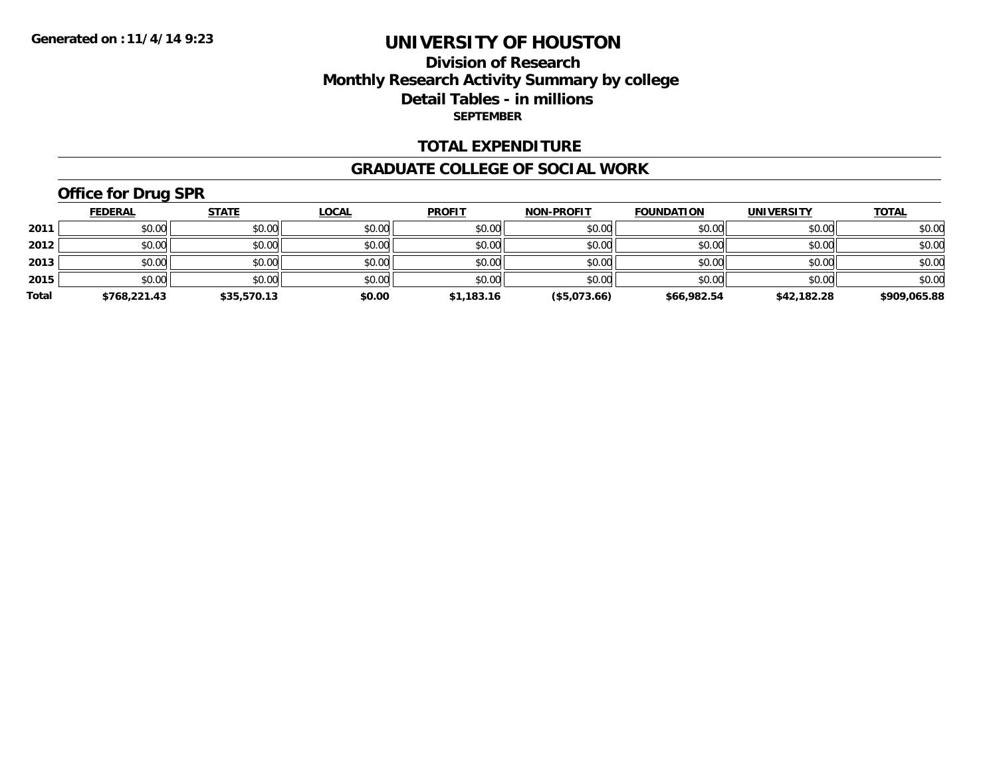### **Division of Research Monthly Research Activity Summary by college Detail Tables - in millions SEPTEMBER**

### **TOTAL EXPENDITURE**

#### **GRADUATE COLLEGE OF SOCIAL WORK**

# **Office for Drug SPR**

|       | <b>FEDERAL</b> | <b>STATE</b> | <u>LOCAL</u> | <b>PROFIT</b> | <b>NON-PROFIT</b> | <b>FOUNDATION</b> | <b>UNIVERSITY</b> | <b>TOTAL</b> |
|-------|----------------|--------------|--------------|---------------|-------------------|-------------------|-------------------|--------------|
| 2011  | \$0.00         | \$0.00       | \$0.00       | \$0.00        | \$0.00            | \$0.00            | \$0.00            | \$0.00       |
| 2012  | \$0.00         | \$0.00       | \$0.00       | \$0.00        | \$0.00            | \$0.00            | \$0.00            | \$0.00       |
| 2013  | \$0.00         | \$0.00       | \$0.00       | \$0.00        | \$0.00            | \$0.00            | \$0.00            | \$0.00       |
| 2015  | \$0.00         | \$0.00       | \$0.00       | \$0.00        | \$0.00            | \$0.00            | \$0.00            | \$0.00       |
| Total | \$768,221.43   | \$35,570.13  | \$0.00       | \$1,183.16    | (\$5,073.66)      | \$66,982.54       | \$42,182.28       | \$909,065.88 |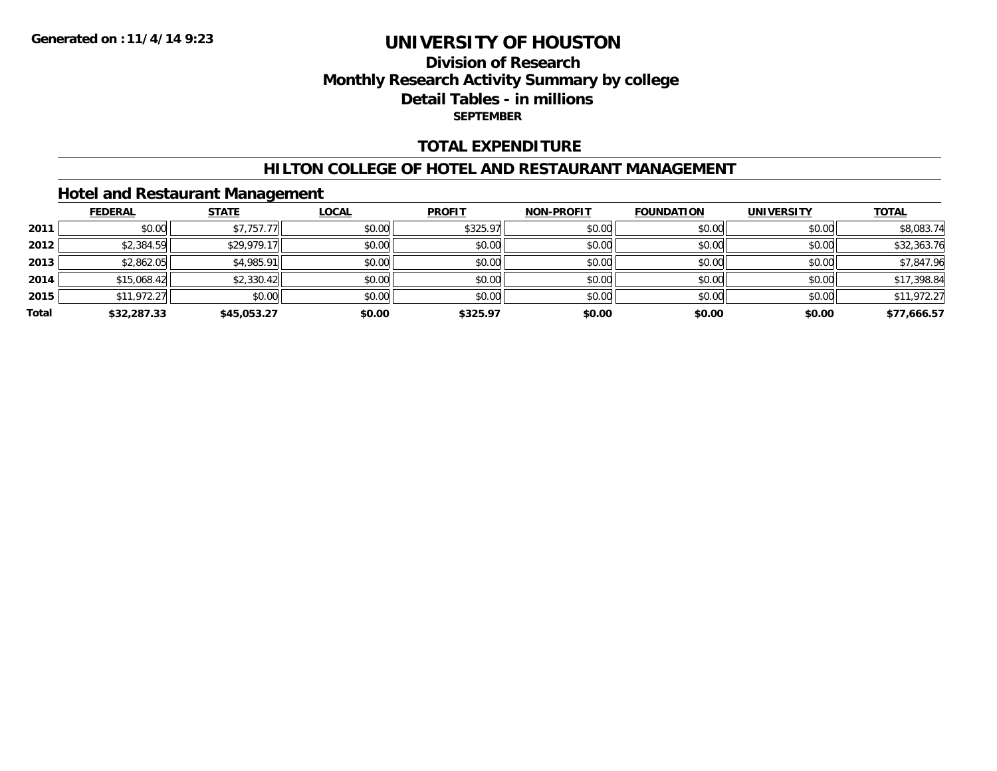### **Division of Research Monthly Research Activity Summary by college Detail Tables - in millions SEPTEMBER**

### **TOTAL EXPENDITURE**

#### **HILTON COLLEGE OF HOTEL AND RESTAURANT MANAGEMENT**

### **Hotel and Restaurant Management**

|       | <b>FEDERAL</b> | <b>STATE</b> | <b>LOCAL</b> | <b>PROFIT</b> | <b>NON-PROFIT</b> | <b>FOUNDATION</b> | <b>UNIVERSITY</b> | <b>TOTAL</b> |
|-------|----------------|--------------|--------------|---------------|-------------------|-------------------|-------------------|--------------|
| 2011  | \$0.00         | \$7,757.77   | \$0.00       | \$325.97      | \$0.00            | \$0.00            | \$0.00            | \$8,083.74   |
| 2012  | \$2,384.59     | \$29,979.17  | \$0.00       | \$0.00        | \$0.00            | \$0.00            | \$0.00            | \$32,363.76  |
| 2013  | \$2,862.05     | \$4,985.91   | \$0.00       | \$0.00        | \$0.00            | \$0.00            | \$0.00            | \$7,847.96   |
| 2014  | \$15,068.42    | \$2,330.42   | \$0.00       | \$0.00        | \$0.00            | \$0.00            | \$0.00            | \$17,398.84  |
| 2015  | \$11,972.27    | \$0.00       | \$0.00       | \$0.00        | \$0.00            | \$0.00            | \$0.00            | \$11,972.27  |
| Total | \$32,287.33    | \$45,053.27  | \$0.00       | \$325.97      | \$0.00            | \$0.00            | \$0.00            | \$77,666.57  |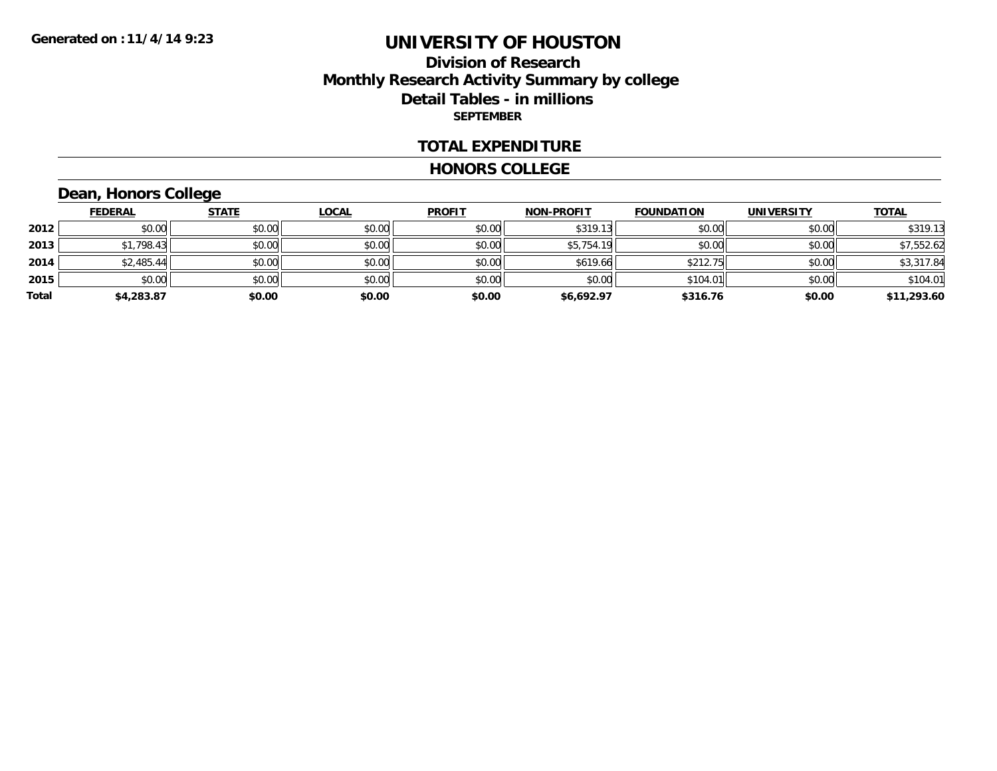### **Division of Research Monthly Research Activity Summary by college Detail Tables - in millions SEPTEMBER**

#### **TOTAL EXPENDITURE**

#### **HONORS COLLEGE**

# **Dean, Honors College**

|       | <b>FEDERAL</b> | <b>STATE</b> | <b>LOCAL</b> | <b>PROFIT</b> | <b>NON-PROFIT</b> | <b>FOUNDATION</b> | <b>UNIVERSITY</b> | <b>TOTAL</b> |
|-------|----------------|--------------|--------------|---------------|-------------------|-------------------|-------------------|--------------|
| 2012  | \$0.00         | \$0.00       | \$0.00       | \$0.00        | \$319.13          | \$0.00            | \$0.00            | \$319.13     |
| 2013  | \$1,798.43     | \$0.00       | \$0.00       | \$0.00        | \$5,754.19        | \$0.00            | \$0.00            | \$7,552.62   |
| 2014  | \$2,485.44     | \$0.00       | \$0.00       | \$0.00        | \$619.66          | \$212.75          | \$0.00            | \$3,317.84   |
| 2015  | \$0.00         | \$0.00       | \$0.00       | \$0.00        | \$0.00            | \$104.01          | \$0.00            | \$104.01     |
| Total | \$4,283.87     | \$0.00       | \$0.00       | \$0.00        | \$6,692.97        | \$316.76          | \$0.00            | \$11,293.60  |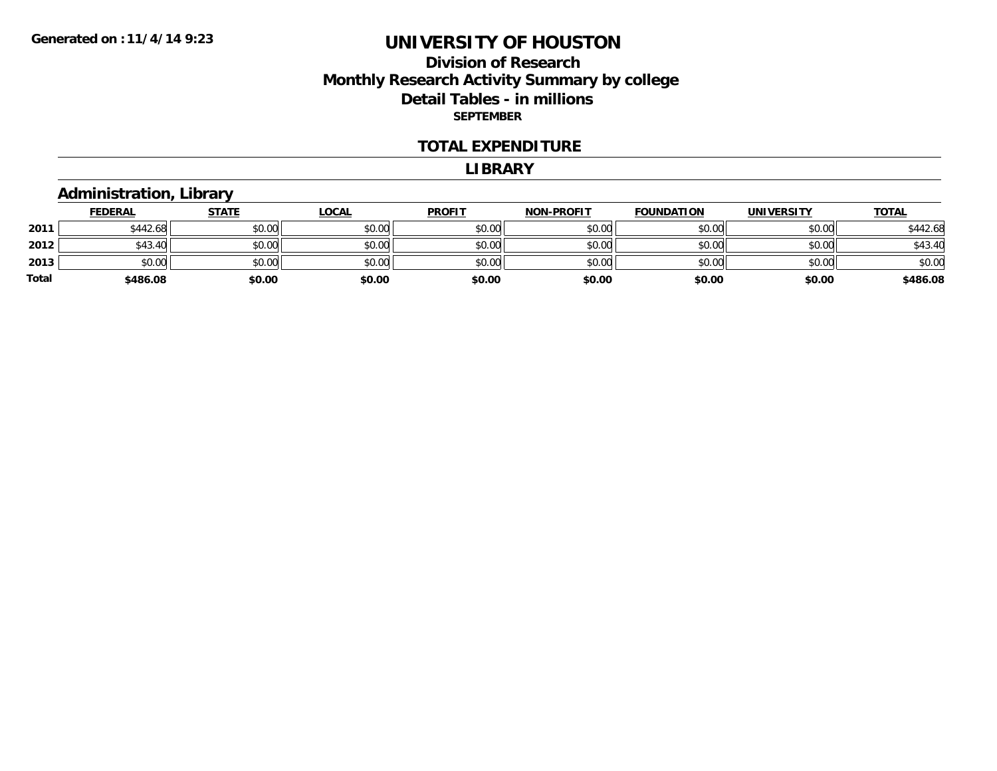### **Division of Research Monthly Research Activity Summary by college Detail Tables - in millions SEPTEMBER**

#### **TOTAL EXPENDITURE**

#### **LIBRARY**

# **Administration, Library**

|       | <b>FEDERAL</b> | <b>STATE</b> | <b>LOCAL</b> | <b>PROFIT</b> | <b>NON-PROFIT</b> | <b>FOUNDATION</b> | <b>UNIVERSITY</b> | <b>TOTAL</b> |
|-------|----------------|--------------|--------------|---------------|-------------------|-------------------|-------------------|--------------|
| 2011  | \$442.68       | \$0.00       | \$0.00       | \$0.00        | \$0.00            | \$0.00            | \$0.00            | \$442.68     |
| 2012  | \$43.40        | \$0.00       | \$0.00       | \$0.00        | \$0.00            | \$0.00            | \$0.00            | \$43.40      |
| 2013  | \$0.00         | \$0.00       | \$0.00       | \$0.00        | \$0.00            | \$0.00            | \$0.00            | \$0.00       |
| Total | \$486.08       | \$0.00       | \$0.00       | \$0.00        | \$0.00            | \$0.00            | \$0.00            | \$486.08     |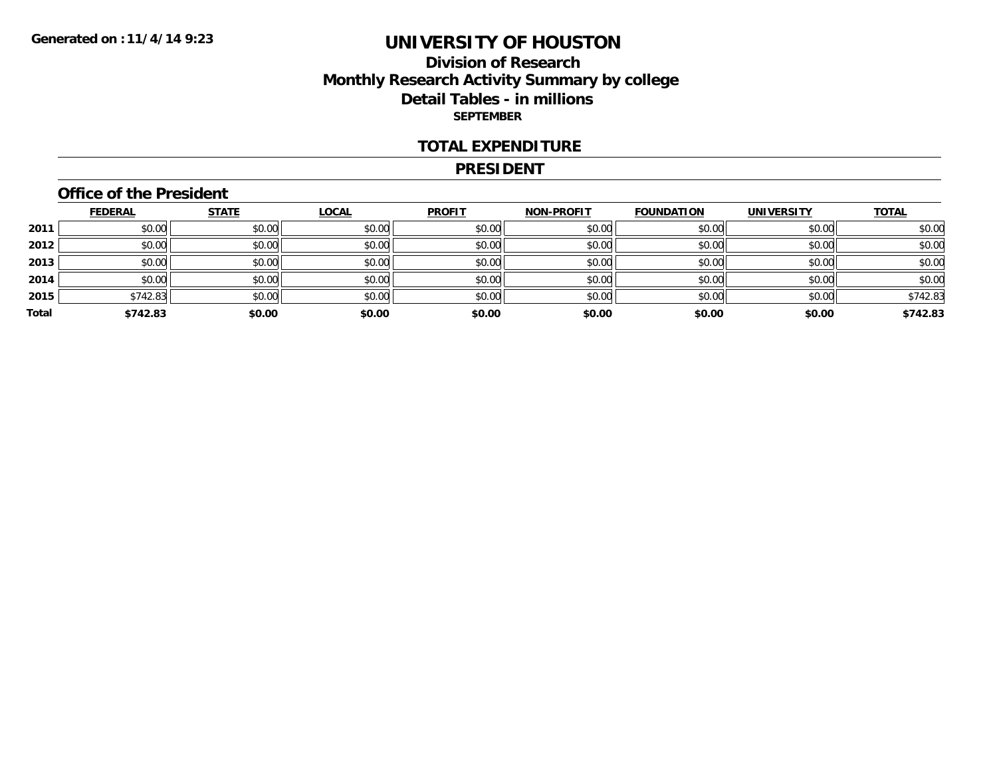### **Division of Research Monthly Research Activity Summary by college Detail Tables - in millions SEPTEMBER**

#### **TOTAL EXPENDITURE**

#### **PRESIDENT**

### **Office of the President**

|       | <b>FEDERAL</b> | <b>STATE</b> | <b>LOCAL</b> | <b>PROFIT</b> | <b>NON-PROFIT</b> | <b>FOUNDATION</b> | <b>UNIVERSITY</b> | <b>TOTAL</b> |
|-------|----------------|--------------|--------------|---------------|-------------------|-------------------|-------------------|--------------|
| 2011  | \$0.00         | \$0.00       | \$0.00       | \$0.00        | \$0.00            | \$0.00            | \$0.00            | \$0.00       |
| 2012  | \$0.00         | \$0.00       | \$0.00       | \$0.00        | \$0.00            | \$0.00            | \$0.00            | \$0.00       |
| 2013  | \$0.00         | \$0.00       | \$0.00       | \$0.00        | \$0.00            | \$0.00            | \$0.00            | \$0.00       |
| 2014  | \$0.00         | \$0.00       | \$0.00       | \$0.00        | \$0.00            | \$0.00            | \$0.00            | \$0.00       |
| 2015  | \$742.83       | \$0.00       | \$0.00       | \$0.00        | \$0.00            | \$0.00            | \$0.00            | \$742.83     |
| Total | \$742.83       | \$0.00       | \$0.00       | \$0.00        | \$0.00            | \$0.00            | \$0.00            | \$742.83     |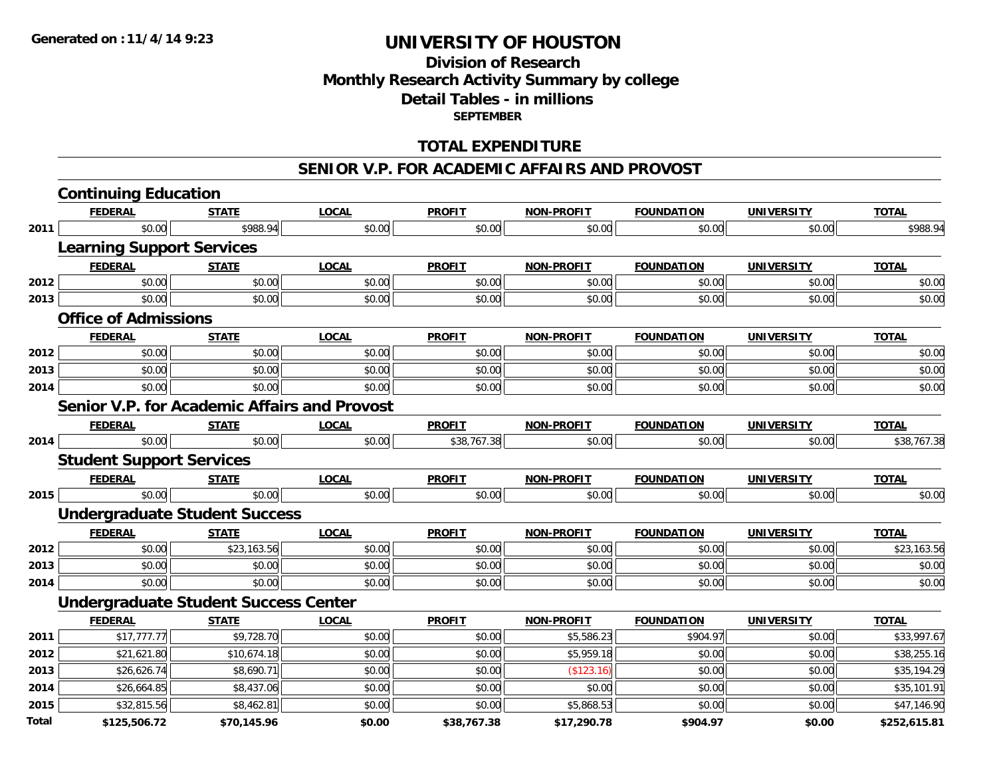### **Division of Research Monthly Research Activity Summary by college Detail Tables - in millions SEPTEMBER**

### **TOTAL EXPENDITURE**

#### **SENIOR V.P. FOR ACADEMIC AFFAIRS AND PROVOST**

|              | <b>Continuing Education</b>                         |              |              |               |                   |                   |                   |              |
|--------------|-----------------------------------------------------|--------------|--------------|---------------|-------------------|-------------------|-------------------|--------------|
|              | <b>FEDERAL</b>                                      | <b>STATE</b> | <b>LOCAL</b> | <b>PROFIT</b> | <b>NON-PROFIT</b> | <b>FOUNDATION</b> | <b>UNIVERSITY</b> | <b>TOTAL</b> |
| 2011         | \$0.00                                              | \$988.94     | \$0.00       | \$0.00        | \$0.00            | \$0.00            | \$0.00            | \$988.94     |
|              | <b>Learning Support Services</b>                    |              |              |               |                   |                   |                   |              |
|              | <b>FEDERAL</b>                                      | <b>STATE</b> | <b>LOCAL</b> | <b>PROFIT</b> | <b>NON-PROFIT</b> | <b>FOUNDATION</b> | <b>UNIVERSITY</b> | <b>TOTAL</b> |
| 2012         | \$0.00                                              | \$0.00       | \$0.00       | \$0.00        | \$0.00            | \$0.00            | \$0.00            | \$0.00       |
| 2013         | \$0.00                                              | \$0.00       | \$0.00       | \$0.00        | \$0.00            | \$0.00            | \$0.00            | \$0.00       |
|              | <b>Office of Admissions</b>                         |              |              |               |                   |                   |                   |              |
|              | <b>FEDERAL</b>                                      | <b>STATE</b> | <b>LOCAL</b> | <b>PROFIT</b> | <b>NON-PROFIT</b> | <b>FOUNDATION</b> | <b>UNIVERSITY</b> | <b>TOTAL</b> |
| 2012         | \$0.00                                              | \$0.00       | \$0.00       | \$0.00        | \$0.00            | \$0.00            | \$0.00            | \$0.00       |
| 2013         | \$0.00                                              | \$0.00       | \$0.00       | \$0.00        | \$0.00            | \$0.00            | \$0.00            | \$0.00       |
| 2014         | \$0.00                                              | \$0.00       | \$0.00       | \$0.00        | \$0.00            | \$0.00            | \$0.00            | \$0.00       |
|              | <b>Senior V.P. for Academic Affairs and Provost</b> |              |              |               |                   |                   |                   |              |
|              | <b>FEDERAL</b>                                      | <b>STATE</b> | <b>LOCAL</b> | <b>PROFIT</b> | <b>NON-PROFIT</b> | <b>FOUNDATION</b> | <b>UNIVERSITY</b> | <b>TOTAL</b> |
| 2014         | \$0.00                                              | \$0.00       | \$0.00       | \$38,767.38   | \$0.00            | \$0.00            | \$0.00            | \$38,767.38  |
|              | <b>Student Support Services</b>                     |              |              |               |                   |                   |                   |              |
|              | <b>FEDERAL</b>                                      | <b>STATE</b> | <b>LOCAL</b> | <b>PROFIT</b> | <b>NON-PROFIT</b> | <b>FOUNDATION</b> | <b>UNIVERSITY</b> | <b>TOTAL</b> |
| 2015         | \$0.00                                              | \$0.00       | \$0.00       | \$0.00        | \$0.00            | \$0.00            | \$0.00            | \$0.00       |
|              | <b>Undergraduate Student Success</b>                |              |              |               |                   |                   |                   |              |
|              | <b>FEDERAL</b>                                      | <b>STATE</b> | <b>LOCAL</b> | <b>PROFIT</b> | <b>NON-PROFIT</b> | <b>FOUNDATION</b> | <b>UNIVERSITY</b> | <b>TOTAL</b> |
| 2012         | \$0.00                                              | \$23,163.56  | \$0.00       | \$0.00        | \$0.00            | \$0.00            | \$0.00            | \$23,163.56  |
| 2013         | \$0.00                                              | \$0.00       | \$0.00       | \$0.00        | \$0.00            | \$0.00            | \$0.00            | \$0.00       |
| 2014         | \$0.00                                              | \$0.00       | \$0.00       | \$0.00        | \$0.00            | \$0.00            | \$0.00            | \$0.00       |
|              | <b>Undergraduate Student Success Center</b>         |              |              |               |                   |                   |                   |              |
|              | <b>FEDERAL</b>                                      | <b>STATE</b> | <b>LOCAL</b> | <b>PROFIT</b> | <b>NON-PROFIT</b> | <b>FOUNDATION</b> | <b>UNIVERSITY</b> | <b>TOTAL</b> |
| 2011         | \$17,777.77                                         | \$9,728.70   | \$0.00       | \$0.00        | \$5,586.23        | \$904.97          | \$0.00            | \$33,997.67  |
| 2012         | \$21,621.80                                         | \$10,674.18  | \$0.00       | \$0.00        | \$5,959.18        | \$0.00            | \$0.00            | \$38,255.16  |
| 2013         | \$26,626.74                                         | \$8,690.71   | \$0.00       | \$0.00        | (\$123.16)        | \$0.00            | \$0.00            | \$35,194.29  |
| 2014         | \$26,664.85                                         | \$8,437.06   | \$0.00       | \$0.00        | \$0.00            | \$0.00            | \$0.00            | \$35,101.91  |
| 2015         | \$32,815.56                                         | \$8,462.81   | \$0.00       | \$0.00        | \$5,868.53        | \$0.00            | \$0.00            | \$47,146.90  |
| <b>Total</b> | \$125,506.72                                        | \$70,145.96  | \$0.00       | \$38,767.38   | \$17,290.78       | \$904.97          | \$0.00            | \$252,615.81 |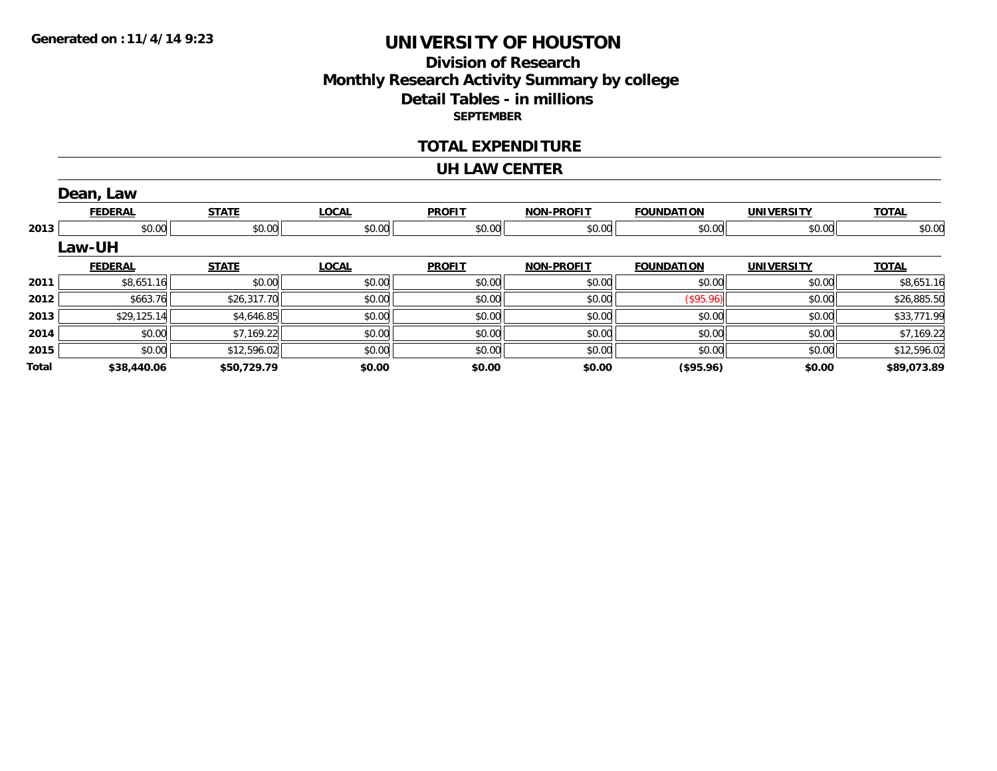# **Division of ResearchMonthly Research Activity Summary by college Detail Tables - in millions SEPTEMBER**

#### **TOTAL EXPENDITURE**

#### **UH LAW CENTER**

|       | Dean, Law      |              |              |               |                   |                   |                   |              |
|-------|----------------|--------------|--------------|---------------|-------------------|-------------------|-------------------|--------------|
|       | <b>FEDERAL</b> | <b>STATE</b> | <b>LOCAL</b> | <b>PROFIT</b> | <b>NON-PROFIT</b> | <b>FOUNDATION</b> | <b>UNIVERSITY</b> | <b>TOTAL</b> |
| 2013  | \$0.00         | \$0.00       | \$0.00       | \$0.00        | \$0.00            | \$0.00            | \$0.00            | \$0.00       |
|       | Law-UH         |              |              |               |                   |                   |                   |              |
|       | <b>FEDERAL</b> | <b>STATE</b> | <b>LOCAL</b> | <b>PROFIT</b> | <b>NON-PROFIT</b> | <b>FOUNDATION</b> | <b>UNIVERSITY</b> | <b>TOTAL</b> |
| 2011  | \$8,651.16     | \$0.00       | \$0.00       | \$0.00        | \$0.00            | \$0.00            | \$0.00            | \$8,651.16   |
| 2012  | \$663.76       | \$26,317.70  | \$0.00       | \$0.00        | \$0.00            | $($ \$95.96) $ $  | \$0.00            | \$26,885.50  |
| 2013  | \$29,125.14    | \$4,646.85   | \$0.00       | \$0.00        | \$0.00            | \$0.00            | \$0.00            | \$33,771.99  |
| 2014  | \$0.00         | \$7,169.22   | \$0.00       | \$0.00        | \$0.00            | \$0.00            | \$0.00            | \$7,169.22   |
| 2015  | \$0.00         | \$12,596.02  | \$0.00       | \$0.00        | \$0.00            | \$0.00            | \$0.00            | \$12,596.02  |
| Total | \$38,440.06    | \$50,729.79  | \$0.00       | \$0.00        | \$0.00            | (\$95.96)         | \$0.00            | \$89,073.89  |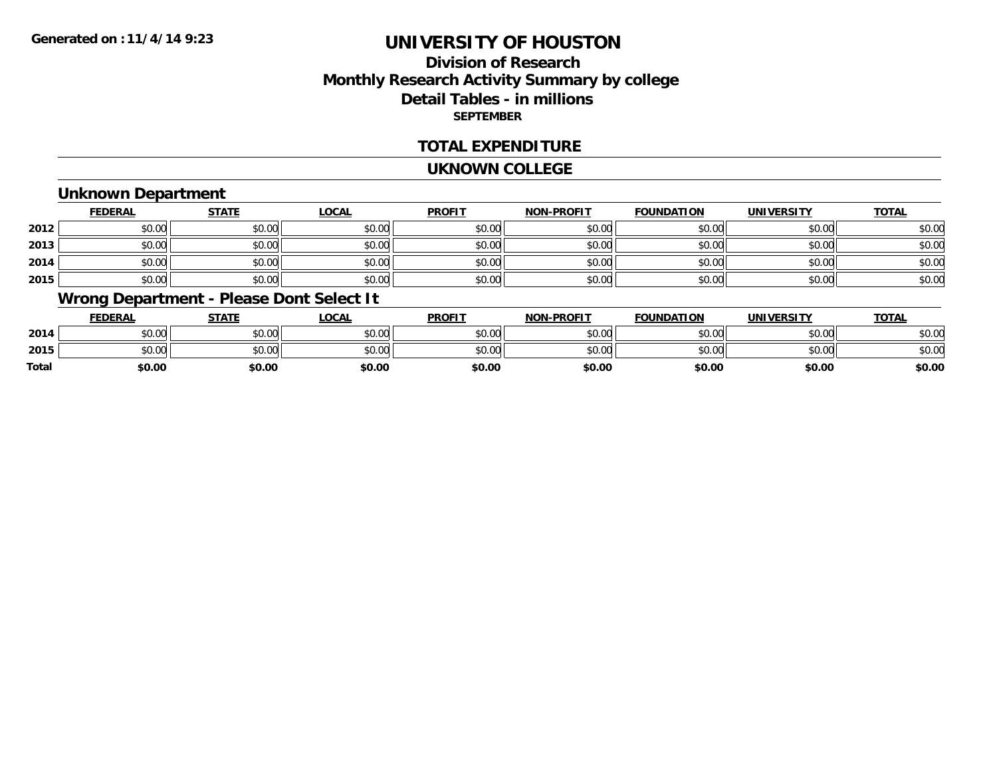# **Division of ResearchMonthly Research Activity Summary by college Detail Tables - in millions SEPTEMBER**

### **TOTAL EXPENDITURE**

#### **UKNOWN COLLEGE**

### **Unknown Department**

|      | <b>FEDERAL</b> | <b>STATE</b> | <b>LOCAL</b> | <b>PROFIT</b> | <b>NON-PROFIT</b> | <b>FOUNDATION</b> | <b>UNIVERSITY</b> | <b>TOTAL</b> |
|------|----------------|--------------|--------------|---------------|-------------------|-------------------|-------------------|--------------|
| 2012 | \$0.00         | \$0.00       | \$0.00       | \$0.00        | \$0.00            | \$0.00            | \$0.00            | \$0.00       |
| 2013 | \$0.00         | \$0.00       | \$0.00       | \$0.00        | \$0.00            | \$0.00            | \$0.00            | \$0.00       |
| 2014 | \$0.00         | \$0.00       | \$0.00       | \$0.00        | \$0.00            | \$0.00            | \$0.00            | \$0.00       |
| 2015 | \$0.00         | \$0.00       | \$0.00       | \$0.00        | \$0.00            | \$0.00            | \$0.00            | \$0.00       |

### **Wrong Department - Please Dont Select It**

|              | <b>FEDERAL</b> | <b>STATE</b> | <b>LOCAL</b> | <b>PROFIT</b> | <b>NON-PROFIT</b> | <b>FOUNDATION</b> | UNIVERSITY | <b>TOTAL</b> |
|--------------|----------------|--------------|--------------|---------------|-------------------|-------------------|------------|--------------|
| 2014         | \$0.00         | \$0.00       | \$0.00       | \$0.00        | \$0.00            | \$0.00            | \$0.00     | \$0.00       |
| 2015         | \$0.00         | \$0.00       | \$0.00       | \$0.00        | \$0.00            | \$0.00            | \$0.00     | \$0.00       |
| <b>Total</b> | \$0.00         | \$0.00       | \$0.00       | \$0.00        | \$0.00            | \$0.00            | \$0.00     | \$0.00       |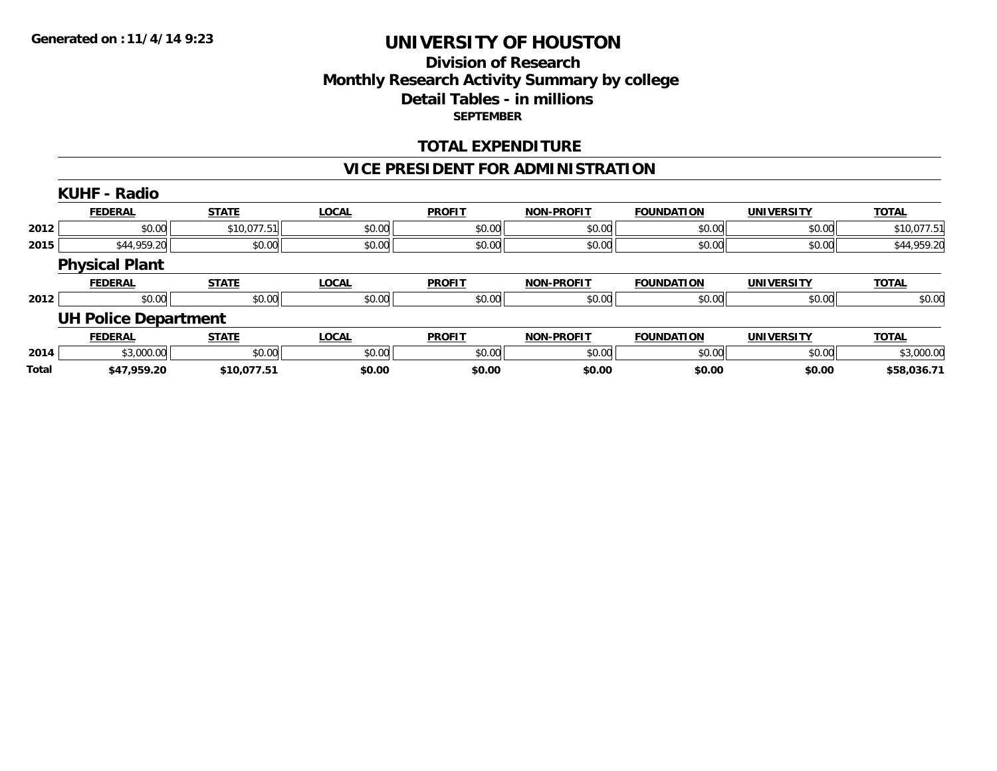## **Division of ResearchMonthly Research Activity Summary by college Detail Tables - in millions SEPTEMBER**

### **TOTAL EXPENDITURE**

## **VICE PRESIDENT FOR ADMINISTRATION**

|              | <b>KUHF - Radio</b>         |              |              |               |                   |                   |                   |              |
|--------------|-----------------------------|--------------|--------------|---------------|-------------------|-------------------|-------------------|--------------|
|              | <b>FEDERAL</b>              | <b>STATE</b> | <b>LOCAL</b> | <b>PROFIT</b> | <b>NON-PROFIT</b> | <b>FOUNDATION</b> | <b>UNIVERSITY</b> | <b>TOTAL</b> |
| 2012         | \$0.00                      | \$10,077.51  | \$0.00       | \$0.00        | \$0.00            | \$0.00            | \$0.00            | \$10,077.51  |
| 2015         | \$44,959.20                 | \$0.00       | \$0.00       | \$0.00        | \$0.00            | \$0.00            | \$0.00            | \$44,959.20  |
|              | <b>Physical Plant</b>       |              |              |               |                   |                   |                   |              |
|              | <b>FEDERAL</b>              | <b>STATE</b> | <b>LOCAL</b> | <b>PROFIT</b> | <b>NON-PROFIT</b> | <b>FOUNDATION</b> | <b>UNIVERSITY</b> | <b>TOTAL</b> |
| 2012         | \$0.00                      | \$0.00       | \$0.00       | \$0.00        | \$0.00            | \$0.00            | \$0.00            | \$0.00       |
|              | <b>UH Police Department</b> |              |              |               |                   |                   |                   |              |
|              | <b>FEDERAL</b>              | <b>STATE</b> | <b>LOCAL</b> | <b>PROFIT</b> | <b>NON-PROFIT</b> | <b>FOUNDATION</b> | <b>UNIVERSITY</b> | <b>TOTAL</b> |
| 2014         | \$3,000.00                  | \$0.00       | \$0.00       | \$0.00        | \$0.00            | \$0.00            | \$0.00            | \$3,000.00   |
| <b>Total</b> | \$47,959.20                 | \$10,077.51  | \$0.00       | \$0.00        | \$0.00            | \$0.00            | \$0.00            | \$58,036.71  |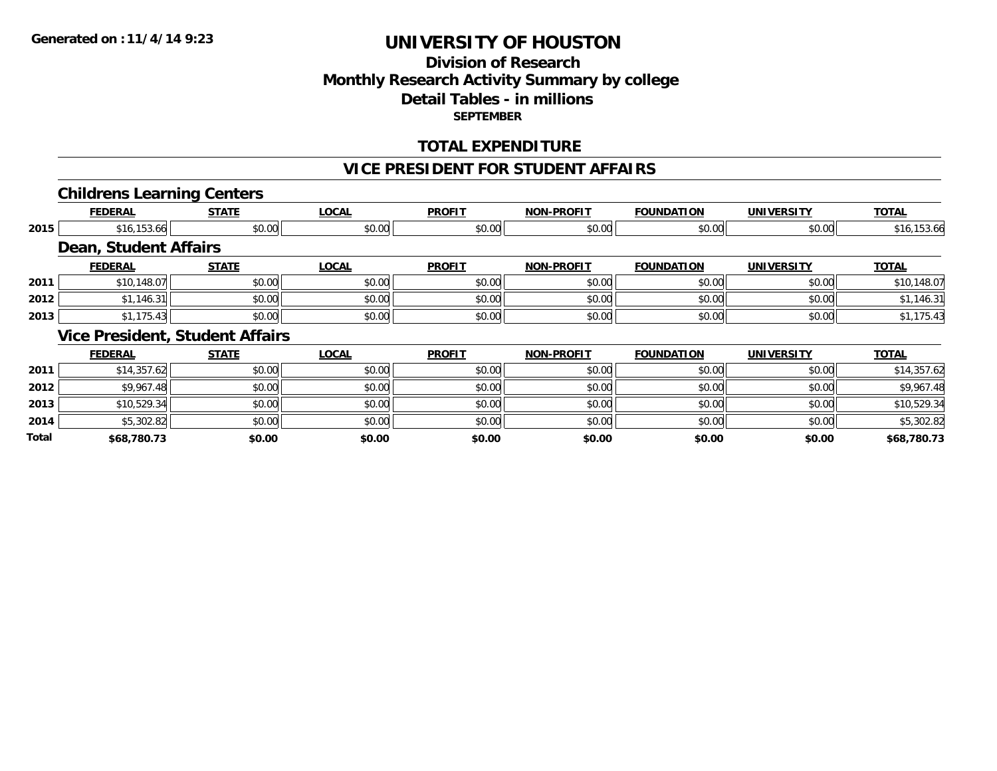## **Division of ResearchMonthly Research Activity Summary by college Detail Tables - in millions SEPTEMBER**

### **TOTAL EXPENDITURE**

#### **VICE PRESIDENT FOR STUDENT AFFAIRS**

### **Childrens Learning Centers**

|      | <b>FEDERAL</b>                         | <b>STATE</b> | <b>LOCAL</b> | <b>PROFIT</b> | <b>NON-PROFIT</b> | <b>FOUNDATION</b> | <b>UNIVERSITY</b> | <b>TOTAL</b> |
|------|----------------------------------------|--------------|--------------|---------------|-------------------|-------------------|-------------------|--------------|
| 2015 | \$16,153.66                            | \$0.00       | \$0.00       | \$0.00        | \$0.00            | \$0.00            | \$0.00            | \$16,153.66  |
|      | Dean, Student Affairs                  |              |              |               |                   |                   |                   |              |
|      | <b>FEDERAL</b>                         | <b>STATE</b> | <b>LOCAL</b> | <b>PROFIT</b> | <b>NON-PROFIT</b> | <b>FOUNDATION</b> | <b>UNIVERSITY</b> | <b>TOTAL</b> |
| 2011 | \$10,148.07                            | \$0.00       | \$0.00       | \$0.00        | \$0.00            | \$0.00            | \$0.00            | \$10,148.07  |
| 2012 | \$1,146.31                             | \$0.00       | \$0.00       | \$0.00        | \$0.00            | \$0.00            | \$0.00            | \$1,146.31   |
| 2013 | \$1,175.43                             | \$0.00       | \$0.00       | \$0.00        | \$0.00            | \$0.00            | \$0.00            | \$1,175.43   |
|      | <b>Vice President, Student Affairs</b> |              |              |               |                   |                   |                   |              |
|      | <b>FEDERAL</b>                         | <b>STATE</b> | <b>LOCAL</b> | <b>PROFIT</b> | <b>NON-PROFIT</b> | <b>FOUNDATION</b> | <b>UNIVERSITY</b> | <b>TOTAL</b> |
| 2011 | \$14,357.62                            | \$0.00       | \$0.00       | \$0.00        | \$0.00            | \$0.00            | \$0.00            | \$14,357.62  |
|      |                                        |              |              |               |                   |                   |                   |              |
| 2012 | \$9,967.48                             | \$0.00       | \$0.00       | \$0.00        | \$0.00            | \$0.00            | \$0.00            | \$9,967.48   |
| 2013 | \$10,529.34                            | \$0.00       | \$0.00       | \$0.00        | \$0.00            | \$0.00            | \$0.00            | \$10,529.34  |
| 2014 | \$5,302.82                             | \$0.00       | \$0.00       | \$0.00        | \$0.00            | \$0.00            | \$0.00            | \$5,302.82   |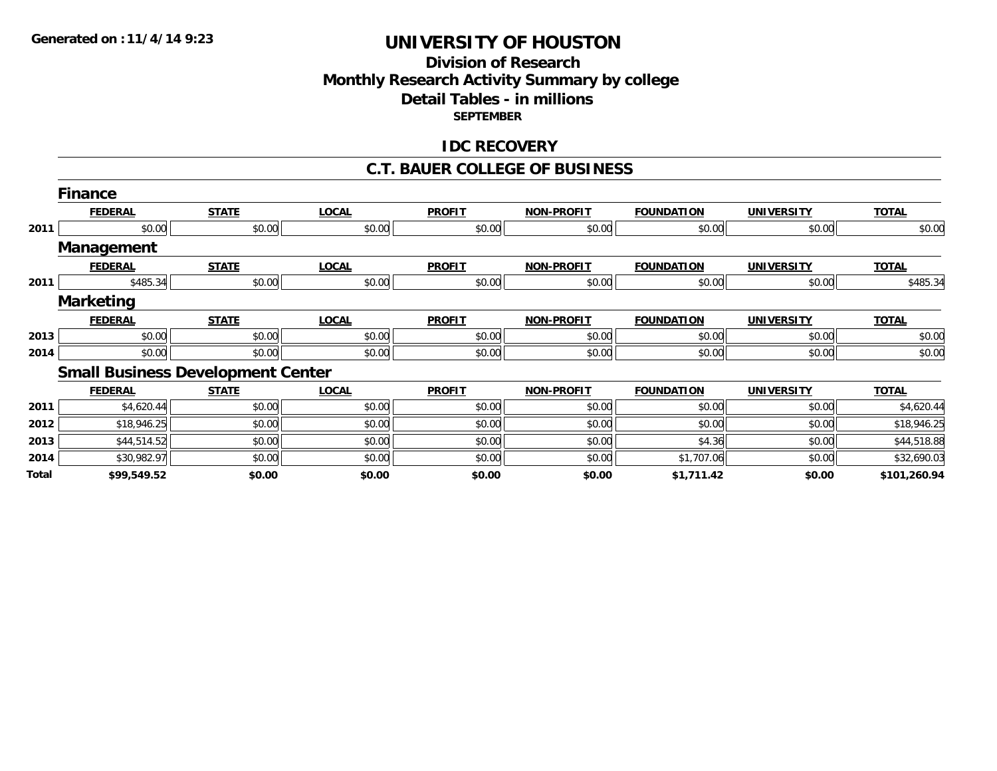## **Division of Research Monthly Research Activity Summary by college Detail Tables - in millions SEPTEMBER**

### **IDC RECOVERY**

#### **C.T. BAUER COLLEGE OF BUSINESS**

|       | <b>Finance</b>                           |              |              |               |                   |                   |                   |              |
|-------|------------------------------------------|--------------|--------------|---------------|-------------------|-------------------|-------------------|--------------|
|       | <b>FEDERAL</b>                           | <b>STATE</b> | <b>LOCAL</b> | <b>PROFIT</b> | <b>NON-PROFIT</b> | <b>FOUNDATION</b> | <b>UNIVERSITY</b> | <b>TOTAL</b> |
| 2011  | \$0.00                                   | \$0.00       | \$0.00       | \$0.00        | \$0.00            | \$0.00            | \$0.00            | \$0.00       |
|       | <b>Management</b>                        |              |              |               |                   |                   |                   |              |
|       | <b>FEDERAL</b>                           | <b>STATE</b> | <b>LOCAL</b> | <b>PROFIT</b> | <b>NON-PROFIT</b> | <b>FOUNDATION</b> | <b>UNIVERSITY</b> | <b>TOTAL</b> |
| 2011  | \$485.34                                 | \$0.00       | \$0.00       | \$0.00        | \$0.00            | \$0.00            | \$0.00            | \$485.34     |
|       | <b>Marketing</b>                         |              |              |               |                   |                   |                   |              |
|       | <b>FEDERAL</b>                           | <b>STATE</b> | <b>LOCAL</b> | <b>PROFIT</b> | <b>NON-PROFIT</b> | <b>FOUNDATION</b> | <b>UNIVERSITY</b> | <b>TOTAL</b> |
| 2013  | \$0.00                                   | \$0.00       | \$0.00       | \$0.00        | \$0.00            | \$0.00            | \$0.00            | \$0.00       |
| 2014  | \$0.00                                   | \$0.00       | \$0.00       | \$0.00        | \$0.00            | \$0.00            | \$0.00            | \$0.00       |
|       | <b>Small Business Development Center</b> |              |              |               |                   |                   |                   |              |
|       | <b>FEDERAL</b>                           | <b>STATE</b> | <b>LOCAL</b> | <b>PROFIT</b> | <b>NON-PROFIT</b> | <b>FOUNDATION</b> | <b>UNIVERSITY</b> | <b>TOTAL</b> |
| 2011  | \$4,620.44                               | \$0.00       | \$0.00       | \$0.00        | \$0.00            | \$0.00            | \$0.00            | \$4,620.44   |
| 2012  | \$18,946.25                              | \$0.00       | \$0.00       | \$0.00        | \$0.00            | \$0.00            | \$0.00            | \$18,946.25  |
| 2013  | \$44,514.52                              | \$0.00       | \$0.00       | \$0.00        | \$0.00            | \$4.36            | \$0.00            | \$44,518.88  |
| 2014  | \$30,982.97                              | \$0.00       | \$0.00       | \$0.00        | \$0.00            | \$1,707.06        | \$0.00            | \$32,690.03  |
| Total | \$99,549.52                              | \$0.00       | \$0.00       | \$0.00        | \$0.00            | \$1,711.42        | \$0.00            | \$101,260.94 |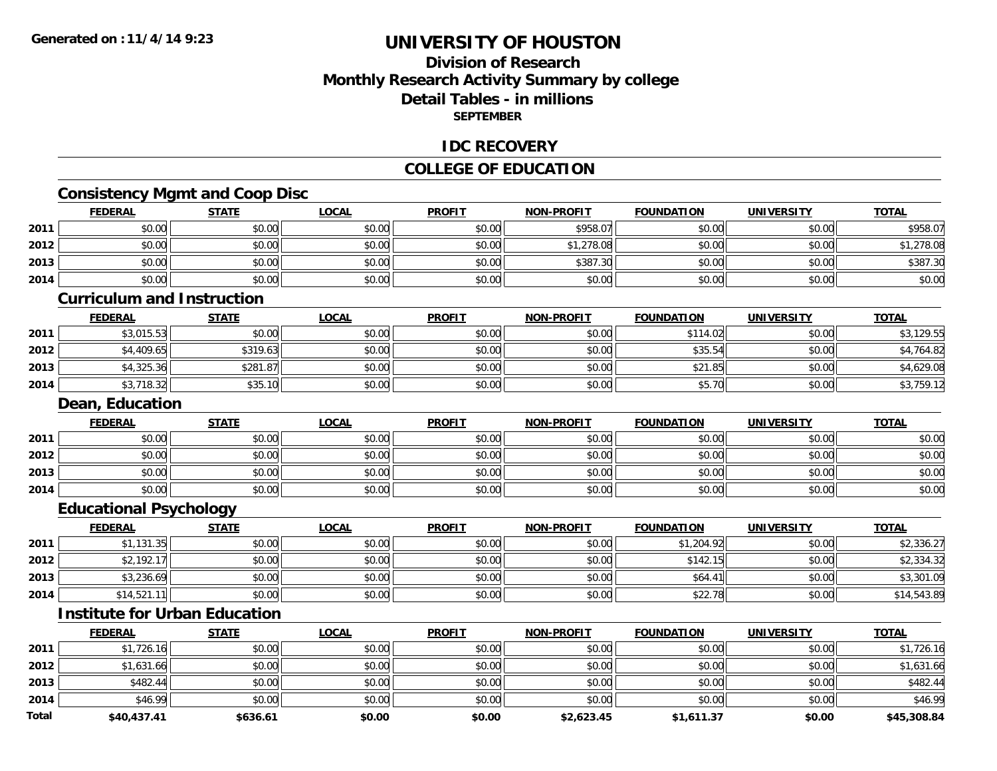**2014**

**Total**

# **UNIVERSITY OF HOUSTON**

## **Division of ResearchMonthly Research Activity Summary by college Detail Tables - in millions SEPTEMBER**

### **IDC RECOVERY**

## **COLLEGE OF EDUCATION**

# **Consistency Mgmt and Coop Disc**

|      | <b>FEDERAL</b>                    | <b>STATE</b>                         | <b>LOCAL</b> | <b>PROFIT</b> | <b>NON-PROFIT</b> | <b>FOUNDATION</b> | <b>UNIVERSITY</b> | <b>TOTAL</b> |
|------|-----------------------------------|--------------------------------------|--------------|---------------|-------------------|-------------------|-------------------|--------------|
| 2011 | \$0.00                            | \$0.00                               | \$0.00       | \$0.00        | \$958.07          | \$0.00            | \$0.00            | \$958.07     |
| 2012 | \$0.00                            | \$0.00                               | \$0.00       | \$0.00        | \$1,278.08        | \$0.00            | \$0.00            | \$1,278.08   |
| 2013 | \$0.00                            | \$0.00                               | \$0.00       | \$0.00        | \$387.30          | \$0.00            | \$0.00            | \$387.30     |
| 2014 | \$0.00                            | \$0.00                               | \$0.00       | \$0.00        | \$0.00            | \$0.00            | \$0.00            | \$0.00       |
|      | <b>Curriculum and Instruction</b> |                                      |              |               |                   |                   |                   |              |
|      | <b>FEDERAL</b>                    | <b>STATE</b>                         | <b>LOCAL</b> | <b>PROFIT</b> | <b>NON-PROFIT</b> | <b>FOUNDATION</b> | <b>UNIVERSITY</b> | <b>TOTAL</b> |
| 2011 | \$3,015.53                        | \$0.00                               | \$0.00       | \$0.00        | \$0.00            | \$114.02          | \$0.00            | \$3,129.55   |
| 2012 | \$4,409.65                        | \$319.63                             | \$0.00       | \$0.00        | \$0.00            | \$35.54           | \$0.00            | \$4,764.82   |
| 2013 | \$4,325.36                        | \$281.87                             | \$0.00       | \$0.00        | \$0.00            | \$21.85           | \$0.00            | \$4,629.08   |
| 2014 | \$3,718.32                        | \$35.10                              | \$0.00       | \$0.00        | \$0.00            | \$5.70            | \$0.00            | \$3,759.12   |
|      | Dean, Education                   |                                      |              |               |                   |                   |                   |              |
|      | <b>FEDERAL</b>                    | <b>STATE</b>                         | <b>LOCAL</b> | <b>PROFIT</b> | <b>NON-PROFIT</b> | <b>FOUNDATION</b> | <b>UNIVERSITY</b> | <b>TOTAL</b> |
| 2011 | \$0.00                            | \$0.00                               | \$0.00       | \$0.00        | \$0.00            | \$0.00            | \$0.00            | \$0.00       |
| 2012 | \$0.00                            | \$0.00                               | \$0.00       | \$0.00        | \$0.00            | \$0.00            | \$0.00            | \$0.00       |
| 2013 | \$0.00                            | \$0.00                               | \$0.00       | \$0.00        | \$0.00            | \$0.00            | \$0.00            | \$0.00       |
| 2014 | \$0.00                            | \$0.00                               | \$0.00       | \$0.00        | \$0.00            | \$0.00            | \$0.00            | \$0.00       |
|      | <b>Educational Psychology</b>     |                                      |              |               |                   |                   |                   |              |
|      | <b>FEDERAL</b>                    | <b>STATE</b>                         | <b>LOCAL</b> | <b>PROFIT</b> | <b>NON-PROFIT</b> | <b>FOUNDATION</b> | <b>UNIVERSITY</b> | <b>TOTAL</b> |
| 2011 | \$1,131.35                        | \$0.00                               | \$0.00       | \$0.00        | \$0.00            | \$1,204.92        | \$0.00            | \$2,336.27   |
| 2012 | \$2,192.17                        | \$0.00                               | \$0.00       | \$0.00        | \$0.00            | \$142.15          | \$0.00            | \$2,334.32   |
| 2013 | \$3,236.69                        | \$0.00                               | \$0.00       | \$0.00        | \$0.00            | \$64.41           | \$0.00            | \$3,301.09   |
| 2014 | \$14,521.11                       | \$0.00                               | \$0.00       | \$0.00        | \$0.00            | \$22.78           | \$0.00            | \$14,543.89  |
|      |                                   | <b>Institute for Urban Education</b> |              |               |                   |                   |                   |              |
|      | <b>FEDERAL</b>                    | <b>STATE</b>                         | <b>LOCAL</b> | <b>PROFIT</b> | <b>NON-PROFIT</b> | <b>FOUNDATION</b> | <b>UNIVERSITY</b> | <b>TOTAL</b> |
| 2011 | \$1,726.16                        | \$0.00                               | \$0.00       | \$0.00        | \$0.00            | \$0.00            | \$0.00            | \$1,726.16   |
| 2012 | \$1,631.66                        | \$0.00                               | \$0.00       | \$0.00        | \$0.00            | \$0.00            | \$0.00            | \$1,631.66   |
| 2013 | \$482.44                          | \$0.00                               | \$0.00       | \$0.00        | \$0.00            | \$0.00            | \$0.00            | \$482.44     |

4 \$16.99 \$16.99 \$0.00 \$0.00 \$0.00 \$0.00 \$0.00 \$0.00 \$0.00 \$0.00 \$0.00 \$0.00 \$16.99

**\$40,437.41 \$636.61 \$0.00 \$0.00 \$2,623.45 \$1,611.37 \$0.00 \$45,308.84**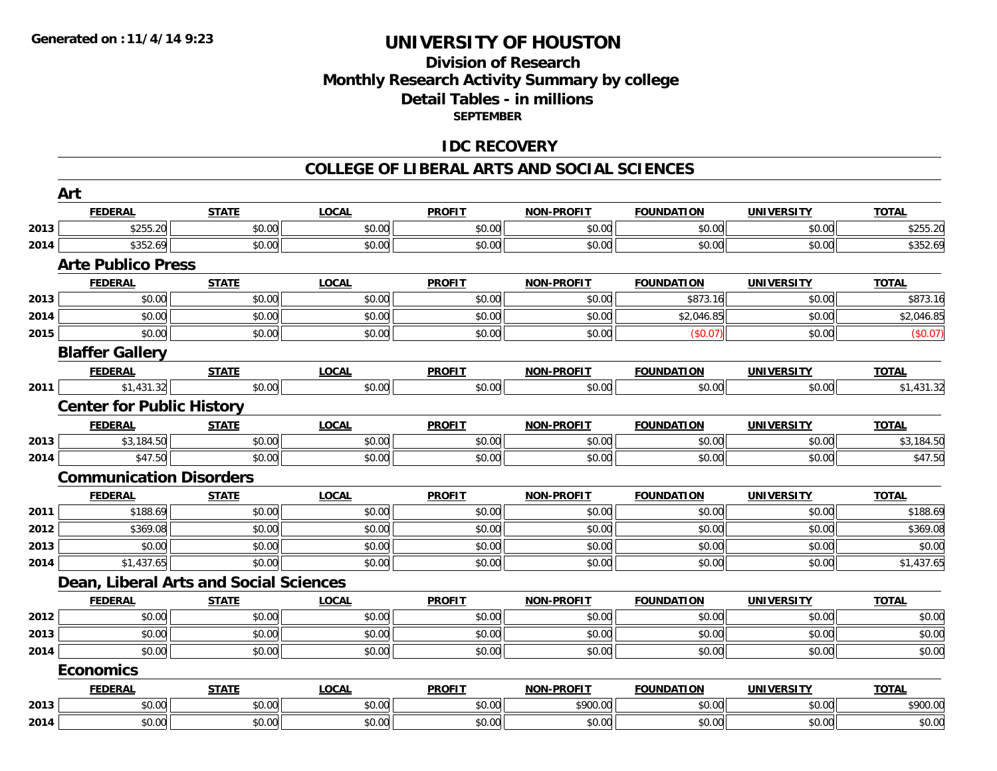## **Division of ResearchMonthly Research Activity Summary by college Detail Tables - in millions SEPTEMBER**

## **IDC RECOVERY**

#### **COLLEGE OF LIBERAL ARTS AND SOCIAL SCIENCES**

|      | Art                                    |              |              |               |                   |                   |                   |              |
|------|----------------------------------------|--------------|--------------|---------------|-------------------|-------------------|-------------------|--------------|
|      | <b>FEDERAL</b>                         | <b>STATE</b> | <b>LOCAL</b> | <b>PROFIT</b> | NON-PROFIT        | <b>FOUNDATION</b> | <b>UNIVERSITY</b> | <b>TOTAL</b> |
| 2013 | \$255.20                               | \$0.00       | \$0.00       | \$0.00        | \$0.00            | \$0.00            | \$0.00            | \$255.20     |
| 2014 | \$352.69                               | \$0.00       | \$0.00       | \$0.00        | \$0.00            | \$0.00            | \$0.00            | \$352.69     |
|      | <b>Arte Publico Press</b>              |              |              |               |                   |                   |                   |              |
|      | <b>FEDERAL</b>                         | <b>STATE</b> | <b>LOCAL</b> | <b>PROFIT</b> | <b>NON-PROFIT</b> | <b>FOUNDATION</b> | <b>UNIVERSITY</b> | <b>TOTAL</b> |
| 2013 | \$0.00                                 | \$0.00       | \$0.00       | \$0.00        | \$0.00            | \$873.16          | \$0.00            | \$873.16     |
| 2014 | \$0.00                                 | \$0.00       | \$0.00       | \$0.00        | \$0.00            | \$2,046.85        | \$0.00            | \$2,046.85   |
| 2015 | \$0.00                                 | \$0.00       | \$0.00       | \$0.00        | \$0.00            | (\$0.07)          | \$0.00            | (\$0.07)     |
|      | <b>Blaffer Gallery</b>                 |              |              |               |                   |                   |                   |              |
|      | <b>FEDERAL</b>                         | <b>STATE</b> | <b>LOCAL</b> | <b>PROFIT</b> | NON-PROFIT        | <b>FOUNDATION</b> | <b>UNIVERSITY</b> | <b>TOTAL</b> |
| 2011 | \$1,431.32                             | \$0.00       | \$0.00       | \$0.00        | \$0.00            | \$0.00            | \$0.00            | \$1,431.32   |
|      | <b>Center for Public History</b>       |              |              |               |                   |                   |                   |              |
|      | <b>FEDERAL</b>                         | <b>STATE</b> | <b>LOCAL</b> | <b>PROFIT</b> | <b>NON-PROFIT</b> | <b>FOUNDATION</b> | <b>UNIVERSITY</b> | <b>TOTAL</b> |
| 2013 | \$3,184.50                             | \$0.00       | \$0.00       | \$0.00        | \$0.00            | \$0.00            | \$0.00            | \$3,184.50   |
| 2014 | \$47.50                                | \$0.00       | \$0.00       | \$0.00        | \$0.00            | \$0.00            | \$0.00            | \$47.50      |
|      | <b>Communication Disorders</b>         |              |              |               |                   |                   |                   |              |
|      | <b>FEDERAL</b>                         | <b>STATE</b> | <b>LOCAL</b> | <b>PROFIT</b> | <b>NON-PROFIT</b> | <b>FOUNDATION</b> | <b>UNIVERSITY</b> | <b>TOTAL</b> |
| 2011 | \$188.69                               | \$0.00       | \$0.00       | \$0.00        | \$0.00            | \$0.00            | \$0.00            | \$188.69     |
| 2012 | \$369.08                               | \$0.00       | \$0.00       | \$0.00        | \$0.00            | \$0.00            | \$0.00            | \$369.08     |
| 2013 | \$0.00                                 | \$0.00       | \$0.00       | \$0.00        | \$0.00            | \$0.00            | \$0.00            | \$0.00       |
| 2014 | \$1,437.65                             | \$0.00       | \$0.00       | \$0.00        | \$0.00            | \$0.00            | \$0.00            | \$1,437.65   |
|      | Dean, Liberal Arts and Social Sciences |              |              |               |                   |                   |                   |              |
|      | <b>FEDERAL</b>                         | <b>STATE</b> | <b>LOCAL</b> | <b>PROFIT</b> | <b>NON-PROFIT</b> | <b>FOUNDATION</b> | <b>UNIVERSITY</b> | <b>TOTAL</b> |
| 2012 | \$0.00                                 | \$0.00       | \$0.00       | \$0.00        | \$0.00            | \$0.00            | \$0.00            | \$0.00       |
| 2013 | \$0.00                                 | \$0.00       | \$0.00       | \$0.00        | \$0.00            | \$0.00            | \$0.00            | \$0.00       |
| 2014 | \$0.00                                 | \$0.00       | \$0.00       | \$0.00        | \$0.00            | \$0.00            | \$0.00            | \$0.00       |
|      | <b>Economics</b>                       |              |              |               |                   |                   |                   |              |
|      | <b>FEDERAL</b>                         | <b>STATE</b> | <b>LOCAL</b> | <b>PROFIT</b> | NON-PROFIT        | <b>FOUNDATION</b> | <b>UNIVERSITY</b> | <b>TOTAL</b> |
| 2013 | \$0.00                                 | \$0.00       | \$0.00       | \$0.00        | \$900.00          | \$0.00            | \$0.00            | \$900.00     |
| 2014 | \$0.00                                 | \$0.00       | \$0.00       | \$0.00        | \$0.00            | \$0.00            | \$0.00            | \$0.00       |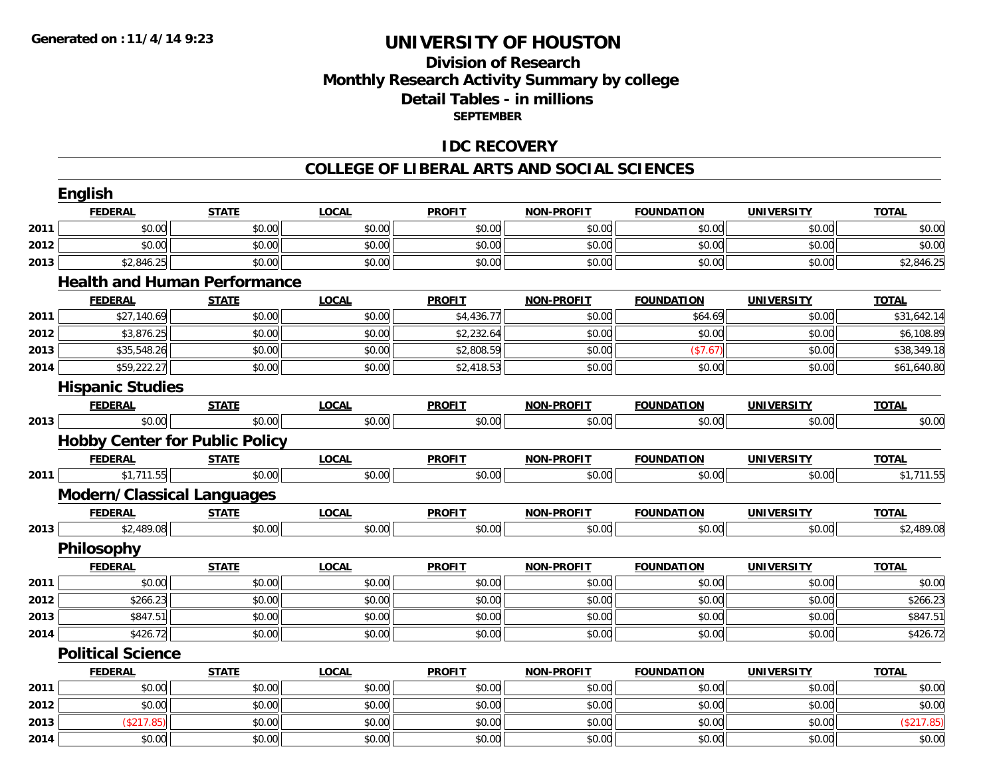# **Division of ResearchMonthly Research Activity Summary by college Detail Tables - in millions SEPTEMBER**

## **IDC RECOVERY**

#### **COLLEGE OF LIBERAL ARTS AND SOCIAL SCIENCES**

|      | English                               |              |              |               |                   |                   |                   |              |
|------|---------------------------------------|--------------|--------------|---------------|-------------------|-------------------|-------------------|--------------|
|      | <b>FEDERAL</b>                        | <b>STATE</b> | <b>LOCAL</b> | <b>PROFIT</b> | <b>NON-PROFIT</b> | <b>FOUNDATION</b> | <b>UNIVERSITY</b> | <b>TOTAL</b> |
| 2011 | \$0.00                                | \$0.00       | \$0.00       | \$0.00        | \$0.00            | \$0.00            | \$0.00            | \$0.00       |
| 2012 | \$0.00                                | \$0.00       | \$0.00       | \$0.00        | \$0.00            | \$0.00            | \$0.00            | \$0.00       |
| 2013 | \$2,846.25                            | \$0.00       | \$0.00       | \$0.00        | \$0.00            | \$0.00            | \$0.00            | \$2,846.25   |
|      | <b>Health and Human Performance</b>   |              |              |               |                   |                   |                   |              |
|      | <b>FEDERAL</b>                        | <b>STATE</b> | <b>LOCAL</b> | <b>PROFIT</b> | <b>NON-PROFIT</b> | <b>FOUNDATION</b> | <b>UNIVERSITY</b> | <b>TOTAL</b> |
| 2011 | \$27,140.69                           | \$0.00       | \$0.00       | \$4,436.77    | \$0.00            | \$64.69           | \$0.00            | \$31,642.14  |
| 2012 | \$3,876.25                            | \$0.00       | \$0.00       | \$2,232.64    | \$0.00            | \$0.00            | \$0.00            | \$6,108.89   |
| 2013 | \$35,548.26                           | \$0.00       | \$0.00       | \$2,808.59    | \$0.00            | (\$7.67)          | \$0.00            | \$38,349.18  |
| 2014 | \$59,222.27                           | \$0.00       | \$0.00       | \$2,418.53    | \$0.00            | \$0.00            | \$0.00            | \$61,640.80  |
|      | <b>Hispanic Studies</b>               |              |              |               |                   |                   |                   |              |
|      | <b>FEDERAL</b>                        | <b>STATE</b> | <b>LOCAL</b> | <b>PROFIT</b> | <b>NON-PROFIT</b> | <b>FOUNDATION</b> | <b>UNIVERSITY</b> | <b>TOTAL</b> |
| 2013 | \$0.00                                | \$0.00       | \$0.00       | \$0.00        | \$0.00            | \$0.00            | \$0.00            | \$0.00       |
|      | <b>Hobby Center for Public Policy</b> |              |              |               |                   |                   |                   |              |
|      | <b>FEDERAL</b>                        | <b>STATE</b> | <b>LOCAL</b> | <b>PROFIT</b> | <b>NON-PROFIT</b> | <b>FOUNDATION</b> | <b>UNIVERSITY</b> | <b>TOTAL</b> |
| 2011 | \$1,711.55                            | \$0.00       | \$0.00       | \$0.00        | \$0.00            | \$0.00            | \$0.00            | \$1,711.55   |
|      | <b>Modern/Classical Languages</b>     |              |              |               |                   |                   |                   |              |
|      | <b>FEDERAL</b>                        | <b>STATE</b> | <b>LOCAL</b> | <b>PROFIT</b> | <b>NON-PROFIT</b> | <b>FOUNDATION</b> | <b>UNIVERSITY</b> | <b>TOTAL</b> |
| 2013 | \$2,489.08                            | \$0.00       | \$0.00       | \$0.00        | \$0.00            | \$0.00            | \$0.00            | \$2,489.08   |
|      | Philosophy                            |              |              |               |                   |                   |                   |              |
|      | <b>FEDERAL</b>                        | <b>STATE</b> | <b>LOCAL</b> | <b>PROFIT</b> | <b>NON-PROFIT</b> | <b>FOUNDATION</b> | <b>UNIVERSITY</b> | <b>TOTAL</b> |
| 2011 | \$0.00                                | \$0.00       | \$0.00       | \$0.00        | \$0.00            | \$0.00            | \$0.00            | \$0.00       |
| 2012 | \$266.23                              | \$0.00       | \$0.00       | \$0.00        | \$0.00            | \$0.00            | \$0.00            | \$266.23     |
| 2013 | \$847.51                              | \$0.00       | \$0.00       | \$0.00        | \$0.00            | \$0.00            | \$0.00            | \$847.51     |
| 2014 | \$426.72                              | \$0.00       | \$0.00       | \$0.00        | \$0.00            | \$0.00            | \$0.00            | \$426.72     |
|      | <b>Political Science</b>              |              |              |               |                   |                   |                   |              |
|      | <b>FEDERAL</b>                        | <b>STATE</b> | <b>LOCAL</b> | <b>PROFIT</b> | <b>NON-PROFIT</b> | <b>FOUNDATION</b> | <b>UNIVERSITY</b> | <b>TOTAL</b> |
| 2011 | \$0.00                                | \$0.00       | \$0.00       | \$0.00        | \$0.00            | \$0.00            | \$0.00            | \$0.00       |
| 2012 | \$0.00                                | \$0.00       | \$0.00       | \$0.00        | \$0.00            | \$0.00            | \$0.00            | \$0.00       |
| 2013 | (\$217.85)                            | \$0.00       | \$0.00       | \$0.00        | \$0.00            | \$0.00            | \$0.00            | (\$217.85)   |
| 2014 | \$0.00                                | \$0.00       | \$0.00       | \$0.00        | \$0.00            | \$0.00            | \$0.00            | \$0.00       |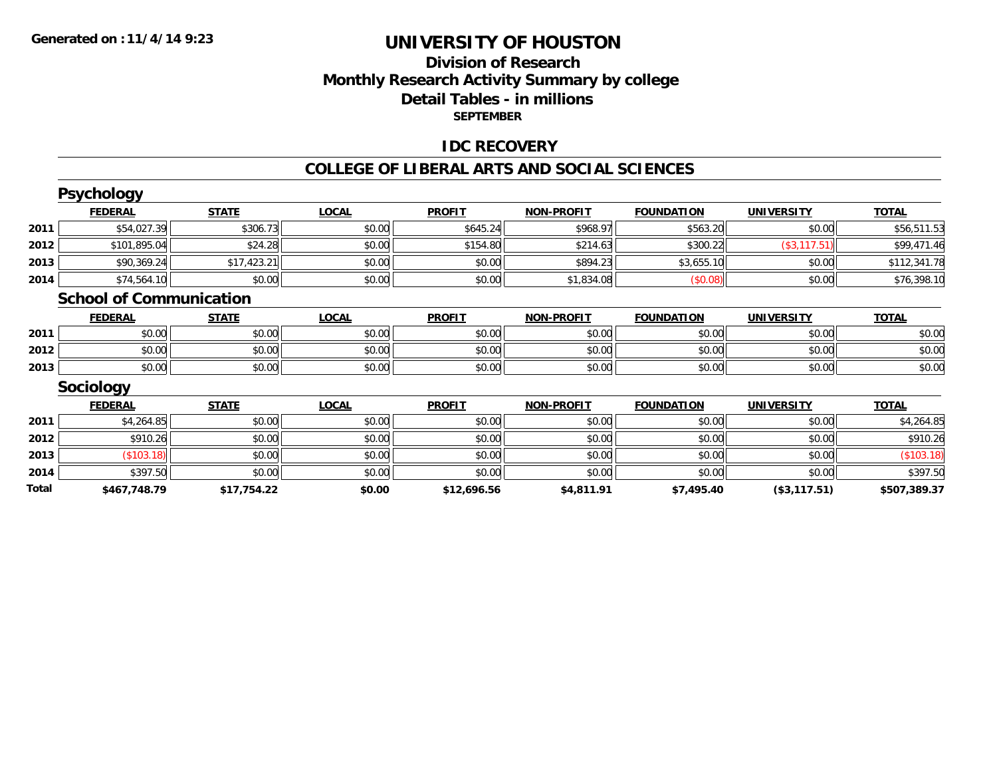## **Division of Research Monthly Research Activity Summary by college Detail Tables - in millions SEPTEMBER**

## **IDC RECOVERY**

#### **COLLEGE OF LIBERAL ARTS AND SOCIAL SCIENCES**

|       | <b>Psychology</b>              |              |              |               |                   |                   |                   |              |
|-------|--------------------------------|--------------|--------------|---------------|-------------------|-------------------|-------------------|--------------|
|       | <b>FEDERAL</b>                 | <b>STATE</b> | <b>LOCAL</b> | <b>PROFIT</b> | <b>NON-PROFIT</b> | <b>FOUNDATION</b> | <b>UNIVERSITY</b> | <b>TOTAL</b> |
| 2011  | \$54,027.39                    | \$306.73     | \$0.00       | \$645.24      | \$968.97          | \$563.20          | \$0.00            | \$56,511.53  |
| 2012  | \$101,895.04                   | \$24.28      | \$0.00       | \$154.80      | \$214.63          | \$300.22          | (\$3,117.51)      | \$99,471.46  |
| 2013  | \$90,369.24                    | \$17,423.21  | \$0.00       | \$0.00        | \$894.23          | \$3,655.10        | \$0.00            | \$112,341.78 |
| 2014  | \$74,564.10                    | \$0.00       | \$0.00       | \$0.00        | \$1,834.08        | (\$0.08)          | \$0.00            | \$76,398.10  |
|       | <b>School of Communication</b> |              |              |               |                   |                   |                   |              |
|       | <b>FEDERAL</b>                 | <b>STATE</b> | <b>LOCAL</b> | <b>PROFIT</b> | <b>NON-PROFIT</b> | <b>FOUNDATION</b> | <b>UNIVERSITY</b> | <b>TOTAL</b> |
| 2011  | \$0.00                         | \$0.00       | \$0.00       | \$0.00        | \$0.00            | \$0.00            | \$0.00            | \$0.00       |
| 2012  | \$0.00                         | \$0.00       | \$0.00       | \$0.00        | \$0.00            | \$0.00            | \$0.00            | \$0.00       |
| 2013  | \$0.00                         | \$0.00       | \$0.00       | \$0.00        | \$0.00            | \$0.00            | \$0.00            | \$0.00       |
|       | Sociology                      |              |              |               |                   |                   |                   |              |
|       | <b>FEDERAL</b>                 | <b>STATE</b> | <b>LOCAL</b> | <b>PROFIT</b> | <b>NON-PROFIT</b> | <b>FOUNDATION</b> | <b>UNIVERSITY</b> | <b>TOTAL</b> |
| 2011  | \$4,264.85                     | \$0.00       | \$0.00       | \$0.00        | \$0.00            | \$0.00            | \$0.00            | \$4,264.85   |
| 2012  | \$910.26                       | \$0.00       | \$0.00       | \$0.00        | \$0.00            | \$0.00            | \$0.00            | \$910.26     |
| 2013  | \$103.18                       | \$0.00       | \$0.00       | \$0.00        | \$0.00            | \$0.00            | \$0.00            | (\$103.18)   |
| 2014  | \$397.50                       | \$0.00       | \$0.00       | \$0.00        | \$0.00            | \$0.00            | \$0.00            | \$397.50     |
| Total | \$467,748.79                   | \$17,754.22  | \$0.00       | \$12,696.56   | \$4,811.91        | \$7,495.40        | (\$3,117.51)      | \$507,389.37 |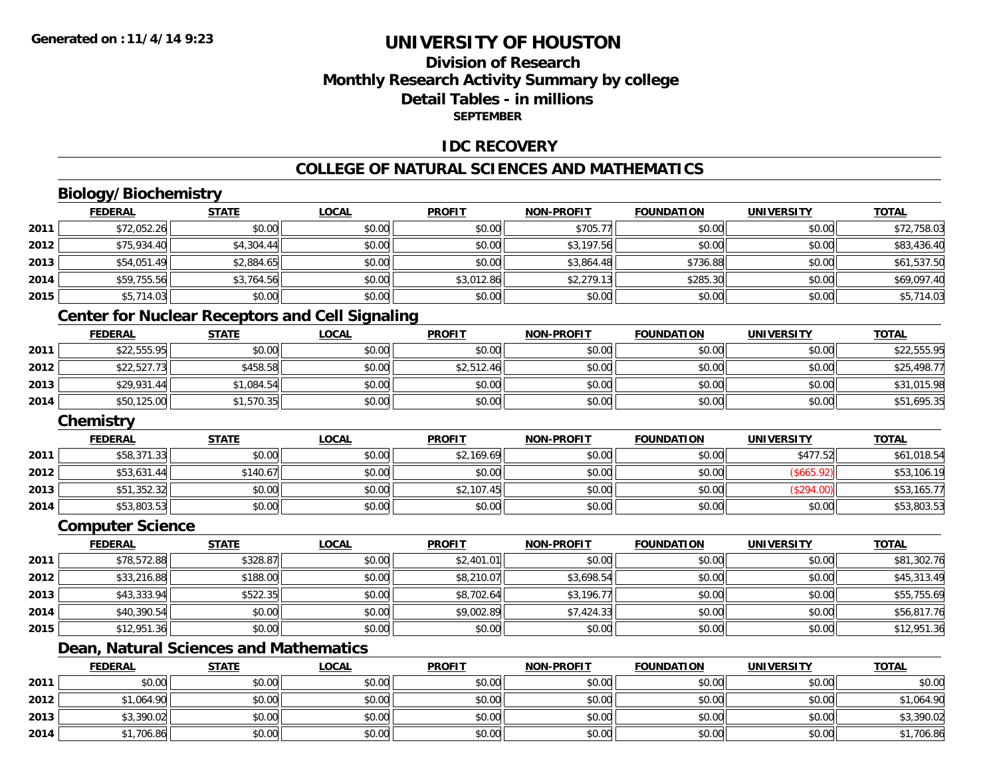# **Division of ResearchMonthly Research Activity Summary by college Detail Tables - in millions SEPTEMBER**

### **IDC RECOVERY**

#### **COLLEGE OF NATURAL SCIENCES AND MATHEMATICS**

# **Biology/Biochemistry**

|      | <b>FEDERAL</b>                                         | <b>STATE</b> | <u>LOCAL</u> | <b>PROFIT</b> | <b>NON-PROFIT</b> | <b>FOUNDATION</b> | <b>UNIVERSITY</b> | <b>TOTAL</b> |  |  |
|------|--------------------------------------------------------|--------------|--------------|---------------|-------------------|-------------------|-------------------|--------------|--|--|
| 2011 | \$72,052.26                                            | \$0.00       | \$0.00       | \$0.00        | \$705.77          | \$0.00            | \$0.00            | \$72,758.03  |  |  |
| 2012 | \$75,934.40                                            | \$4,304.44   | \$0.00       | \$0.00        | \$3,197.56        | \$0.00            | \$0.00            | \$83,436.40  |  |  |
| 2013 | \$54,051.49                                            | \$2,884.65   | \$0.00       | \$0.00        | \$3,864.48        | \$736.88          | \$0.00            | \$61,537.50  |  |  |
| 2014 | \$59,755.56                                            | \$3,764.56   | \$0.00       | \$3,012.86    | \$2,279.13        | \$285.30          | \$0.00            | \$69,097.40  |  |  |
| 2015 | \$5,714.03                                             | \$0.00       | \$0.00       | \$0.00        | \$0.00            | \$0.00            | \$0.00            | \$5,714.03   |  |  |
|      | <b>Center for Nuclear Receptors and Cell Signaling</b> |              |              |               |                   |                   |                   |              |  |  |

|      | <b>FEDERAL</b> | <b>STATE</b> | <u>LOCAL</u> | <b>PROFIT</b> | <b>NON-PROFIT</b> | <b>FOUNDATION</b> | <b>UNIVERSITY</b> | <b>TOTAL</b> |
|------|----------------|--------------|--------------|---------------|-------------------|-------------------|-------------------|--------------|
| 2011 | \$22,555.95    | \$0.00       | \$0.00       | \$0.00        | \$0.00            | \$0.00            | \$0.00            | \$22,555.95  |
| 2012 | \$22,527.73    | \$458.58     | \$0.00       | \$2,512.46    | \$0.00            | \$0.00            | \$0.00            | \$25,498.77  |
| 2013 | \$29,931.44    | \$1,084.54   | \$0.00       | \$0.00        | \$0.00            | \$0.00            | \$0.00            | \$31,015.98  |
| 2014 | \$50,125.00    | \$1,570.35   | \$0.00       | \$0.00        | \$0.00            | \$0.00            | \$0.00            | \$51,695.35  |

#### **Chemistry**

|      | <b>FEDERAL</b> | <b>STATE</b> | <u>LOCAL</u> | <b>PROFIT</b> | <b>NON-PROFIT</b> | <b>FOUNDATION</b> | <b>UNIVERSITY</b> | <b>TOTAL</b> |
|------|----------------|--------------|--------------|---------------|-------------------|-------------------|-------------------|--------------|
|      |                |              |              |               |                   |                   |                   |              |
| 2011 | \$58,371.33    | \$0.00       | \$0.00       | \$2,169.69    | \$0.00            | \$0.00            | \$477.52          | \$61,018.54  |
| 2012 | \$53,631.44    | \$140.67     | \$0.00       | \$0.00        | \$0.00            | \$0.00            | \$665.92          | \$53,106.19  |
| 2013 | \$51,352.32    | \$0.00       | \$0.00       | \$2,107.45    | \$0.00            | \$0.00            | (\$294.00)        | \$53,165.77  |
| 2014 | \$53,803.53    | \$0.00       | \$0.00       | \$0.00        | \$0.00            | \$0.00            | \$0.00            | \$53,803.53  |

#### **Computer Science**

|      | <b>FEDERAL</b> | <b>STATE</b> | <b>LOCAL</b> | <b>PROFIT</b> | <b>NON-PROFIT</b> | <b>FOUNDATION</b> | <b>UNIVERSITY</b> | <b>TOTAL</b> |
|------|----------------|--------------|--------------|---------------|-------------------|-------------------|-------------------|--------------|
| 2011 | \$78,572.88    | \$328.87     | \$0.00       | \$2,401.01    | \$0.00            | \$0.00            | \$0.00            | \$81,302.76  |
| 2012 | \$33,216.88    | \$188.00     | \$0.00       | \$8,210.07    | \$3,698.54        | \$0.00            | \$0.00            | \$45,313.49  |
| 2013 | \$43,333.94    | \$522.35     | \$0.00       | \$8,702.64    | \$3,196.77        | \$0.00            | \$0.00            | \$55,755.69  |
| 2014 | \$40,390.54    | \$0.00       | \$0.00       | \$9,002.89    | \$7,424.33        | \$0.00            | \$0.00            | \$56,817.76  |
| 2015 | \$12,951.36    | \$0.00       | \$0.00       | \$0.00        | \$0.00            | \$0.00            | \$0.00            | \$12,951.36  |

# **Dean, Natural Sciences and Mathematics**

|      | <u>FEDERAL</u> | <b>STATE</b> | <b>LOCAL</b> | <b>PROFIT</b> | <b>NON-PROFIT</b> | <b>FOUNDATION</b> | <b>UNIVERSITY</b> | <b>TOTAL</b> |
|------|----------------|--------------|--------------|---------------|-------------------|-------------------|-------------------|--------------|
| 2011 | \$0.00         | \$0.00       | \$0.00       | \$0.00        | \$0.00            | \$0.00            | \$0.00            | \$0.00       |
| 2012 | \$1,064.90     | \$0.00       | \$0.00       | \$0.00        | \$0.00            | \$0.00            | \$0.00            | \$1,064.90   |
| 2013 | \$3,390.02     | \$0.00       | \$0.00       | \$0.00        | \$0.00            | \$0.00            | \$0.00            | \$3,390.02   |
| 2014 | \$1,706.86     | \$0.00       | \$0.00       | \$0.00        | \$0.00            | \$0.00            | \$0.00            | \$1,706.86   |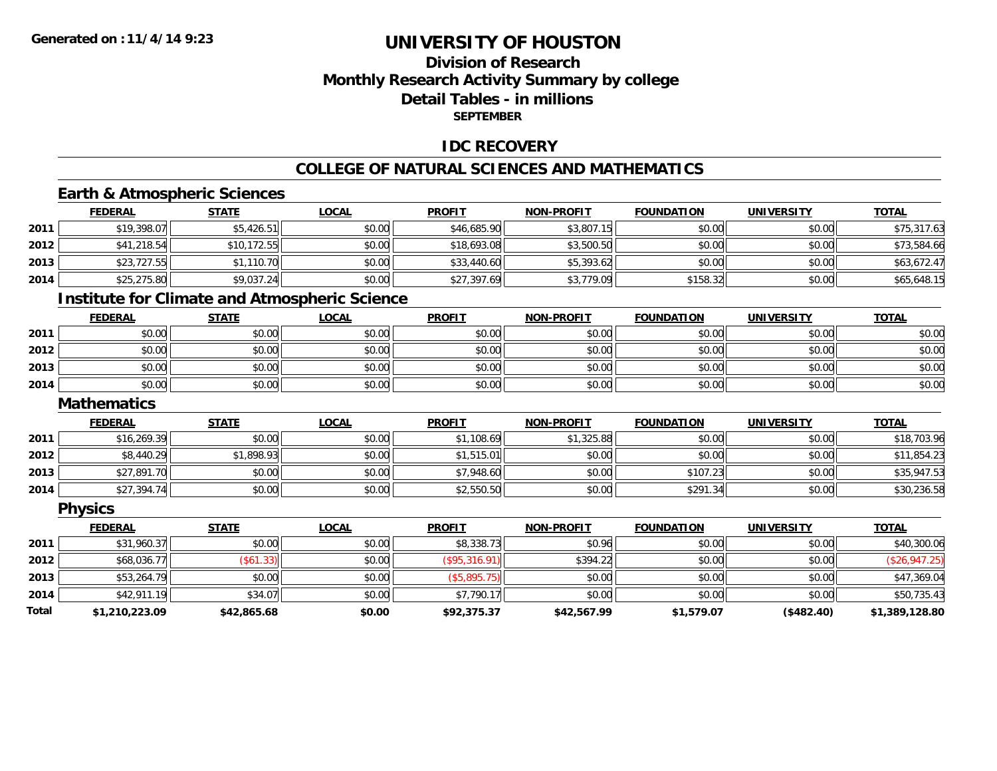## **Division of ResearchMonthly Research Activity Summary by college Detail Tables - in millions SEPTEMBER**

### **IDC RECOVERY**

#### **COLLEGE OF NATURAL SCIENCES AND MATHEMATICS**

# **Earth & Atmospheric Sciences**

|      | <b>FEDERAL</b>     | <b>STATE</b> | <b>LOCAL</b>                                         | <b>PROFIT</b> | <b>NON-PROFIT</b> | <b>FOUNDATION</b> | <b>UNIVERSITY</b> | <b>TOTAL</b> |
|------|--------------------|--------------|------------------------------------------------------|---------------|-------------------|-------------------|-------------------|--------------|
| 2011 | \$19,398.07        | \$5,426.51   | \$0.00                                               | \$46,685.90   | \$3,807.15        | \$0.00            | \$0.00            | \$75,317.63  |
| 2012 | \$41,218.54        | \$10,172.55  | \$0.00                                               | \$18,693.08   | \$3,500.50        | \$0.00            | \$0.00            | \$73,584.66  |
| 2013 | \$23,727.55        | \$1,110.70   | \$0.00                                               | \$33,440.60   | \$5,393.62        | \$0.00            | \$0.00            | \$63,672.47  |
| 2014 | \$25,275.80        | \$9,037.24   | \$0.00                                               | \$27,397.69   | \$3,779.09        | \$158.32          | \$0.00            | \$65,648.15  |
|      |                    |              | <b>Institute for Climate and Atmospheric Science</b> |               |                   |                   |                   |              |
|      | <b>FEDERAL</b>     | <b>STATE</b> | <b>LOCAL</b>                                         | <b>PROFIT</b> | <b>NON-PROFIT</b> | <b>FOUNDATION</b> | <b>UNIVERSITY</b> | <b>TOTAL</b> |
| 2011 | \$0.00             | \$0.00       | \$0.00                                               | \$0.00        | \$0.00            | \$0.00            | \$0.00            | \$0.00       |
| 2012 | \$0.00             | \$0.00       | \$0.00                                               | \$0.00        | \$0.00            | \$0.00            | \$0.00            | \$0.00       |
| 2013 | \$0.00             | \$0.00       | \$0.00                                               | \$0.00        | \$0.00            | \$0.00            | \$0.00            | \$0.00       |
| 2014 | \$0.00             | \$0.00       | \$0.00                                               | \$0.00        | \$0.00            | \$0.00            | \$0.00            | \$0.00       |
|      | <b>Mathematics</b> |              |                                                      |               |                   |                   |                   |              |
|      | <b>FEDERAL</b>     | <b>STATE</b> | <b>LOCAL</b>                                         | <b>PROFIT</b> | <b>NON-PROFIT</b> | <b>FOUNDATION</b> | <b>UNIVERSITY</b> | <b>TOTAL</b> |
| 2011 | \$16,269.39        | \$0.00       | \$0.00                                               | \$1,108.69    | \$1,325.88        | \$0.00            | \$0.00            | \$18,703.96  |
| 2012 | \$8,440.29         | \$1,898.93   | \$0.00                                               | \$1,515.01    | \$0.00            | \$0.00            | \$0.00            | \$11,854.23  |
| 2013 | \$27,891.70        | \$0.00       | \$0.00                                               | \$7,948.60    | \$0.00            | \$107.23          | \$0.00            | \$35,947.53  |
| 2014 | \$27,394.74        | \$0.00       | \$0.00                                               | \$2,550.50    | \$0.00            | \$291.34          | \$0.00            | \$30,236.58  |

**Physics**

|       | <b>FEDERAL</b> | <u>STATE</u> | <u>LOCAL</u> | <b>PROFIT</b> | <b>NON-PROFIT</b> | <b>FOUNDATION</b> | <b>UNIVERSITY</b> | <b>TOTAL</b>   |
|-------|----------------|--------------|--------------|---------------|-------------------|-------------------|-------------------|----------------|
| 2011  | \$31,960.37    | \$0.00       | \$0.00       | \$8,338.73    | \$0.96            | \$0.00            | \$0.00            | \$40,300.06    |
| 2012  | \$68,036.77    | (\$61.33)    | \$0.00       | (S95, 316.91) | \$394.22          | \$0.00            | \$0.00            | (\$26,947.25)  |
| 2013  | \$53,264.79    | \$0.00       | \$0.00       | (\$5,895.75)  | \$0.00            | \$0.00            | \$0.00            | \$47,369.04    |
| 2014  | \$42,911.19    | \$34.07      | \$0.00       | \$7,790.17    | \$0.00            | \$0.00            | \$0.00            | \$50,735.43    |
| Total | \$1,210,223.09 | \$42,865.68  | \$0.00       | \$92,375.37   | \$42,567.99       | \$1,579.07        | (\$482.40)        | \$1,389,128.80 |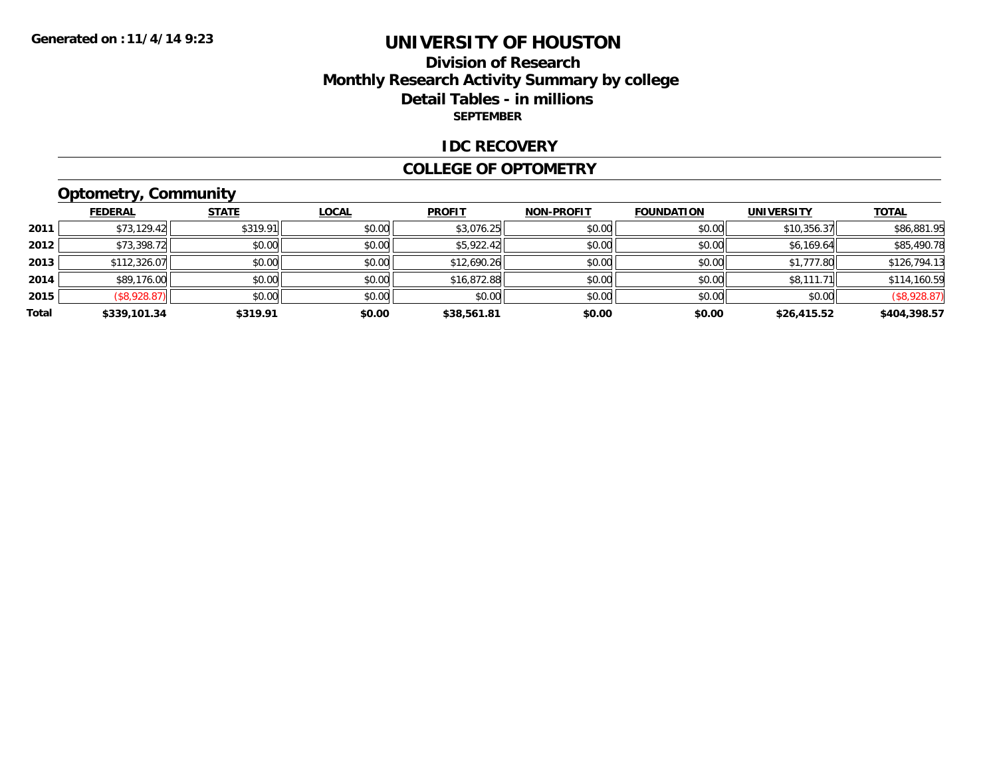## **Division of Research Monthly Research Activity Summary by college Detail Tables - in millions SEPTEMBER**

#### **IDC RECOVERY**

#### **COLLEGE OF OPTOMETRY**

# **Optometry, Community**

|       | <b>FEDERAL</b> | <b>STATE</b> | <b>LOCAL</b> | <b>PROFIT</b> | <b>NON-PROFIT</b> | <b>FOUNDATION</b> | <b>UNIVERSITY</b> | <b>TOTAL</b> |
|-------|----------------|--------------|--------------|---------------|-------------------|-------------------|-------------------|--------------|
| 2011  | \$73,129.42    | \$319.91     | \$0.00       | \$3,076.25    | \$0.00            | \$0.00            | \$10,356.37       | \$86,881.95  |
| 2012  | \$73,398.72    | \$0.00       | \$0.00       | \$5,922.42    | \$0.00            | \$0.00            | \$6,169.64        | \$85,490.78  |
| 2013  | \$112,326.07   | \$0.00       | \$0.00       | \$12,690.26   | \$0.00            | \$0.00            | \$1,777.80        | \$126,794.13 |
| 2014  | \$89,176.00    | \$0.00       | \$0.00       | \$16,872.88   | \$0.00            | \$0.00            | \$8,111.71        | \$114,160.59 |
| 2015  | (\$8,928.87)   | \$0.00       | \$0.00       | \$0.00        | \$0.00            | \$0.00            | \$0.00            | (\$8,928.87) |
| Total | \$339,101.34   | \$319.91     | \$0.00       | \$38,561.81   | \$0.00            | \$0.00            | \$26,415.52       | \$404,398.57 |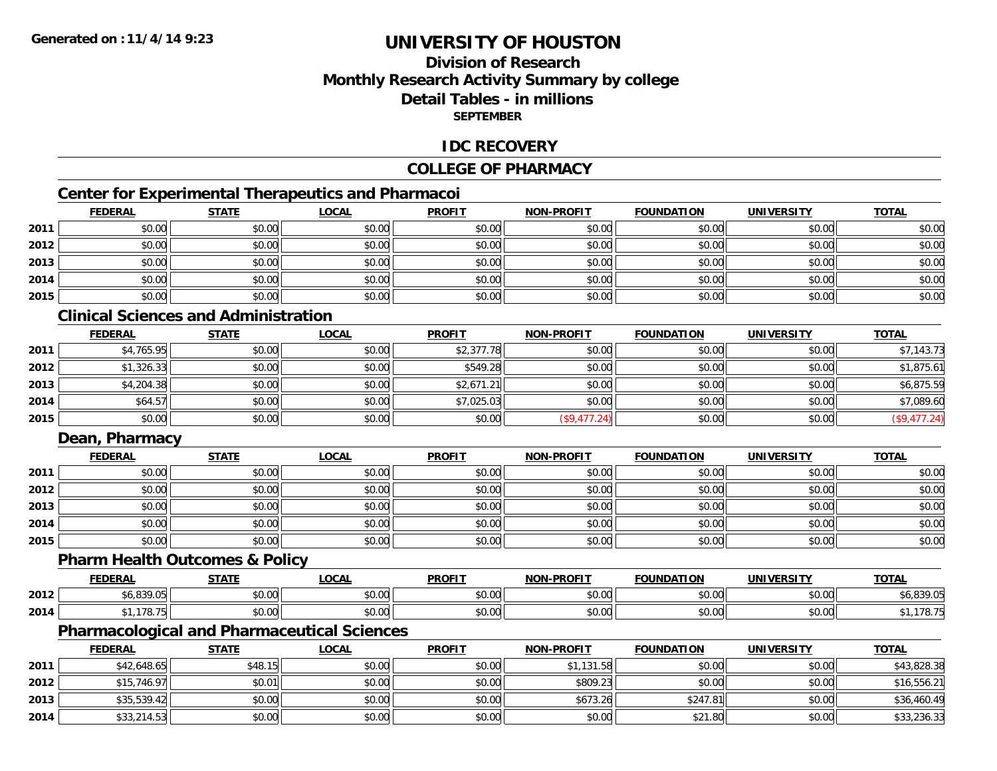## **Division of ResearchMonthly Research Activity Summary by college Detail Tables - in millionsSEPTEMBER**

### **IDC RECOVERY**

## **COLLEGE OF PHARMACY**

# **Center for Experimental Therapeutics and Pharmacoi**

|      | <b>FEDERAL</b> | <b>STATE</b> | <b>LOCAL</b> | <b>PROFIT</b> | <b>NON-PROFIT</b> | <b>FOUNDATION</b> | <b>UNIVERSITY</b> | <b>TOTAL</b> |
|------|----------------|--------------|--------------|---------------|-------------------|-------------------|-------------------|--------------|
| 2011 | \$0.00         | \$0.00       | \$0.00       | \$0.00        | \$0.00            | \$0.00            | \$0.00            | \$0.00       |
| 2012 | \$0.00         | \$0.00       | \$0.00       | \$0.00        | \$0.00            | \$0.00            | \$0.00            | \$0.00       |
| 2013 | \$0.00         | \$0.00       | \$0.00       | \$0.00        | \$0.00            | \$0.00            | \$0.00            | \$0.00       |
| 2014 | \$0.00         | \$0.00       | \$0.00       | \$0.00        | \$0.00            | \$0.00            | \$0.00            | \$0.00       |
| 2015 | \$0.00         | \$0.00       | \$0.00       | \$0.00        | \$0.00            | \$0.00            | \$0.00            | \$0.00       |

# **Clinical Sciences and Administration**

|      | <b>FEDERAL</b> | <b>STATE</b> | <u>LOCAL</u> | <b>PROFIT</b> | <b>NON-PROFIT</b> | <b>FOUNDATION</b> | <b>UNIVERSITY</b> | <b>TOTAL</b> |
|------|----------------|--------------|--------------|---------------|-------------------|-------------------|-------------------|--------------|
| 2011 | \$4,765.95     | \$0.00       | \$0.00       | \$2,377.78    | \$0.00            | \$0.00            | \$0.00            | \$7,143.73   |
| 2012 | \$1,326.33     | \$0.00       | \$0.00       | \$549.28      | \$0.00            | \$0.00            | \$0.00            | \$1,875.61   |
| 2013 | \$4,204.38     | \$0.00       | \$0.00       | \$2,671.21    | \$0.00            | \$0.00            | \$0.00            | \$6,875.59   |
| 2014 | \$64.57        | \$0.00       | \$0.00       | \$7,025.03    | \$0.00            | \$0.00            | \$0.00            | \$7,089.60   |
| 2015 | \$0.00         | \$0.00       | \$0.00       | \$0.00        | (\$9,477.24)      | \$0.00            | \$0.00            | (\$9,477.24) |

## **Dean, Pharmacy**

|      | <u>FEDERAL</u> | <u>STATE</u> | <u>LOCAL</u> | <b>PROFIT</b> | <b>NON-PROFIT</b> | <b>FOUNDATION</b> | <b>UNIVERSITY</b> | <b>TOTAL</b> |
|------|----------------|--------------|--------------|---------------|-------------------|-------------------|-------------------|--------------|
| 2011 | \$0.00         | \$0.00       | \$0.00       | \$0.00        | \$0.00            | \$0.00            | \$0.00            | \$0.00       |
| 2012 | \$0.00         | \$0.00       | \$0.00       | \$0.00        | \$0.00            | \$0.00            | \$0.00            | \$0.00       |
| 2013 | \$0.00         | \$0.00       | \$0.00       | \$0.00        | \$0.00            | \$0.00            | \$0.00            | \$0.00       |
| 2014 | \$0.00         | \$0.00       | \$0.00       | \$0.00        | \$0.00            | \$0.00            | \$0.00            | \$0.00       |
| 2015 | \$0.00         | \$0.00       | \$0.00       | \$0.00        | \$0.00            | \$0.00            | \$0.00            | \$0.00       |

#### **Pharm Health Outcomes & Policy**

|      | <b>FEDERA'</b>                              | <b>CTATE</b>           | $\sim$<br>.UUAL    | <b>PROFIT</b>        | <b>LPROFIT</b><br>NON. | <b>FOUNDATION</b> | <b>IINIVERSITY</b> | TOTA.  |
|------|---------------------------------------------|------------------------|--------------------|----------------------|------------------------|-------------------|--------------------|--------|
| 2012 | 0.0000<br>: טשי<br>$\overline{\phantom{a}}$ | $\sim$ $\sim$<br>DU.UU | $\sim$ 00<br>pu.uu | 0.00<br>JU.UU        | \$0.00                 | 0.00<br>וט.טי     | $\sim$ 00<br>pu.uu | 0.2000 |
| 2014 | $470 -$<br>.                                | $\sim$ 00<br>JU.UL     | $\sim$ 00<br>JU.UU | 0.00<br><b>JU.UU</b> | \$0.00                 | nn nn<br>JU.UU    | nn nn<br>pu.uu     | 170.   |

## **Pharmacological and Pharmaceutical Sciences**

|      | <b>FEDERAL</b> | <b>STATE</b> | <u>LOCAL</u> | <b>PROFIT</b> | <b>NON-PROFIT</b> | <b>FOUNDATION</b> | <b>UNIVERSITY</b> | <b>TOTAL</b> |
|------|----------------|--------------|--------------|---------------|-------------------|-------------------|-------------------|--------------|
| 2011 | \$42,648.65    | \$48.15      | \$0.00       | \$0.00        | \$1,131.58        | \$0.00            | \$0.00            | \$43,828.38  |
| 2012 | \$15,746.97    | \$0.01       | \$0.00       | \$0.00        | \$809.23          | \$0.00            | \$0.00            | \$16,556.21  |
| 2013 | \$35,539.42    | \$0.00       | \$0.00       | \$0.00        | \$673.26          | \$247.81          | \$0.00            | \$36,460.49  |
| 2014 | \$33,214.53    | \$0.00       | \$0.00       | \$0.00        | \$0.00            | \$21.80           | \$0.00            | \$33,236.33  |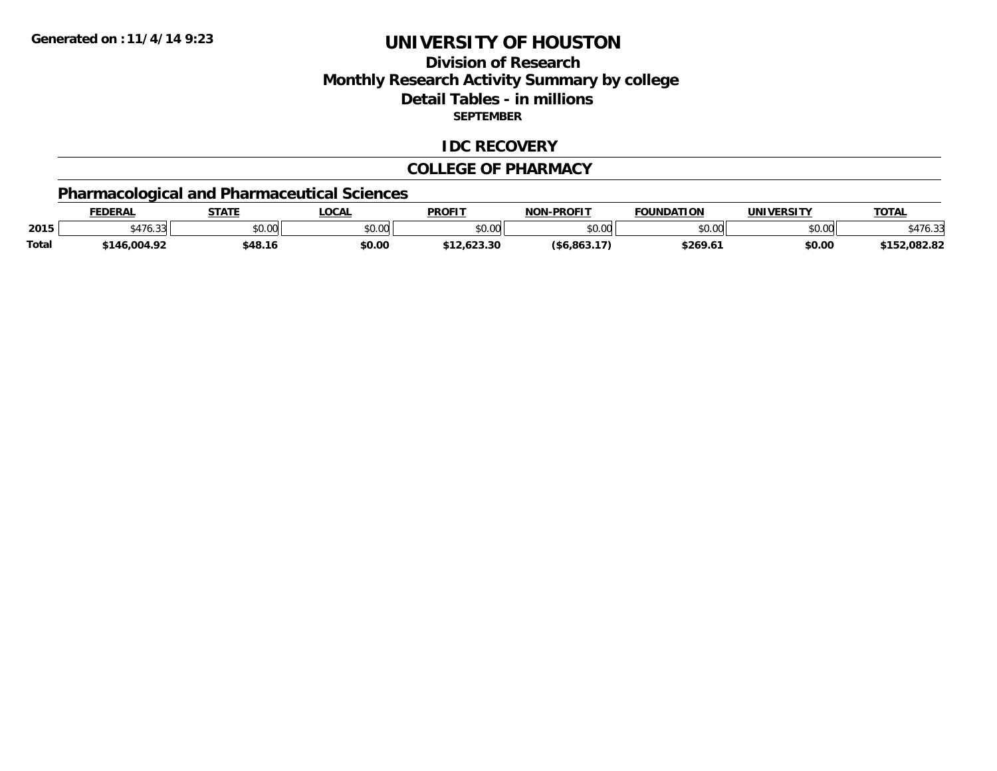## **Division of ResearchMonthly Research Activity Summary by college Detail Tables - in millions SEPTEMBER**

### **IDC RECOVERY**

#### **COLLEGE OF PHARMACY**

# **Pharmacological and Pharmaceutical Sciences**

|              | <b>EDERAL</b>                          | <b>STATE</b>  | LOCAL         | <b>PROFIT</b> | <b>-PROFIT</b><br>ש∩ | <b>FOUNDATION</b> | <b>UNIVERSITY</b> | <b>TOTAL</b>     |
|--------------|----------------------------------------|---------------|---------------|---------------|----------------------|-------------------|-------------------|------------------|
| 2015         | $\cdots$<br>$\sim$ $\sim$<br>\$470.331 | 0000<br>JU.UU | 0000<br>JU.UU | \$0.00        | $\sim$ 0.0<br>JU.UU  | \$0.00            | ልስ ባህ<br>\$U.UU   |                  |
| <b>Total</b> | 146.004.92ء                            | \$48.16       | \$0.00        | 623.30        | (S6.863.17)          | \$269.6           | \$0.00            | 2.082.82<br>よっこつ |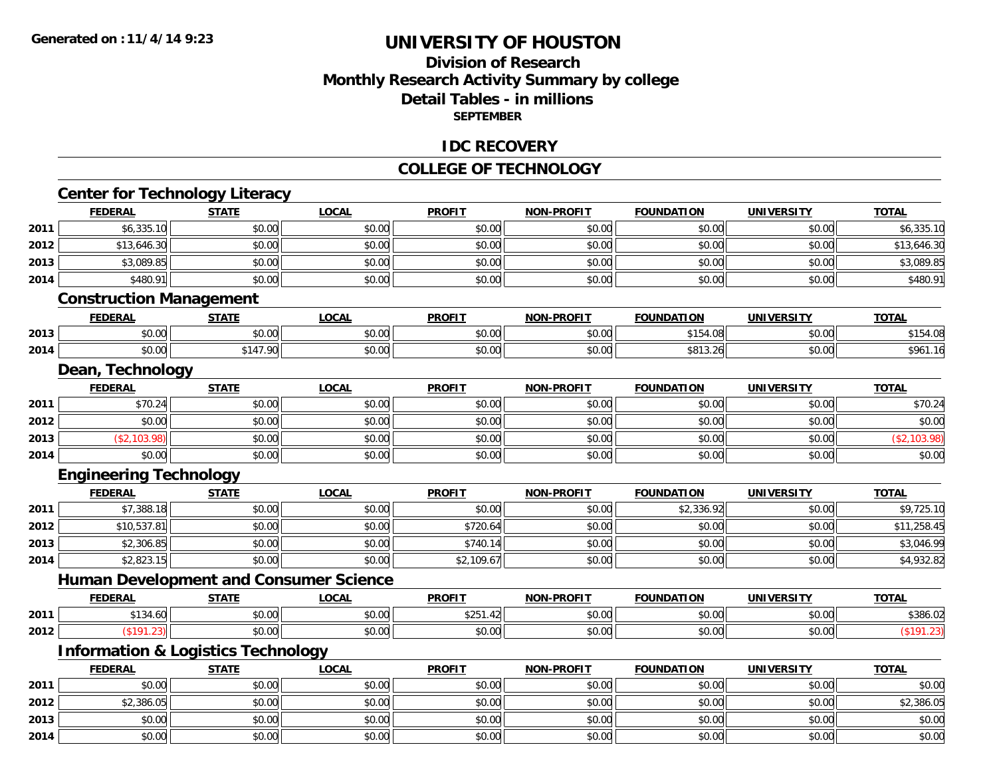## **Division of Research Monthly Research Activity Summary by college Detail Tables - in millions SEPTEMBER**

### **IDC RECOVERY**

#### **COLLEGE OF TECHNOLOGY**

|      | <b>Center for Technology Literacy</b>         |              |              |               |                   |                   |                   |              |
|------|-----------------------------------------------|--------------|--------------|---------------|-------------------|-------------------|-------------------|--------------|
|      | <b>FEDERAL</b>                                | <b>STATE</b> | <b>LOCAL</b> | <b>PROFIT</b> | <b>NON-PROFIT</b> | <b>FOUNDATION</b> | <b>UNIVERSITY</b> | <b>TOTAL</b> |
| 2011 | \$6,335.10                                    | \$0.00       | \$0.00       | \$0.00        | \$0.00            | \$0.00            | \$0.00            | \$6,335.10   |
| 2012 | \$13,646.30                                   | \$0.00       | \$0.00       | \$0.00        | \$0.00            | \$0.00            | \$0.00            | \$13,646.30  |
| 2013 | \$3,089.85                                    | \$0.00       | \$0.00       | \$0.00        | \$0.00            | \$0.00            | \$0.00            | \$3,089.85   |
| 2014 | \$480.91                                      | \$0.00       | \$0.00       | \$0.00        | \$0.00            | \$0.00            | \$0.00            | \$480.91     |
|      | <b>Construction Management</b>                |              |              |               |                   |                   |                   |              |
|      | <b>FEDERAL</b>                                | <b>STATE</b> | <b>LOCAL</b> | <b>PROFIT</b> | <b>NON-PROFIT</b> | <b>FOUNDATION</b> | <b>UNIVERSITY</b> | <b>TOTAL</b> |
| 2013 | \$0.00                                        | \$0.00       | \$0.00       | \$0.00        | \$0.00            | \$154.08          | \$0.00            | \$154.08     |
| 2014 | \$0.00                                        | \$147.90     | \$0.00       | \$0.00        | \$0.00            | \$813.26          | \$0.00            | \$961.16     |
|      | Dean, Technology                              |              |              |               |                   |                   |                   |              |
|      | <b>FEDERAL</b>                                | <b>STATE</b> | <b>LOCAL</b> | <b>PROFIT</b> | <b>NON-PROFIT</b> | <b>FOUNDATION</b> | <b>UNIVERSITY</b> | <b>TOTAL</b> |
| 2011 | \$70.24                                       | \$0.00       | \$0.00       | \$0.00        | \$0.00            | \$0.00            | \$0.00            | \$70.24      |
| 2012 | \$0.00                                        | \$0.00       | \$0.00       | \$0.00        | \$0.00            | \$0.00            | \$0.00            | \$0.00       |
| 2013 | (\$2,103.98)                                  | \$0.00       | \$0.00       | \$0.00        | \$0.00            | \$0.00            | \$0.00            | (\$2,103.98) |
| 2014 | \$0.00                                        | \$0.00       | \$0.00       | \$0.00        | \$0.00            | \$0.00            | \$0.00            | \$0.00       |
|      | <b>Engineering Technology</b>                 |              |              |               |                   |                   |                   |              |
|      | <b>FEDERAL</b>                                | <b>STATE</b> | <b>LOCAL</b> | <b>PROFIT</b> | <b>NON-PROFIT</b> | <b>FOUNDATION</b> | <b>UNIVERSITY</b> | <b>TOTAL</b> |
| 2011 | \$7,388.18                                    | \$0.00       | \$0.00       | \$0.00        | \$0.00            | \$2,336.92        | \$0.00            | \$9,725.10   |
| 2012 | \$10,537.81                                   | \$0.00       | \$0.00       | \$720.64      | \$0.00            | \$0.00            | \$0.00            | \$11,258.45  |
| 2013 | \$2,306.85                                    | \$0.00       | \$0.00       | \$740.14      | \$0.00            | \$0.00            | \$0.00            | \$3,046.99   |
| 2014 | \$2,823.15                                    | \$0.00       | \$0.00       | \$2,109.67    | \$0.00            | \$0.00            | \$0.00            | \$4,932.82   |
|      | <b>Human Development and Consumer Science</b> |              |              |               |                   |                   |                   |              |
|      | <b>FEDERAL</b>                                | <b>STATE</b> | <b>LOCAL</b> | <b>PROFIT</b> | <b>NON-PROFIT</b> | <b>FOUNDATION</b> | <b>UNIVERSITY</b> | <b>TOTAL</b> |
| 2011 | \$134.60                                      | \$0.00       | \$0.00       | \$251.42      | \$0.00            | \$0.00            | \$0.00            | \$386.02     |
| 2012 | (\$191.23)                                    | \$0.00       | \$0.00       | \$0.00        | \$0.00            | \$0.00            | \$0.00            | (\$191.23)   |
|      | <b>Information &amp; Logistics Technology</b> |              |              |               |                   |                   |                   |              |
|      | <b>FEDERAL</b>                                | <b>STATE</b> | <b>LOCAL</b> | <b>PROFIT</b> | <b>NON-PROFIT</b> | <b>FOUNDATION</b> | <b>UNIVERSITY</b> | <b>TOTAL</b> |
| 2011 | \$0.00                                        | \$0.00       | \$0.00       | \$0.00        | \$0.00            | \$0.00            | \$0.00            | \$0.00       |
| 2012 | \$2,386.05                                    | \$0.00       | \$0.00       | \$0.00        | \$0.00            | \$0.00            | \$0.00            | \$2,386.05   |
| 2013 | \$0.00                                        | \$0.00       | \$0.00       | \$0.00        | \$0.00            | \$0.00            | \$0.00            | \$0.00       |
| 2014 | \$0.00                                        | \$0.00       | \$0.00       | \$0.00        | \$0.00            | \$0.00            | \$0.00            | \$0.00       |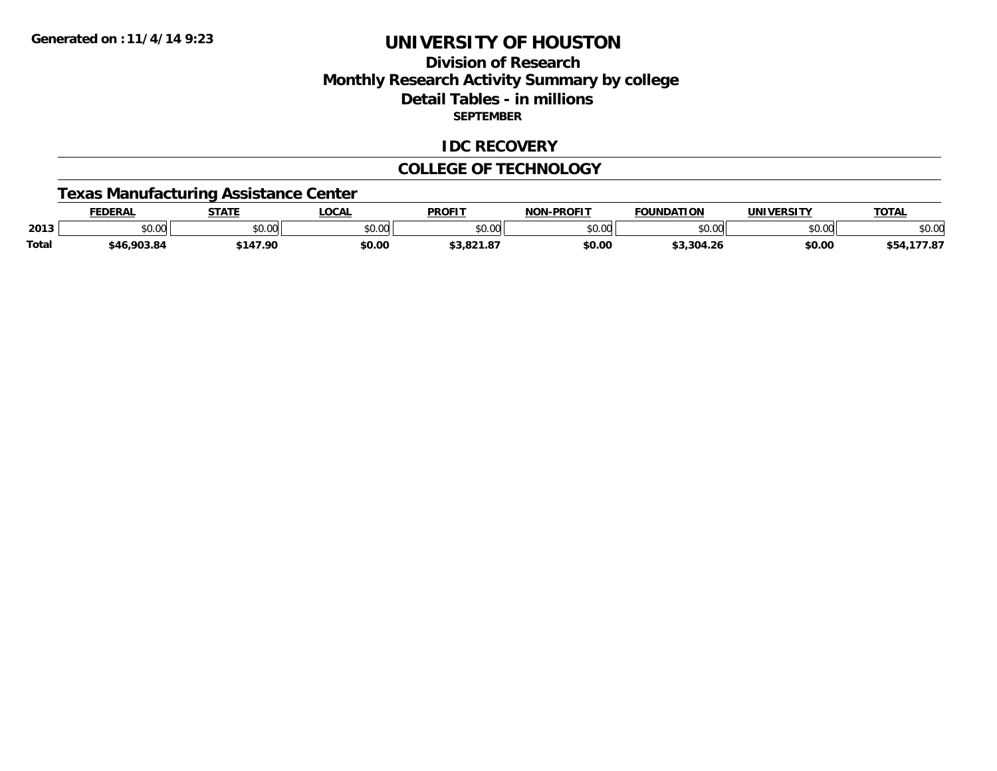## **Division of ResearchMonthly Research Activity Summary by college Detail Tables - in millions SEPTEMBER**

#### **IDC RECOVERY**

#### **COLLEGE OF TECHNOLOGY**

### **Texas Manufacturing Assistance Center**

|              | EDERAI        | <b>STATE</b>                                      | <b>LOCAL</b>  | <b>PROFIT</b>                   | -PROFIT<br>NON | <b>FOUNDATION</b> | <b>UNIVERSITY</b> | <b>TOTAL</b> |
|--------------|---------------|---------------------------------------------------|---------------|---------------------------------|----------------|-------------------|-------------------|--------------|
| 2013         | 0000<br>JU.UU | $\mathsf{A}\cap\mathsf{A}\cap\mathsf{A}$<br>JU.UU | 0000<br>งบ.บบ | $n \cap \Omega$<br>DU.UU        | \$0.00         | 0000              | 0.001<br>DU.UU    | \$0.00       |
| <b>Total</b> | \$46,903.84   | 47.00                                             | \$0.00        | <b>2.021.07</b><br>ه. ۱ ـ ۱ . م | \$0.00         | \$3,304.26        | \$0.00            | ,, 07        |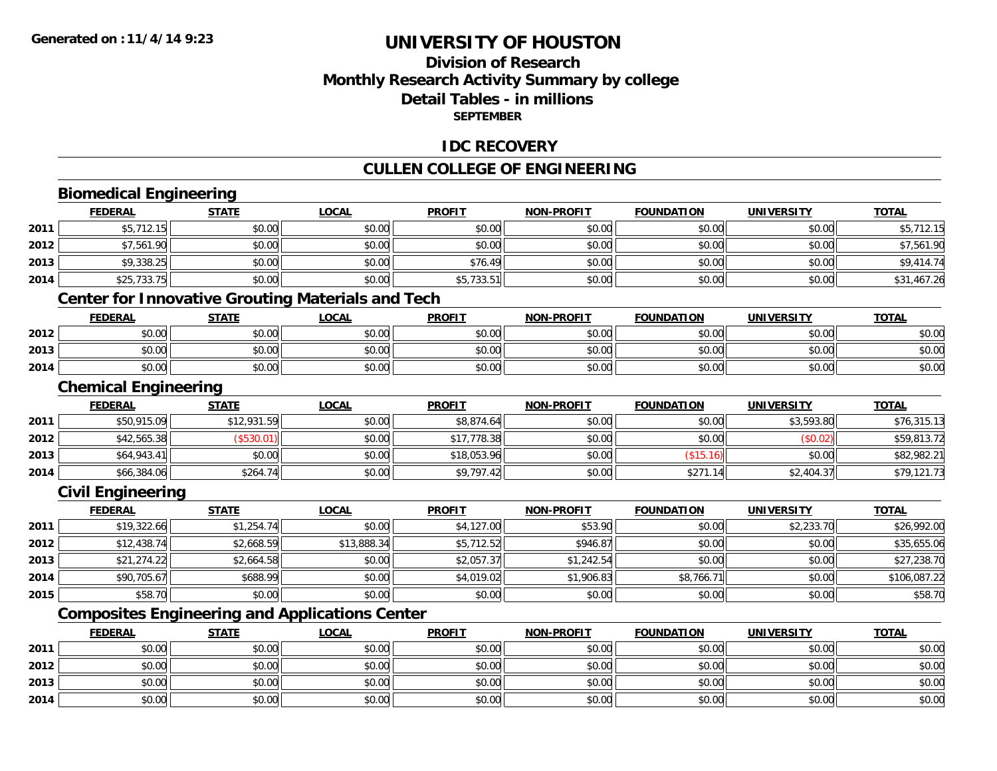## **Division of ResearchMonthly Research Activity Summary by college Detail Tables - in millions SEPTEMBER**

### **IDC RECOVERY**

## **CULLEN COLLEGE OF ENGINEERING**

# **Biomedical Engineering FEDERAL STATE LOCAL PROFIT NON-PROFIT FOUNDATION UNIVERSITY TOTAL**

**2013**

**2014**

| 2011 | \$5,712.15                  | \$0.00                                                   | \$0.00       | \$0.00        | \$0.00            | \$0.00            | \$0.00            | \$5,712.15   |
|------|-----------------------------|----------------------------------------------------------|--------------|---------------|-------------------|-------------------|-------------------|--------------|
| 2012 | \$7,561.90                  | \$0.00                                                   | \$0.00       | \$0.00        | \$0.00            | \$0.00            | \$0.00            | \$7,561.90   |
| 2013 | \$9,338.25                  | \$0.00                                                   | \$0.00       | \$76.49       | \$0.00            | \$0.00            | \$0.00            | \$9,414.74   |
| 2014 | \$25,733.75                 | \$0.00                                                   | \$0.00       | \$5,733.51    | \$0.00            | \$0.00            | \$0.00            | \$31,467.26  |
|      |                             | <b>Center for Innovative Grouting Materials and Tech</b> |              |               |                   |                   |                   |              |
|      | <b>FEDERAL</b>              | <b>STATE</b>                                             | <b>LOCAL</b> | <b>PROFIT</b> | <b>NON-PROFIT</b> | <b>FOUNDATION</b> | <b>UNIVERSITY</b> | <b>TOTAL</b> |
| 2012 | \$0.00                      | \$0.00                                                   | \$0.00       | \$0.00        | \$0.00            | \$0.00            | \$0.00            | \$0.00       |
| 2013 | \$0.00                      | \$0.00                                                   | \$0.00       | \$0.00        | \$0.00            | \$0.00            | \$0.00            | \$0.00       |
| 2014 | \$0.00                      | \$0.00                                                   | \$0.00       | \$0.00        | \$0.00            | \$0.00            | \$0.00            | \$0.00       |
|      | <b>Chemical Engineering</b> |                                                          |              |               |                   |                   |                   |              |
|      | <b>FEDERAL</b>              | <b>STATE</b>                                             | <b>LOCAL</b> | <b>PROFIT</b> | <b>NON-PROFIT</b> | <b>FOUNDATION</b> | <b>UNIVERSITY</b> | <b>TOTAL</b> |
| 2011 | \$50,915.09                 | \$12,931.59                                              | \$0.00       | \$8,874.64    | \$0.00            | \$0.00            | \$3,593.80        | \$76,315.13  |
| 2012 | \$42,565.38                 | (\$530.01)                                               | \$0.00       | \$17,778.38   | \$0.00            | \$0.00            | (\$0.02)          | \$59,813.72  |
| 2013 | \$64,943.41                 | \$0.00                                                   | \$0.00       | \$18,053.96   | \$0.00            | (\$15.16)         | \$0.00            | \$82,982.21  |
| 2014 | \$66,384.06                 | \$264.74                                                 | \$0.00       | \$9,797.42    | \$0.00            | \$271.14          | \$2,404.37        | \$79,121.73  |
|      | <b>Civil Engineering</b>    |                                                          |              |               |                   |                   |                   |              |
|      | <b>FEDERAL</b>              | <b>STATE</b>                                             | <b>LOCAL</b> | <b>PROFIT</b> | <b>NON-PROFIT</b> | <b>FOUNDATION</b> | <b>UNIVERSITY</b> | <b>TOTAL</b> |
| 2011 | \$19,322.66                 | \$1,254.74                                               | \$0.00       | \$4,127.00    | \$53.90           | \$0.00            | \$2,233.70        | \$26,992.00  |
| 2012 | \$12,438.74                 | \$2,668.59                                               | \$13,888.34  | \$5,712.52    | \$946.87          | \$0.00            | \$0.00            | \$35,655.06  |
| 2013 | \$21,274.22                 | \$2,664.58                                               | \$0.00       | \$2,057.37    | \$1,242.54        | \$0.00            | \$0.00            | \$27,238.70  |
| 2014 | \$90,705.67                 | \$688.99                                                 | \$0.00       | \$4,019.02    | \$1,906.83        | \$8,766.71        | \$0.00            | \$106,087.22 |
| 2015 | \$58.70                     | \$0.00                                                   | \$0.00       | \$0.00        | \$0.00            | \$0.00            | \$0.00            | \$58.70      |
|      |                             | <b>Composites Engineering and Applications Center</b>    |              |               |                   |                   |                   |              |
|      | <b>FEDERAL</b>              | <b>STATE</b>                                             | <b>LOCAL</b> | <b>PROFIT</b> | <b>NON-PROFIT</b> | <b>FOUNDATION</b> | <b>UNIVERSITY</b> | <b>TOTAL</b> |
| 2011 | \$0.00                      | \$0.00                                                   | \$0.00       | \$0.00        | \$0.00            | \$0.00            | \$0.00            | \$0.00       |
| 2012 | \$0.00                      | \$0.00                                                   | \$0.00       | \$0.00        | \$0.00            | \$0.00            | \$0.00            | \$0.00       |

\$0.00 \$0.00 \$0.00 \$0.00 \$0.00 \$0.00 \$0.00 \$0.00

4 \$0.00 \$0.00 \$0.00 \$0.00 \$0.00 \$0.00 \$0.00 \$0.00 \$0.00 \$0.00 \$0.00 \$0.00 \$0.00 \$0.00 \$0.00 \$0.00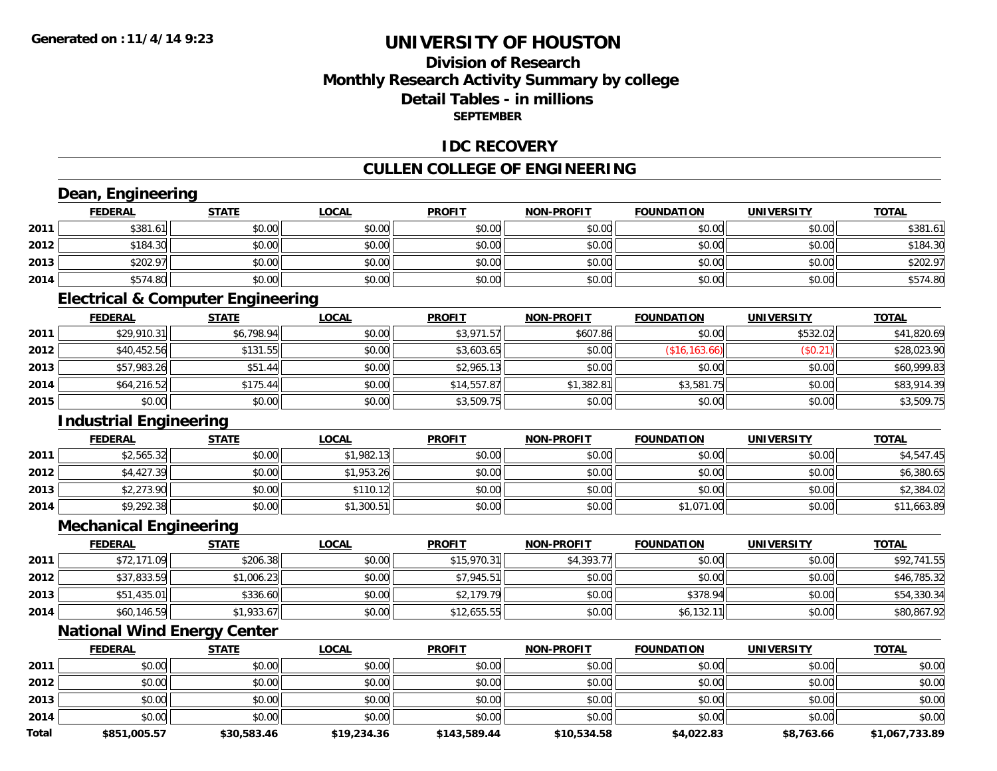**Total**

# **UNIVERSITY OF HOUSTON**

## **Division of ResearchMonthly Research Activity Summary by college Detail Tables - in millions SEPTEMBER**

### **IDC RECOVERY**

## **CULLEN COLLEGE OF ENGINEERING**

|      | Dean, Engineering             |                                              |              |               |                   |                   |                   |              |
|------|-------------------------------|----------------------------------------------|--------------|---------------|-------------------|-------------------|-------------------|--------------|
|      | <b>FEDERAL</b>                | <b>STATE</b>                                 | <b>LOCAL</b> | <b>PROFIT</b> | <b>NON-PROFIT</b> | <b>FOUNDATION</b> | <b>UNIVERSITY</b> | <b>TOTAL</b> |
| 2011 | \$381.61                      | \$0.00                                       | \$0.00       | \$0.00        | \$0.00            | \$0.00            | \$0.00            | \$381.61     |
| 2012 | \$184.30                      | \$0.00                                       | \$0.00       | \$0.00        | \$0.00            | \$0.00            | \$0.00            | \$184.30     |
| 2013 | \$202.97                      | \$0.00                                       | \$0.00       | \$0.00        | \$0.00            | \$0.00            | \$0.00            | \$202.97     |
| 2014 | \$574.80                      | \$0.00                                       | \$0.00       | \$0.00        | \$0.00            | \$0.00            | \$0.00            | \$574.80     |
|      |                               | <b>Electrical &amp; Computer Engineering</b> |              |               |                   |                   |                   |              |
|      | <b>FEDERAL</b>                | <b>STATE</b>                                 | <b>LOCAL</b> | <b>PROFIT</b> | <b>NON-PROFIT</b> | <b>FOUNDATION</b> | <b>UNIVERSITY</b> | <b>TOTAL</b> |
| 2011 | \$29,910.31                   | \$6,798.94                                   | \$0.00       | \$3,971.57    | \$607.86          | \$0.00            | \$532.02          | \$41,820.69  |
| 2012 | \$40,452.56                   | \$131.55                                     | \$0.00       | \$3,603.65    | \$0.00            | (\$16, 163.66)    | (S0.21)           | \$28,023.90  |
| 2013 | \$57,983.26                   | \$51.44                                      | \$0.00       | \$2,965.13    | \$0.00            | \$0.00            | \$0.00            | \$60,999.83  |
| 2014 | \$64,216.52                   | \$175.44                                     | \$0.00       | \$14,557.87   | \$1,382.81        | \$3,581.75        | \$0.00            | \$83,914.39  |
| 2015 | \$0.00                        | \$0.00                                       | \$0.00       | \$3,509.75    | \$0.00            | \$0.00            | \$0.00            | \$3,509.75   |
|      | <b>Industrial Engineering</b> |                                              |              |               |                   |                   |                   |              |
|      | <b>FEDERAL</b>                | <b>STATE</b>                                 | <b>LOCAL</b> | <b>PROFIT</b> | <b>NON-PROFIT</b> | <b>FOUNDATION</b> | <b>UNIVERSITY</b> | <b>TOTAL</b> |
| 2011 | \$2,565.32                    | \$0.00                                       | \$1,982.13   | \$0.00        | \$0.00            | \$0.00            | \$0.00            | \$4,547.45   |
| 2012 | \$4,427.39                    | \$0.00                                       | \$1,953.26   | \$0.00        | \$0.00            | \$0.00            | \$0.00            | \$6,380.65   |
| 2013 | \$2,273.90                    | \$0.00                                       | \$110.12     | \$0.00        | \$0.00            | \$0.00            | \$0.00            | \$2,384.02   |
| 2014 | \$9,292.38                    | \$0.00                                       | \$1,300.51   | \$0.00        | \$0.00            | \$1,071.00        | \$0.00            | \$11,663.89  |
|      | <b>Mechanical Engineering</b> |                                              |              |               |                   |                   |                   |              |
|      | <b>FEDERAL</b>                | <b>STATE</b>                                 | <b>LOCAL</b> | <b>PROFIT</b> | <b>NON-PROFIT</b> | <b>FOUNDATION</b> | UNIVERSITY        | <b>TOTAL</b> |
| 2011 | \$72,171.09                   | \$206.38                                     | \$0.00       | \$15,970.31   | \$4,393.77        | \$0.00            | \$0.00            | \$92,741.55  |
| 2012 | \$37,833.59                   | \$1,006.23                                   | \$0.00       | \$7,945.51    | \$0.00            | \$0.00            | \$0.00            | \$46,785.32  |
| 2013 | \$51,435.01                   | \$336.60                                     | \$0.00       | \$2,179.79    | \$0.00            | \$378.94          | \$0.00            | \$54,330.34  |
| 2014 | \$60,146.59                   | \$1,933.67                                   | \$0.00       | \$12,655.55   | \$0.00            | \$6,132.11        | \$0.00            | \$80,867.92  |
|      |                               | <b>National Wind Energy Center</b>           |              |               |                   |                   |                   |              |
|      | <b>FEDERAL</b>                | <b>STATE</b>                                 | <b>LOCAL</b> | <b>PROFIT</b> | <b>NON-PROFIT</b> | <b>FOUNDATION</b> | <b>UNIVERSITY</b> | <b>TOTAL</b> |
| 2011 | \$0.00                        | \$0.00                                       | \$0.00       | \$0.00        | \$0.00            | \$0.00            | \$0.00            | \$0.00       |
| 2012 | \$0.00                        | \$0.00                                       | \$0.00       | \$0.00        | \$0.00            | \$0.00            | \$0.00            | \$0.00       |
| 2013 | \$0.00                        | \$0.00                                       | \$0.00       | \$0.00        | \$0.00            | \$0.00            | \$0.00            | \$0.00       |
| 2014 | \$0.00                        | \$0.00                                       | \$0.00       | \$0.00        | \$0.00            | \$0.00            | \$0.00            | \$0.00       |
|      |                               |                                              |              |               |                   |                   |                   |              |

**\$851,005.57 \$30,583.46 \$19,234.36 \$143,589.44 \$10,534.58 \$4,022.83 \$8,763.66 \$1,067,733.89**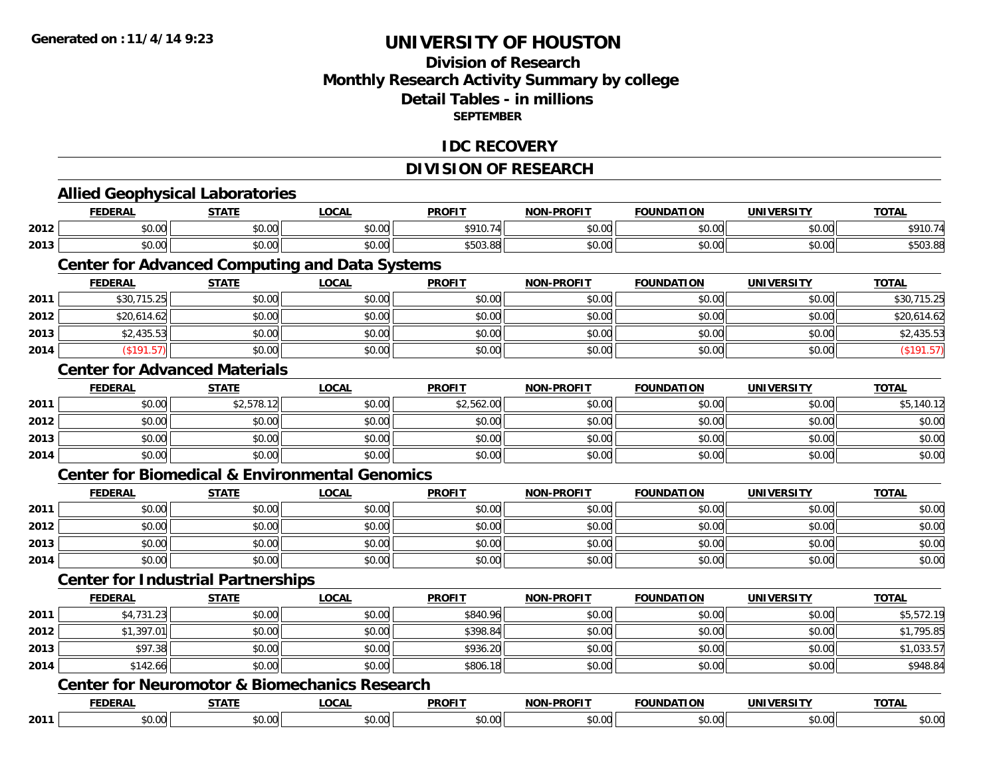## **Division of Research Monthly Research Activity Summary by college Detail Tables - in millions SEPTEMBER**

### **IDC RECOVERY**

## **DIVISION OF RESEARCH**

|      | <b>Allied Geophysical Laboratories</b>                    |              |              |               |                   |                   |                   |              |
|------|-----------------------------------------------------------|--------------|--------------|---------------|-------------------|-------------------|-------------------|--------------|
|      | <b>FEDERAL</b>                                            | <b>STATE</b> | <b>LOCAL</b> | <b>PROFIT</b> | <b>NON-PROFIT</b> | <b>FOUNDATION</b> | <b>UNIVERSITY</b> | <b>TOTAL</b> |
| 2012 | \$0.00                                                    | \$0.00       | \$0.00       | \$910.74      | \$0.00            | \$0.00            | \$0.00            | \$910.74     |
| 2013 | \$0.00                                                    | \$0.00       | \$0.00       | \$503.88      | \$0.00            | \$0.00            | \$0.00            | \$503.88     |
|      | <b>Center for Advanced Computing and Data Systems</b>     |              |              |               |                   |                   |                   |              |
|      | <b>FEDERAL</b>                                            | <b>STATE</b> | <b>LOCAL</b> | <b>PROFIT</b> | <b>NON-PROFIT</b> | <b>FOUNDATION</b> | <b>UNIVERSITY</b> | <b>TOTAL</b> |
| 2011 | \$30,715.25                                               | \$0.00       | \$0.00       | \$0.00        | \$0.00            | \$0.00            | \$0.00            | \$30,715.25  |
| 2012 | \$20,614.62                                               | \$0.00       | \$0.00       | \$0.00        | \$0.00            | \$0.00            | \$0.00            | \$20,614.62  |
| 2013 | \$2,435.53                                                | \$0.00       | \$0.00       | \$0.00        | \$0.00            | \$0.00            | \$0.00            | \$2,435.53   |
| 2014 | (\$191.57)                                                | \$0.00       | \$0.00       | \$0.00        | \$0.00            | \$0.00            | \$0.00            | (\$191.57)   |
|      | <b>Center for Advanced Materials</b>                      |              |              |               |                   |                   |                   |              |
|      | <b>FEDERAL</b>                                            | <b>STATE</b> | <b>LOCAL</b> | <b>PROFIT</b> | <b>NON-PROFIT</b> | <b>FOUNDATION</b> | <b>UNIVERSITY</b> | <b>TOTAL</b> |
| 2011 | \$0.00                                                    | \$2,578.12   | \$0.00       | \$2,562.00    | \$0.00            | \$0.00            | \$0.00            | \$5,140.12   |
| 2012 | \$0.00                                                    | \$0.00       | \$0.00       | \$0.00        | \$0.00            | \$0.00            | \$0.00            | \$0.00       |
| 2013 | \$0.00                                                    | \$0.00       | \$0.00       | \$0.00        | \$0.00            | \$0.00            | \$0.00            | \$0.00       |
| 2014 | \$0.00                                                    | \$0.00       | \$0.00       | \$0.00        | \$0.00            | \$0.00            | \$0.00            | \$0.00       |
|      | <b>Center for Biomedical &amp; Environmental Genomics</b> |              |              |               |                   |                   |                   |              |
|      | <b>FEDERAL</b>                                            | <b>STATE</b> | <b>LOCAL</b> | <b>PROFIT</b> | <b>NON-PROFIT</b> | <b>FOUNDATION</b> | <b>UNIVERSITY</b> | <b>TOTAL</b> |
| 2011 | \$0.00                                                    | \$0.00       | \$0.00       | \$0.00        | \$0.00            | \$0.00            | \$0.00            | \$0.00       |
| 2012 | \$0.00                                                    | \$0.00       | \$0.00       | \$0.00        | \$0.00            | \$0.00            | \$0.00            | \$0.00       |
| 2013 | \$0.00                                                    | \$0.00       | \$0.00       | \$0.00        | \$0.00            | \$0.00            | \$0.00            | \$0.00       |
| 2014 | \$0.00                                                    | \$0.00       | \$0.00       | \$0.00        | \$0.00            | \$0.00            | \$0.00            | \$0.00       |
|      | <b>Center for Industrial Partnerships</b>                 |              |              |               |                   |                   |                   |              |
|      | <b>FEDERAL</b>                                            | <b>STATE</b> | <b>LOCAL</b> | <b>PROFIT</b> | <b>NON-PROFIT</b> | <b>FOUNDATION</b> | <b>UNIVERSITY</b> | <b>TOTAL</b> |
| 2011 | \$4,731.23                                                | \$0.00       | \$0.00       | \$840.96      | \$0.00            | \$0.00            | \$0.00            | \$5,572.19   |
| 2012 | \$1,397.01                                                | \$0.00       | \$0.00       | \$398.84      | \$0.00            | \$0.00            | \$0.00            | \$1,795.85   |
| 2013 | \$97.38                                                   | \$0.00       | \$0.00       | \$936.20      | \$0.00            | \$0.00            | \$0.00            | \$1,033.57   |
| 2014 | \$142.66                                                  | \$0.00       | \$0.00       | \$806.18      | \$0.00            | \$0.00            | \$0.00            | \$948.84     |
|      | <b>Center for Neuromotor &amp; Biomechanics Research</b>  |              |              |               |                   |                   |                   |              |
|      | <b>FEDERAL</b>                                            | <b>STATE</b> | <b>LOCAL</b> | <b>PROFIT</b> | <b>NON-PROFIT</b> | <b>FOUNDATION</b> | <b>UNIVERSITY</b> | <b>TOTAL</b> |
| 2011 | \$0.00                                                    | \$0.00       | \$0.00       | \$0.00        | \$0.00            | \$0.00            | \$0.00            | \$0.00       |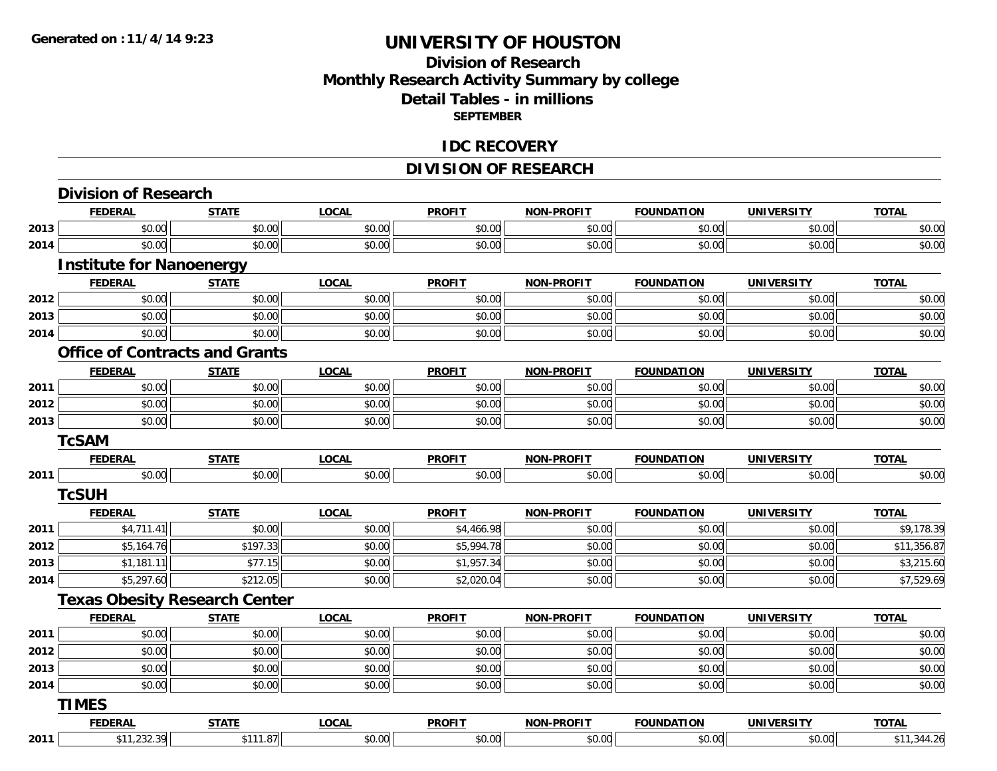## **Division of ResearchMonthly Research Activity Summary by college Detail Tables - in millions SEPTEMBER**

#### **IDC RECOVERY**

# **DIVISION OF RESEARCH**

|      | <b>FEDERAL</b>                        | <b>STATE</b>                         | <b>LOCAL</b> | <b>PROFIT</b> | <b>NON-PROFIT</b> | <b>FOUNDATION</b> | <b>UNIVERSITY</b> | <b>TOTAL</b> |
|------|---------------------------------------|--------------------------------------|--------------|---------------|-------------------|-------------------|-------------------|--------------|
| 2013 | \$0.00                                | \$0.00                               | \$0.00       | \$0.00        | \$0.00            | \$0.00            | \$0.00            | \$0.00       |
| 2014 | \$0.00                                | \$0.00                               | \$0.00       | \$0.00        | \$0.00            | \$0.00            | \$0.00            | \$0.00       |
|      | <b>Institute for Nanoenergy</b>       |                                      |              |               |                   |                   |                   |              |
|      | <b>FEDERAL</b>                        | <b>STATE</b>                         | <b>LOCAL</b> | <b>PROFIT</b> | <b>NON-PROFIT</b> | <b>FOUNDATION</b> | <b>UNIVERSITY</b> | <b>TOTAL</b> |
| 2012 | \$0.00                                | \$0.00                               | \$0.00       | \$0.00        | \$0.00            | \$0.00            | \$0.00            | \$0.00       |
| 2013 | \$0.00                                | \$0.00                               | \$0.00       | \$0.00        | \$0.00            | \$0.00            | \$0.00            | \$0.00       |
| 2014 | \$0.00                                | \$0.00                               | \$0.00       | \$0.00        | \$0.00            | \$0.00            | \$0.00            | \$0.00       |
|      | <b>Office of Contracts and Grants</b> |                                      |              |               |                   |                   |                   |              |
|      | <b>FEDERAL</b>                        | <b>STATE</b>                         | <b>LOCAL</b> | <b>PROFIT</b> | <b>NON-PROFIT</b> | <b>FOUNDATION</b> | <b>UNIVERSITY</b> | <b>TOTAL</b> |
| 2011 | \$0.00                                | \$0.00                               | \$0.00       | \$0.00        | \$0.00            | \$0.00            | \$0.00            | \$0.00       |
| 2012 | \$0.00                                | \$0.00                               | \$0.00       | \$0.00        | \$0.00            | \$0.00            | \$0.00            | \$0.00       |
| 2013 | \$0.00                                | \$0.00                               | \$0.00       | \$0.00        | \$0.00            | \$0.00            | \$0.00            | \$0.00       |
|      | <b>TcSAM</b>                          |                                      |              |               |                   |                   |                   |              |
|      | <b>FEDERAL</b>                        | <b>STATE</b>                         | <b>LOCAL</b> | <b>PROFIT</b> | <b>NON-PROFIT</b> | <b>FOUNDATION</b> | <b>UNIVERSITY</b> | <b>TOTAL</b> |
| 2011 | \$0.00                                | \$0.00                               | \$0.00       | \$0.00        | \$0.00            | \$0.00            | \$0.00            | \$0.00       |
|      | <b>TcSUH</b>                          |                                      |              |               |                   |                   |                   |              |
|      | <b>FEDERAL</b>                        | <b>STATE</b>                         | <b>LOCAL</b> | <b>PROFIT</b> | <b>NON-PROFIT</b> | <b>FOUNDATION</b> | <b>UNIVERSITY</b> | <b>TOTAL</b> |
| 2011 | \$4,711.41                            | \$0.00                               | \$0.00       | \$4,466.98    | \$0.00            | \$0.00            | \$0.00            | \$9,178.39   |
| 2012 | \$5,164.76                            | \$197.33                             | \$0.00       | \$5,994.78    | \$0.00            | \$0.00            | \$0.00            | \$11,356.87  |
| 2013 | \$1,181.11                            | \$77.15                              | \$0.00       | \$1,957.34    | \$0.00            | \$0.00            | \$0.00            | \$3,215.60   |
| 2014 | \$5,297.60                            | \$212.05                             | \$0.00       | \$2,020.04    | \$0.00            | \$0.00            | \$0.00            | \$7,529.69   |
|      |                                       | <b>Texas Obesity Research Center</b> |              |               |                   |                   |                   |              |
|      | <b>FEDERAL</b>                        | <b>STATE</b>                         | <b>LOCAL</b> | <b>PROFIT</b> | <b>NON-PROFIT</b> | <b>FOUNDATION</b> | <b>UNIVERSITY</b> | <b>TOTAL</b> |
| 2011 | \$0.00                                | \$0.00                               | \$0.00       | \$0.00        | \$0.00            | \$0.00            | \$0.00            | \$0.00       |
| 2012 | \$0.00                                | \$0.00                               | \$0.00       | \$0.00        | \$0.00            | \$0.00            | \$0.00            | \$0.00       |
| 2013 | \$0.00                                | \$0.00                               | \$0.00       | \$0.00        | \$0.00            | \$0.00            | \$0.00            | \$0.00       |
| 2014 | \$0.00                                | \$0.00                               | \$0.00       | \$0.00        | \$0.00            | \$0.00            | \$0.00            | \$0.00       |
|      | <b>TIMES</b>                          |                                      |              |               |                   |                   |                   |              |
|      | <b>FEDERAL</b>                        | <b>STATE</b>                         | <b>LOCAL</b> | <b>PROFIT</b> | <b>NON-PROFIT</b> | <b>FOUNDATION</b> | <b>UNIVERSITY</b> | <b>TOTAL</b> |
| 2011 | \$11,232.39                           | \$111.87                             | \$0.00       | \$0.00        | \$0.00            | \$0.00            | \$0.00            | \$11,344.26  |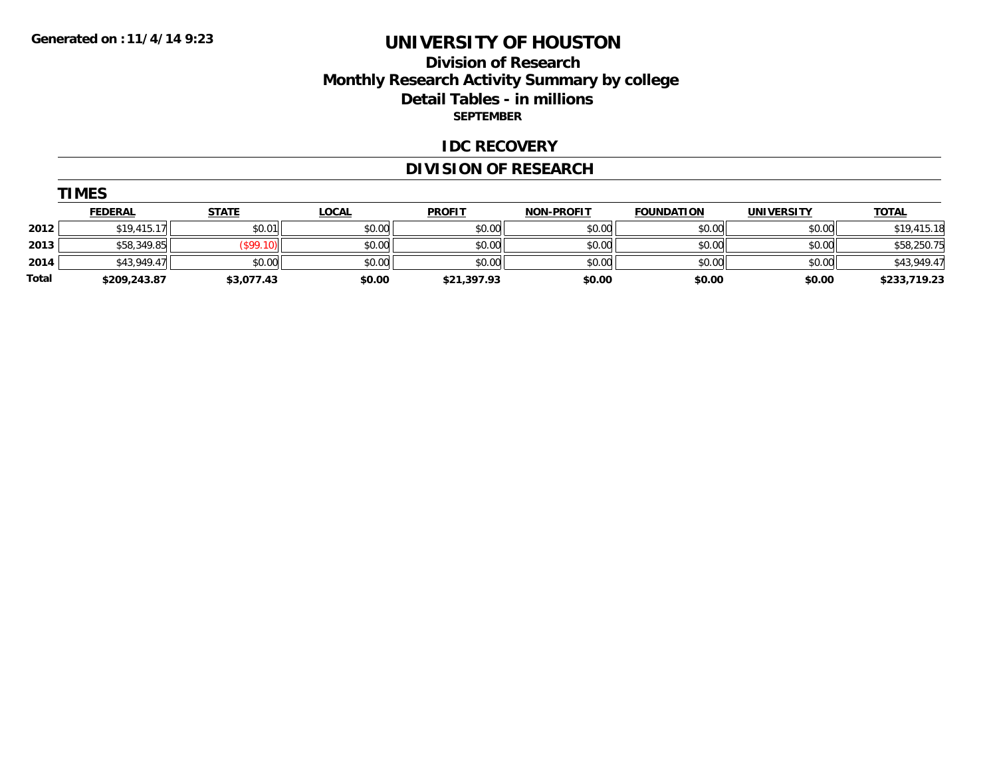## **Division of Research Monthly Research Activity Summary by college Detail Tables - in millions SEPTEMBER**

#### **IDC RECOVERY**

## **DIVISION OF RESEARCH**

| М<br>н |
|--------|
|--------|

|       | <u>FEDERAL</u> | <u>STATE</u> | <u>LOCAL</u> | <b>PROFIT</b> | <b>NON-PROFIT</b> | <b>FOUNDATION</b> | <b>UNIVERSITY</b> | <b>TOTAL</b> |
|-------|----------------|--------------|--------------|---------------|-------------------|-------------------|-------------------|--------------|
| 2012  | \$19.415.17    | \$0.01       | \$0.00       | \$0.00        | \$0.00            | \$0.00            | \$0.00            | \$19,415.18  |
| 2013  | \$58,349.85    | \$99.10]     | \$0.00       | \$0.00        | \$0.00            | \$0.00            | \$0.00            | \$58,250.75  |
| 2014  | \$43,949.47    | \$0.00       | \$0.00       | \$0.00        | \$0.00            | \$0.00            | \$0.00            | \$43,949.47  |
| Total | \$209,243.87   | \$3,077.43   | \$0.00       | \$21,397.93   | \$0.00            | \$0.00            | \$0.00            | \$233,719.23 |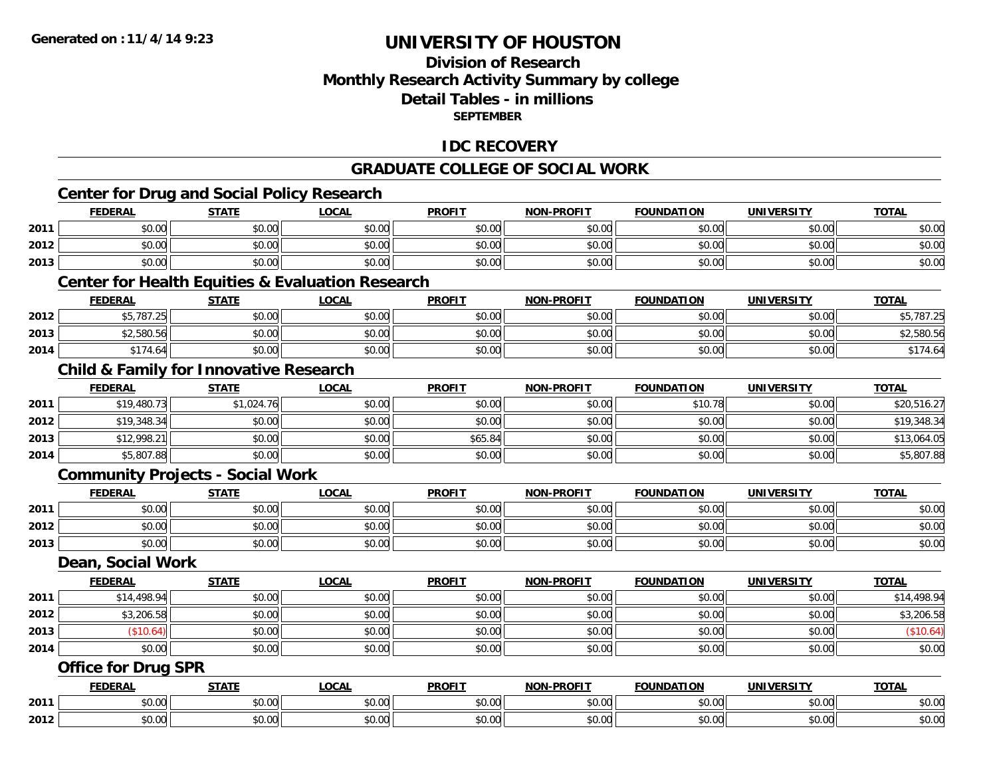## **Division of Research Monthly Research Activity Summary by college Detail Tables - in millions SEPTEMBER**

## **IDC RECOVERY**

#### **GRADUATE COLLEGE OF SOCIAL WORK**

|      | <b>Center for Drug and Social Policy Research</b>           |              |              |               |                   |                   |                   |              |
|------|-------------------------------------------------------------|--------------|--------------|---------------|-------------------|-------------------|-------------------|--------------|
|      | <b>FEDERAL</b>                                              | <b>STATE</b> | <b>LOCAL</b> | <b>PROFIT</b> | <b>NON-PROFIT</b> | <b>FOUNDATION</b> | <b>UNIVERSITY</b> | <b>TOTAL</b> |
| 2011 | \$0.00                                                      | \$0.00       | \$0.00       | \$0.00        | \$0.00            | \$0.00            | \$0.00            | \$0.00       |
| 2012 | \$0.00                                                      | \$0.00       | \$0.00       | \$0.00        | \$0.00            | \$0.00            | \$0.00            | \$0.00       |
| 2013 | \$0.00                                                      | \$0.00       | \$0.00       | \$0.00        | \$0.00            | \$0.00            | \$0.00            | \$0.00       |
|      | <b>Center for Health Equities &amp; Evaluation Research</b> |              |              |               |                   |                   |                   |              |
|      | <b>FEDERAL</b>                                              | <b>STATE</b> | <b>LOCAL</b> | <b>PROFIT</b> | <b>NON-PROFIT</b> | <b>FOUNDATION</b> | <b>UNIVERSITY</b> | <b>TOTAL</b> |
| 2012 | \$5,787.25                                                  | \$0.00       | \$0.00       | \$0.00        | \$0.00            | \$0.00            | \$0.00            | \$5,787.25   |
| 2013 | \$2,580.56                                                  | \$0.00       | \$0.00       | \$0.00        | \$0.00            | \$0.00            | \$0.00            | \$2,580.56   |
| 2014 | \$174.64                                                    | \$0.00       | \$0.00       | \$0.00        | \$0.00            | \$0.00            | \$0.00            | \$174.64     |
|      | <b>Child &amp; Family for Innovative Research</b>           |              |              |               |                   |                   |                   |              |
|      | <b>FEDERAL</b>                                              | <b>STATE</b> | <b>LOCAL</b> | <b>PROFIT</b> | <b>NON-PROFIT</b> | <b>FOUNDATION</b> | <b>UNIVERSITY</b> | <b>TOTAL</b> |
| 2011 | \$19,480.73                                                 | \$1,024.76   | \$0.00       | \$0.00        | \$0.00            | \$10.78           | \$0.00            | \$20,516.27  |
| 2012 | \$19,348.34                                                 | \$0.00       | \$0.00       | \$0.00        | \$0.00            | \$0.00            | \$0.00            | \$19,348.34  |
| 2013 | \$12,998.21                                                 | \$0.00       | \$0.00       | \$65.84       | \$0.00            | \$0.00            | \$0.00            | \$13,064.05  |
| 2014 | \$5,807.88                                                  | \$0.00       | \$0.00       | \$0.00        | \$0.00            | \$0.00            | \$0.00            | \$5,807.88   |
|      | <b>Community Projects - Social Work</b>                     |              |              |               |                   |                   |                   |              |
|      | <b>FEDERAL</b>                                              | <b>STATE</b> | <b>LOCAL</b> | <b>PROFIT</b> | <b>NON-PROFIT</b> | <b>FOUNDATION</b> | <b>UNIVERSITY</b> | <b>TOTAL</b> |
| 2011 | \$0.00                                                      | \$0.00       | \$0.00       | \$0.00        | \$0.00            | \$0.00            | \$0.00            | \$0.00       |
| 2012 | \$0.00                                                      | \$0.00       | \$0.00       | \$0.00        | \$0.00            | \$0.00            | \$0.00            | \$0.00       |
| 2013 | \$0.00                                                      | \$0.00       | \$0.00       | \$0.00        | \$0.00            | \$0.00            | \$0.00            | \$0.00       |
|      | Dean, Social Work                                           |              |              |               |                   |                   |                   |              |
|      | <b>FEDERAL</b>                                              | <b>STATE</b> | <b>LOCAL</b> | <b>PROFIT</b> | <b>NON-PROFIT</b> | <b>FOUNDATION</b> | <b>UNIVERSITY</b> | <b>TOTAL</b> |
| 2011 | \$14,498.94                                                 | \$0.00       | \$0.00       | \$0.00        | \$0.00            | \$0.00            | \$0.00            | \$14,498.94  |
| 2012 | \$3,206.58                                                  | \$0.00       | \$0.00       | \$0.00        | \$0.00            | \$0.00            | \$0.00            | \$3,206.58   |
| 2013 | (\$10.64)                                                   | \$0.00       | \$0.00       | \$0.00        | \$0.00            | \$0.00            | \$0.00            | (\$10.64)    |
| 2014 | \$0.00                                                      | \$0.00       | \$0.00       | \$0.00        | \$0.00            | \$0.00            | \$0.00            | \$0.00       |
|      | <b>Office for Drug SPR</b>                                  |              |              |               |                   |                   |                   |              |
|      | <b>FEDERAL</b>                                              | <b>STATE</b> | <b>LOCAL</b> | <b>PROFIT</b> | <b>NON-PROFIT</b> | <b>FOUNDATION</b> | <b>UNIVERSITY</b> | <b>TOTAL</b> |
| 2011 | \$0.00                                                      | \$0.00       | \$0.00       | \$0.00        | \$0.00            | \$0.00            | \$0.00            | \$0.00       |
| 2012 | \$0.00                                                      | \$0.00       | \$0.00       | \$0.00        | \$0.00            | \$0.00            | \$0.00            | \$0.00       |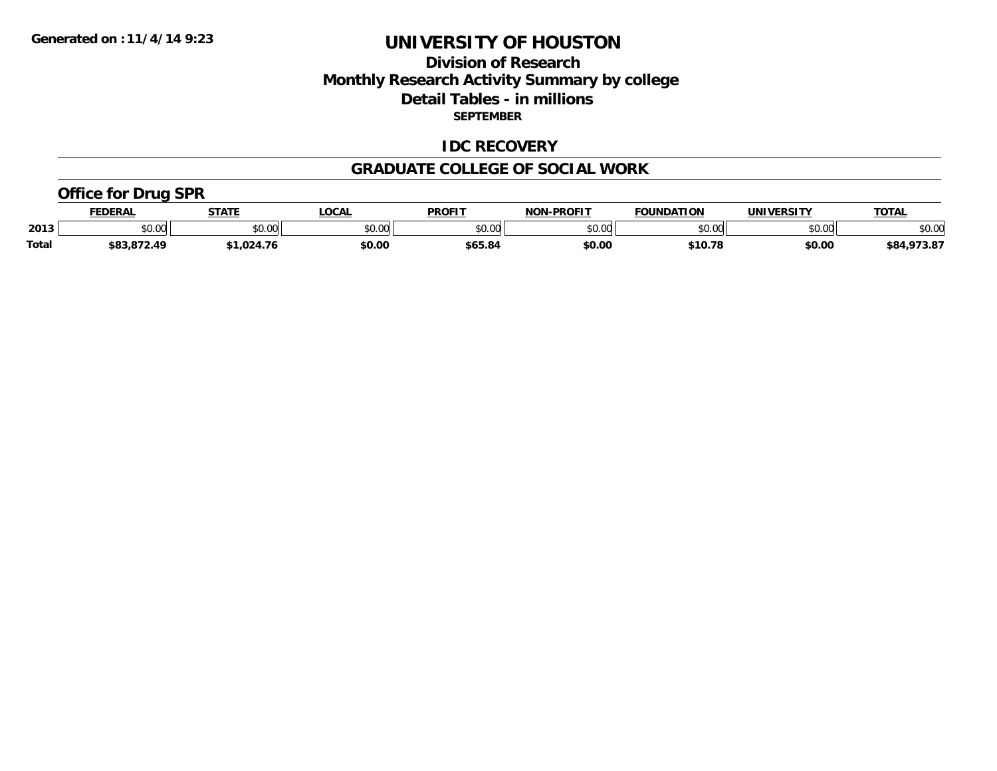## **Division of Research Monthly Research Activity Summary by college Detail Tables - in millions SEPTEMBER**

#### **IDC RECOVERY**

#### **GRADUATE COLLEGE OF SOCIAL WORK**

### **Office for Drug SPR**

|              | <b>DERAI</b> | <b>STATE</b>           | <b>OCAL</b>             | <b>PROFIT</b> | <b>DDOEIT</b><br><b>ארות</b> | <b>FOUNDATION</b>     | UNIVERSITY | <b>TOTAL</b>      |
|--------------|--------------|------------------------|-------------------------|---------------|------------------------------|-----------------------|------------|-------------------|
| 2013         | \$0.00       | 0 <sup>n</sup><br>υυ., | 0 <sup>n</sup><br>50.UC | 0000<br>JU.UU | 0000<br>,u.uu                | $n \cap \overline{D}$ | \$0.00     | \$0.00            |
| <b>Total</b> | ሐ ጠጣ<br>ΛQ   | .024                   | \$0.00                  | 665.8         | \$0.00                       | \$10.<br>70           | \$0.00     | <br>\$84<br>, J.a |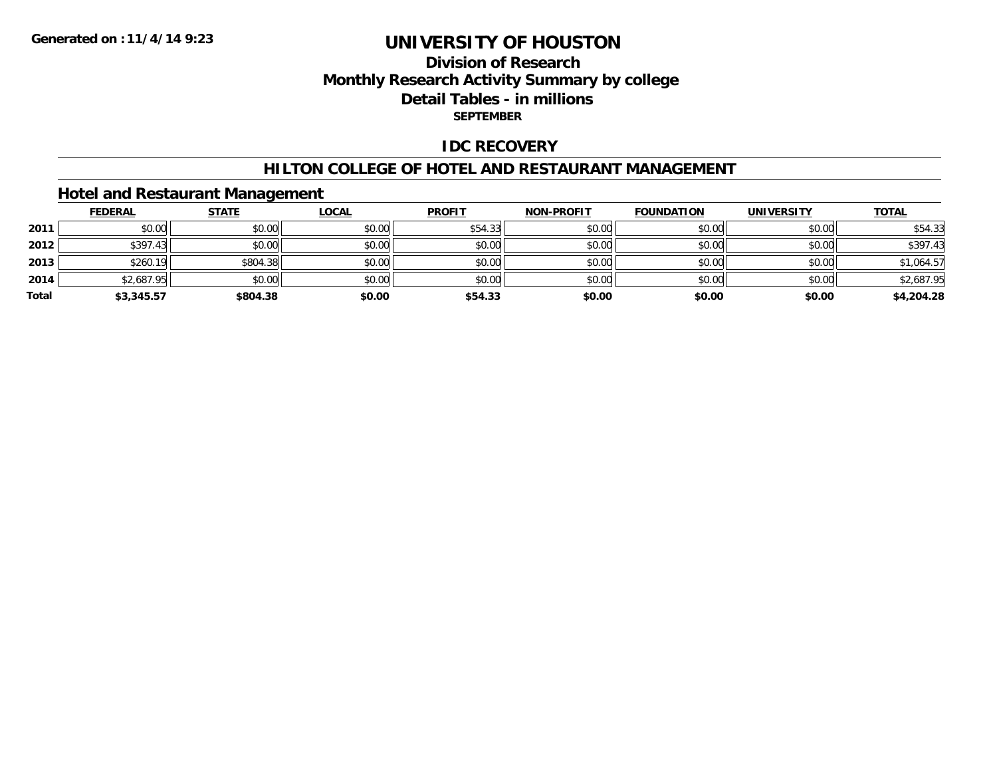## **Division of ResearchMonthly Research Activity Summary by college Detail Tables - in millions SEPTEMBER**

### **IDC RECOVERY**

#### **HILTON COLLEGE OF HOTEL AND RESTAURANT MANAGEMENT**

### **Hotel and Restaurant Management**

|       | <b>FEDERAL</b> | <b>STATE</b> | <b>LOCAL</b> | <b>PROFIT</b> | <b>NON-PROFIT</b> | <b>FOUNDATION</b> | <b>UNIVERSITY</b> | <b>TOTAL</b> |
|-------|----------------|--------------|--------------|---------------|-------------------|-------------------|-------------------|--------------|
| 2011  | \$0.00         | \$0.00       | \$0.00       | \$54.33       | \$0.00            | \$0.00            | \$0.00            | \$54.33      |
| 2012  | \$397.43       | \$0.00       | \$0.00       | \$0.00        | \$0.00            | \$0.00            | \$0.00            | \$397.43     |
| 2013  | \$260.19       | \$804.38     | \$0.00       | \$0.00        | \$0.00            | \$0.00            | \$0.00            | \$1,064.57   |
| 2014  | \$2,687.95     | \$0.00       | \$0.00       | \$0.00        | \$0.00            | \$0.00            | \$0.00            | \$2,687.95   |
| Total | \$3,345.57     | \$804.38     | \$0.00       | \$54.33       | \$0.00            | \$0.00            | \$0.00            | \$4,204.28   |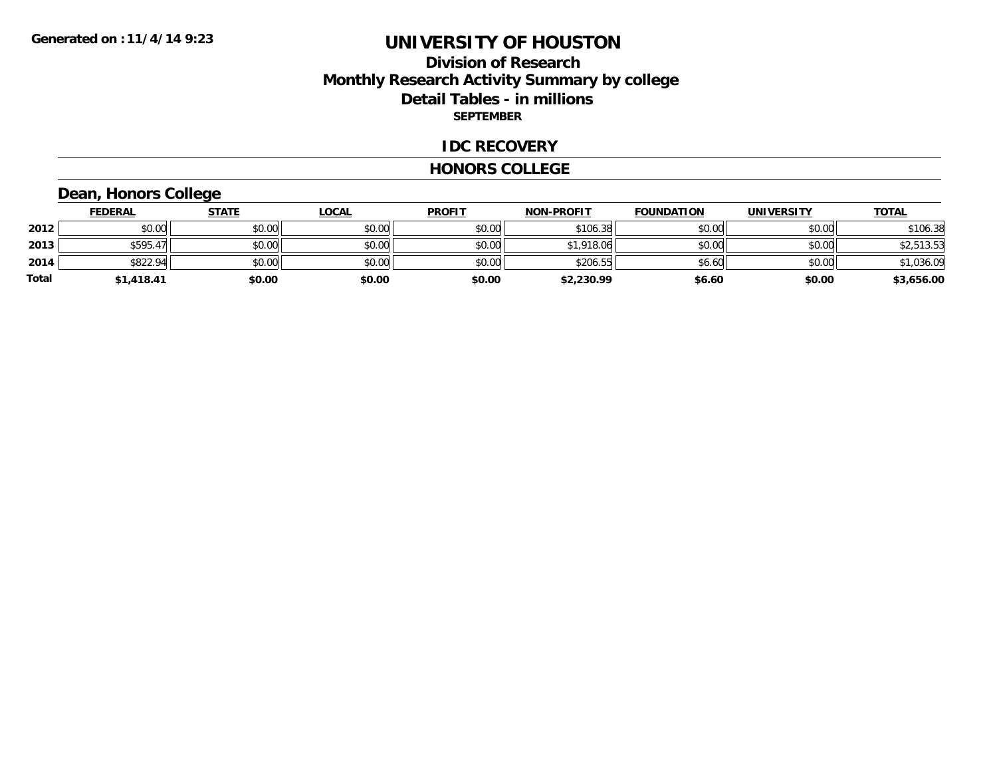## **Division of Research Monthly Research Activity Summary by college Detail Tables - in millions SEPTEMBER**

#### **IDC RECOVERY**

#### **HONORS COLLEGE**

# **Dean, Honors College**

|       | <b>FEDERAL</b> | <u>STATE</u> | <b>LOCAL</b> | <b>PROFIT</b> | <b>NON-PROFIT</b> | <b>FOUNDATION</b> | <b>UNIVERSITY</b> | <b>TOTAL</b> |
|-------|----------------|--------------|--------------|---------------|-------------------|-------------------|-------------------|--------------|
| 2012  | \$0.00         | \$0.00       | \$0.00       | \$0.00        | \$106.38          | \$0.00            | \$0.00            | \$106.38     |
| 2013  | \$595.47       | \$0.00       | \$0.00       | \$0.00        | \$1,918.06        | \$0.00            | \$0.00            | \$2,513.53   |
| 2014  | \$822.94       | \$0.00       | \$0.00       | \$0.00        | \$206.55          | \$6.60            | \$0.00            | \$1,036.09   |
| Total | \$1,418.41     | \$0.00       | \$0.00       | \$0.00        | \$2,230.99        | \$6.60            | \$0.00            | \$3,656.00   |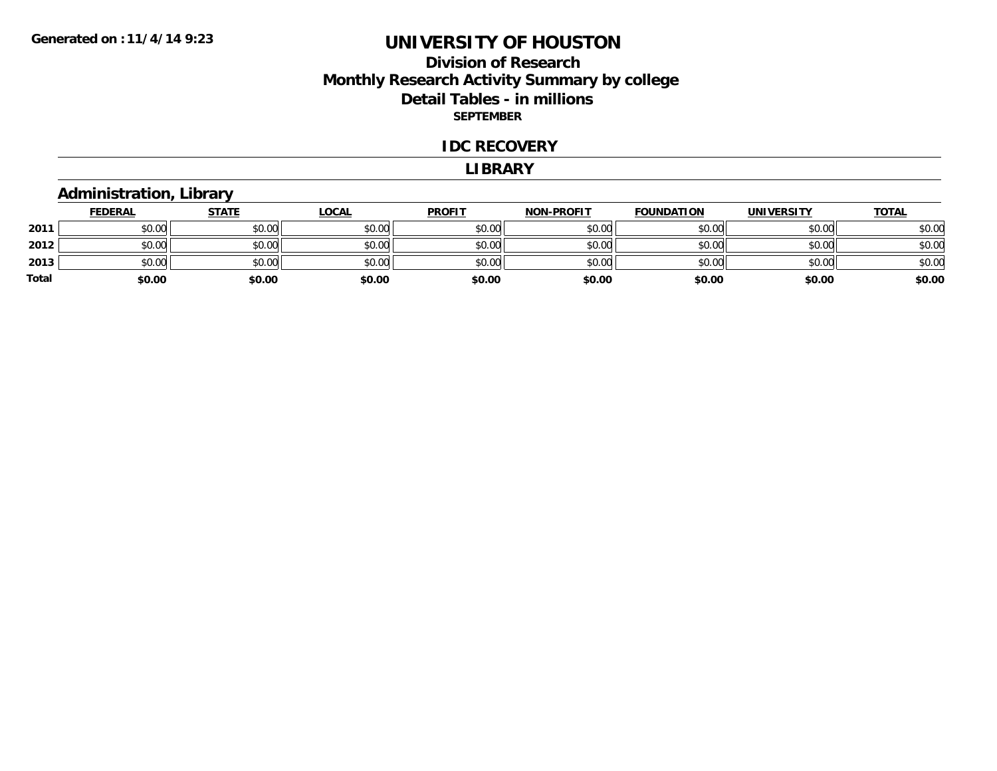## **Division of Research Monthly Research Activity Summary by college Detail Tables - in millions SEPTEMBER**

#### **IDC RECOVERY**

#### **LIBRARY**

# **Administration, Library**

|              | <b>FEDERAL</b> | <b>STATE</b> | <u>LOCAL</u> | <b>PROFIT</b> | <b>NON-PROFIT</b> | <b>FOUNDATION</b> | <b>UNIVERSITY</b> | <b>TOTAL</b> |
|--------------|----------------|--------------|--------------|---------------|-------------------|-------------------|-------------------|--------------|
| 2011         | \$0.00         | \$0.00       | \$0.00       | \$0.00        | \$0.00            | \$0.00            | \$0.00            | \$0.00       |
| 2012         | \$0.00         | \$0.00       | \$0.00       | \$0.00        | \$0.00            | \$0.00            | \$0.00            | \$0.00       |
| 2013         | \$0.00         | \$0.00       | \$0.00       | \$0.00        | \$0.00            | \$0.00            | \$0.00            | \$0.00       |
| <b>Total</b> | \$0.00         | \$0.00       | \$0.00       | \$0.00        | \$0.00            | \$0.00            | \$0.00            | \$0.00       |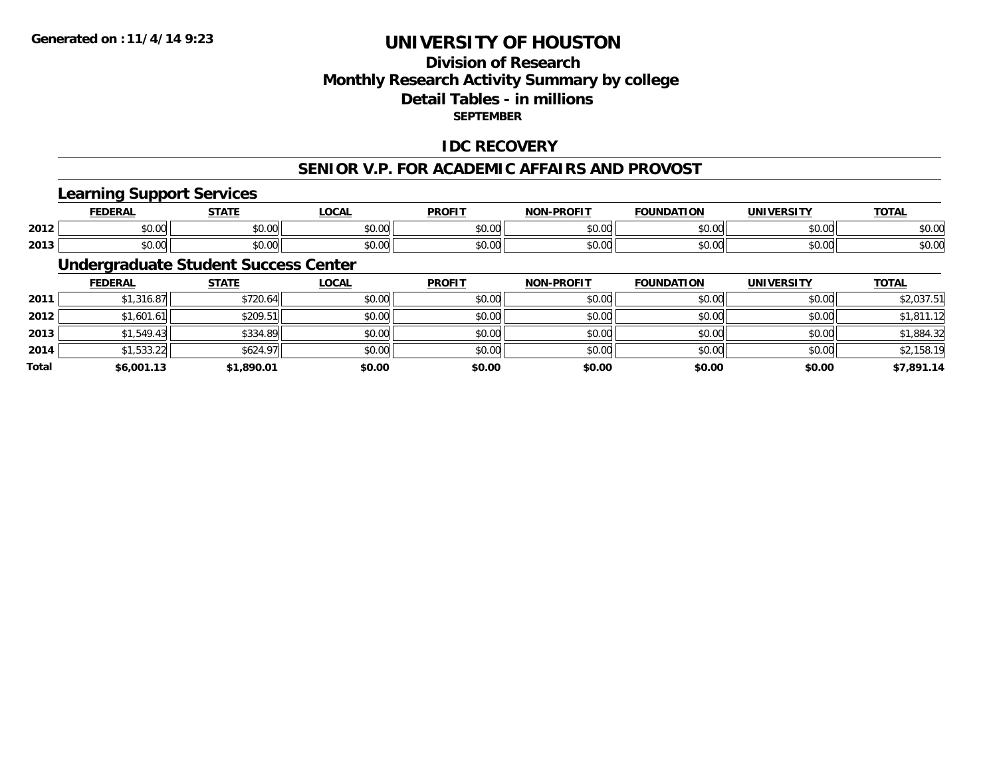# **Division of ResearchMonthly Research Activity Summary by college Detail Tables - in millions SEPTEMBER**

### **IDC RECOVERY**

#### **SENIOR V.P. FOR ACADEMIC AFFAIRS AND PROVOST**

### **Learning Support Services**

|      | <b>FEDERAL</b>     | <b>STATE</b><br>. | .OCAL | <b>PROFIT</b> | <b>I-PROFIT</b><br><b>NIONI</b> | <b>FOUNDATION</b>  | UNIVERSITY    | <b>TOTAL</b>           |
|------|--------------------|-------------------|-------|---------------|---------------------------------|--------------------|---------------|------------------------|
| 2012 | $\sim$ 00<br>vu.uu | 0.00<br>DU.UU     | vu.vu | 0.00<br>JU.UU | \$0.00                          | $\cdots$<br>JU.UU  | 0000<br>PO.OO | $\sim$ $\sim$<br>ง∪.∪บ |
| 2013 | 0.00<br>JU.UU      | 0000<br>JU.UU     | JU.UU | 0.00<br>JU.UU | \$0.00                          | $\sim$ 00<br>JU.UU | 0000<br>JU.UU | $\sim$ $\sim$<br>ง∪.∪บ |

## **Undergraduate Student Success Center**

|              | <b>FEDERAL</b> | <b>STATE</b> | <u>LOCAL</u> | <b>PROFIT</b> | <b>NON-PROFIT</b> | <b>FOUNDATION</b> | <b>UNIVERSITY</b> | <b>TOTAL</b> |
|--------------|----------------|--------------|--------------|---------------|-------------------|-------------------|-------------------|--------------|
| 2011         | \$1,316.87     | \$720.64     | \$0.00       | \$0.00        | \$0.00            | \$0.00            | \$0.00            | \$2,037.51   |
| 2012         | \$1,601.61     | \$209.51     | \$0.00       | \$0.00        | \$0.00            | \$0.00            | \$0.00            | \$1,811.12   |
| 2013         | \$1,549.43     | \$334.89     | \$0.00       | \$0.00        | \$0.00            | \$0.00            | \$0.00            | \$1,884.32   |
| 2014         | \$1,533.22     | \$624.97     | \$0.00       | \$0.00        | \$0.00            | \$0.00            | \$0.00            | \$2,158.19   |
| <b>Total</b> | \$6,001.13     | \$1,890.01   | \$0.00       | \$0.00        | \$0.00            | \$0.00            | \$0.00            | \$7,891.14   |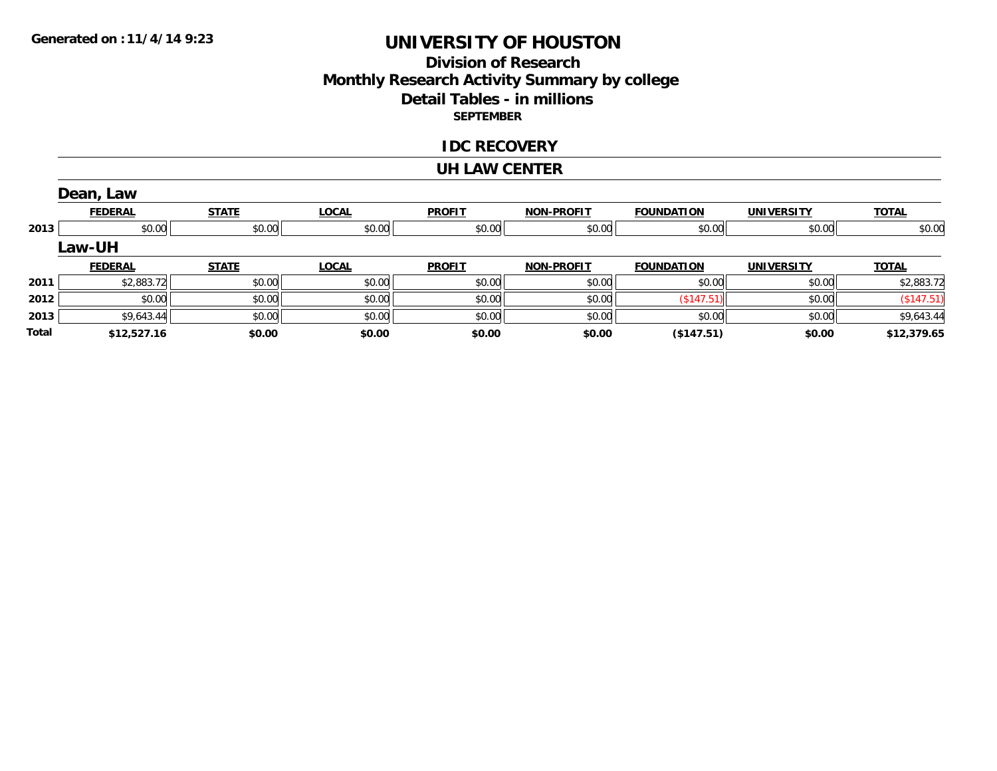# **Division of Research Monthly Research Activity Summary by college Detail Tables - in millions SEPTEMBER**

#### **IDC RECOVERY**

#### **UH LAW CENTER**

|       | Dean, Law      |              |              |               |                   |                   |                   |              |
|-------|----------------|--------------|--------------|---------------|-------------------|-------------------|-------------------|--------------|
|       | <b>FEDERAL</b> | <b>STATE</b> | <b>LOCAL</b> | <b>PROFIT</b> | <b>NON-PROFIT</b> | <b>FOUNDATION</b> | <b>UNIVERSITY</b> | <b>TOTAL</b> |
| 2013  | \$0.00         | \$0.00       | \$0.00       | \$0.00        | \$0.00            | \$0.00            | \$0.00            | \$0.00       |
|       | Law-UH         |              |              |               |                   |                   |                   |              |
|       | <b>FEDERAL</b> | <b>STATE</b> | <b>LOCAL</b> | <b>PROFIT</b> | <b>NON-PROFIT</b> | <b>FOUNDATION</b> | <b>UNIVERSITY</b> | <b>TOTAL</b> |
| 2011  | \$2,883.72     | \$0.00       | \$0.00       | \$0.00        | \$0.00            | \$0.00            | \$0.00            | \$2,883.72   |
| 2012  | \$0.00         | \$0.00       | \$0.00       | \$0.00        | \$0.00            | (\$147.51)        | \$0.00            | (\$147.51)   |
| 2013  | \$9,643.44     | \$0.00       | \$0.00       | \$0.00        | \$0.00            | \$0.00            | \$0.00            | \$9,643.44   |
| Total | \$12,527.16    | \$0.00       | \$0.00       | \$0.00        | \$0.00            | (\$147.51)        | \$0.00            | \$12,379.65  |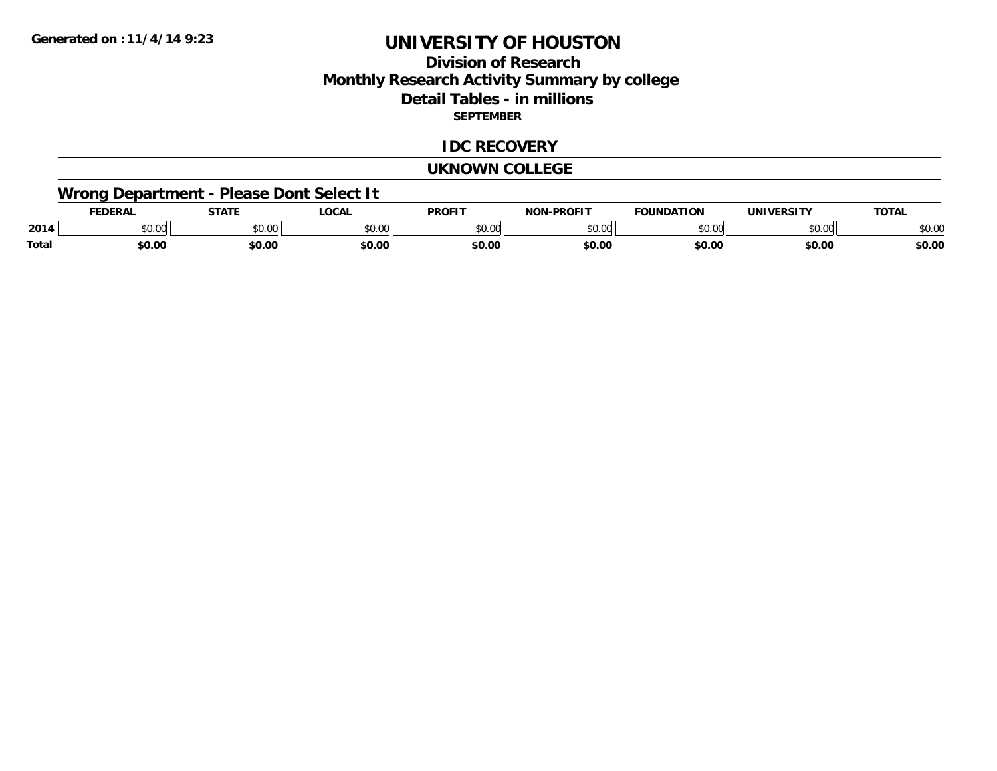## **Division of ResearchMonthly Research Activity Summary by college Detail Tables - in millions SEPTEMBER**

#### **IDC RECOVERY**

#### **UKNOWN COLLEGE**

# **Wrong Department - Please Dont Select It**

|       | <b>FDERA</b> | 27.77           | .OCAI          | <b>PROFIT</b> | <b>DDAEIT</b><br><b>IAON</b> | FOUNDATION         | 1111110001717 | <b>TOTAL</b>    |
|-------|--------------|-----------------|----------------|---------------|------------------------------|--------------------|---------------|-----------------|
| 2014  | \$0.00       | $\sim$<br>JU.UU | 0000<br>וטט.טי | $\sim$ 00     | ስ ሰሰ<br>JU.UU                | $\sim$ 00<br>JU.UU | \$0.00        | $\sim$<br>DU.UU |
| Total | \$0.00       | en nr<br>JU.U   | \$0.00         | \$0.00        | \$0.00                       | \$0.00             | \$0.00        | \$0.00          |